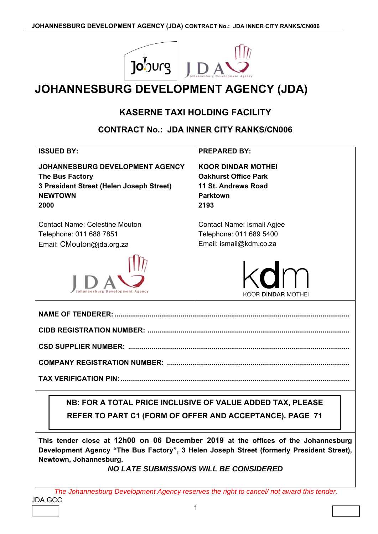

## **JOHANNESBURG DEVELOPMENT AGENCY (JDA)**

## **KASERNE TAXI HOLDING FACILITY**

## **CONTRACT No.: JDA INNER CITY RANKS/CN006**

| <b>ISSUED BY:</b>                                                                                                               | <b>PREPARED BY:</b>                                                                                        |
|---------------------------------------------------------------------------------------------------------------------------------|------------------------------------------------------------------------------------------------------------|
| <b>JOHANNESBURG DEVELOPMENT AGENCY</b><br>The Bus Factory<br>3 President Street (Helen Joseph Street)<br><b>NEWTOWN</b><br>2000 | <b>KOOR DINDAR MOTHEI</b><br><b>Oakhurst Office Park</b><br>11 St. Andrews Road<br><b>Parktown</b><br>2193 |
| <b>Contact Name: Celestine Mouton</b>                                                                                           | Contact Name: Ismail Agjee                                                                                 |
| Telephone: 011 688 7851                                                                                                         | Telephone: 011 689 5400                                                                                    |
| Email: CMouton@jda.org.za                                                                                                       | Email: ismail@kdm.co.za                                                                                    |
|                                                                                                                                 | kdm<br>KOOR DINDAR MOTHEI                                                                                  |
|                                                                                                                                 |                                                                                                            |
|                                                                                                                                 |                                                                                                            |
|                                                                                                                                 |                                                                                                            |
|                                                                                                                                 |                                                                                                            |
|                                                                                                                                 |                                                                                                            |
|                                                                                                                                 |                                                                                                            |
|                                                                                                                                 | NB: FOR A TOTAL PRICE INCLUSIVE OF VALUE ADDED TAX, PLEASE                                                 |
|                                                                                                                                 |                                                                                                            |
|                                                                                                                                 | REFER TO PART C1 (FORM OF OFFER AND ACCEPTANCE). PAGE 71                                                   |

**This tender close at 12h00 on 06 December 2019 at the offices of the Johannesburg Development Agency "The Bus Factory", 3 Helen Joseph Street (formerly President Street), Newtown, Johannesburg.** 

## *NO LATE SUBMISSIONS WILL BE CONSIDERED*

JDA GCC *The Johannesburg Development Agency reserves the right to cancel/ not award this tender.*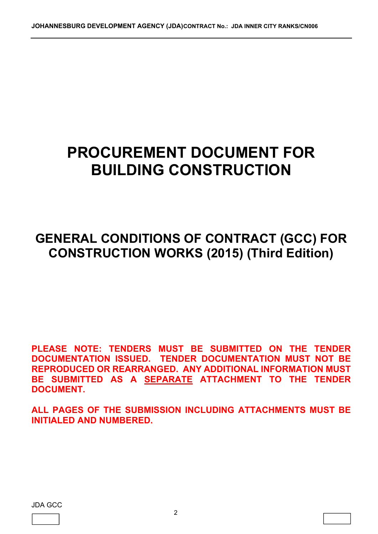# **PROCUREMENT DOCUMENT FOR BUILDING CONSTRUCTION**

## **GENERAL CONDITIONS OF CONTRACT (GCC) FOR CONSTRUCTION WORKS (2015) (Third Edition)**

**PLEASE NOTE: TENDERS MUST BE SUBMITTED ON THE TENDER DOCUMENTATION ISSUED. TENDER DOCUMENTATION MUST NOT BE REPRODUCED OR REARRANGED. ANY ADDITIONAL INFORMATION MUST BE SUBMITTED AS A SEPARATE ATTACHMENT TO THE TENDER DOCUMENT.** 

**ALL PAGES OF THE SUBMISSION INCLUDING ATTACHMENTS MUST BE INITIALED AND NUMBERED.** 

JDA GCC

L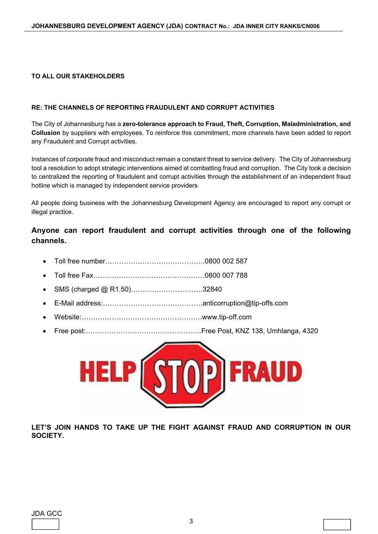#### **TO ALL OUR STAKEHOLDERS**

#### **RE: THE CHANNELS OF REPORTING FRAUDULENT AND CORRUPT ACTIVITIES**

The City of Johannesburg has a **zero-tolerance approach to Fraud, Theft, Corruption, Maladministration, and Collusion** by suppliers with employees. To reinforce this commitment, more channels have been added to report any Fraudulent and Corrupt activities.

Instances of corporate fraud and misconduct remain a constant threat to service delivery. The City of Johannesburg tool a resolution to adopt strategic interventions aimed at combatting fraud and corruption. The City took a decision to centralized the reporting of fraudulent and corrupt activities through the establishment of an independent fraud hotline which is managed by independent service providers

All people doing business with the Johannesburg Development Agency are encouraged to report any corrupt or illegal practice.

**Anyone can report fraudulent and corrupt activities through one of the following channels.** 

- Toll free number…………………………………….0800 002 587
- Toll free Fax…………………………………………0800 007 788
- SMS (charged @ R1.50)………………………….32840
- E-Mail address:…………………………………….anticorruption@tip-offs.com
- Website:…………………………………………….www.tip-off.com
- Free post:…………………………………………..Free Post, KNZ 138, Umhlanga, 4320



**LET'S JOIN HANDS TO TAKE UP THE FIGHT AGAINST FRAUD AND CORRUPTION IN OUR SOCIETY.**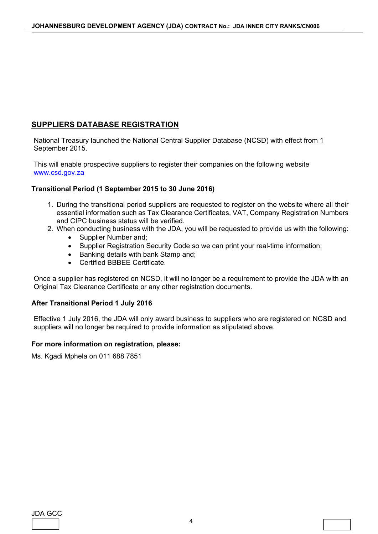## **SUPPLIERS DATABASE REGISTRATION**

National Treasury launched the National Central Supplier Database (NCSD) with effect from 1 September 2015.

This will enable prospective suppliers to register their companies on the following website www.csd.gov.za

#### **Transitional Period (1 September 2015 to 30 June 2016)**

- 1. During the transitional period suppliers are requested to register on the website where all their essential information such as Tax Clearance Certificates, VAT, Company Registration Numbers and CIPC business status will be verified.
- 2. When conducting business with the JDA, you will be requested to provide us with the following:
	- Supplier Number and;
	- Supplier Registration Security Code so we can print your real-time information;
	- Banking details with bank Stamp and:
	- Certified BBBEE Certificate.

Once a supplier has registered on NCSD, it will no longer be a requirement to provide the JDA with an Original Tax Clearance Certificate or any other registration documents.

#### **After Transitional Period 1 July 2016**

Effective 1 July 2016, the JDA will only award business to suppliers who are registered on NCSD and suppliers will no longer be required to provide information as stipulated above.

#### **For more information on registration, please:**

Ms. Kgadi Mphela on 011 688 7851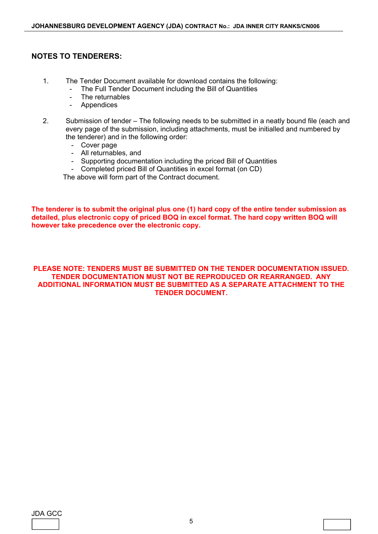#### **NOTES TO TENDERERS:**

- 1. The Tender Document available for download contains the following:
	- The Full Tender Document including the Bill of Quantities
	- The returnables
	- **Appendices**
- 2. Submission of tender The following needs to be submitted in a neatly bound file (each and every page of the submission, including attachments, must be initialled and numbered by the tenderer) and in the following order:
	- Cover page
	- All returnables, and
	- Supporting documentation including the priced Bill of Quantities
	- Completed priced Bill of Quantities in excel format (on CD)

The above will form part of the Contract document.

**The tenderer is to submit the original plus one (1) hard copy of the entire tender submission as detailed, plus electronic copy of priced BOQ in excel format. The hard copy written BOQ will however take precedence over the electronic copy.** 

#### **PLEASE NOTE: TENDERS MUST BE SUBMITTED ON THE TENDER DOCUMENTATION ISSUED. TENDER DOCUMENTATION MUST NOT BE REPRODUCED OR REARRANGED. ANY ADDITIONAL INFORMATION MUST BE SUBMITTED AS A SEPARATE ATTACHMENT TO THE TENDER DOCUMENT.**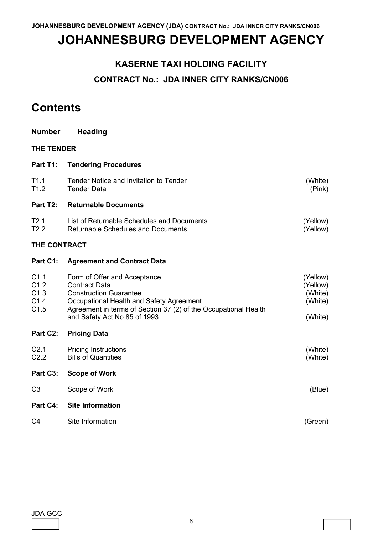## **JOHANNESBURG DEVELOPMENT AGENCY**

## **KASERNE TAXI HOLDING FACILITY**

## **CONTRACT No.: JDA INNER CITY RANKS/CN006**

## **Contents**

| <b>Number</b>                        | <b>Heading</b>                                                                                                                                                                                                                       |                                                       |
|--------------------------------------|--------------------------------------------------------------------------------------------------------------------------------------------------------------------------------------------------------------------------------------|-------------------------------------------------------|
| THE TENDER                           |                                                                                                                                                                                                                                      |                                                       |
| Part T1:                             | <b>Tendering Procedures</b>                                                                                                                                                                                                          |                                                       |
| T1.1<br>T1.2                         | Tender Notice and Invitation to Tender<br><b>Tender Data</b>                                                                                                                                                                         | (White)<br>(Pink)                                     |
| Part T2:                             | <b>Returnable Documents</b>                                                                                                                                                                                                          |                                                       |
| T2.1<br>T2.2                         | List of Returnable Schedules and Documents<br><b>Returnable Schedules and Documents</b>                                                                                                                                              | (Yellow)<br>(Yellow)                                  |
| THE CONTRACT                         |                                                                                                                                                                                                                                      |                                                       |
| Part C1:                             | <b>Agreement and Contract Data</b>                                                                                                                                                                                                   |                                                       |
| C1.1<br>C1.2<br>C1.3<br>C1.4<br>C1.5 | Form of Offer and Acceptance<br><b>Contract Data</b><br><b>Construction Guarantee</b><br>Occupational Health and Safety Agreement<br>Agreement in terms of Section 37 (2) of the Occupational Health<br>and Safety Act No 85 of 1993 | (Yellow)<br>(Yellow)<br>(White)<br>(White)<br>(White) |
| Part C2:                             | <b>Pricing Data</b>                                                                                                                                                                                                                  |                                                       |
| C <sub>2.1</sub><br>C2.2             | <b>Pricing Instructions</b><br><b>Bills of Quantities</b>                                                                                                                                                                            | (White)<br>(White)                                    |
| Part C3:                             | <b>Scope of Work</b>                                                                                                                                                                                                                 |                                                       |
| C <sub>3</sub>                       | Scope of Work                                                                                                                                                                                                                        | (Blue)                                                |
| Part C4:                             | <b>Site Information</b>                                                                                                                                                                                                              |                                                       |
| C <sub>4</sub>                       | Site Information                                                                                                                                                                                                                     | (Green)                                               |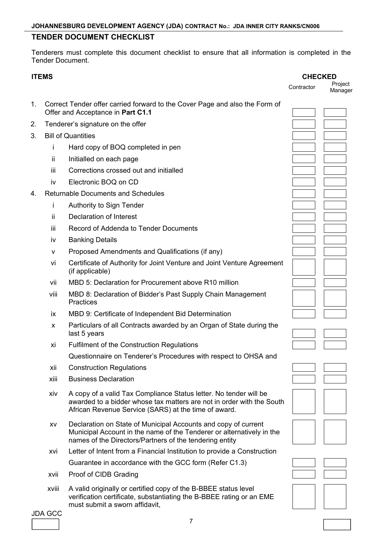## **TENDER DOCUMENT CHECKLIST**

Tenderers must complete this document checklist to ensure that all information is completed in the Tender Document.

|    | <b>ITEMS</b> |                                                                                                                                                                                                    | <b>CHECKED</b> |                    |
|----|--------------|----------------------------------------------------------------------------------------------------------------------------------------------------------------------------------------------------|----------------|--------------------|
|    |              |                                                                                                                                                                                                    | Contractor     | Project<br>Manager |
| 1. |              | Correct Tender offer carried forward to the Cover Page and also the Form of<br>Offer and Acceptance in Part C1.1                                                                                   |                |                    |
| 2. |              | Tenderer's signature on the offer                                                                                                                                                                  |                |                    |
| 3. |              | <b>Bill of Quantities</b>                                                                                                                                                                          |                |                    |
|    | İ            | Hard copy of BOQ completed in pen                                                                                                                                                                  |                |                    |
|    | ii.          | Initialled on each page                                                                                                                                                                            |                |                    |
|    | iii          | Corrections crossed out and initialled                                                                                                                                                             |                |                    |
|    | iv           | Electronic BOQ on CD                                                                                                                                                                               |                |                    |
| 4. |              | <b>Returnable Documents and Schedules</b>                                                                                                                                                          |                |                    |
|    | i            | Authority to Sign Tender                                                                                                                                                                           |                |                    |
|    | ii.          | Declaration of Interest                                                                                                                                                                            |                |                    |
|    | iii          | Record of Addenda to Tender Documents                                                                                                                                                              |                |                    |
|    | iv           | <b>Banking Details</b>                                                                                                                                                                             |                |                    |
|    | v            | Proposed Amendments and Qualifications (if any)                                                                                                                                                    |                |                    |
|    | vi           | Certificate of Authority for Joint Venture and Joint Venture Agreement<br>(if applicable)                                                                                                          |                |                    |
|    | vii          | MBD 5: Declaration for Procurement above R10 million                                                                                                                                               |                |                    |
|    | viii         | MBD 8: Declaration of Bidder's Past Supply Chain Management<br><b>Practices</b>                                                                                                                    |                |                    |
|    | ix           | MBD 9: Certificate of Independent Bid Determination                                                                                                                                                |                |                    |
|    | X            | Particulars of all Contracts awarded by an Organ of State during the<br>last 5 years                                                                                                               |                |                    |
|    | xi           | Fulfilment of the Construction Regulations                                                                                                                                                         |                |                    |
|    |              | Questionnaire on Tenderer's Procedures with respect to OHSA and                                                                                                                                    |                |                    |
|    | xii          | <b>Construction Regulations</b>                                                                                                                                                                    |                |                    |
|    | xiii         | <b>Business Declaration</b>                                                                                                                                                                        |                |                    |
|    | xiv          | A copy of a valid Tax Compliance Status letter. No tender will be<br>awarded to a bidder whose tax matters are not in order with the South<br>African Revenue Service (SARS) at the time of award. |                |                    |
|    | XV           | Declaration on State of Municipal Accounts and copy of current<br>Municipal Account in the name of the Tenderer or alternatively in the<br>names of the Directors/Partners of the tendering entity |                |                    |
|    | xvi          | Letter of Intent from a Financial Institution to provide a Construction                                                                                                                            |                |                    |
|    |              | Guarantee in accordance with the GCC form (Refer C1.3)                                                                                                                                             |                |                    |
|    | xvii         | Proof of CIDB Grading                                                                                                                                                                              |                |                    |
|    | xviii        | A valid originally or certified copy of the B-BBEE status level<br>verification certificate, substantiating the B-BBEE rating or an EME<br>must submit a sworn affidavit,                          |                |                    |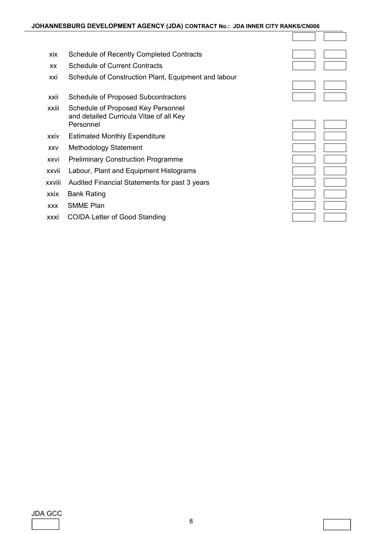xix Schedule of Recently Completed Contracts xx Schedule of Current Contracts xxi Schedule of Construction Plant, Equipment and labour xxii Schedule of Proposed Subcontractors xxiii Schedule of Proposed Key Personnel and detailed Curricula Vitae of all Key Personnel xxiv Estimated Monthly Expenditure xxv Methodology Statement xxvi Preliminary Construction Programme xxvii Labour, Plant and Equipment Histograms xxviii Audited Financial Statements for past 3 years xxix Bank Rating xxx SMME Plan xxxi COIDA Letter of Good Standing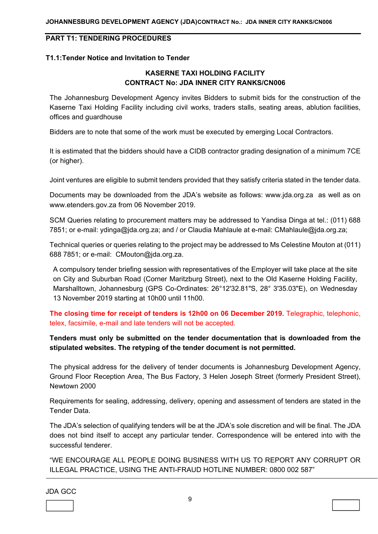## **PART T1: TENDERING PROCEDURES**

#### **T1.1:Tender Notice and Invitation to Tender**

#### **KASERNE TAXI HOLDING FACILITY CONTRACT No: JDA INNER CITY RANKS/CN006**

The Johannesburg Development Agency invites Bidders to submit bids for the construction of the Kaserne Taxi Holding Facility including civil works, traders stalls, seating areas, ablution facilities, offices and guardhouse

Bidders are to note that some of the work must be executed by emerging Local Contractors.

It is estimated that the bidders should have a CIDB contractor grading designation of a minimum 7CE (or higher).

Joint ventures are eligible to submit tenders provided that they satisfy criteria stated in the tender data.

Documents may be downloaded from the JDA's website as follows: www.jda.org.za as well as on www.etenders.gov.za from 06 November 2019.

SCM Queries relating to procurement matters may be addressed to Yandisa Dinga at tel.: (011) 688 7851; or e-mail: ydinga@jda.org.za; and / or Claudia Mahlaule at e-mail: CMahlaule@jda.org.za;

Technical queries or queries relating to the project may be addressed to Ms Celestine Mouton at (011) 688 7851; or e-mail: CMouton@jda.org.za.

A compulsory tender briefing session with representatives of the Employer will take place at the site on City and Suburban Road (Corner Maritzburg Street), next to the Old Kaserne Holding Facility, Marshalltown, Johannesburg (GPS Co-Ordinates: 26°12'32.81"S, 28° 3'35.03"E), on Wednesday 13 November 2019 starting at 10h00 until 11h00.

**The closing time for receipt of tenders is 12h00 on 06 December 2019.** Telegraphic, telephonic, telex, facsimile, e-mail and late tenders will not be accepted.

#### **Tenders must only be submitted on the tender documentation that is downloaded from the stipulated websites. The retyping of the tender document is not permitted.**

The physical address for the delivery of tender documents is Johannesburg Development Agency, Ground Floor Reception Area, The Bus Factory, 3 Helen Joseph Street (formerly President Street), Newtown 2000

Requirements for sealing, addressing, delivery, opening and assessment of tenders are stated in the Tender Data.

The JDA's selection of qualifying tenders will be at the JDA's sole discretion and will be final. The JDA does not bind itself to accept any particular tender. Correspondence will be entered into with the successful tenderer.

"WE ENCOURAGE ALL PEOPLE DOING BUSINESS WITH US TO REPORT ANY CORRUPT OR ILLEGAL PRACTICE, USING THE ANTI-FRAUD HOTLINE NUMBER: 0800 002 587"

JDA GCC

l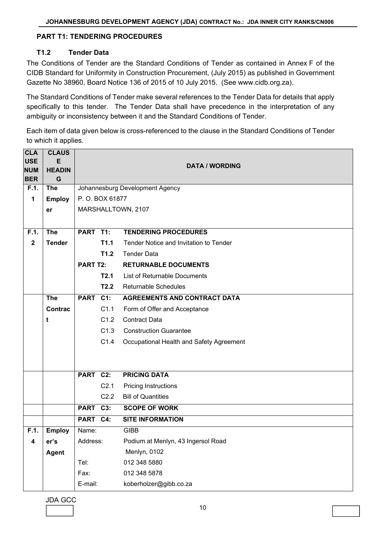#### **PART T1: TENDERING PROCEDURES**

#### **T1.2 Tender Data**

The Conditions of Tender are the Standard Conditions of Tender as contained in Annex F of the CIDB Standard for Uniformity in Construction Procurement, (July 2015) as published in Government Gazette No 38960, Board Notice 136 of 2015 of 10 July 2015. (See www.cidb.org.za).

The Standard Conditions of Tender make several references to the Tender Data for details that apply specifically to this tender. The Tender Data shall have precedence in the interpretation of any ambiguity or inconsistency between it and the Standard Conditions of Tender.

Each item of data given below is cross-referenced to the clause in the Standard Conditions of Tender to which it applies.

| <b>CLA</b><br><b>USE</b><br><b>NUM</b> | <b>CLAUS</b><br>E<br><b>HEADIN</b> |                 |                  | <b>DATA / WORDING</b>                    |  |  |  |  |
|----------------------------------------|------------------------------------|-----------------|------------------|------------------------------------------|--|--|--|--|
| <b>BER</b>                             | G                                  |                 |                  |                                          |  |  |  |  |
| F.1.                                   | <b>The</b>                         |                 |                  | Johannesburg Development Agency          |  |  |  |  |
| 1                                      | <b>Employ</b>                      |                 | P.O. BOX 61877   |                                          |  |  |  |  |
|                                        | er                                 |                 |                  | MARSHALLTOWN, 2107                       |  |  |  |  |
|                                        |                                    |                 |                  |                                          |  |  |  |  |
| F.1.                                   | <b>The</b>                         | PART T1:        |                  | <b>TENDERING PROCEDURES</b>              |  |  |  |  |
| $\overline{\mathbf{2}}$                | <b>Tender</b>                      |                 | T1.1             | Tender Notice and Invitation to Tender   |  |  |  |  |
|                                        |                                    |                 | T1.2             | <b>Tender Data</b>                       |  |  |  |  |
|                                        |                                    | <b>PART T2:</b> |                  | <b>RETURNABLE DOCUMENTS</b>              |  |  |  |  |
|                                        |                                    |                 | T2.1             | List of Returnable Documents             |  |  |  |  |
|                                        |                                    |                 | T2.2             | <b>Returnable Schedules</b>              |  |  |  |  |
|                                        | <b>The</b>                         | PART C1:        |                  | <b>AGREEMENTS AND CONTRACT DATA</b>      |  |  |  |  |
|                                        | <b>Contrac</b>                     |                 | C1.1             | Form of Offer and Acceptance             |  |  |  |  |
|                                        | t                                  |                 | C1.2             | <b>Contract Data</b>                     |  |  |  |  |
|                                        |                                    |                 | C1.3             | <b>Construction Guarantee</b>            |  |  |  |  |
|                                        |                                    |                 | C1.4             | Occupational Health and Safety Agreement |  |  |  |  |
|                                        |                                    |                 |                  |                                          |  |  |  |  |
|                                        |                                    |                 |                  |                                          |  |  |  |  |
|                                        |                                    | PART C2:        |                  | <b>PRICING DATA</b>                      |  |  |  |  |
|                                        |                                    |                 | C <sub>2.1</sub> | <b>Pricing Instructions</b>              |  |  |  |  |
|                                        |                                    |                 | C2.2             | <b>Bill of Quantities</b>                |  |  |  |  |
|                                        |                                    | PART C3:        |                  | <b>SCOPE OF WORK</b>                     |  |  |  |  |
|                                        |                                    | PART C4:        |                  | <b>SITE INFORMATION</b>                  |  |  |  |  |
| F.1.                                   | <b>Employ</b>                      | Name:           |                  | <b>GIBB</b>                              |  |  |  |  |
| 4                                      | er's                               | Address:        |                  | Podium at Menlyn, 43 Ingersol Road       |  |  |  |  |
|                                        | <b>Agent</b>                       |                 |                  | Menlyn, 0102                             |  |  |  |  |
|                                        |                                    | Tel:            |                  | 012 348 5880                             |  |  |  |  |
|                                        |                                    | Fax:            |                  | 012 348 5878                             |  |  |  |  |
|                                        |                                    | E-mail:         |                  | koberholzer@gibb.co.za                   |  |  |  |  |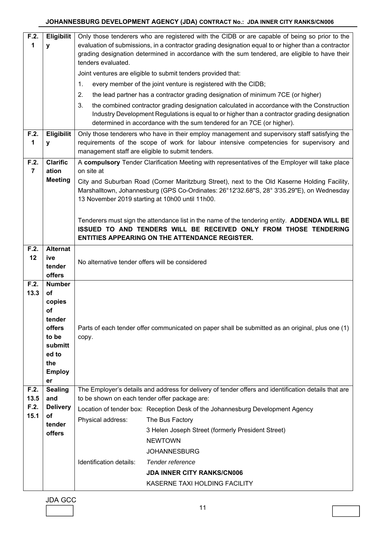| Joint ventures are eligible to submit tenders provided that:<br>every member of the joint venture is registered with the CIDB;<br>1.<br>the lead partner has a contractor grading designation of minimum 7CE (or higher)<br>2.                                             |                                                                                         |  |  |
|----------------------------------------------------------------------------------------------------------------------------------------------------------------------------------------------------------------------------------------------------------------------------|-----------------------------------------------------------------------------------------|--|--|
|                                                                                                                                                                                                                                                                            |                                                                                         |  |  |
|                                                                                                                                                                                                                                                                            |                                                                                         |  |  |
|                                                                                                                                                                                                                                                                            |                                                                                         |  |  |
| the combined contractor grading designation calculated in accordance with the Construction<br>3.<br>Industry Development Regulations is equal to or higher than a contractor grading designation<br>determined in accordance with the sum tendered for an 7CE (or higher). |                                                                                         |  |  |
| Eligibilit<br>F.2.<br>Only those tenderers who have in their employ management and supervisory staff satisfying the<br>1<br>y<br>management staff are eligible to submit tenders.                                                                                          | requirements of the scope of work for labour intensive competencies for supervisory and |  |  |
| <b>Clarific</b><br>A compulsory Tender Clarification Meeting with representatives of the Employer will take place<br>F.2.                                                                                                                                                  |                                                                                         |  |  |
| $\overline{7}$<br>on site at<br>ation<br><b>Meeting</b>                                                                                                                                                                                                                    |                                                                                         |  |  |
| City and Suburban Road (Corner Maritzburg Street), next to the Old Kaserne Holding Facility,<br>Marshalltown, Johannesburg (GPS Co-Ordinates: 26°12'32.68"S, 28° 3'35.29"E), on Wednesday<br>13 November 2019 starting at 10h00 until 11h00.                               |                                                                                         |  |  |
| Tenderers must sign the attendance list in the name of the tendering entity. ADDENDA WILL BE<br>ISSUED TO AND TENDERS WILL BE RECEIVED ONLY FROM THOSE TENDERING<br><b>ENTITIES APPEARING ON THE ATTENDANCE REGISTER.</b>                                                  |                                                                                         |  |  |
| <b>Alternat</b><br>F.2.                                                                                                                                                                                                                                                    |                                                                                         |  |  |
| 12<br>ive<br>No alternative tender offers will be considered<br>tender<br>offers                                                                                                                                                                                           |                                                                                         |  |  |
| F.2.<br><b>Number</b><br>13.3<br>of<br>copies<br>оf<br>tender<br>offers<br>Parts of each tender offer communicated on paper shall be submitted as an original, plus one (1)<br>to be<br>copy.<br>submitt<br>ed to<br>the<br><b>Employ</b><br>er                            |                                                                                         |  |  |
| F.2.<br><b>Sealing</b><br>The Employer's details and address for delivery of tender offers and identification details that are<br>13.5<br>to be shown on each tender offer package are:<br>and                                                                             |                                                                                         |  |  |
| F.2.<br><b>Delivery</b><br>Location of tender box: Reception Desk of the Johannesburg Development Agency                                                                                                                                                                   |                                                                                         |  |  |
| 15.1<br>оf<br>Physical address:<br>The Bus Factory                                                                                                                                                                                                                         |                                                                                         |  |  |
| tender<br>3 Helen Joseph Street (formerly President Street)                                                                                                                                                                                                                |                                                                                         |  |  |
| offers<br><b>NEWTOWN</b>                                                                                                                                                                                                                                                   |                                                                                         |  |  |
| <b>JOHANNESBURG</b>                                                                                                                                                                                                                                                        |                                                                                         |  |  |
| Identification details:<br>Tender reference                                                                                                                                                                                                                                |                                                                                         |  |  |
| <b>JDA INNER CITY RANKS/CN006</b>                                                                                                                                                                                                                                          |                                                                                         |  |  |
| KASERNE TAXI HOLDING FACILITY                                                                                                                                                                                                                                              |                                                                                         |  |  |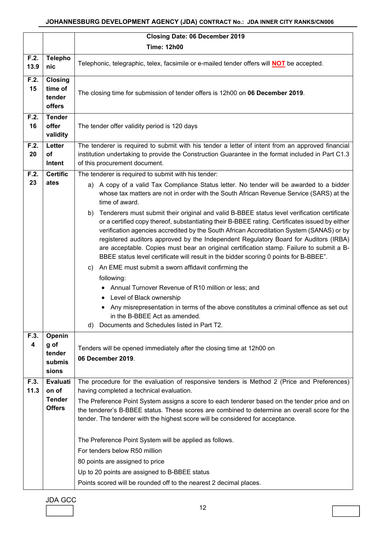#### **JOHANNESBURG DEVELOPMENT AGENCY (JDA) CONTRACT No.: JDA INNER CITY RANKS/CN006**

|              |                                             | <b>Closing Date: 06 December 2019</b>                                                                                                                                                                                                                                                                                                                                                                                                                                                                                                                                                                                               |
|--------------|---------------------------------------------|-------------------------------------------------------------------------------------------------------------------------------------------------------------------------------------------------------------------------------------------------------------------------------------------------------------------------------------------------------------------------------------------------------------------------------------------------------------------------------------------------------------------------------------------------------------------------------------------------------------------------------------|
|              |                                             | <b>Time: 12h00</b>                                                                                                                                                                                                                                                                                                                                                                                                                                                                                                                                                                                                                  |
| F.2.<br>13.9 | <b>Telepho</b><br>nic                       | Telephonic, telegraphic, telex, facsimile or e-mailed tender offers will <b>NOT</b> be accepted.                                                                                                                                                                                                                                                                                                                                                                                                                                                                                                                                    |
| F.2.<br>15   | Closing<br>time of<br>tender<br>offers      | The closing time for submission of tender offers is 12h00 on 06 December 2019.                                                                                                                                                                                                                                                                                                                                                                                                                                                                                                                                                      |
| F.2.<br>16   | <b>Tender</b><br>offer<br>validity          | The tender offer validity period is 120 days                                                                                                                                                                                                                                                                                                                                                                                                                                                                                                                                                                                        |
| F.2.<br>20   | Letter<br>of<br>Intent                      | The tenderer is required to submit with his tender a letter of intent from an approved financial<br>institution undertaking to provide the Construction Guarantee in the format included in Part C1.3<br>of this procurement document.                                                                                                                                                                                                                                                                                                                                                                                              |
| F.2.         | <b>Certific</b>                             | The tenderer is required to submit with his tender:                                                                                                                                                                                                                                                                                                                                                                                                                                                                                                                                                                                 |
| 23           | ates                                        | a) A copy of a valid Tax Compliance Status letter. No tender will be awarded to a bidder<br>whose tax matters are not in order with the South African Revenue Service (SARS) at the<br>time of award.                                                                                                                                                                                                                                                                                                                                                                                                                               |
|              |                                             | b) Tenderers must submit their original and valid B-BBEE status level verification certificate<br>or a certified copy thereof, substantiating their B-BBEE rating. Certificates issued by either<br>verification agencies accredited by the South African Accreditation System (SANAS) or by<br>registered auditors approved by the Independent Regulatory Board for Auditors (IRBA)<br>are acceptable. Copies must bear an original certification stamp. Failure to submit a B-<br>BBEE status level certificate will result in the bidder scoring 0 points for B-BBEE".<br>c) An EME must submit a sworn affidavit confirming the |
|              |                                             | following:                                                                                                                                                                                                                                                                                                                                                                                                                                                                                                                                                                                                                          |
|              |                                             | Annual Turnover Revenue of R10 million or less; and<br>Level of Black ownership                                                                                                                                                                                                                                                                                                                                                                                                                                                                                                                                                     |
|              |                                             | Any misrepresentation in terms of the above constitutes a criminal offence as set out                                                                                                                                                                                                                                                                                                                                                                                                                                                                                                                                               |
|              |                                             | in the B-BBEE Act as amended.                                                                                                                                                                                                                                                                                                                                                                                                                                                                                                                                                                                                       |
|              |                                             | d) Documents and Schedules listed in Part T2.                                                                                                                                                                                                                                                                                                                                                                                                                                                                                                                                                                                       |
| F.3.<br>4    | Openin<br>g of<br>tender<br>submis<br>sions | Tenders will be opened immediately after the closing time at 12h00 on<br>06 December 2019.                                                                                                                                                                                                                                                                                                                                                                                                                                                                                                                                          |
| F.3.<br>11.3 | <b>Evaluati</b><br>on of                    | The procedure for the evaluation of responsive tenders is Method 2 (Price and Preferences)<br>having completed a technical evaluation.                                                                                                                                                                                                                                                                                                                                                                                                                                                                                              |
|              | <b>Tender</b><br><b>Offers</b>              | The Preference Point System assigns a score to each tenderer based on the tender price and on<br>the tenderer's B-BBEE status. These scores are combined to determine an overall score for the<br>tender. The tenderer with the highest score will be considered for acceptance.                                                                                                                                                                                                                                                                                                                                                    |
|              |                                             | The Preference Point System will be applied as follows.<br>For tenders below R50 million<br>80 points are assigned to price<br>Up to 20 points are assigned to B-BBEE status                                                                                                                                                                                                                                                                                                                                                                                                                                                        |
|              |                                             | Points scored will be rounded off to the nearest 2 decimal places.                                                                                                                                                                                                                                                                                                                                                                                                                                                                                                                                                                  |

| JDA GCC |  |
|---------|--|
|         |  |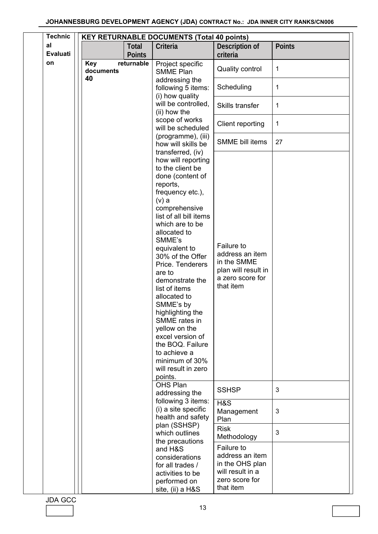| <b>Technic</b>        | <b>KEY RETURNABLE DOCUMENTS (Total 40 points)</b> |                                                                                                                                                                                                                                                                                                                                                                                                                                                                                                                                      |                                                                                                      |               |
|-----------------------|---------------------------------------------------|--------------------------------------------------------------------------------------------------------------------------------------------------------------------------------------------------------------------------------------------------------------------------------------------------------------------------------------------------------------------------------------------------------------------------------------------------------------------------------------------------------------------------------------|------------------------------------------------------------------------------------------------------|---------------|
| al<br><b>Evaluati</b> | Total<br><b>Points</b>                            | Criteria                                                                                                                                                                                                                                                                                                                                                                                                                                                                                                                             | Description of<br>criteria                                                                           | <b>Points</b> |
| on                    | <b>Key</b><br>returnable<br>documents             | Project specific<br><b>SMME Plan</b>                                                                                                                                                                                                                                                                                                                                                                                                                                                                                                 | <b>Quality control</b>                                                                               | 1             |
|                       | 40                                                | addressing the<br>following 5 items:<br>(i) how quality                                                                                                                                                                                                                                                                                                                                                                                                                                                                              | Scheduling                                                                                           | 1             |
|                       |                                                   | will be controlled,<br>(ii) how the                                                                                                                                                                                                                                                                                                                                                                                                                                                                                                  | Skills transfer                                                                                      | 1             |
|                       |                                                   | scope of works<br>will be scheduled                                                                                                                                                                                                                                                                                                                                                                                                                                                                                                  | Client reporting                                                                                     | $\mathbf 1$   |
|                       |                                                   | (programme), (iii)<br>how will skills be                                                                                                                                                                                                                                                                                                                                                                                                                                                                                             | <b>SMME</b> bill items                                                                               | 27            |
|                       |                                                   | transferred, (iv)<br>how will reporting<br>to the client be<br>done (content of<br>reports,<br>frequency etc.),<br>$(v)$ a<br>comprehensive<br>list of all bill items<br>which are to be<br>allocated to<br>SMME's<br>equivalent to<br>30% of the Offer<br>Price. Tenderers<br>are to<br>demonstrate the<br>list of items<br>allocated to<br>SMME's by<br>highlighting the<br>SMME rates in<br>yellow on the<br>excel version of<br>the BOQ. Failure<br>to achieve a<br>minimum of 30%<br>will result in zero<br>points.<br>OHS Plan | Failure to<br>address an item<br>in the SMME<br>plan will result in<br>a zero score for<br>that item |               |
|                       |                                                   | addressing the<br>following 3 items:                                                                                                                                                                                                                                                                                                                                                                                                                                                                                                 | <b>SSHSP</b>                                                                                         | 3             |
|                       |                                                   | (i) a site specific<br>health and safety                                                                                                                                                                                                                                                                                                                                                                                                                                                                                             | H&S<br>Management<br>Plan                                                                            | 3             |
|                       |                                                   | plan (SSHSP)<br>which outlines<br>the precautions                                                                                                                                                                                                                                                                                                                                                                                                                                                                                    | <b>Risk</b><br>Methodology                                                                           | 3             |
|                       |                                                   | and H&S<br>considerations<br>for all trades /<br>activities to be<br>performed on<br>site, (ii) a H&S                                                                                                                                                                                                                                                                                                                                                                                                                                | Failure to<br>address an item<br>in the OHS plan<br>will result in a<br>zero score for<br>that item  |               |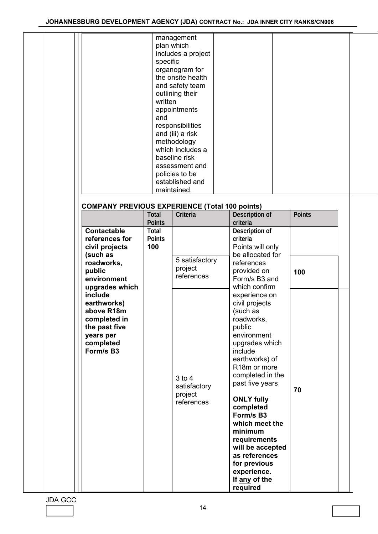| <b>COMPANY PREVIOUS EXPERIENCE (Total 100 points)</b>                                                                          | specific<br>written<br>and                     | management<br>plan which<br>includes a project<br>organogram for<br>the onsite health<br>and safety team<br>outlining their<br>appointments<br>responsibilities<br>and (iii) a risk<br>methodology<br>which includes a<br>baseline risk<br>assessment and<br>policies to be<br>established and<br>maintained. |                                                                                                                                                                                                                                                                                                                                                                                                         |               |
|--------------------------------------------------------------------------------------------------------------------------------|------------------------------------------------|---------------------------------------------------------------------------------------------------------------------------------------------------------------------------------------------------------------------------------------------------------------------------------------------------------------|---------------------------------------------------------------------------------------------------------------------------------------------------------------------------------------------------------------------------------------------------------------------------------------------------------------------------------------------------------------------------------------------------------|---------------|
|                                                                                                                                | <b>Total</b>                                   | Criteria                                                                                                                                                                                                                                                                                                      | Description of                                                                                                                                                                                                                                                                                                                                                                                          | <b>Points</b> |
| <b>Contactable</b><br>references for<br>civil projects<br>(such as<br>roadworks,<br>public<br>environment                      | <b>Points</b><br>Total<br><b>Points</b><br>100 | 5 satisfactory<br>project<br>references                                                                                                                                                                                                                                                                       | criteria<br>Description of<br>criteria<br>Points will only<br>be allocated for<br>references<br>provided on<br>Form/s B3 and                                                                                                                                                                                                                                                                            | 100           |
| upgrades which<br>include<br>earthworks)<br>above R18m<br>completed in<br>the past five<br>years per<br>completed<br>Form/s B3 |                                                | $3$ to $4$<br>satisfactory<br>project<br>references                                                                                                                                                                                                                                                           | which confirm<br>experience on<br>civil projects<br>(such as<br>roadworks,<br>public<br>environment<br>upgrades which<br>include<br>earthworks) of<br>R <sub>18</sub> m or more<br>completed in the<br>past five years<br><b>ONLY fully</b><br>completed<br>Form/s B3<br>which meet the<br>minimum<br>requirements<br>will be accepted<br>as references<br>for previous<br>experience.<br>If any of the | 70            |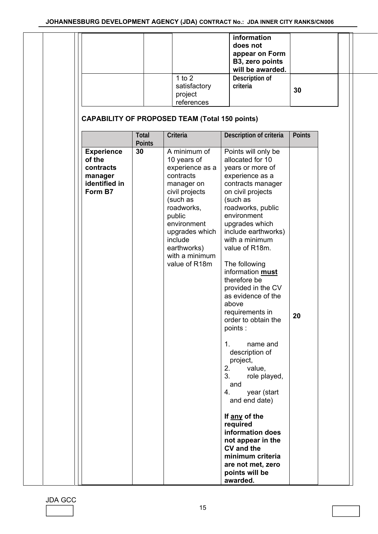|                                                                                 |                        | 1 to $2$                                                                                                                                                                                                                      | information<br>does not<br>appear on Form<br>B3, zero points<br>will be awarded.<br>Description of                                                                                                                                                                                                                                                                                                                                                                                                                                                                                                                                                                                                                         |               |
|---------------------------------------------------------------------------------|------------------------|-------------------------------------------------------------------------------------------------------------------------------------------------------------------------------------------------------------------------------|----------------------------------------------------------------------------------------------------------------------------------------------------------------------------------------------------------------------------------------------------------------------------------------------------------------------------------------------------------------------------------------------------------------------------------------------------------------------------------------------------------------------------------------------------------------------------------------------------------------------------------------------------------------------------------------------------------------------------|---------------|
|                                                                                 |                        | satisfactory<br>project<br>references                                                                                                                                                                                         | criteria                                                                                                                                                                                                                                                                                                                                                                                                                                                                                                                                                                                                                                                                                                                   | 30            |
|                                                                                 |                        | <b>CAPABILITY OF PROPOSED TEAM (Total 150 points)</b>                                                                                                                                                                         |                                                                                                                                                                                                                                                                                                                                                                                                                                                                                                                                                                                                                                                                                                                            |               |
|                                                                                 | Total<br><b>Points</b> | Criteria                                                                                                                                                                                                                      | Description of criteria                                                                                                                                                                                                                                                                                                                                                                                                                                                                                                                                                                                                                                                                                                    | <b>Points</b> |
| <b>Experience</b><br>of the<br>contracts<br>manager<br>identified in<br>Form B7 | 30                     | A minimum of<br>10 years of<br>experience as a<br>contracts<br>manager on<br>civil projects<br>(such as<br>roadworks,<br>public<br>environment<br>upgrades which<br>include<br>earthworks)<br>with a minimum<br>value of R18m | Points will only be<br>allocated for 10<br>years or more of<br>experience as a<br>contracts manager<br>on civil projects<br>(such as<br>roadworks, public<br>environment<br>upgrades which<br>include earthworks)<br>with a minimum<br>value of R18m.<br>The following<br>information must<br>therefore be<br>provided in the CV<br>as evidence of the<br>above<br>requirements in<br>order to obtain the<br>points :<br>name and<br>1.<br>description of<br>project,<br>2.<br>value,<br>3.<br>role played,<br>and<br>year (start<br>4.<br>and end date)<br>If any of the<br>required<br>information does<br>not appear in the<br><b>CV</b> and the<br>minimum criteria<br>are not met, zero<br>points will be<br>awarded. | 20            |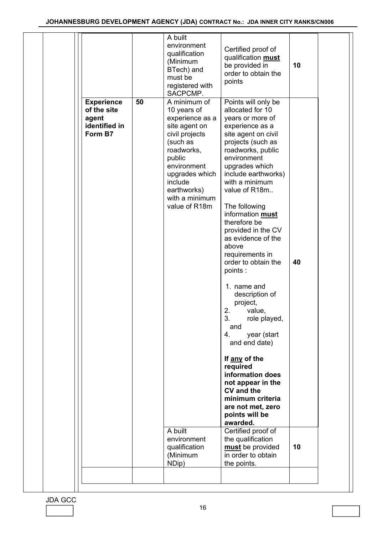|                                                                       |    | A built<br>environment<br>qualification<br>(Minimum<br>BTech) and<br>must be<br>registered with<br>SACPCMP.                                                                                                         | Certified proof of<br>qualification must<br>be provided in<br>order to obtain the<br>points                                                                                                                                                                                                                                                                                                                                                                                                                                                                                                                                                                                                                 | 10 |  |
|-----------------------------------------------------------------------|----|---------------------------------------------------------------------------------------------------------------------------------------------------------------------------------------------------------------------|-------------------------------------------------------------------------------------------------------------------------------------------------------------------------------------------------------------------------------------------------------------------------------------------------------------------------------------------------------------------------------------------------------------------------------------------------------------------------------------------------------------------------------------------------------------------------------------------------------------------------------------------------------------------------------------------------------------|----|--|
| <b>Experience</b><br>of the site<br>agent<br>identified in<br>Form B7 | 50 | A minimum of<br>10 years of<br>experience as a<br>site agent on<br>civil projects<br>(such as<br>roadworks,<br>public<br>environment<br>upgrades which<br>include<br>earthworks)<br>with a minimum<br>value of R18m | Points will only be<br>allocated for 10<br>years or more of<br>experience as a<br>site agent on civil<br>projects (such as<br>roadworks, public<br>environment<br>upgrades which<br>include earthworks)<br>with a minimum<br>value of R18m<br>The following<br>information must<br>therefore be<br>provided in the CV<br>as evidence of the<br>above<br>requirements in<br>order to obtain the<br>points:<br>1. name and<br>description of<br>project,<br>2.<br>value,<br>3.<br>role played,<br>and<br>year (start<br>4.<br>and end date)<br>If any of the<br>required<br>information does<br>not appear in the<br><b>CV</b> and the<br>minimum criteria<br>are not met, zero<br>points will be<br>awarded. | 40 |  |
|                                                                       |    | A built<br>environment<br>qualification<br>(Minimum<br>NDip)                                                                                                                                                        | Certified proof of<br>the qualification<br>must be provided<br>in order to obtain<br>the points.                                                                                                                                                                                                                                                                                                                                                                                                                                                                                                                                                                                                            | 10 |  |
|                                                                       |    |                                                                                                                                                                                                                     |                                                                                                                                                                                                                                                                                                                                                                                                                                                                                                                                                                                                                                                                                                             |    |  |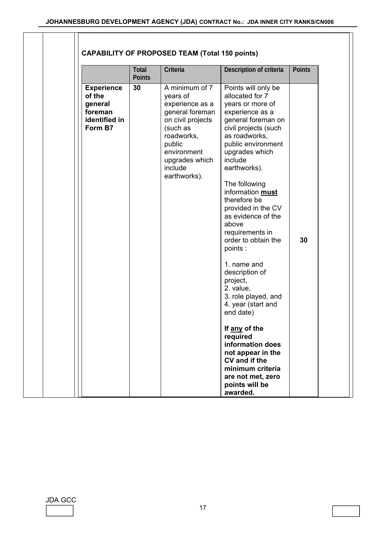| <b>Total</b><br><b>Points</b>                                                                                                                                                                     |                                                                               |
|---------------------------------------------------------------------------------------------------------------------------------------------------------------------------------------------------|-------------------------------------------------------------------------------|
| 30                                                                                                                                                                                                | <b>Experience</b><br>of the<br>general<br>foreman<br>identified in<br>Form B7 |
| Criteria<br>A minimum of 7<br>years of<br>experience as a<br>general foreman<br>on civil projects<br>(such as<br>roadworks,<br>public<br>environment<br>upgrades which<br>include<br>earthworks). |                                                                               |
|                                                                                                                                                                                                   |                                                                               |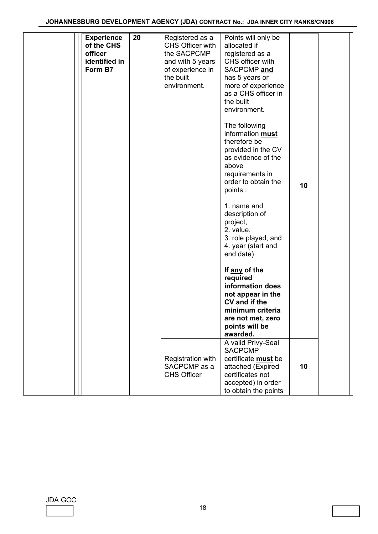#### **JOHANNESBURG DEVELOPMENT AGENCY (JDA) CONTRACT No.: JDA INNER CITY RANKS/CN006**

| <b>Experience</b><br>of the CHS<br>officer<br>identified in<br>Form B7 | 20 | Registered as a<br>CHS Officer with<br>the SACPCMP<br>and with 5 years<br>of experience in<br>the built<br>environment. | Points will only be<br>allocated if<br>registered as a<br>CHS officer with<br>SACPCMP and<br>has 5 years or<br>more of experience<br>as a CHS officer in<br>the built<br>environment.<br>The following<br>information must<br>therefore be<br>provided in the CV<br>as evidence of the<br>above<br>requirements in<br>order to obtain the<br>points :<br>1. name and<br>description of<br>project,<br>2. value,<br>3. role played, and<br>4. year (start and<br>end date)<br>If any of the<br>required<br>information does<br>not appear in the<br>CV and if the<br>minimum criteria<br>are not met, zero<br>points will be<br>awarded. | 10 |  |
|------------------------------------------------------------------------|----|-------------------------------------------------------------------------------------------------------------------------|-----------------------------------------------------------------------------------------------------------------------------------------------------------------------------------------------------------------------------------------------------------------------------------------------------------------------------------------------------------------------------------------------------------------------------------------------------------------------------------------------------------------------------------------------------------------------------------------------------------------------------------------|----|--|
|                                                                        |    | Registration with<br>SACPCMP as a<br><b>CHS Officer</b>                                                                 | A valid Privy-Seal<br><b>SACPCMP</b><br>certificate must be<br>attached (Expired<br>certificates not<br>accepted) in order<br>to obtain the points                                                                                                                                                                                                                                                                                                                                                                                                                                                                                      | 10 |  |

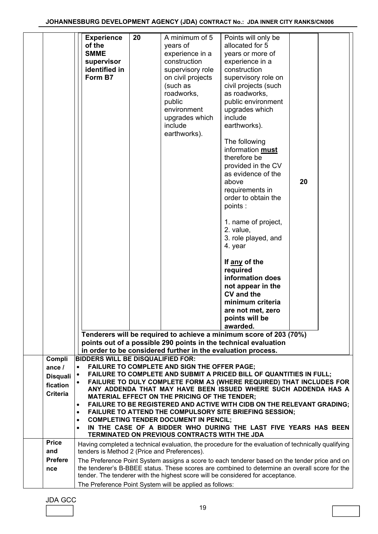|                                                                                    | <b>Experience</b><br>20<br>of the<br><b>SMME</b><br>supervisor<br>identified in<br>Form B7                                                                                                                                                                                                                                                                                                                                                                                                         | A minimum of 5<br>years of<br>experience in a<br>construction<br>supervisory role<br>on civil projects<br>(such as<br>roadworks,<br>public<br>environment<br>upgrades which<br>include<br>earthworks). | Points will only be<br>allocated for 5<br>years or more of<br>experience in a<br>construction<br>supervisory role on<br>civil projects (such<br>as roadworks,<br>public environment<br>upgrades which<br>include<br>earthworks).<br>The following<br>information must<br>therefore be<br>provided in the CV<br>as evidence of the<br>above<br>requirements in<br>order to obtain the<br>points:<br>1. name of project,<br>2. value,<br>3. role played, and<br>4. year<br>If any of the<br>required<br>information does<br>not appear in the<br><b>CV</b> and the<br>minimum criteria<br>are not met, zero<br>points will be | 20 |  |
|------------------------------------------------------------------------------------|----------------------------------------------------------------------------------------------------------------------------------------------------------------------------------------------------------------------------------------------------------------------------------------------------------------------------------------------------------------------------------------------------------------------------------------------------------------------------------------------------|--------------------------------------------------------------------------------------------------------------------------------------------------------------------------------------------------------|-----------------------------------------------------------------------------------------------------------------------------------------------------------------------------------------------------------------------------------------------------------------------------------------------------------------------------------------------------------------------------------------------------------------------------------------------------------------------------------------------------------------------------------------------------------------------------------------------------------------------------|----|--|
|                                                                                    |                                                                                                                                                                                                                                                                                                                                                                                                                                                                                                    |                                                                                                                                                                                                        | awarded.                                                                                                                                                                                                                                                                                                                                                                                                                                                                                                                                                                                                                    |    |  |
|                                                                                    | Tenderers will be required to achieve a minimum score of 203 (70%)<br>points out of a possible 290 points in the technical evaluation                                                                                                                                                                                                                                                                                                                                                              |                                                                                                                                                                                                        |                                                                                                                                                                                                                                                                                                                                                                                                                                                                                                                                                                                                                             |    |  |
|                                                                                    | in order to be considered further in the evaluation process.                                                                                                                                                                                                                                                                                                                                                                                                                                       |                                                                                                                                                                                                        |                                                                                                                                                                                                                                                                                                                                                                                                                                                                                                                                                                                                                             |    |  |
| Compli<br>ance /<br><b>Disquali</b><br>fication<br><b>Criteria</b><br><b>Price</b> | <b>BIDDERS WILL BE DISQUALIFIED FOR:</b><br>$\bullet$<br>$\bullet$<br>$\bullet$<br>$\bullet$<br>$\bullet$                                                                                                                                                                                                                                                                                                                                                                                          | FAILURE TO COMPLETE AND SIGN THE OFFER PAGE;<br>MATERIAL EFFECT ON THE PRICING OF THE TENDER;<br><b>COMPLETING TENDER DOCUMENT IN PENCIL;</b><br>TERMINATED ON PREVIOUS CONTRACTS WITH THE JDA         | <b>FAILURE TO COMPLETE AND SUBMIT A PRICED BILL OF QUANTITIES IN FULL;</b><br>FAILURE TO DULY COMPLETE FORM A3 (WHERE REQUIRED) THAT INCLUDES FOR<br>ANY ADDENDA THAT MAY HAVE BEEN ISSUED WHERE SUCH ADDENDA HAS A<br>FAILURE TO BE REGISTERED AND ACTIVE WITH CIDB ON THE RELEVANT GRADING;<br>FAILURE TO ATTEND THE COMPULSORY SITE BRIEFING SESSION;<br>IN THE CASE OF A BIDDER WHO DURING THE LAST FIVE YEARS HAS BEEN                                                                                                                                                                                                 |    |  |
| and<br><b>Prefere</b><br>nce                                                       | Having completed a technical evaluation, the procedure for the evaluation of technically qualifying<br>tenders is Method 2 (Price and Preferences).<br>The Preference Point System assigns a score to each tenderer based on the tender price and on<br>the tenderer's B-BBEE status. These scores are combined to determine an overall score for the<br>tender. The tenderer with the highest score will be considered for acceptance.<br>The Preference Point System will be applied as follows: |                                                                                                                                                                                                        |                                                                                                                                                                                                                                                                                                                                                                                                                                                                                                                                                                                                                             |    |  |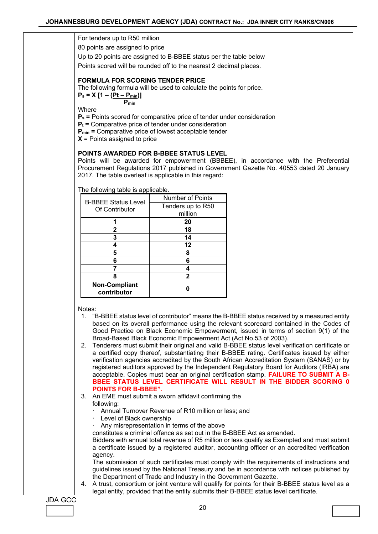For tenders up to R50 million

80 points are assigned to price

Up to 20 points are assigned to B-BBEE status per the table below

Points scored will be rounded off to the nearest 2 decimal places.

#### **FORMULA FOR SCORING TENDER PRICE**

The following formula will be used to calculate the points for price.

 $P_s = X [1 - (Pt - P_{min})]$  **Pmin**

**Where** 

**Ps =** Points scored for comparative price of tender under consideration

 $P_t$  = Comparative price of tender under consideration

**Pmin =** Comparative price of lowest acceptable tender

**X** = Points assigned to price

#### **POINTS AWARDED FOR B-BBEE STATUS LEVEL**

Points will be awarded for empowerment (BBBEE), in accordance with the Preferential Procurement Regulations 2017 published in Government Gazette No. 40553 dated 20 January 2017. The table overleaf is applicable in this regard:

The following table is applicable.

| <b>B-BBEE Status Level</b>          | <b>Number of Points</b> |  |
|-------------------------------------|-------------------------|--|
| Of Contributor                      | Tenders up to R50       |  |
|                                     | million                 |  |
|                                     | 20                      |  |
| 2                                   | 18                      |  |
| 3                                   | 14                      |  |
|                                     | 12                      |  |
| 5                                   | 8                       |  |
| 6                                   | 6                       |  |
|                                     |                         |  |
| 8                                   | 2                       |  |
| <b>Non-Compliant</b><br>contributor |                         |  |

Notes:

- 1. "B-BBEE status level of contributor" means the B-BBEE status received by a measured entity based on its overall performance using the relevant scorecard contained in the Codes of Good Practice on Black Economic Empowerment, issued in terms of section 9(1) of the Broad-Based Black Economic Empowerment Act (Act No.53 of 2003).
- 2. Tenderers must submit their original and valid B-BBEE status level verification certificate or a certified copy thereof, substantiating their B-BBEE rating. Certificates issued by either verification agencies accredited by the South African Accreditation System (SANAS) or by registered auditors approved by the Independent Regulatory Board for Auditors (IRBA) are acceptable. Copies must bear an original certification stamp. **FAILURE TO SUBMIT A B-BBEE STATUS LEVEL CERTIFICATE WILL RESULT IN THE BIDDER SCORING 0 POINTS FOR B-BBEE".**
- 3. An EME must submit a sworn affidavit confirming the following:
	- ꞏ Annual Turnover Revenue of R10 million or less; and
	- Level of Black ownership
	- ꞏ Any misrepresentation in terms of the above

constitutes a criminal offence as set out in the B-BBEE Act as amended.

Bidders with annual total revenue of R5 million or less qualify as Exempted and must submit a certificate issued by a registered auditor, accounting officer or an accredited verification agency.

The submission of such certificates must comply with the requirements of instructions and guidelines issued by the National Treasury and be in accordance with notices published by the Department of Trade and Industry in the Government Gazette.

4. A trust, consortium or joint venture will qualify for points for their B-BBEE status level as a legal entity, provided that the entity submits their B-BBEE status level certificate.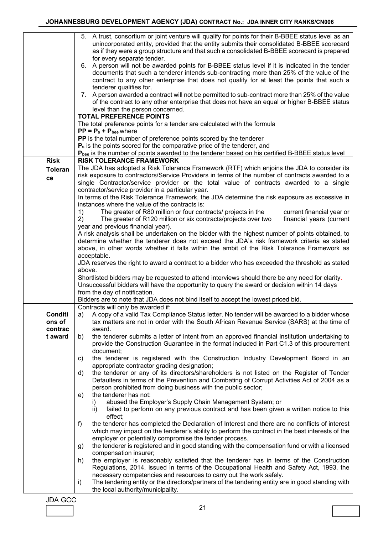|                    | 5. A trust, consortium or joint venture will qualify for points for their B-BBEE status level as an<br>unincorporated entity, provided that the entity submits their consolidated B-BBEE scorecard<br>as if they were a group structure and that such a consolidated B-BBEE scorecard is prepared<br>for every separate tender. |  |  |
|--------------------|---------------------------------------------------------------------------------------------------------------------------------------------------------------------------------------------------------------------------------------------------------------------------------------------------------------------------------|--|--|
|                    | 6. A person will not be awarded points for B-BBEE status level if it is indicated in the tender<br>documents that such a tenderer intends sub-contracting more than 25% of the value of the<br>contract to any other enterprise that does not qualify for at least the points that such a                                       |  |  |
|                    | tenderer qualifies for.<br>7. A person awarded a contract will not be permitted to sub-contract more than 25% of the value<br>of the contract to any other enterprise that does not have an equal or higher B-BBEE status<br>level than the person concerned.                                                                   |  |  |
|                    | <b>TOTAL PREFERENCE POINTS</b>                                                                                                                                                                                                                                                                                                  |  |  |
|                    | The total preference points for a tender are calculated with the formula                                                                                                                                                                                                                                                        |  |  |
|                    | $PP = P_s + P_{bee}$ where                                                                                                                                                                                                                                                                                                      |  |  |
|                    | PP is the total number of preference points scored by the tenderer                                                                                                                                                                                                                                                              |  |  |
|                    | $P_s$ is the points scored for the comparative price of the tenderer, and                                                                                                                                                                                                                                                       |  |  |
| <b>Risk</b>        | Pbee is the number of points awarded to the tenderer based on his certified B-BBEE status level<br><b>RISK TOLERANCE FRAMEWORK</b>                                                                                                                                                                                              |  |  |
| <b>Toleran</b>     | The JDA has adopted a Risk Tolerance Framework (RTF) which enjoins the JDA to consider its                                                                                                                                                                                                                                      |  |  |
|                    | risk exposure to contractors/Service Providers in terms of the number of contracts awarded to a                                                                                                                                                                                                                                 |  |  |
| ce                 | single Contractor/service provider or the total value of contracts awarded to a single                                                                                                                                                                                                                                          |  |  |
|                    | contractor/service provider in a particular year.                                                                                                                                                                                                                                                                               |  |  |
|                    | In terms of the Risk Tolerance Framework, the JDA determine the risk exposure as excessive in                                                                                                                                                                                                                                   |  |  |
|                    | instances where the value of the contracts is:<br>The greater of R80 million or four contracts/ projects in the<br>current financial year or<br>1)                                                                                                                                                                              |  |  |
|                    | 2)<br>The greater of R120 million or six contracts/projects over two<br>financial years (current                                                                                                                                                                                                                                |  |  |
|                    | year and previous financial year).                                                                                                                                                                                                                                                                                              |  |  |
|                    | A risk analysis shall be undertaken on the bidder with the highest number of points obtained, to                                                                                                                                                                                                                                |  |  |
|                    | determine whether the tenderer does not exceed the JDA's risk framework criteria as stated                                                                                                                                                                                                                                      |  |  |
|                    | above, in other words whether it falls within the ambit of the Risk Tolerance Framework as<br>acceptable.                                                                                                                                                                                                                       |  |  |
|                    | JDA reserves the right to award a contract to a bidder who has exceeded the threshold as stated                                                                                                                                                                                                                                 |  |  |
|                    | above.                                                                                                                                                                                                                                                                                                                          |  |  |
|                    | Shortlisted bidders may be requested to attend interviews should there be any need for clarity.                                                                                                                                                                                                                                 |  |  |
|                    | Unsuccessful bidders will have the opportunity to query the award or decision within 14 days<br>from the day of notification.                                                                                                                                                                                                   |  |  |
|                    | Bidders are to note that JDA does not bind itself to accept the lowest priced bid.                                                                                                                                                                                                                                              |  |  |
|                    | Contracts will only be awarded if:                                                                                                                                                                                                                                                                                              |  |  |
| Conditi<br>ons of  | a) A copy of a valid Tax Compliance Status letter. No tender will be awarded to a bidder whose<br>tax matters are not in order with the South African Revenue Service (SARS) at the time of<br>award.                                                                                                                           |  |  |
| contrac<br>t award | the tenderer submits a letter of intent from an approved financial institution undertaking to<br>b)                                                                                                                                                                                                                             |  |  |
|                    | provide the Construction Guarantee in the format included in Part C1.3 of this procurement                                                                                                                                                                                                                                      |  |  |
|                    | document;                                                                                                                                                                                                                                                                                                                       |  |  |
|                    | the tenderer is registered with the Construction Industry Development Board in an<br>c)<br>appropriate contractor grading designation;                                                                                                                                                                                          |  |  |
|                    | the tenderer or any of its directors/shareholders is not listed on the Register of Tender<br>d)                                                                                                                                                                                                                                 |  |  |
|                    | Defaulters in terms of the Prevention and Combating of Corrupt Activities Act of 2004 as a                                                                                                                                                                                                                                      |  |  |
|                    | person prohibited from doing business with the public sector;                                                                                                                                                                                                                                                                   |  |  |
|                    | the tenderer has not:<br>e)                                                                                                                                                                                                                                                                                                     |  |  |
|                    | abused the Employer's Supply Chain Management System; or<br>I).<br>failed to perform on any previous contract and has been given a written notice to this<br>ii)                                                                                                                                                                |  |  |
|                    | effect;                                                                                                                                                                                                                                                                                                                         |  |  |
|                    | the tenderer has completed the Declaration of Interest and there are no conflicts of interest<br>f)                                                                                                                                                                                                                             |  |  |
|                    | which may impact on the tenderer's ability to perform the contract in the best interests of the                                                                                                                                                                                                                                 |  |  |
|                    | employer or potentially compromise the tender process.<br>the tenderer is registered and in good standing with the compensation fund or with a licensed<br>g)                                                                                                                                                                   |  |  |
|                    | compensation insurer;                                                                                                                                                                                                                                                                                                           |  |  |
|                    | the employer is reasonably satisfied that the tenderer has in terms of the Construction<br>h)                                                                                                                                                                                                                                   |  |  |
|                    | Regulations, 2014, issued in terms of the Occupational Health and Safety Act, 1993, the                                                                                                                                                                                                                                         |  |  |
|                    | necessary competencies and resources to carry out the work safely.<br>The tendering entity or the directors/partners of the tendering entity are in good standing with<br>i)                                                                                                                                                    |  |  |
|                    | the local authority/municipality.                                                                                                                                                                                                                                                                                               |  |  |
|                    |                                                                                                                                                                                                                                                                                                                                 |  |  |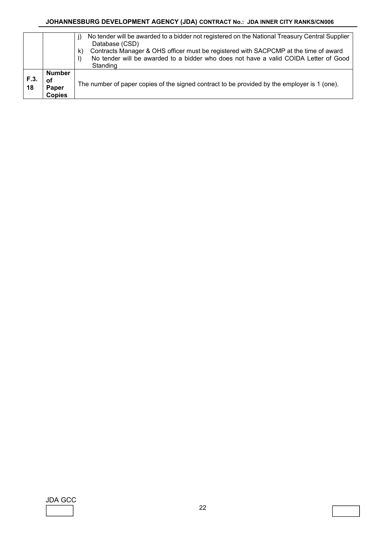#### **JOHANNESBURG DEVELOPMENT AGENCY (JDA) CONTRACT No.: JDA INNER CITY RANKS/CN006**

|           |                                               | No tender will be awarded to a bidder not registered on the National Treasury Central Supplier<br>Database (CSD)<br>Contracts Manager & OHS officer must be registered with SACPCMP at the time of award<br>K)<br>No tender will be awarded to a bidder who does not have a valid COIDA Letter of Good<br>Standing |
|-----------|-----------------------------------------------|--------------------------------------------------------------------------------------------------------------------------------------------------------------------------------------------------------------------------------------------------------------------------------------------------------------------|
| F.3<br>18 | <b>Number</b><br>оf<br>Paper<br><b>Copies</b> | The number of paper copies of the signed contract to be provided by the employer is 1 (one).                                                                                                                                                                                                                       |

JDA GCC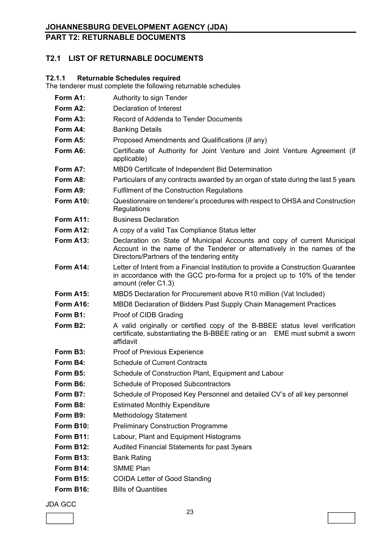## **PART T2: RETURNABLE DOCUMENTS**

## **T2.1 LIST OF RETURNABLE DOCUMENTS**

## **T2.1.1 Returnable Schedules required**

The tenderer must complete the following returnable schedules

| Authority to sign Tender                                                                                                                                                                           |
|----------------------------------------------------------------------------------------------------------------------------------------------------------------------------------------------------|
| Declaration of Interest                                                                                                                                                                            |
| Record of Addenda to Tender Documents                                                                                                                                                              |
| <b>Banking Details</b>                                                                                                                                                                             |
| Proposed Amendments and Qualifications (if any)                                                                                                                                                    |
| Certificate of Authority for Joint Venture and Joint Venture Agreement (if<br>applicable)                                                                                                          |
| MBD9 Certificate of Independent Bid Determination                                                                                                                                                  |
| Particulars of any contracts awarded by an organ of state during the last 5 years                                                                                                                  |
| <b>Fulfilment of the Construction Regulations</b>                                                                                                                                                  |
| Questionnaire on tenderer's procedures with respect to OHSA and Construction<br>Regulations                                                                                                        |
| <b>Business Declaration</b>                                                                                                                                                                        |
| A copy of a valid Tax Compliance Status letter                                                                                                                                                     |
| Declaration on State of Municipal Accounts and copy of current Municipal<br>Account in the name of the Tenderer or alternatively in the names of the<br>Directors/Partners of the tendering entity |
| Letter of Intent from a Financial Institution to provide a Construction Guarantee<br>in accordance with the GCC pro-forma for a project up to 10% of the tender<br>amount (refer C1.3)             |
| MBD5 Declaration for Procurement above R10 million (Vat Included)                                                                                                                                  |
| MBD8 Declaration of Bidders Past Supply Chain Management Practices                                                                                                                                 |
| Proof of CIDB Grading                                                                                                                                                                              |
| A valid originally or certified copy of the B-BBEE status level verification<br>certificate, substantiating the B-BBEE rating or an EME must submit a sworn<br>affidavit                           |
| <b>Proof of Previous Experience</b>                                                                                                                                                                |
| <b>Schedule of Current Contracts</b>                                                                                                                                                               |
| Schedule of Construction Plant, Equipment and Labour                                                                                                                                               |
| <b>Schedule of Proposed Subcontractors</b>                                                                                                                                                         |
| Schedule of Proposed Key Personnel and detailed CV's of all key personnel                                                                                                                          |
| <b>Estimated Monthly Expenditure</b>                                                                                                                                                               |
| <b>Methodology Statement</b>                                                                                                                                                                       |
| <b>Preliminary Construction Programme</b>                                                                                                                                                          |
| Labour, Plant and Equipment Histograms                                                                                                                                                             |
| Audited Financial Statements for past 3years                                                                                                                                                       |
| <b>Bank Rating</b>                                                                                                                                                                                 |
| <b>SMME Plan</b>                                                                                                                                                                                   |
| <b>COIDA Letter of Good Standing</b>                                                                                                                                                               |
| <b>Bills of Quantities</b>                                                                                                                                                                         |
|                                                                                                                                                                                                    |

JDA GCC

 $\overline{\mathsf{L}}$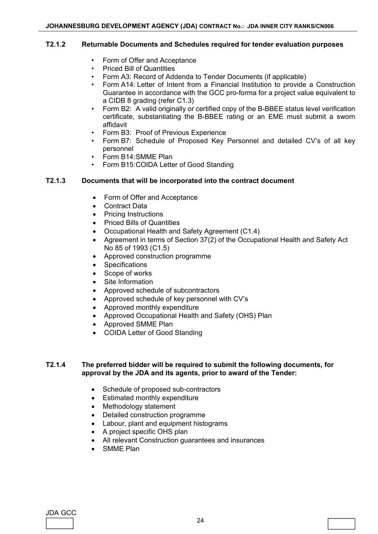#### **T2.1.2 Returnable Documents and Schedules required for tender evaluation purposes**

- Form of Offer and Acceptance
- Priced Bill of Quantities
- Form A3: Record of Addenda to Tender Documents (if applicable)
- Form A14: Letter of Intent from a Financial Institution to provide a Construction Guarantee in accordance with the GCC pro-forma for a project value equivalent to a CIDB 8 grading (refer C1.3)
- Form B2: A valid originally or certified copy of the B-BBEE status level verification certificate, substantiating the B-BBEE rating or an EME must submit a sworn affidavit
- Form B3: Proof of Previous Experience
- Form B7: Schedule of Proposed Key Personnel and detailed CV's of all key personnel
- Form B14: SMME Plan
- Form B15: COIDA Letter of Good Standing

#### **T2.1.3 Documents that will be incorporated into the contract document**

- Form of Offer and Acceptance
- Contract Data
- Pricing Instructions
- Priced Bills of Quantities
- Occupational Health and Safety Agreement (C1.4)
- Agreement in terms of Section 37(2) of the Occupational Health and Safety Act No 85 of 1993 (C1.5)
- Approved construction programme
- **Specifications**
- Scope of works
- Site Information
- Approved schedule of subcontractors
- Approved schedule of key personnel with CV's
- Approved monthly expenditure
- Approved Occupational Health and Safety (OHS) Plan
- Approved SMME Plan
- COIDA Letter of Good Standing

#### **T2.1.4 The preferred bidder will be required to submit the following documents, for approval by the JDA and its agents, prior to award of the Tender:**

- Schedule of proposed sub-contractors
- Estimated monthly expenditure
- Methodology statement
- Detailed construction programme
- Labour, plant and equipment histograms
- A project specific OHS plan
- All relevant Construction guarantees and insurances
- SMME Plan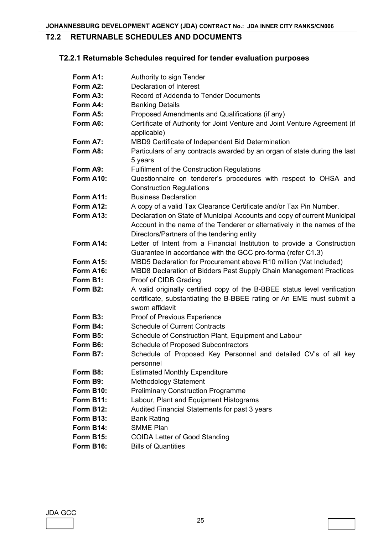## **T2.2 RETURNABLE SCHEDULES AND DOCUMENTS**

## **T2.2.1 Returnable Schedules required for tender evaluation purposes**

| Form A1:         | Authority to sign Tender                                                                                                                                                                           |
|------------------|----------------------------------------------------------------------------------------------------------------------------------------------------------------------------------------------------|
| Form A2:         | Declaration of Interest                                                                                                                                                                            |
| Form A3:         | Record of Addenda to Tender Documents                                                                                                                                                              |
| Form A4:         | <b>Banking Details</b>                                                                                                                                                                             |
| Form A5:         | Proposed Amendments and Qualifications (if any)                                                                                                                                                    |
| Form A6:         | Certificate of Authority for Joint Venture and Joint Venture Agreement (if<br>applicable)                                                                                                          |
| Form A7:         | MBD9 Certificate of Independent Bid Determination                                                                                                                                                  |
| Form A8:         | Particulars of any contracts awarded by an organ of state during the last<br>5 years                                                                                                               |
| Form A9:         | <b>Fulfilment of the Construction Regulations</b>                                                                                                                                                  |
| Form A10:        | Questionnaire on tenderer's procedures with respect to OHSA and                                                                                                                                    |
|                  | <b>Construction Regulations</b>                                                                                                                                                                    |
| Form A11:        | <b>Business Declaration</b>                                                                                                                                                                        |
| Form A12:        | A copy of a valid Tax Clearance Certificate and/or Tax Pin Number.                                                                                                                                 |
| Form A13:        | Declaration on State of Municipal Accounts and copy of current Municipal<br>Account in the name of the Tenderer or alternatively in the names of the<br>Directors/Partners of the tendering entity |
| Form A14:        | Letter of Intent from a Financial Institution to provide a Construction                                                                                                                            |
|                  | Guarantee in accordance with the GCC pro-forma (refer C1.3)                                                                                                                                        |
| Form A15:        | MBD5 Declaration for Procurement above R10 million (Vat Included)                                                                                                                                  |
| Form A16:        | MBD8 Declaration of Bidders Past Supply Chain Management Practices                                                                                                                                 |
| Form B1:         | Proof of CIDB Grading                                                                                                                                                                              |
| Form B2:         | A valid originally certified copy of the B-BBEE status level verification<br>certificate, substantiating the B-BBEE rating or An EME must submit a<br>sworn affidavit                              |
| Form B3:         | Proof of Previous Experience                                                                                                                                                                       |
| Form B4:         | <b>Schedule of Current Contracts</b>                                                                                                                                                               |
| Form B5:         | Schedule of Construction Plant, Equipment and Labour                                                                                                                                               |
| Form B6:         | <b>Schedule of Proposed Subcontractors</b>                                                                                                                                                         |
| Form B7:         | Schedule of Proposed Key Personnel and detailed CV's of all key<br>personnel                                                                                                                       |
| Form B8:         | <b>Estimated Monthly Expenditure</b>                                                                                                                                                               |
| Form B9:         | <b>Methodology Statement</b>                                                                                                                                                                       |
| <b>Form B10:</b> | <b>Preliminary Construction Programme</b>                                                                                                                                                          |
| Form B11:        | Labour, Plant and Equipment Histograms                                                                                                                                                             |
| Form B12:        | Audited Financial Statements for past 3 years                                                                                                                                                      |
| Form B13:        | <b>Bank Rating</b>                                                                                                                                                                                 |
| Form B14:        | <b>SMME Plan</b>                                                                                                                                                                                   |
| Form B15:        | <b>COIDA Letter of Good Standing</b>                                                                                                                                                               |
| Form B16:        | <b>Bills of Quantities</b>                                                                                                                                                                         |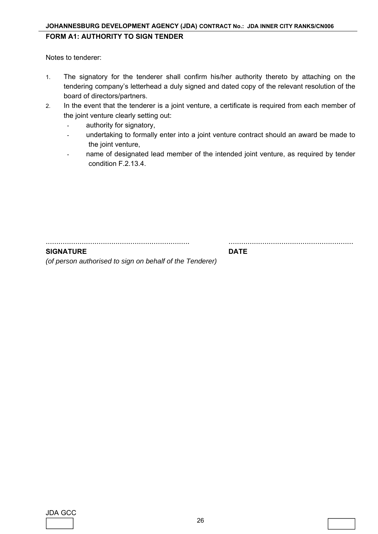### **JOHANNESBURG DEVELOPMENT AGENCY (JDA) CONTRACT No.: JDA INNER CITY RANKS/CN006**

### **FORM A1: AUTHORITY TO SIGN TENDER**

Notes to tenderer:

- 1. The signatory for the tenderer shall confirm his/her authority thereto by attaching on the tendering company's letterhead a duly signed and dated copy of the relevant resolution of the board of directors/partners.
- 2. In the event that the tenderer is a joint venture, a certificate is required from each member of the joint venture clearly setting out:
	- authority for signatory,
	- undertaking to formally enter into a joint venture contract should an award be made to the joint venture,
	- name of designated lead member of the intended joint venture, as required by tender condition F.2.13.4.

.................................................................... ...........................................................

#### **SIGNATURE DATE**

*(of person authorised to sign on behalf of the Tenderer)*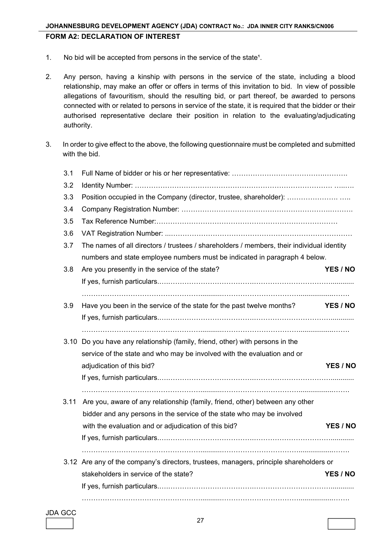## **JOHANNESBURG DEVELOPMENT AGENCY (JDA) CONTRACT No.: JDA INNER CITY RANKS/CN006 FORM A2: DECLARATION OF INTEREST**

- 1. No bid will be accepted from persons in the service of the state<sup>1</sup>.
- 2. Any person, having a kinship with persons in the service of the state, including a blood relationship, may make an offer or offers in terms of this invitation to bid. In view of possible allegations of favouritism, should the resulting bid, or part thereof, be awarded to persons connected with or related to persons in service of the state, it is required that the bidder or their authorised representative declare their position in relation to the evaluating/adjudicating authority.
- 3. In order to give effect to the above, the following questionnaire must be completed and submitted with the bid.

| 3.1  |                                                                                           |          |
|------|-------------------------------------------------------------------------------------------|----------|
| 3.2  |                                                                                           |          |
| 3.3  | Position occupied in the Company (director, trustee, shareholder):                        |          |
| 3.4  |                                                                                           |          |
| 3.5  |                                                                                           |          |
| 3.6  |                                                                                           |          |
| 3.7  | The names of all directors / trustees / shareholders / members, their individual identity |          |
|      | numbers and state employee numbers must be indicated in paragraph 4 below.                |          |
| 3.8  | Are you presently in the service of the state?                                            | YES / NO |
|      |                                                                                           |          |
|      |                                                                                           |          |
| 3.9  | Have you been in the service of the state for the past twelve months?                     | YES / NO |
|      |                                                                                           |          |
|      |                                                                                           |          |
|      | 3.10 Do you have any relationship (family, friend, other) with persons in the             |          |
|      | service of the state and who may be involved with the evaluation and or                   |          |
|      | adjudication of this bid?                                                                 | YES / NO |
|      |                                                                                           |          |
|      |                                                                                           |          |
| 3.11 | Are you, aware of any relationship (family, friend, other) between any other              |          |
|      | bidder and any persons in the service of the state who may be involved                    |          |
|      | with the evaluation and or adjudication of this bid?                                      | YES / NO |
|      |                                                                                           |          |
|      |                                                                                           |          |
|      | 3.12 Are any of the company's directors, trustees, managers, principle shareholders or    |          |
|      | stakeholders in service of the state?                                                     | YES / NO |
|      |                                                                                           |          |
|      |                                                                                           |          |

JDA GCC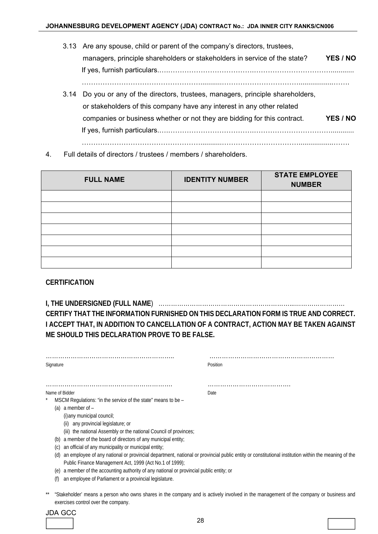- 3.13 Are any spouse, child or parent of the company's directors, trustees, managers, principle shareholders or stakeholders in service of the state? **YES / NO**  If yes, furnish particulars.….……………………………….……………………………............ ……………………………………………...........……………………………..................…….
- 3.14 Do you or any of the directors, trustees, managers, principle shareholders, or stakeholders of this company have any interest in any other related companies or business whether or not they are bidding for this contract. **YES / NO**  If yes, furnish particulars.….……………………………….……………………………............ ……………………………………………...........……………………………..................…….
- 4. Full details of directors / trustees / members / shareholders.

| <b>FULL NAME</b> | <b>IDENTITY NUMBER</b> | <b>STATE EMPLOYEE</b><br><b>NUMBER</b> |
|------------------|------------------------|----------------------------------------|
|                  |                        |                                        |
|                  |                        |                                        |
|                  |                        |                                        |
|                  |                        |                                        |
|                  |                        |                                        |
|                  |                        |                                        |
|                  |                        |                                        |

#### **CERTIFICATION**

**I, THE UNDERSIGNED (FULL NAME**) ………………………………………………………...…………………… **CERTIFY THAT THE INFORMATION FURNISHED ON THIS DECLARATION FORM IS TRUE AND CORRECT. I ACCEPT THAT, IN ADDITION TO CANCELLATION OF A CONTRACT, ACTION MAY BE TAKEN AGAINST ME SHOULD THIS DECLARATION PROVE TO BE FALSE.** 

| Signature         |                                                                                                                                                                                                                                                                                                                                                                        | Position                                                                                                                                           |
|-------------------|------------------------------------------------------------------------------------------------------------------------------------------------------------------------------------------------------------------------------------------------------------------------------------------------------------------------------------------------------------------------|----------------------------------------------------------------------------------------------------------------------------------------------------|
|                   |                                                                                                                                                                                                                                                                                                                                                                        |                                                                                                                                                    |
| (a)<br>(b)<br>(C) | Name of Bidder<br>MSCM Regulations: "in the service of the state" means to be -<br>a member of –<br>$(i)$ any municipal council;<br>any provincial legislature; or<br>(ii)<br>(iii) the national Assembly or the national Council of provinces;<br>a member of the board of directors of any municipal entity;<br>an official of any municipality or municipal entity; | Date                                                                                                                                               |
| (d)<br>(e)<br>(f) | Public Finance Management Act, 1999 (Act No.1 of 1999);<br>a member of the accounting authority of any national or provincial public entity; or<br>an employee of Parliament or a provincial legislature.                                                                                                                                                              | an employee of any national or provincial department, national or provincial public entity or constitutional institution within the meaning of the |
|                   |                                                                                                                                                                                                                                                                                                                                                                        | "Stakeholder' means a person who owns shares in the company and is actively involved in the management of the company or business and              |

exercises control over the company.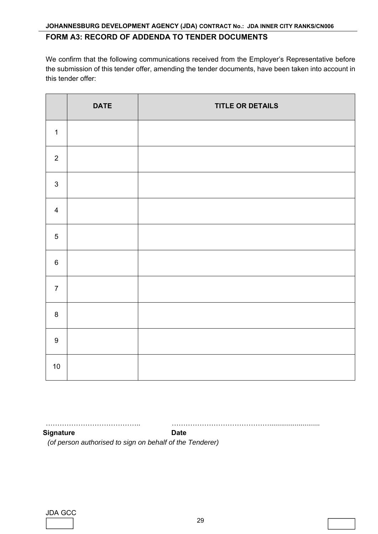## **FORM A3: RECORD OF ADDENDA TO TENDER DOCUMENTS**

We confirm that the following communications received from the Employer's Representative before the submission of this tender offer, amending the tender documents, have been taken into account in this tender offer:

|                | <b>DATE</b> | <b>TITLE OR DETAILS</b> |
|----------------|-------------|-------------------------|
| $\mathbf{1}$   |             |                         |
| $\overline{2}$ |             |                         |
| $\mathbf{3}$   |             |                         |
| $\overline{4}$ |             |                         |
| $\sqrt{5}$     |             |                         |
| $\,6\,$        |             |                         |
| $\overline{7}$ |             |                         |
| $\bf 8$        |             |                         |
| $\overline{9}$ |             |                         |
| $10$           |             |                         |

………………………………….. ……………………………………..........................

**Signature Date** Date

 *(of person authorised to sign on behalf of the Tenderer)*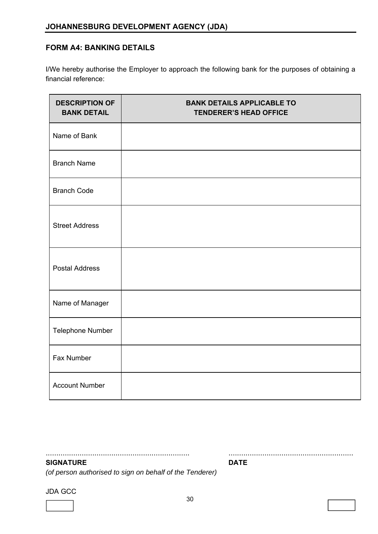## **FORM A4: BANKING DETAILS**

I/We hereby authorise the Employer to approach the following bank for the purposes of obtaining a financial reference:

| <b>DESCRIPTION OF</b><br><b>BANK DETAIL</b> | <b>BANK DETAILS APPLICABLE TO</b><br><b>TENDERER'S HEAD OFFICE</b> |
|---------------------------------------------|--------------------------------------------------------------------|
| Name of Bank                                |                                                                    |
| <b>Branch Name</b>                          |                                                                    |
| <b>Branch Code</b>                          |                                                                    |
| <b>Street Address</b>                       |                                                                    |
| <b>Postal Address</b>                       |                                                                    |
| Name of Manager                             |                                                                    |
| Telephone Number                            |                                                                    |
| Fax Number                                  |                                                                    |
| <b>Account Number</b>                       |                                                                    |

.................................................................... ........................................................... **SIGNATURE DATE** 

*(of person authorised to sign on behalf of the Tenderer)* 

JDA GCC

l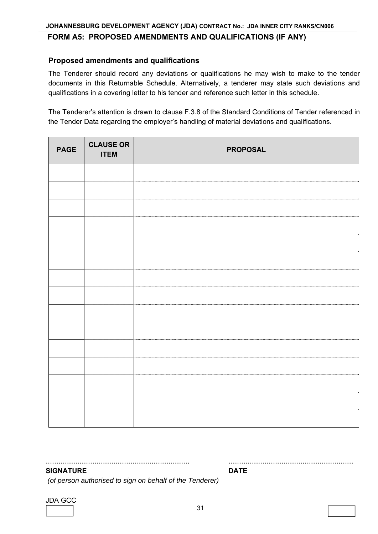#### **FORM A5: PROPOSED AMENDMENTS AND QUALIFICATIONS (IF ANY)**

#### **Proposed amendments and qualifications**

The Tenderer should record any deviations or qualifications he may wish to make to the tender documents in this Returnable Schedule. Alternatively, a tenderer may state such deviations and qualifications in a covering letter to his tender and reference such letter in this schedule.

The Tenderer's attention is drawn to clause F.3.8 of the Standard Conditions of Tender referenced in the Tender Data regarding the employer's handling of material deviations and qualifications.

| <b>PAGE</b> | <b>CLAUSE OR</b><br><b>ITEM</b> | <b>PROPOSAL</b> |
|-------------|---------------------------------|-----------------|
|             |                                 |                 |
|             |                                 |                 |
|             |                                 |                 |
|             |                                 |                 |
|             |                                 |                 |
|             |                                 |                 |
|             |                                 |                 |
|             |                                 |                 |
|             |                                 |                 |
|             |                                 |                 |
|             |                                 |                 |
|             |                                 |                 |
|             |                                 |                 |
|             |                                 |                 |
|             |                                 |                 |

#### .................................................................... ........................................................... **SIGNATURE DATE**

 *(of person authorised to sign on behalf of the Tenderer)*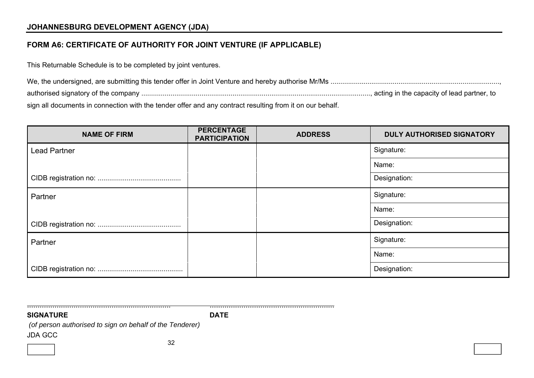## **JOHANNESBURG DEVELOPMENT AGENCY (JDA)**

## **FORM A6: CERTIFICATE OF AUTHORITY FOR JOINT VENTURE (IF APPLICABLE)**

This Returnable Schedule is to be completed by joint ventures.

sign all documents in connection with the tender offer and any contract resulting from it on our behalf.

| <b>NAME OF FIRM</b> | <b>PERCENTAGE</b><br><b>PARTICIPATION</b> | <b>ADDRESS</b> | <b>DULY AUTHORISED SIGNATORY</b> |
|---------------------|-------------------------------------------|----------------|----------------------------------|
| <b>Lead Partner</b> |                                           |                | Signature:                       |
|                     |                                           |                | Name:                            |
|                     |                                           |                | Designation:                     |
| Partner             |                                           |                | Signature:                       |
|                     |                                           |                | Name:                            |
|                     |                                           |                | Designation:                     |
| Partner             |                                           |                | Signature:                       |
|                     |                                           |                | Name:                            |
|                     |                                           |                | Designation:                     |

**SIGNATURE** 

**DATE** 

.................................................................... ...........................................................

JDA GCC  *(of person authorised to sign on behalf of the Tenderer)*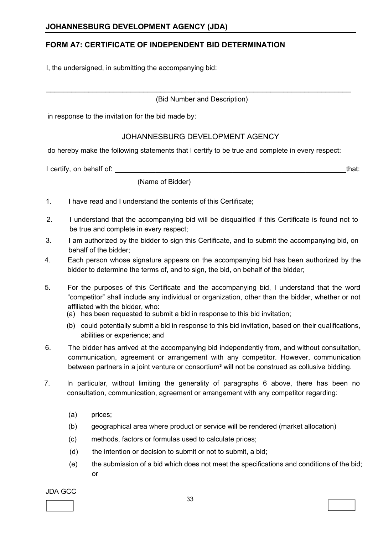## **FORM A7: CERTIFICATE OF INDEPENDENT BID DETERMINATION**

I, the undersigned, in submitting the accompanying bid:

(Bid Number and Description)

 $\_$  , and the contribution of the contribution of  $\mathcal{L}_\mathcal{A}$  , and the contribution of  $\mathcal{L}_\mathcal{A}$ 

in response to the invitation for the bid made by:

### JOHANNESBURG DEVELOPMENT AGENCY

do hereby make the following statements that I certify to be true and complete in every respect:

I certify, on behalf of: \_\_\_\_\_\_\_\_\_\_\_\_\_\_\_\_\_\_\_\_\_\_\_\_\_\_\_\_\_\_\_\_\_\_\_\_\_\_\_\_\_\_\_\_\_\_\_\_\_\_\_\_\_\_\_\_\_that:

(Name of Bidder)

- 1. I have read and I understand the contents of this Certificate;
- 2. I understand that the accompanying bid will be disqualified if this Certificate is found not to be true and complete in every respect;
- 3. I am authorized by the bidder to sign this Certificate, and to submit the accompanying bid, on behalf of the bidder;
- 4. Each person whose signature appears on the accompanying bid has been authorized by the bidder to determine the terms of, and to sign, the bid, on behalf of the bidder;
- 5. For the purposes of this Certificate and the accompanying bid, I understand that the word "competitor" shall include any individual or organization, other than the bidder, whether or not affiliated with the bidder, who:
	- (a) has been requested to submit a bid in response to this bid invitation;
	- (b) could potentially submit a bid in response to this bid invitation, based on their qualifications, abilities or experience; and
- 6. The bidder has arrived at the accompanying bid independently from, and without consultation, communication, agreement or arrangement with any competitor. However, communication between partners in a joint venture or consortium<sup>3</sup> will not be construed as collusive bidding.
- 7. In particular, without limiting the generality of paragraphs 6 above, there has been no consultation, communication, agreement or arrangement with any competitor regarding:
	- (a) prices;
	- (b) geographical area where product or service will be rendered (market allocation)
	- (c) methods, factors or formulas used to calculate prices;
	- (d) the intention or decision to submit or not to submit, a bid;
	- (e) the submission of a bid which does not meet the specifications and conditions of the bid; or

JDA GCC

l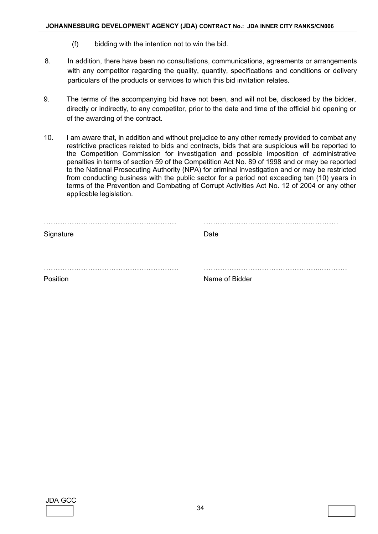- (f) bidding with the intention not to win the bid.
- 8. In addition, there have been no consultations, communications, agreements or arrangements with any competitor regarding the quality, quantity, specifications and conditions or delivery particulars of the products or services to which this bid invitation relates.
- 9. The terms of the accompanying bid have not been, and will not be, disclosed by the bidder, directly or indirectly, to any competitor, prior to the date and time of the official bid opening or of the awarding of the contract.
- 10. I am aware that, in addition and without prejudice to any other remedy provided to combat any restrictive practices related to bids and contracts, bids that are suspicious will be reported to the Competition Commission for investigation and possible imposition of administrative penalties in terms of section 59 of the Competition Act No. 89 of 1998 and or may be reported to the National Prosecuting Authority (NPA) for criminal investigation and or may be restricted from conducting business with the public sector for a period not exceeding ten (10) years in terms of the Prevention and Combating of Corrupt Activities Act No. 12 of 2004 or any other applicable legislation.

| Signature | .<br>Date      |
|-----------|----------------|
|           |                |
| Position  | Name of Bidder |

| JDA | ÷ |  |
|-----|---|--|
|     |   |  |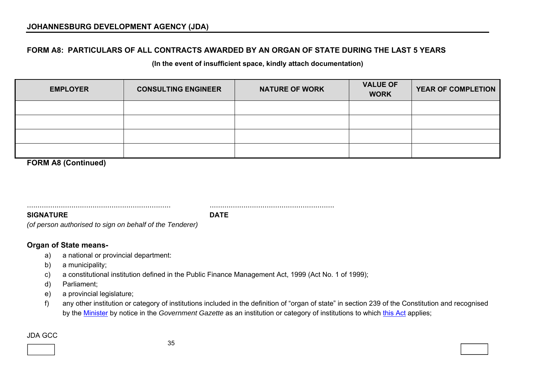## **FORM A8: PARTICULARS OF ALL CONTRACTS AWARDED BY AN ORGAN OF STATE DURING THE LAST 5 YEARS**

**(In the event of insufficient space, kindly attach documentation)** 

| <b>EMPLOYER</b> | <b>CONSULTING ENGINEER</b> | <b>NATURE OF WORK</b> | <b>VALUE OF</b><br><b>WORK</b> | <b>YEAR OF COMPLETION</b> |
|-----------------|----------------------------|-----------------------|--------------------------------|---------------------------|
|                 |                            |                       |                                |                           |
|                 |                            |                       |                                |                           |
|                 |                            |                       |                                |                           |
|                 |                            |                       |                                |                           |

**FORM A8 (Continued)** 

.................................................................... ...........................................................

**SIGNATURE DATE** 

*(of person authorised to sign on behalf of the Tenderer)* 

## **Organ of State means-**

- a) a national or provincial department:
- b) a municipality;
- c) a constitutional institution defined in the Public Finance Management Act, 1999 (Act No. 1 of 1999);
- d) Parliament;
- e) a provincial legislature;
- f) any other institution or category of institutions included in the definition of "organ of state" in section 239 of the Constitution and recognised by the Minister by notice in the *Government Gazette* as an institution or category of institutions to which this Act applies;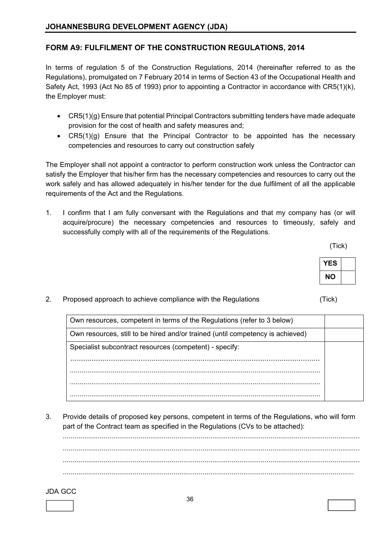## **FORM A9: FULFILMENT OF THE CONSTRUCTION REGULATIONS, 2014**

In terms of regulation 5 of the Construction Regulations, 2014 (hereinafter referred to as the Regulations), promulgated on 7 February 2014 in terms of Section 43 of the Occupational Health and Safety Act, 1993 (Act No 85 of 1993) prior to appointing a Contractor in accordance with CR5(1)(k), the Employer must:

- CR5(1)(g) Ensure that potential Principal Contractors submitting tenders have made adequate provision for the cost of health and safety measures and;
- CR5(1)(g) Ensure that the Principal Contractor to be appointed has the necessary competencies and resources to carry out construction safely

The Employer shall not appoint a contractor to perform construction work unless the Contractor can satisfy the Employer that his/her firm has the necessary competencies and resources to carry out the work safely and has allowed adequately in his/her tender for the due fulfilment of all the applicable requirements of the Act and the Regulations.

1. I confirm that I am fully conversant with the Regulations and that my company has (or will acquire/procure) the necessary competencies and resources to timeously, safely and successfully comply with all of the requirements of the Regulations.

(Tick)

| YES |  |
|-----|--|
| NΟ  |  |

(Tick)

2. Proposed approach to achieve compliance with the Regulations

Own resources, competent in terms of the Regulations (refer to 3 below) Own resources, still to be hired and/or trained (until competency is achieved) Specialist subcontract resources (competent) - specify: ..................................................................................................................... ................................................................................................................................. ................................................................................................................................. .................................................................................................................................

3. Provide details of proposed key persons, competent in terms of the Regulations, who will form part of the Contract team as specified in the Regulations (CVs to be attached):

 ......................................................................................................................................................... ......................................................................................................................................................... ......................................................................................................................................................... ......................................................................................................................................................

#### JDA GCC  $\sim$  36

l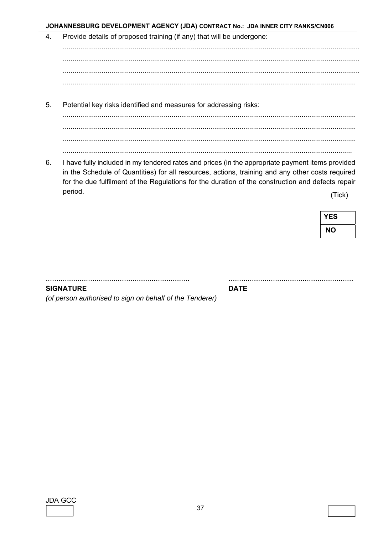JOHANNESBURG DEVELOPMENT AGENCY (JDA) CONTRACT No.: JDA INNER CITY RANKS/CN006

- Provide details of proposed training (if any) that will be undergone:  $\overline{4}$ .
- $5<sub>1</sub>$ Potential key risks identified and measures for addressing risks:
- 6. I have fully included in my tendered rates and prices (in the appropriate payment items provided in the Schedule of Quantities) for all resources, actions, training and any other costs required for the due fulfilment of the Regulations for the duration of the construction and defects repair period.

(Tick)

| YES |  |
|-----|--|
| NΟ  |  |

**SIGNATURE** 

(of person authorised to sign on behalf of the Tenderer)

**JDA GCC** 

**DATE**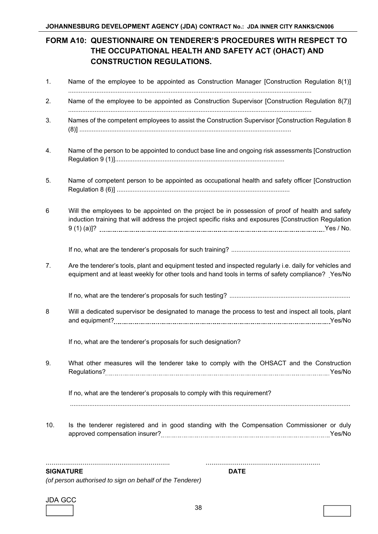# **FORM A10: QUESTIONNAIRE ON TENDERER'S PROCEDURES WITH RESPECT TO THE OCCUPATIONAL HEALTH AND SAFETY ACT (OHACT) AND CONSTRUCTION REGULATIONS.**

| 1.  | Name of the employee to be appointed as Construction Manager [Construction Regulation 8(1)]                                                                                                                    |
|-----|----------------------------------------------------------------------------------------------------------------------------------------------------------------------------------------------------------------|
| 2.  | Name of the employee to be appointed as Construction Supervisor [Construction Regulation 8(7)]                                                                                                                 |
| 3.  | Names of the competent employees to assist the Construction Supervisor [Construction Regulation 8                                                                                                              |
| 4.  | Name of the person to be appointed to conduct base line and ongoing risk assessments [Construction                                                                                                             |
| 5.  | Name of competent person to be appointed as occupational health and safety officer [Construction                                                                                                               |
| 6   | Will the employees to be appointed on the project be in possession of proof of health and safety<br>induction training that will address the project specific risks and exposures [Construction Regulation     |
|     |                                                                                                                                                                                                                |
| 7.  | Are the tenderer's tools, plant and equipment tested and inspected regularly i.e. daily for vehicles and<br>equipment and at least weekly for other tools and hand tools in terms of safety compliance? Yes/No |
|     |                                                                                                                                                                                                                |
| 8   | Will a dedicated supervisor be designated to manage the process to test and inspect all tools, plant                                                                                                           |
|     | If no, what are the tenderer's proposals for such designation?                                                                                                                                                 |
| 9.  | What other measures will the tenderer take to comply with the OHSACT and the Construction                                                                                                                      |
|     | If no, what are the tenderer's proposals to comply with this requirement?                                                                                                                                      |
| 10. | Is the tenderer registered and in good standing with the Compensation Commissioner or duly                                                                                                                     |
|     |                                                                                                                                                                                                                |

#### **SIGNATURE DATE**

*(of person authorised to sign on behalf of the Tenderer)*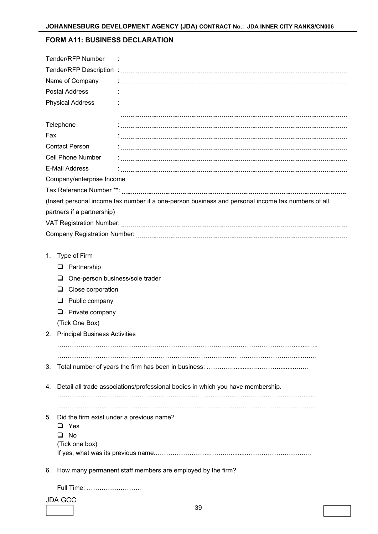### **FORM A11: BUSINESS DECLARATION**

|     | <b>Tender/RFP Number</b>                  |                                                                                                    |
|-----|-------------------------------------------|----------------------------------------------------------------------------------------------------|
|     |                                           |                                                                                                    |
|     | Name of Company                           |                                                                                                    |
|     | <b>Postal Address</b>                     |                                                                                                    |
|     | <b>Physical Address</b>                   |                                                                                                    |
|     |                                           |                                                                                                    |
|     | Telephone                                 |                                                                                                    |
| Fax |                                           |                                                                                                    |
|     | <b>Contact Person</b>                     |                                                                                                    |
|     | Cell Phone Number                         |                                                                                                    |
|     | <b>E-Mail Address</b>                     |                                                                                                    |
|     | Company/enterprise Income                 |                                                                                                    |
|     |                                           |                                                                                                    |
|     |                                           | (Insert personal income tax number if a one-person business and personal income tax numbers of all |
|     | partners if a partnership)                |                                                                                                    |
|     |                                           |                                                                                                    |
|     |                                           |                                                                                                    |
|     |                                           |                                                                                                    |
| 1.  | Type of Firm                              |                                                                                                    |
|     | Partnership<br>Q.                         |                                                                                                    |
|     | One-person business/sole trader<br>u      |                                                                                                    |
|     | Close corporation<br>⊔                    |                                                                                                    |
|     | Public company<br>⊔                       |                                                                                                    |
|     | Private company<br>❏                      |                                                                                                    |
|     | (Tick One Box)                            |                                                                                                    |
| 2.  | <b>Principal Business Activities</b>      |                                                                                                    |
|     |                                           |                                                                                                    |
|     |                                           |                                                                                                    |
| 3.  |                                           |                                                                                                    |
|     |                                           |                                                                                                    |
| 4.  |                                           | Detail all trade associations/professional bodies in which you have membership.                    |
|     |                                           |                                                                                                    |
| 5.  | Did the firm exist under a previous name? |                                                                                                    |
|     | Yes<br>ப                                  |                                                                                                    |
|     | No                                        |                                                                                                    |
|     | (Tick one box)                            |                                                                                                    |
|     |                                           |                                                                                                    |
| 6.  |                                           | How many permanent staff members are employed by the firm?                                         |
|     | Full Time:                                |                                                                                                    |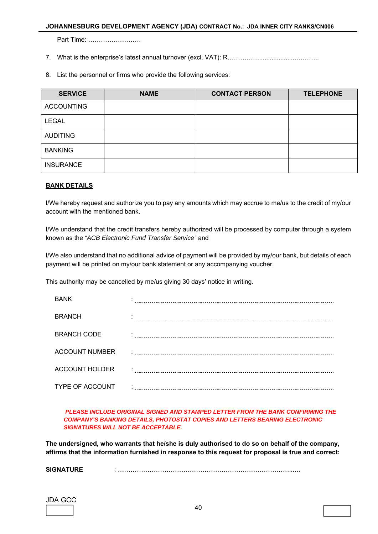#### **JOHANNESBURG DEVELOPMENT AGENCY (JDA) CONTRACT No.: JDA INNER CITY RANKS/CN006**

Part Time: …………………….

- 7. What is the enterprise's latest annual turnover (excl. VAT): R………………………………………
- 8. List the personnel or firms who provide the following services:

| <b>SERVICE</b>    | <b>NAME</b> | <b>CONTACT PERSON</b> | <b>TELEPHONE</b> |
|-------------------|-------------|-----------------------|------------------|
| <b>ACCOUNTING</b> |             |                       |                  |
| <b>LEGAL</b>      |             |                       |                  |
| <b>AUDITING</b>   |             |                       |                  |
| <b>BANKING</b>    |             |                       |                  |
| <b>INSURANCE</b>  |             |                       |                  |

#### **BANK DETAILS**

I/We hereby request and authorize you to pay any amounts which may accrue to me/us to the credit of my/our account with the mentioned bank.

I/We understand that the credit transfers hereby authorized will be processed by computer through a system known as the *"ACB Electronic Fund Transfer Service"* and

I/We also understand that no additional advice of payment will be provided by my/our bank, but details of each payment will be printed on my/our bank statement or any accompanying voucher.

This authority may be cancelled by me/us giving 30 days' notice in writing.

| <b>BANK</b>            |  |
|------------------------|--|
| <b>BRANCH</b>          |  |
| <b>BRANCH CODE</b>     |  |
| <b>ACCOUNT NUMBER</b>  |  |
| <b>ACCOUNT HOLDER</b>  |  |
| <b>TYPE OF ACCOUNT</b> |  |

#### *PLEASE INCLUDE ORIGINAL SIGNED AND STAMPED LETTER FROM THE BANK CONFIRMING THE COMPANY'S BANKING DETAILS, PHOTOSTAT COPIES AND LETTERS BEARING ELECTRONIC SIGNATURES WILL NOT BE ACCEPTABLE.*

**The undersigned, who warrants that he/she is duly authorised to do so on behalf of the company, affirms that the information furnished in response to this request for proposal is true and correct:** 

**SIGNATURE** : ………………………………………………………………………...…

| JL<br>$\mathbf{a}$ | - |  |
|--------------------|---|--|
|                    |   |  |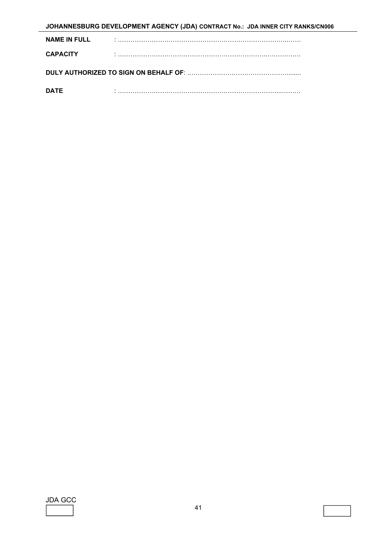| JOHANNESBURG DEVELOPMENT AGENCY (JDA) CONTRACT No.: JDA INNER CITY RANKS/CN006 |  |  |
|--------------------------------------------------------------------------------|--|--|
| <b>NAME IN FULL</b>                                                            |  |  |
| <b>CAPACITY</b>                                                                |  |  |
|                                                                                |  |  |
| <b>DATE</b>                                                                    |  |  |

JDA GCC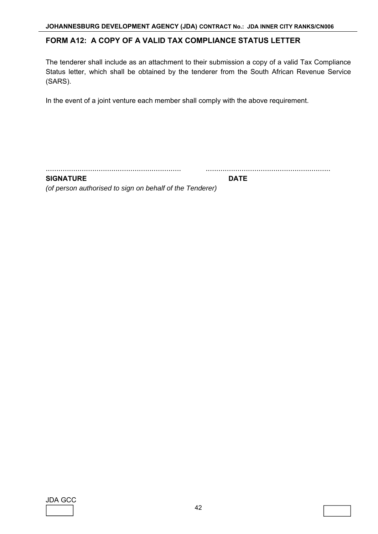## **FORM A12: A COPY OF A VALID TAX COMPLIANCE STATUS LETTER**

The tenderer shall include as an attachment to their submission a copy of a valid Tax Compliance Status letter, which shall be obtained by the tenderer from the South African Revenue Service (SARS).

In the event of a joint venture each member shall comply with the above requirement.

................................................................ ...........................................................

**SIGNATURE DATE** 

*(of person authorised to sign on behalf of the Tenderer)* 

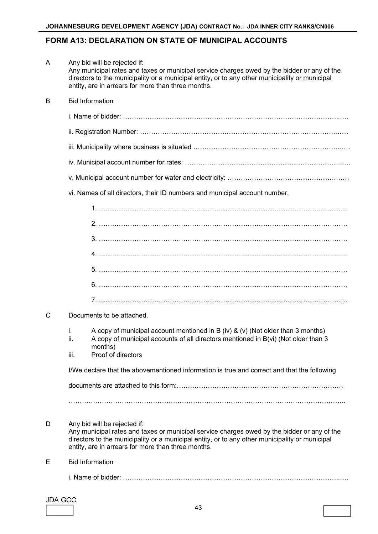## **FORM A13: DECLARATION ON STATE OF MUNICIPAL ACCOUNTS**

|   | I/We declare that the abovementioned information is true and correct and that the following                                                                                                                                                         |
|---|-----------------------------------------------------------------------------------------------------------------------------------------------------------------------------------------------------------------------------------------------------|
|   | A copy of municipal account mentioned in B (iv) & (v) (Not older than 3 months)<br>İ.<br>A copy of municipal accounts of all directors mentioned in B(vi) (Not older than 3<br>ii.<br>months)<br>Proof of directors<br>iii.                         |
| C | Documents to be attached.                                                                                                                                                                                                                           |
|   |                                                                                                                                                                                                                                                     |
|   |                                                                                                                                                                                                                                                     |
|   |                                                                                                                                                                                                                                                     |
|   |                                                                                                                                                                                                                                                     |
|   |                                                                                                                                                                                                                                                     |
|   |                                                                                                                                                                                                                                                     |
|   |                                                                                                                                                                                                                                                     |
|   | vi. Names of all directors, their ID numbers and municipal account number.                                                                                                                                                                          |
|   |                                                                                                                                                                                                                                                     |
|   |                                                                                                                                                                                                                                                     |
|   |                                                                                                                                                                                                                                                     |
|   |                                                                                                                                                                                                                                                     |
|   |                                                                                                                                                                                                                                                     |
| B | <b>Bid Information</b>                                                                                                                                                                                                                              |
|   | Any municipal rates and taxes or municipal service charges owed by the bidder or any of the<br>directors to the municipality or a municipal entity, or to any other municipality or municipal<br>entity, are in arrears for more than three months. |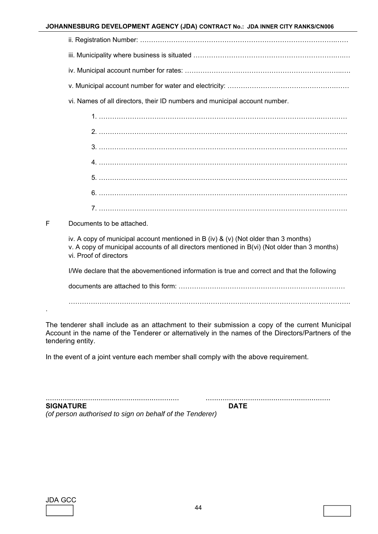#### **JOHANNESBURG DEVELOPMENT AGENCY (JDA) CONTRACT No.: JDA INNER CITY RANKS/CN006**

| ii. Registration Number: …………………………………………………………………………………… |  |  |
|-----------------------------------------------------------|--|--|
|                                                           |  |  |

- iii. Municipality where business is situated ……………………………………………………………………………………………
- iv. Municipal account number for rates: ……………………………………………………………..….
- v. Municipal account number for water and electricity: ………………………………………….……
- vi. Names of all directors, their ID numbers and municipal account number.

F Documents to be attached.

iv. A copy of municipal account mentioned in B (iv) & (v) (Not older than 3 months) v. A copy of municipal accounts of all directors mentioned in B(vi) (Not older than 3 months) vi. Proof of directors

I/We declare that the abovementioned information is true and correct and that the following

documents are attached to this form: …………………………………………………………………

……………………………………………………………………………………………………………….

The tenderer shall include as an attachment to their submission a copy of the current Municipal Account in the name of the Tenderer or alternatively in the names of the Directors/Partners of the tendering entity.

In the event of a joint venture each member shall comply with the above requirement.

............................................................... ........................................................... **SIGNATURE DATE** *(of person authorised to sign on behalf of the Tenderer)* 

| JDA GCC |  |
|---------|--|
|         |  |

.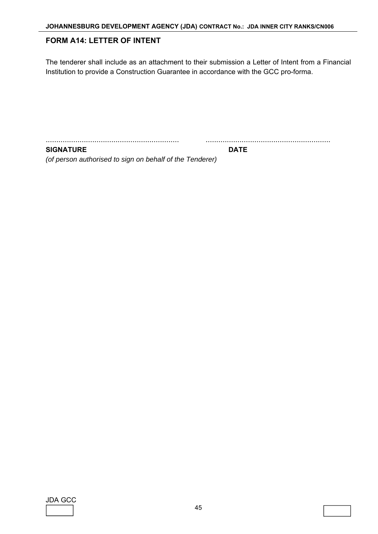## **FORM A14: LETTER OF INTENT**

The tenderer shall include as an attachment to their submission a Letter of Intent from a Financial Institution to provide a Construction Guarantee in accordance with the GCC pro-forma.

............................................................... ...........................................................

**SIGNATURE DATE** 

*(of person authorised to sign on behalf of the Tenderer)* 

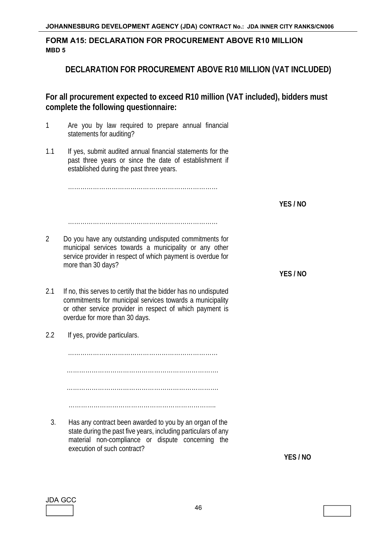## **FORM A15: DECLARATION FOR PROCUREMENT ABOVE R10 MILLION MBD 5**

## **DECLARATION FOR PROCUREMENT ABOVE R10 MILLION (VAT INCLUDED)**

**For all procurement expected to exceed R10 million (VAT included), bidders must complete the following questionnaire:**

- 1 Are you by law required to prepare annual financial statements for auditing?
- 1.1 If yes, submit audited annual financial statements for the past three years or since the date of establishment if established during the past three years.

………………………………………………………………

**YES / NO**

**YES / NO** 

………………………………………………………………

- 2 Do you have any outstanding undisputed commitments for municipal services towards a municipality or any other service provider in respect of which payment is overdue for more than 30 days?
- 2.1 If no, this serves to certify that the bidder has no undisputed commitments for municipal services towards a municipality or other service provider in respect of which payment is overdue for more than 30 days.
- 2.2 If yes, provide particulars.

execution of such contract?

……………………………………………………………… ………………………………………………………………. ……………………………………………………………….

3. Has any contract been awarded to you by an organ of the state during the past five years, including particulars of any material non-compliance or dispute concerning the

……………………………………………………………..

**YES / NO**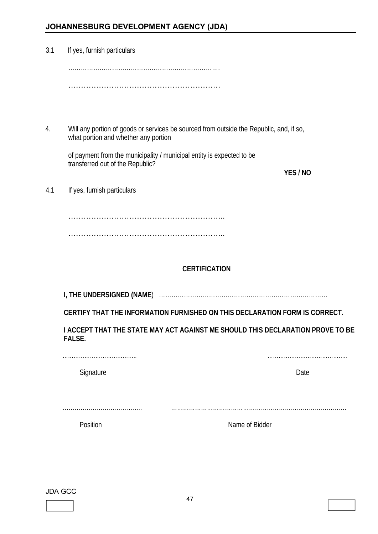# **JOHANNESBURG DEVELOPMENT AGENCY (JDA)**

| 3.1 | If yes, furnish particulars          |                                                                                         |
|-----|--------------------------------------|-----------------------------------------------------------------------------------------|
|     |                                      |                                                                                         |
|     |                                      |                                                                                         |
|     |                                      |                                                                                         |
| 4.  | what portion and whether any portion | Will any portion of goods or services be sourced from outside the Republic, and, if so, |
|     | transferred out of the Republic?     | of payment from the municipality / municipal entity is expected to be                   |
|     |                                      | YES / NO                                                                                |
| 4.1 | If yes, furnish particulars          |                                                                                         |
|     |                                      |                                                                                         |
|     |                                      |                                                                                         |
|     |                                      |                                                                                         |
|     |                                      | <b>CERTIFICATION</b>                                                                    |
|     |                                      |                                                                                         |
|     |                                      | CERTIFY THAT THE INFORMATION FURNISHED ON THIS DECLARATION FORM IS CORRECT.             |
|     | FALSE.                               | I ACCEPT THAT THE STATE MAY ACT AGAINST ME SHOULD THIS DECLARATION PROVE TO BE          |
|     |                                      | Date                                                                                    |
|     | Signature                            |                                                                                         |
|     |                                      |                                                                                         |
|     | Position                             | Name of Bidder                                                                          |
|     |                                      |                                                                                         |

#### JDA GCC

l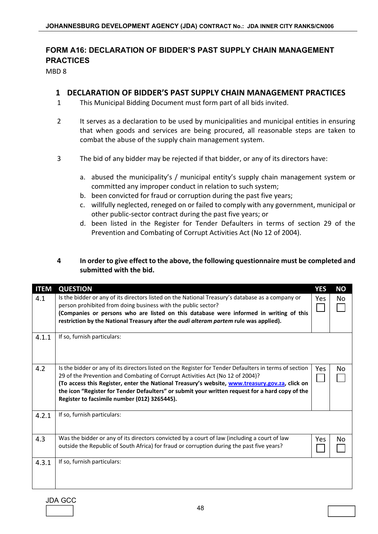# **FORM A16: DECLARATION OF BIDDER'S PAST SUPPLY CHAIN MANAGEMENT PRACTICES**

MBD 8

## **1 DECLARATION OF BIDDER'S PAST SUPPLY CHAIN MANAGEMENT PRACTICES**

- 1 This Municipal Bidding Document must form part of all bids invited.
- 2 It serves as a declaration to be used by municipalities and municipal entities in ensuring that when goods and services are being procured, all reasonable steps are taken to combat the abuse of the supply chain management system.
- 3 The bid of any bidder may be rejected if that bidder, or any of its directors have:
	- a. abused the municipality's / municipal entity's supply chain management system or committed any improper conduct in relation to such system;
	- b. been convicted for fraud or corruption during the past five years;
	- c. willfully neglected, reneged on or failed to comply with any government, municipal or other public-sector contract during the past five years; or
	- d. been listed in the Register for Tender Defaulters in terms of section 29 of the Prevention and Combating of Corrupt Activities Act (No 12 of 2004).

## **4 In order to give effect to the above, the following questionnaire must be completed and submitted with the bid.**

| <b>ITEM</b> | <b>QUESTION</b>                                                                                                                                                                                                                                                                                                                                                                                                                              | <b>YES</b> | <b>NO</b>      |
|-------------|----------------------------------------------------------------------------------------------------------------------------------------------------------------------------------------------------------------------------------------------------------------------------------------------------------------------------------------------------------------------------------------------------------------------------------------------|------------|----------------|
| 4.1         | Is the bidder or any of its directors listed on the National Treasury's database as a company or<br>person prohibited from doing business with the public sector?<br>(Companies or persons who are listed on this database were informed in writing of this<br>restriction by the National Treasury after the <i>audi alteram partem</i> rule was applied).                                                                                  | Yes        | N <sub>o</sub> |
| 4.1.1       | If so, furnish particulars:                                                                                                                                                                                                                                                                                                                                                                                                                  |            |                |
| 4.2         | Is the bidder or any of its directors listed on the Register for Tender Defaulters in terms of section<br>29 of the Prevention and Combating of Corrupt Activities Act (No 12 of 2004)?<br>(To access this Register, enter the National Treasury's website, www.treasury.gov.za, click on<br>the icon "Register for Tender Defaulters" or submit your written request for a hard copy of the<br>Register to facsimile number (012) 3265445). | Yes        | No             |
| 4.2.1       | If so, furnish particulars:                                                                                                                                                                                                                                                                                                                                                                                                                  |            |                |
| 4.3         | Was the bidder or any of its directors convicted by a court of law (including a court of law<br>outside the Republic of South Africa) for fraud or corruption during the past five years?                                                                                                                                                                                                                                                    | Yes        | No             |
| 4.3.1       | If so, furnish particulars:                                                                                                                                                                                                                                                                                                                                                                                                                  |            |                |

JDA GCC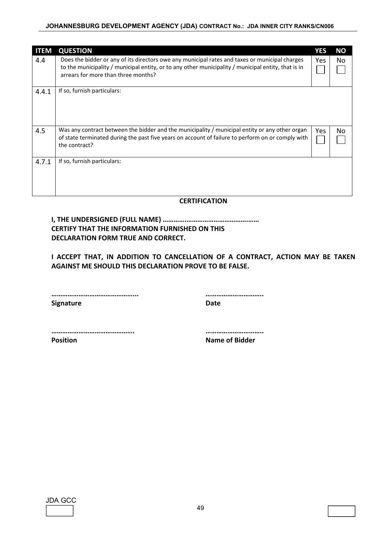#### **JOHANNESBURG DEVELOPMENT AGENCY (JDA) CONTRACT No.: JDA INNER CITY RANKS/CN006**

| <b>ITEM</b> | <b>QUESTION</b>                                                                                                                                                                                                                              | YES  | ΝO  |
|-------------|----------------------------------------------------------------------------------------------------------------------------------------------------------------------------------------------------------------------------------------------|------|-----|
| 4.4         | Does the bidder or any of its directors owe any municipal rates and taxes or municipal charges<br>to the municipality / municipal entity, or to any other municipality / municipal entity, that is in<br>arrears for more than three months? | Yes. | No  |
| 4.4.1       | If so, furnish particulars:                                                                                                                                                                                                                  |      |     |
| 4.5         | Was any contract between the bidder and the municipality / municipal entity or any other organ<br>of state terminated during the past five years on account of failure to perform on or comply with<br>the contract?                         | Yes  | No. |
| 4.7.1       | If so, furnish particulars:                                                                                                                                                                                                                  |      |     |
|             |                                                                                                                                                                                                                                              |      |     |

#### **CERTIFICATION**

**I, THE UNDERSIGNED (FULL NAME) ………….…………………………….…… CERTIFY THAT THE INFORMATION FURNISHED ON THIS DECLARATION FORM TRUE AND CORRECT.** 

 **I ACCEPT THAT, IN ADDITION TO CANCELLATION OF A CONTRACT, ACTION MAY BE TAKEN AGAINST ME SHOULD THIS DECLARATION PROVE TO BE FALSE.** 

 **………………………………………... …………………………..** 

**Signature Date Contract Date Contract Date** 

 **………………………………………. …………………………..** 

**Position Name of Bidder**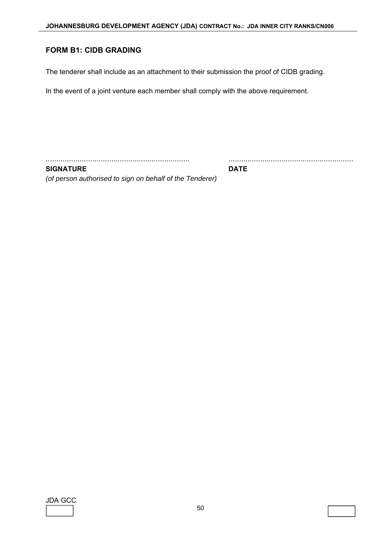### **FORM B1: CIDB GRADING**

The tenderer shall include as an attachment to their submission the proof of CIDB grading.

In the event of a joint venture each member shall comply with the above requirement.

.................................................................... ...........................................................

**SIGNATURE DATE** 

*(of person authorised to sign on behalf of the Tenderer)* 

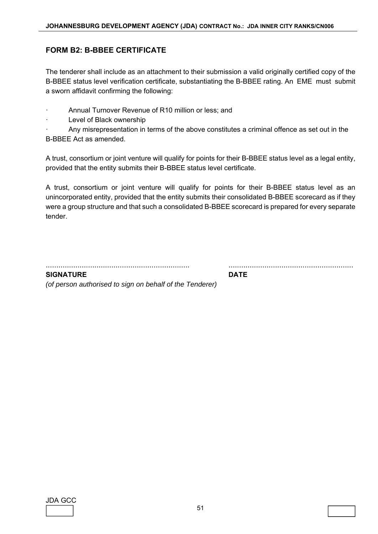## **FORM B2: B-BBEE CERTIFICATE**

The tenderer shall include as an attachment to their submission a valid originally certified copy of the B-BBEE status level verification certificate, substantiating the B-BBEE rating. An EME must submit a sworn affidavit confirming the following:

- Annual Turnover Revenue of R10 million or less; and
- Level of Black ownership

ꞏ Any misrepresentation in terms of the above constitutes a criminal offence as set out in the B-BBEE Act as amended.

A trust, consortium or joint venture will qualify for points for their B-BBEE status level as a legal entity, provided that the entity submits their B-BBEE status level certificate.

A trust, consortium or joint venture will qualify for points for their B-BBEE status level as an unincorporated entity, provided that the entity submits their consolidated B-BBEE scorecard as if they were a group structure and that such a consolidated B-BBEE scorecard is prepared for every separate tender.

.................................................................... ...........................................................

**SIGNATURE DATE** 

*(of person authorised to sign on behalf of the Tenderer)* 

| JDA | ∸ |  |
|-----|---|--|
|     |   |  |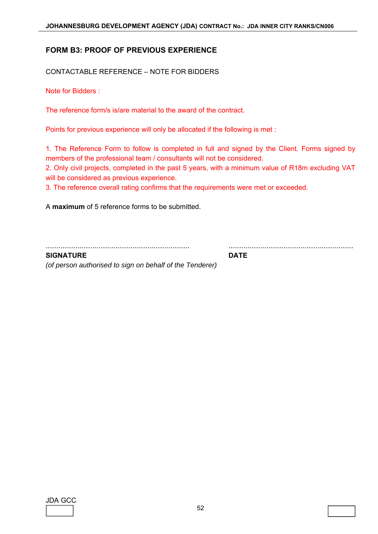### **FORM B3: PROOF OF PREVIOUS EXPERIENCE**

CONTACTABLE REFERENCE – NOTE FOR BIDDERS

Note for Bidders :

The reference form/s is/are material to the award of the contract.

Points for previous experience will only be allocated if the following is met :

1. The Reference Form to follow is completed in full and signed by the Client. Forms signed by members of the professional team / consultants will not be considered.

2. Only civil projects, completed in the past 5 years, with a minimum value of R18m excluding VAT will be considered as previous experience.

3. The reference overall rating confirms that the requirements were met or exceeded.

A **maximum** of 5 reference forms to be submitted.

.................................................................... ...........................................................

**SIGNATURE DATE** 

*(of person authorised to sign on behalf of the Tenderer)*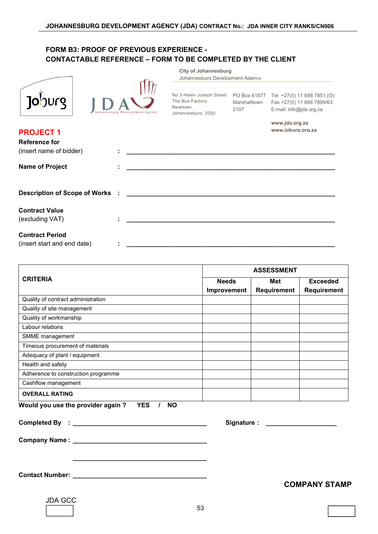| ͿϙϸͿͿ |  |
|-------|--|
|       |  |



No 3 Helen Joseph Street The Bus Factory Newtown Johannesburg, 2000

**City of Johannesburg** 

Johannesburg Development Agency

PO Box 61877 Marshalltown 2107

Tel +27(0) 11 688 7851 (O) Fax +27(0) 11 688 7899/63 E-mail: info@jda.org.za

**www.jda.org.za www.joburg.org.za**

| <b>PROJECT 1</b>            | www.joburg.org.za                                                                                                    |
|-----------------------------|----------------------------------------------------------------------------------------------------------------------|
| <b>Reference for</b>        |                                                                                                                      |
| (insert name of bidder)     |                                                                                                                      |
| <b>Name of Project</b>      | <u> 1989 - Johann Barbara, martxa alemaniar argumento de la contenta de la contenta de la contenta de la content</u> |
|                             |                                                                                                                      |
| <b>Contract Value</b>       |                                                                                                                      |
| (excluding VAT)             |                                                                                                                      |
| <b>Contract Period</b>      |                                                                                                                      |
| (insert start and end date) |                                                                                                                      |

|                                                              | <b>ASSESSMENT</b>           |                    |                                |  |
|--------------------------------------------------------------|-----------------------------|--------------------|--------------------------------|--|
| <b>CRITERIA</b>                                              | <b>Needs</b><br>Improvement | Met<br>Requirement | <b>Exceeded</b><br>Requirement |  |
| Quality of contract administration                           |                             |                    |                                |  |
| Quality of site management                                   |                             |                    |                                |  |
| Quality of workmanship                                       |                             |                    |                                |  |
| Labour relations                                             |                             |                    |                                |  |
| SMME management                                              |                             |                    |                                |  |
| Timeous procurement of materials                             |                             |                    |                                |  |
| Adequacy of plant / equipment                                |                             |                    |                                |  |
| Health and safety                                            |                             |                    |                                |  |
| Adherence to construction programme                          |                             |                    |                                |  |
| Cashflow management                                          |                             |                    |                                |  |
| <b>OVERALL RATING</b>                                        |                             |                    |                                |  |
| Would you use the provider again?<br><b>YES</b><br><b>NO</b> |                             |                    |                                |  |

|                                                                  | Signature : ______________________ |
|------------------------------------------------------------------|------------------------------------|
|                                                                  |                                    |
| <u> 1989 - Johann John Stone, Amerikaansk politiker (* 1908)</u> | <b>COMPANY STAMP</b>               |
| <b>JDA GCC</b>                                                   |                                    |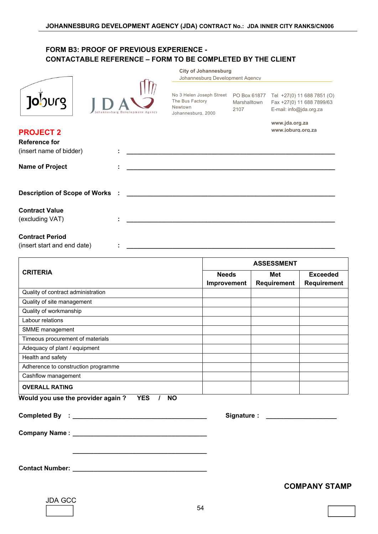|                                                                     | <b>City of Johannesburg</b><br>Johannesburg Development Agency                                                                                                                                         |
|---------------------------------------------------------------------|--------------------------------------------------------------------------------------------------------------------------------------------------------------------------------------------------------|
| <b>Jo</b> burg                                                      | No 3 Helen Joseph Street  PO Box 61877  Tel +27(0) 11 688 7851 (O)<br>The Bus Factory<br>Marshalltown<br>Fax +27(0) 11 688 7899/63<br>Newtown<br>E-mail: info@jda.org.za<br>2107<br>Johannesburg, 2000 |
| <b>PROJECT 2</b><br><b>Reference for</b><br>(insert name of bidder) | www.jda.org.za<br>www.ioburg.org.za                                                                                                                                                                    |
| <b>Name of Project</b>                                              |                                                                                                                                                                                                        |
| <b>Description of Scope of Works</b>                                |                                                                                                                                                                                                        |
| <b>Contract Value</b><br>(excluding VAT)                            |                                                                                                                                                                                                        |
| <b>Contract Period</b><br>(insert start and end date)               |                                                                                                                                                                                                        |
|                                                                     | <b>ASSESSMENT</b>                                                                                                                                                                                      |
| <b>CRITERIA</b>                                                     | <b>Needs</b><br><b>Exceeded</b><br><b>Met</b><br><b>Requirement</b><br><b>Requirement</b><br>Improvement                                                                                               |
| Quality of contract administration                                  |                                                                                                                                                                                                        |
| Quality of site management                                          |                                                                                                                                                                                                        |
| Quality of workmanship                                              |                                                                                                                                                                                                        |
| Labour relations                                                    |                                                                                                                                                                                                        |
| SMME management                                                     |                                                                                                                                                                                                        |
| Timeous procurement of materials                                    |                                                                                                                                                                                                        |
| Adequacy of plant / equipment                                       |                                                                                                                                                                                                        |
| Health and safety                                                   |                                                                                                                                                                                                        |
| Adherence to construction programme                                 |                                                                                                                                                                                                        |
| Cashflow management                                                 |                                                                                                                                                                                                        |
| <b>OVERALL RATING</b>                                               |                                                                                                                                                                                                        |
| Would you use the provider again?<br><b>YES</b>                     | <b>NO</b><br>$\mathcal{L}$                                                                                                                                                                             |
|                                                                     | Signature : _______________                                                                                                                                                                            |

**Contact Number : \_\_\_\_\_\_\_\_\_\_\_\_\_\_\_\_\_\_\_\_\_\_\_\_\_\_\_\_\_\_\_\_\_\_\_\_\_\_** 

**Company Name : \_\_\_\_\_\_\_\_\_\_\_\_\_\_\_\_\_\_\_\_\_\_\_\_\_\_\_\_\_\_\_\_\_\_\_\_\_\_** 

### **COMPANY STAMP**

| JDA | $G\cap$ | ı |
|-----|---------|---|
|     |         |   |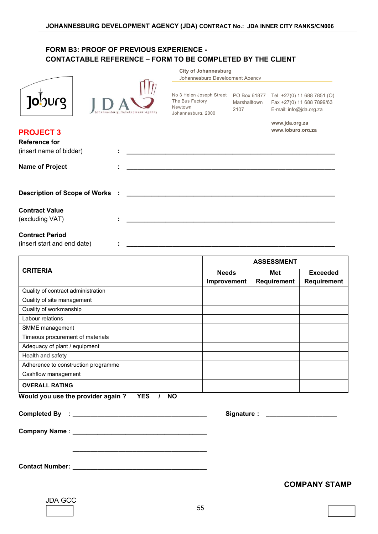|                                                                      | <b>City of Johannesburg</b><br>Johannesburg Development Agency                                                                                                                                                            |
|----------------------------------------------------------------------|---------------------------------------------------------------------------------------------------------------------------------------------------------------------------------------------------------------------------|
| <b>Jo</b> burg                                                       | No 3 Helen Joseph Street<br>PO Box 61877 Tel +27(0) 11 688 7851 (O)<br>The Bus Factory<br>Marshalltown<br>Fax +27(0) 11 688 7899/63<br>Newtown<br>2107<br>E-mail: info@jda.org.za<br>Johannesburg, 2000<br>www.jda.org.za |
| <b>PROJECT 3</b><br><b>Reference for</b><br>(insert name of bidder)  | www.joburg.org.za                                                                                                                                                                                                         |
| <b>Name of Project</b>                                               |                                                                                                                                                                                                                           |
| <b>Description of Scope of Works</b>                                 |                                                                                                                                                                                                                           |
| <b>Contract Value</b><br>(excluding VAT)                             |                                                                                                                                                                                                                           |
| <b>Contract Period</b><br>(insert start and end date)                |                                                                                                                                                                                                                           |
|                                                                      | <b>ASSESSMENT</b>                                                                                                                                                                                                         |
| <b>CRITERIA</b>                                                      | <b>Needs</b><br><b>Exceeded</b><br><b>Met</b><br>Requirement<br>Requirement<br>Improvement                                                                                                                                |
| Quality of contract administration                                   |                                                                                                                                                                                                                           |
| Quality of site management                                           |                                                                                                                                                                                                                           |
| Quality of workmanship                                               |                                                                                                                                                                                                                           |
| Labour relations                                                     |                                                                                                                                                                                                                           |
| SMME management                                                      |                                                                                                                                                                                                                           |
| Timeous procurement of materials                                     |                                                                                                                                                                                                                           |
| Adequacy of plant / equipment                                        |                                                                                                                                                                                                                           |
| Health and safety<br>Adherence to construction programme             |                                                                                                                                                                                                                           |
| Cashflow management                                                  |                                                                                                                                                                                                                           |
|                                                                      |                                                                                                                                                                                                                           |
| <b>OVERALL RATING</b><br>Would you use the provider again ? YES / NO |                                                                                                                                                                                                                           |
|                                                                      | Signature : _______________________                                                                                                                                                                                       |
|                                                                      |                                                                                                                                                                                                                           |
|                                                                      | <b>COMPANY STAMP</b>                                                                                                                                                                                                      |

55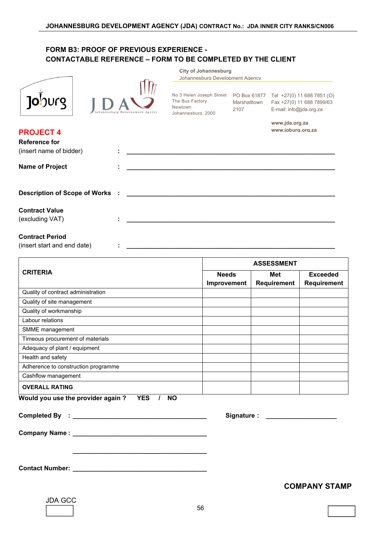|                                                                     | <b>City of Johannesburg</b><br>Johannesburg Development Agency                                                             |                      |                                     |                                |
|---------------------------------------------------------------------|----------------------------------------------------------------------------------------------------------------------------|----------------------|-------------------------------------|--------------------------------|
| <b>Jo</b> burg                                                      | No 3 Helen Joseph Street    PO Box 61877    Tel +27(0) 11 688 7851 (O)<br>The Bus Factory<br>Newtown<br>Johannesburg, 2000 | Marshalltown<br>2107 | E-mail: info@jda.org.za             | Fax +27(0) 11 688 7899/63      |
| <b>PROJECT 4</b><br><b>Reference for</b><br>(insert name of bidder) |                                                                                                                            |                      | www.jda.org.za<br>www.joburg.org.za |                                |
| <b>Name of Project</b>                                              |                                                                                                                            |                      |                                     |                                |
| <b>Description of Scope of Works</b>                                |                                                                                                                            |                      |                                     |                                |
| <b>Contract Value</b><br>(excluding VAT)                            |                                                                                                                            |                      |                                     |                                |
| <b>Contract Period</b><br>(insert start and end date)               |                                                                                                                            |                      |                                     |                                |
|                                                                     |                                                                                                                            |                      | <b>ASSESSMENT</b>                   |                                |
| <b>CRITERIA</b>                                                     | <b>Needs</b><br>Improvement                                                                                                |                      | <b>Met</b><br>Requirement           | <b>Exceeded</b><br>Requirement |
| Quality of contract administration                                  |                                                                                                                            |                      |                                     |                                |
| Quality of site management                                          |                                                                                                                            |                      |                                     |                                |
| Quality of workmanship                                              |                                                                                                                            |                      |                                     |                                |
| Labour relations                                                    |                                                                                                                            |                      |                                     |                                |
| SMME management                                                     |                                                                                                                            |                      |                                     |                                |
| Timeous procurement of materials                                    |                                                                                                                            |                      |                                     |                                |
| Adequacy of plant / equipment                                       |                                                                                                                            |                      |                                     |                                |
| Health and safety                                                   |                                                                                                                            |                      |                                     |                                |
| Adherence to construction programme                                 |                                                                                                                            |                      |                                     |                                |
| Cashflow management                                                 |                                                                                                                            |                      |                                     |                                |
|                                                                     |                                                                                                                            |                      |                                     |                                |
| <b>OVERALL RATING</b><br>Would you use the provider again?          |                                                                                                                            |                      |                                     |                                |

**Company Name : \_\_\_\_\_\_\_\_\_\_\_\_\_\_\_\_\_\_\_\_\_\_\_\_\_\_\_\_\_\_\_\_\_\_\_\_\_\_** 

**Contact Number : \_\_\_\_\_\_\_\_\_\_\_\_\_\_\_\_\_\_\_\_\_\_\_\_\_\_\_\_\_\_\_\_\_\_\_\_\_\_** 

## **COMPANY STAMP**

| JDA G | ۰t.<br>ı |  |
|-------|----------|--|
|       |          |  |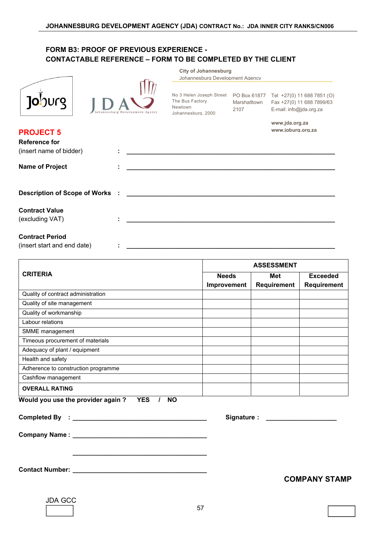|                         |                                 | <b>City of Johannesburg</b><br>Johannesburg Development Agency                      |                                      |                                                                                    |
|-------------------------|---------------------------------|-------------------------------------------------------------------------------------|--------------------------------------|------------------------------------------------------------------------------------|
| <b>ODUCO</b>            | Johannesburg Development Agency | No 3 Helen Joseph Street<br>The Bus Factory<br><b>Newtown</b><br>Johannesburg, 2000 | PO Box 61877<br>Marshalltown<br>2107 | Tel +27(0) 11 688 7851 (O)<br>Fax +27(0) 11 688 7899/63<br>E-mail: info@jda.org.za |
| <b>PROJECT 5</b>        |                                 |                                                                                     |                                      | www.jda.org.za<br>www.ioburg.org.za                                                |
| <b>Reference for</b>    |                                 |                                                                                     |                                      |                                                                                    |
| (insert name of bidder) | ٠                               |                                                                                     |                                      |                                                                                    |
| <b>Name of Project</b>  |                                 |                                                                                     |                                      |                                                                                    |
|                         |                                 |                                                                                     |                                      |                                                                                    |

**Description of Scope of Works : \_\_\_\_\_\_\_\_\_\_\_\_\_\_\_\_\_\_\_\_\_\_\_\_\_\_\_\_\_\_\_\_\_\_\_\_\_\_\_\_\_\_\_\_\_\_\_\_\_\_\_\_\_\_\_\_\_\_\_** 

**Contract Value** 

(excluding VAT) **: \_\_\_\_\_\_\_\_\_\_\_\_\_\_\_\_\_\_\_\_\_\_\_\_\_\_\_\_\_\_\_\_\_\_\_\_\_\_\_\_\_\_\_\_\_\_\_\_\_\_\_\_\_\_\_\_\_\_\_** 

#### **Contract Period**

(insert start and end date)  $\qquad \qquad : \qquad \qquad$ 

|                                                              | <b>ASSESSMENT</b> |                    |                    |
|--------------------------------------------------------------|-------------------|--------------------|--------------------|
| <b>CRITERIA</b>                                              | <b>Needs</b>      | Met                | <b>Exceeded</b>    |
|                                                              | Improvement       | <b>Requirement</b> | <b>Requirement</b> |
| Quality of contract administration                           |                   |                    |                    |
| Quality of site management                                   |                   |                    |                    |
| Quality of workmanship                                       |                   |                    |                    |
| Labour relations                                             |                   |                    |                    |
| SMME management                                              |                   |                    |                    |
| Timeous procurement of materials                             |                   |                    |                    |
| Adequacy of plant / equipment                                |                   |                    |                    |
| Health and safety                                            |                   |                    |                    |
| Adherence to construction programme                          |                   |                    |                    |
| Cashflow management                                          |                   |                    |                    |
| <b>OVERALL RATING</b>                                        |                   |                    |                    |
| <b>YES</b><br>Would you use the provider again?<br><b>NO</b> |                   |                    |                    |

|                        | Signature : ______________________ |  |
|------------------------|------------------------------------|--|
|                        |                                    |  |
|                        |                                    |  |
| <b>Contact Number:</b> |                                    |  |

 **COMPANY STAMP** 

| JDA GC | ¢. |
|--------|----|
|        |    |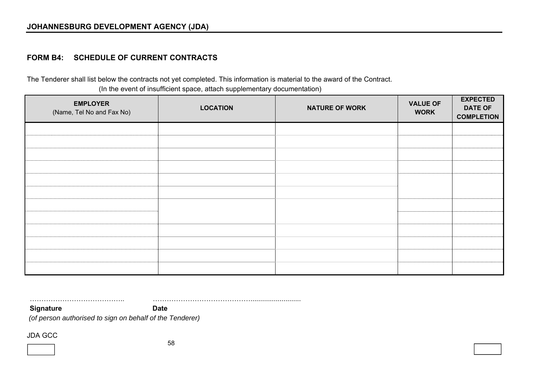## **FORM B4: SCHEDULE OF CURRENT CONTRACTS**

The Tenderer shall list below the contracts not yet completed. This information is material to the award of the Contract. (In the event of insufficient space, attach supplementary documentation)

| <b>EMPLOYER</b><br>(Name, Tel No and Fax No) | <b>LOCATION</b> | <b>NATURE OF WORK</b> | <b>VALUE OF</b><br><b>WORK</b> | <b>EXPECTED</b><br><b>DATE OF</b><br><b>COMPLETION</b> |
|----------------------------------------------|-----------------|-----------------------|--------------------------------|--------------------------------------------------------|
|                                              |                 |                       |                                |                                                        |
|                                              |                 |                       |                                |                                                        |
|                                              |                 |                       |                                |                                                        |
|                                              |                 |                       |                                |                                                        |
|                                              |                 |                       |                                |                                                        |
|                                              |                 |                       |                                |                                                        |
|                                              |                 |                       |                                |                                                        |
|                                              |                 |                       |                                |                                                        |
|                                              |                 |                       |                                |                                                        |
|                                              |                 |                       |                                |                                                        |
|                                              |                 |                       |                                |                                                        |
|                                              |                 |                       |                                |                                                        |

………………………………….. ……………………………………..........................

**Signature Date** Date

 *(of person authorised to sign on behalf of the Tenderer)*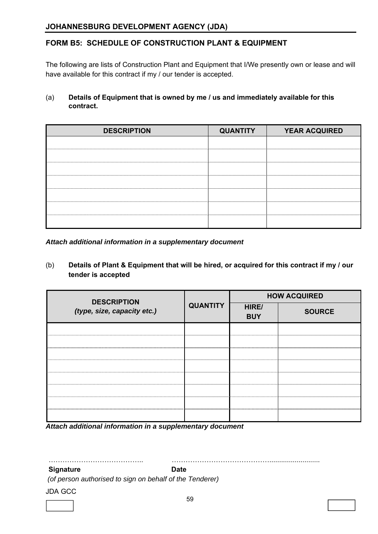## **FORM B5: SCHEDULE OF CONSTRUCTION PLANT & EQUIPMENT**

The following are lists of Construction Plant and Equipment that I/We presently own or lease and will have available for this contract if my / our tender is accepted.

### (a) **Details of Equipment that is owned by me / us and immediately available for this contract.**

| <b>DESCRIPTION</b> | <b>QUANTITY</b> | <b>YEAR ACQUIRED</b> |
|--------------------|-----------------|----------------------|
|                    |                 |                      |
|                    |                 |                      |
|                    |                 |                      |
|                    |                 |                      |
|                    |                 |                      |
|                    |                 |                      |
|                    |                 |                      |

### *Attach additional information in a supplementary document*

### (b) **Details of Plant & Equipment that will be hired, or acquired for this contract if my / our tender is accepted**

| <b>DESCRIPTION</b>          | <b>QUANTITY</b> | <b>HOW ACQUIRED</b> |               |  |
|-----------------------------|-----------------|---------------------|---------------|--|
| (type, size, capacity etc.) |                 | HIRE/<br><b>BUY</b> | <b>SOURCE</b> |  |
|                             |                 |                     |               |  |
|                             |                 |                     |               |  |
|                             |                 |                     |               |  |
|                             |                 |                     |               |  |
|                             |                 |                     |               |  |
|                             |                 |                     |               |  |
|                             |                 |                     |               |  |
|                             |                 |                     |               |  |

*Attach additional information in a supplementary document* 

………………………………….. ……………………………………..........................

#### **Signature Date** Date

 *(of person authorised to sign on behalf of the Tenderer)*

JDA GCC

l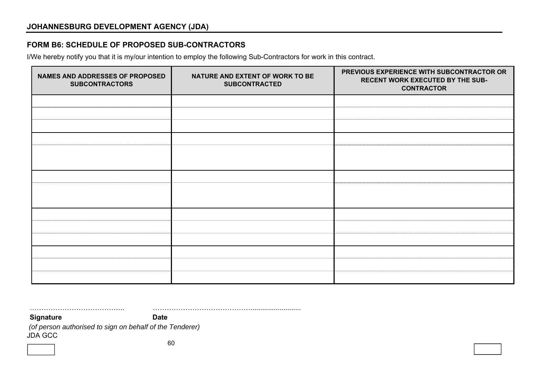## **FORM B6: SCHEDULE OF PROPOSED SUB-CONTRACTORS**

I/We hereby notify you that it is my/our intention to employ the following Sub-Contractors for work in this contract.

| NAMES AND ADDRESSES OF PROPOSED<br><b>SUBCONTRACTORS</b> | NATURE AND EXTENT OF WORK TO BE<br><b>SUBCONTRACTED</b> | PREVIOUS EXPERIENCE WITH SUBCONTRACTOR OR<br>RECENT WORK EXECUTED BY THE SUB-<br><b>CONTRACTOR</b> |
|----------------------------------------------------------|---------------------------------------------------------|----------------------------------------------------------------------------------------------------|
|                                                          |                                                         |                                                                                                    |
|                                                          |                                                         |                                                                                                    |
|                                                          |                                                         |                                                                                                    |
|                                                          |                                                         |                                                                                                    |
|                                                          |                                                         |                                                                                                    |
|                                                          |                                                         |                                                                                                    |
|                                                          |                                                         |                                                                                                    |
|                                                          |                                                         |                                                                                                    |
|                                                          |                                                         |                                                                                                    |
|                                                          |                                                         |                                                                                                    |
|                                                          |                                                         |                                                                                                    |
|                                                          |                                                         |                                                                                                    |
|                                                          |                                                         |                                                                                                    |
|                                                          |                                                         |                                                                                                    |
|                                                          |                                                         |                                                                                                    |

JDA GCC ………………………………….. …………………………………….......................... **Signature Date** Date  *(of person authorised to sign on behalf of the Tenderer)*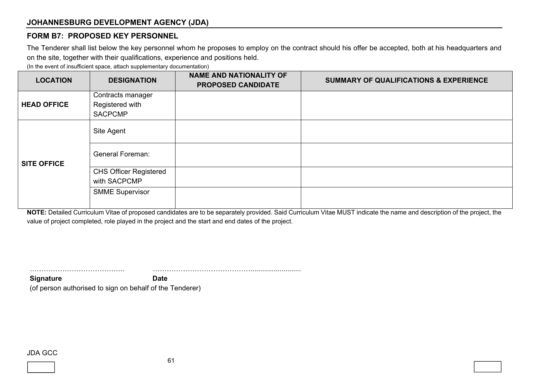### **FORM B7: PROPOSED KEY PERSONNEL**

The Tenderer shall list below the key personnel whom he proposes to employ on the contract should his offer be accepted, both at his headquarters and on the site, together with their qualifications, experience and positions held.

(In the event of insufficient space, attach supplementary documentation)

| <b>LOCATION</b>    | <b>DESIGNATION</b>                            | <b>NAME AND NATIONALITY OF</b><br><b>PROPOSED CANDIDATE</b> | <b>SUMMARY OF QUALIFICATIONS &amp; EXPERIENCE</b> |
|--------------------|-----------------------------------------------|-------------------------------------------------------------|---------------------------------------------------|
|                    | Contracts manager                             |                                                             |                                                   |
| <b>HEAD OFFICE</b> | Registered with<br><b>SACPCMP</b>             |                                                             |                                                   |
|                    | Site Agent                                    |                                                             |                                                   |
| <b>SITE OFFICE</b> | <b>General Foreman:</b>                       |                                                             |                                                   |
|                    | <b>CHS Officer Registered</b><br>with SACPCMP |                                                             |                                                   |
|                    | <b>SMME Supervisor</b>                        |                                                             |                                                   |

**NOTE:** Detailed Curriculum Vitae of proposed candidates are to be separately provided. Said Curriculum Vitae MUST indicate the name and description of the project, the value of project completed, role played in the project and the start and end dates of the project.

**Signature Date** (of person authorised to sign on behalf of the Tenderer)

#### JDA GCC



………………………………….. ……………………………………..........................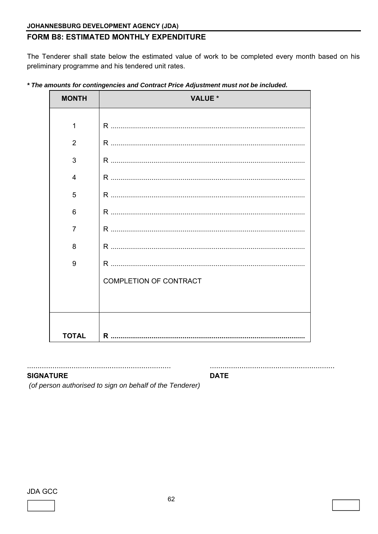## FORM B8: ESTIMATED MONTHLY EXPENDITURE

The Tenderer shall state below the estimated value of work to be completed every month based on his preliminary programme and his tendered unit rates.

| <b>MONTH</b>   | <b>VALUE *</b>                |
|----------------|-------------------------------|
|                |                               |
| 1              |                               |
| $\overline{2}$ |                               |
| 3              |                               |
| 4              |                               |
| 5              |                               |
| 6              |                               |
| 7              |                               |
| 8              |                               |
| 9              |                               |
|                | <b>COMPLETION OF CONTRACT</b> |
|                |                               |
|                |                               |
| <b>TOTAL</b>   |                               |

\* The amounts for contingencies and Contract Price Adjustment must not be included.

**SIGNATURE** 

**DATE** 

(of person authorised to sign on behalf of the Tenderer)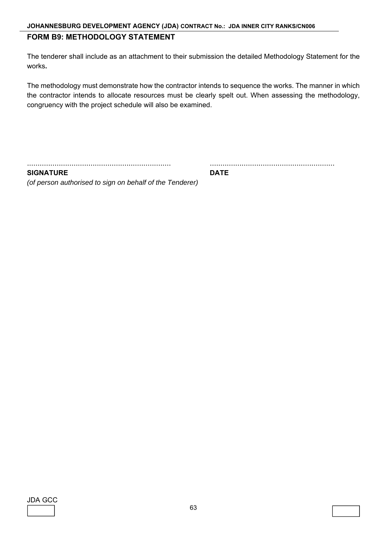## **FORM B9: METHODOLOGY STATEMENT**

The tenderer shall include as an attachment to their submission the detailed Methodology Statement for the works**.** 

The methodology must demonstrate how the contractor intends to sequence the works. The manner in which the contractor intends to allocate resources must be clearly spelt out. When assessing the methodology, congruency with the project schedule will also be examined.

.................................................................... ...........................................................

**SIGNATURE DATE** *(of person authorised to sign on behalf of the Tenderer)*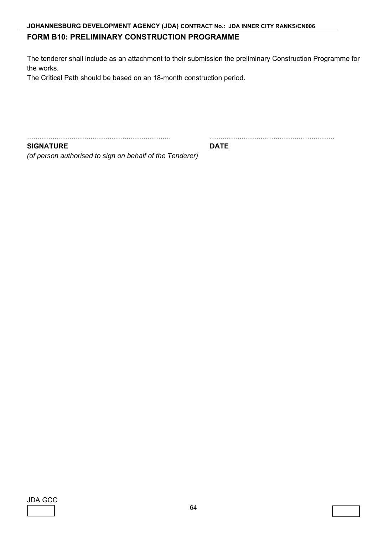### **FORM B10: PRELIMINARY CONSTRUCTION PROGRAMME**

The tenderer shall include as an attachment to their submission the preliminary Construction Programme for the works.

The Critical Path should be based on an 18-month construction period.

.................................................................... ...........................................................

**SIGNATURE DATE** 

*(of person authorised to sign on behalf of the Tenderer)* 

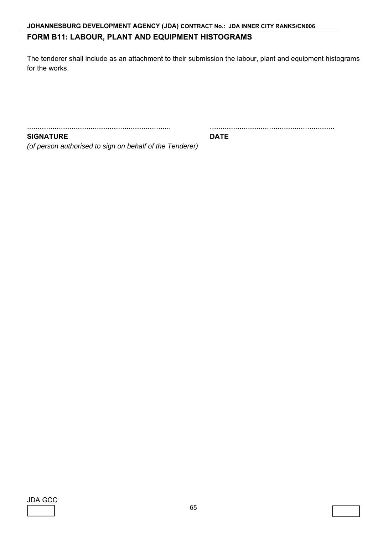## **JOHANNESBURG DEVELOPMENT AGENCY (JDA) CONTRACT No.: JDA INNER CITY RANKS/CN006**

## **FORM B11: LABOUR, PLANT AND EQUIPMENT HISTOGRAMS**

The tenderer shall include as an attachment to their submission the labour, plant and equipment histograms for the works.

.................................................................... ...........................................................

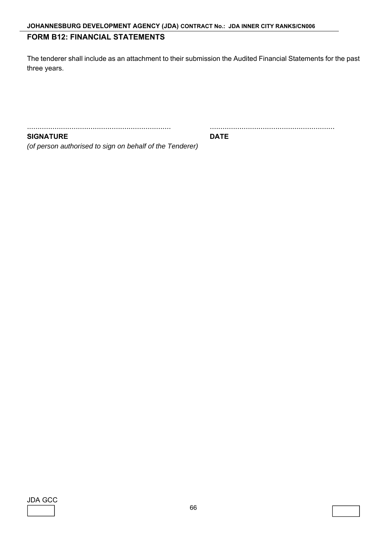## **FORM B12: FINANCIAL STATEMENTS**

The tenderer shall include as an attachment to their submission the Audited Financial Statements for the past three years.

.................................................................... ...........................................................

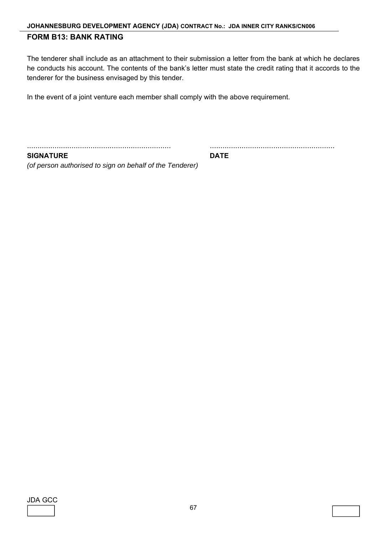#### **JOHANNESBURG DEVELOPMENT AGENCY (JDA) CONTRACT No.: JDA INNER CITY RANKS/CN006**

## **FORM B13: BANK RATING**

The tenderer shall include as an attachment to their submission a letter from the bank at which he declares he conducts his account. The contents of the bank's letter must state the credit rating that it accords to the tenderer for the business envisaged by this tender.

In the event of a joint venture each member shall comply with the above requirement.

.................................................................... ...........................................................

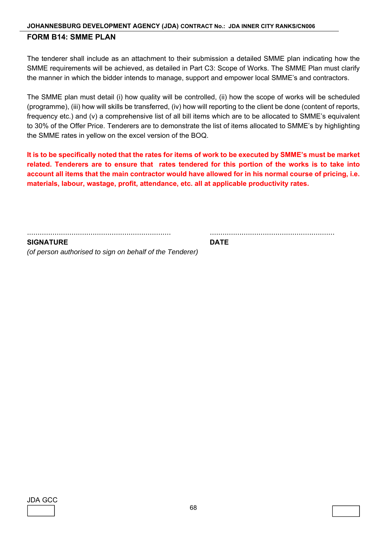### **JOHANNESBURG DEVELOPMENT AGENCY (JDA) CONTRACT No.: JDA INNER CITY RANKS/CN006 FORM B14: SMME PLAN**

The tenderer shall include as an attachment to their submission a detailed SMME plan indicating how the SMME requirements will be achieved, as detailed in Part C3: Scope of Works. The SMME Plan must clarify the manner in which the bidder intends to manage, support and empower local SMME's and contractors.

The SMME plan must detail (i) how quality will be controlled, (ii) how the scope of works will be scheduled (programme), (iii) how will skills be transferred, (iv) how will reporting to the client be done (content of reports, frequency etc.) and (v) a comprehensive list of all bill items which are to be allocated to SMME's equivalent to 30% of the Offer Price. Tenderers are to demonstrate the list of items allocated to SMME's by highlighting the SMME rates in yellow on the excel version of the BOQ.

**It is to be specifically noted that the rates for items of work to be executed by SMME's must be market related. Tenderers are to ensure that rates tendered for this portion of the works is to take into account all items that the main contractor would have allowed for in his normal course of pricing, i.e. materials, labour, wastage, profit, attendance, etc. all at applicable productivity rates.** 

.................................................................... ...........................................................

**SIGNATURE DATE** *(of person authorised to sign on behalf of the Tenderer)*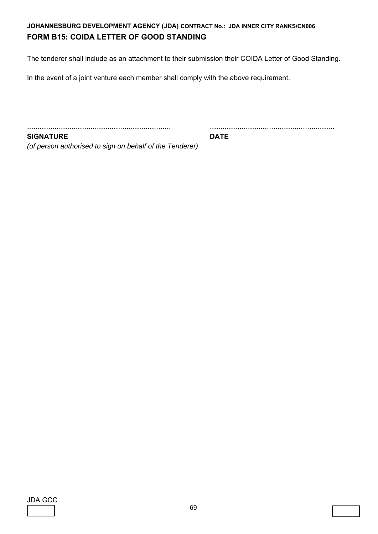## **FORM B15: COIDA LETTER OF GOOD STANDING**

The tenderer shall include as an attachment to their submission their COIDA Letter of Good Standing.

In the event of a joint venture each member shall comply with the above requirement.

.................................................................... ...........................................................

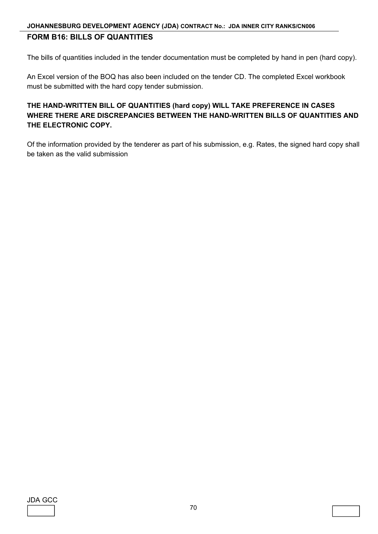## **JOHANNESBURG DEVELOPMENT AGENCY (JDA) CONTRACT No.: JDA INNER CITY RANKS/CN006 FORM B16: BILLS OF QUANTITIES**

The bills of quantities included in the tender documentation must be completed by hand in pen (hard copy).

An Excel version of the BOQ has also been included on the tender CD. The completed Excel workbook must be submitted with the hard copy tender submission.

## **THE HAND-WRITTEN BILL OF QUANTITIES (hard copy) WILL TAKE PREFERENCE IN CASES WHERE THERE ARE DISCREPANCIES BETWEEN THE HAND-WRITTEN BILLS OF QUANTITIES AND THE ELECTRONIC COPY.**

Of the information provided by the tenderer as part of his submission, e.g. Rates, the signed hard copy shall be taken as the valid submission

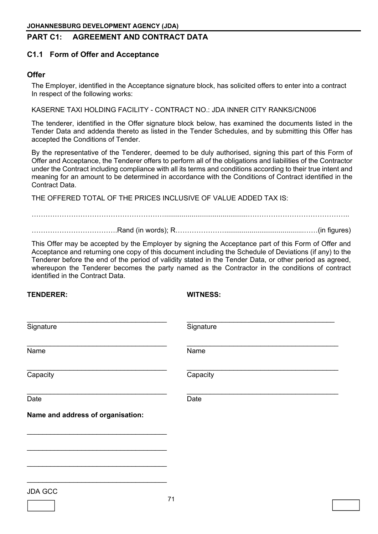## **PART C1: AGREEMENT AND CONTRACT DATA**

### **C1.1 Form of Offer and Acceptance**

### **Offer**

The Employer, identified in the Acceptance signature block, has solicited offers to enter into a contract In respect of the following works:

KASERNE TAXI HOLDING FACILITY - CONTRACT NO.: JDA INNER CITY RANKS/CN006

The tenderer, identified in the Offer signature block below, has examined the documents listed in the Tender Data and addenda thereto as listed in the Tender Schedules, and by submitting this Offer has accepted the Conditions of Tender.

By the representative of the Tenderer, deemed to be duly authorised, signing this part of this Form of Offer and Acceptance, the Tenderer offers to perform all of the obligations and liabilities of the Contractor under the Contract including compliance with all its terms and conditions according to their true intent and meaning for an amount to be determined in accordance with the Conditions of Contract identified in the Contract Data.

THE OFFERED TOTAL OF THE PRICES INCLUSIVE OF VALUE ADDED TAX IS:

…………………………………………………...........................................……………………………………..

……………………………….Rand (in words); R………………….........................................……(in figures)

This Offer may be accepted by the Employer by signing the Acceptance part of this Form of Offer and Acceptance and returning one copy of this document including the Schedule of Deviations (if any) to the Tenderer before the end of the period of validity stated in the Tender Data, or other period as agreed, whereupon the Tenderer becomes the party named as the Contractor in the conditions of contract identified in the Contract Data.

**TENDERER: WITNESS:** 

L

| Signature                         | Signature |
|-----------------------------------|-----------|
| Name                              | Name      |
| Capacity                          | Capacity  |
| Date                              | Date      |
| Name and address of organisation: |           |
|                                   |           |
|                                   |           |
| <b>JDA GCC</b>                    |           |
|                                   | 71        |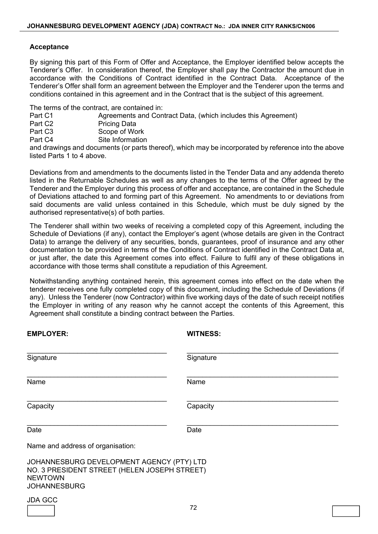#### **Acceptance**

By signing this part of this Form of Offer and Acceptance, the Employer identified below accepts the Tenderer's Offer. In consideration thereof, the Employer shall pay the Contractor the amount due in accordance with the Conditions of Contract identified in the Contract Data. Acceptance of the Tenderer's Offer shall form an agreement between the Employer and the Tenderer upon the terms and conditions contained in this agreement and in the Contract that is the subject of this agreement.

The terms of the contract, are contained in:

- Part C1 Agreements and Contract Data, (which includes this Agreement)<br>Part C2 Pricing Data
- Pricing Data
- Part C3 Scope of Work
- Part C4 Site Information

and drawings and documents (or parts thereof), which may be incorporated by reference into the above listed Parts 1 to 4 above.

Deviations from and amendments to the documents listed in the Tender Data and any addenda thereto listed in the Returnable Schedules as well as any changes to the terms of the Offer agreed by the Tenderer and the Employer during this process of offer and acceptance, are contained in the Schedule of Deviations attached to and forming part of this Agreement. No amendments to or deviations from said documents are valid unless contained in this Schedule, which must be duly signed by the authorised representative(s) of both parties.

The Tenderer shall within two weeks of receiving a completed copy of this Agreement, including the Schedule of Deviations (if any), contact the Employer's agent (whose details are given in the Contract Data) to arrange the delivery of any securities, bonds, guarantees, proof of insurance and any other documentation to be provided in terms of the Conditions of Contract identified in the Contract Data at, or just after, the date this Agreement comes into effect. Failure to fulfil any of these obligations in accordance with those terms shall constitute a repudiation of this Agreement.

Notwithstanding anything contained herein, this agreement comes into effect on the date when the tenderer receives one fully completed copy of this document, including the Schedule of Deviations (if any). Unless the Tenderer (now Contractor) within five working days of the date of such receipt notifies the Employer in writing of any reason why he cannot accept the contents of this Agreement, this Agreement shall constitute a binding contract between the Parties.

| <b>EMPLOYER:</b>                                                                                                                   | <b>WITNESS:</b> |  |
|------------------------------------------------------------------------------------------------------------------------------------|-----------------|--|
| Signature                                                                                                                          | Signature       |  |
| Name                                                                                                                               | Name            |  |
| Capacity                                                                                                                           | Capacity        |  |
| Date                                                                                                                               | Date            |  |
| Name and address of organisation:                                                                                                  |                 |  |
| JOHANNESBURG DEVELOPMENT AGENCY (PTY) LTD<br>NO. 3 PRESIDENT STREET (HELEN JOSEPH STREET)<br><b>NEWTOWN</b><br><b>JOHANNESBURG</b> |                 |  |
| <b>JDA GCC</b>                                                                                                                     |                 |  |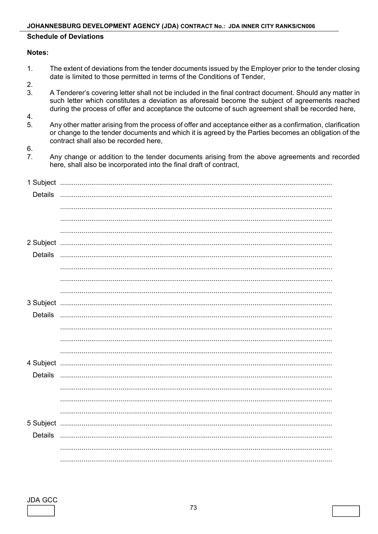#### **Schedule of Deviations**

#### Notes:

- The extent of deviations from the tender documents issued by the Employer prior to the tender closing  $1<sup>1</sup>$ date is limited to those permitted in terms of the Conditions of Tender,
- $2.$
- $3.$ A Tenderer's covering letter shall not be included in the final contract document. Should any matter in such letter which constitutes a deviation as aforesaid become the subject of agreements reached during the process of offer and acceptance the outcome of such agreement shall be recorded here,
- $\overline{4}$ .
- $5<sub>1</sub>$ Any other matter arising from the process of offer and acceptance either as a confirmation, clarification or change to the tender documents and which it is agreed by the Parties becomes an obligation of the contract shall also be recorded here.
- 6.
- $7<sub>1</sub>$ Any change or addition to the tender documents arising from the above agreements and recorded here, shall also be incorporated into the final draft of contract,

| Details   |  |
|-----------|--|
|           |  |
|           |  |
|           |  |
| 2 Subject |  |
| Details   |  |
|           |  |
|           |  |
|           |  |
| 3 Subject |  |
| Details   |  |
|           |  |
|           |  |
|           |  |
| 4 Subject |  |
| Details   |  |
|           |  |
|           |  |
|           |  |
| 5 Subject |  |
| Details   |  |
|           |  |
|           |  |

**JDA GCC**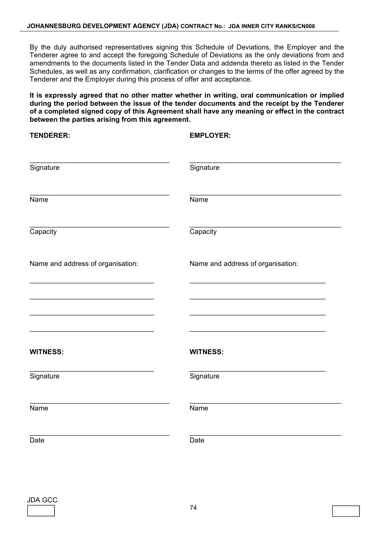By the duly authorised representatives signing this Schedule of Deviations, the Employer and the Tenderer agree to and accept the foregoing Schedule of Deviations as the only deviations from and amendments to the documents listed in the Tender Data and addenda thereto as listed in the Tender Schedules, as well as any confirmation, clarification or changes to the terms of the offer agreed by the Tenderer and the Employer during this process of offer and acceptance.

**It is expressly agreed that no other matter whether in writing, oral communication or implied during the period between the issue of the tender documents and the receipt by the Tenderer of a completed signed copy of this Agreement shall have any meaning or effect in the contract between the parties arising from this agreement.** 

| <b>TENDERER:</b>                  | <b>EMPLOYER:</b>                  |
|-----------------------------------|-----------------------------------|
|                                   |                                   |
| Signature                         | Signature                         |
| Name                              | Name                              |
| Capacity                          | Capacity                          |
| Name and address of organisation: | Name and address of organisation: |
|                                   |                                   |
|                                   |                                   |
| <b>WITNESS:</b>                   | <b>WITNESS:</b>                   |
| Signature                         | Signature                         |
| <b>Name</b>                       | <b>Name</b>                       |
| Date                              | Date                              |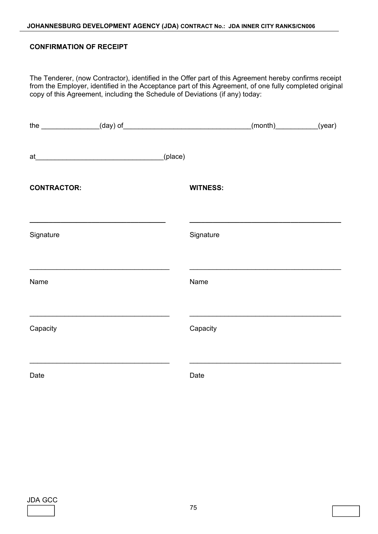#### **CONFIRMATION OF RECEIPT**

The Tenderer, (now Contractor), identified in the Offer part of this Agreement hereby confirms receipt from the Employer, identified in the Acceptance part of this Agreement, of one fully completed original copy of this Agreement, including the Schedule of Deviations (if any) today:

|                    |         |                 | $(month)$ (year) |  |
|--------------------|---------|-----------------|------------------|--|
|                    | (place) |                 |                  |  |
| <b>CONTRACTOR:</b> |         | <b>WITNESS:</b> |                  |  |
| Signature          |         | Signature       |                  |  |
| Name               |         | Name            |                  |  |
| Capacity           |         | Capacity        |                  |  |
| Date               |         | Date            |                  |  |

| JDA GC |  |
|--------|--|
|        |  |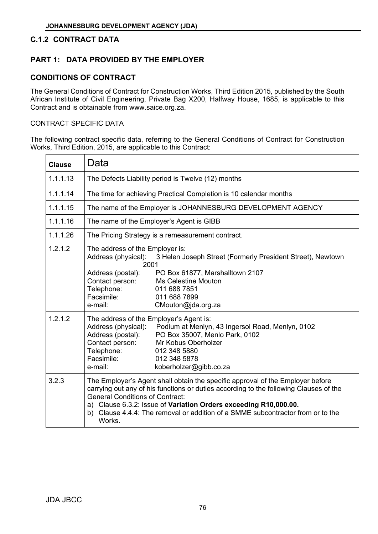## **C.1.2 CONTRACT DATA**

## **PART 1: DATA PROVIDED BY THE EMPLOYER**

## **CONDITIONS OF CONTRACT**

The General Conditions of Contract for Construction Works, Third Edition 2015, published by the South African Institute of Civil Engineering, Private Bag X200, Halfway House, 1685, is applicable to this Contract and is obtainable from www.saice.org.za.

#### CONTRACT SPECIFIC DATA

The following contract specific data, referring to the General Conditions of Contract for Construction Works, Third Edition, 2015, are applicable to this Contract:

| <b>Clause</b> | Data                                                                                                                                                                                                                                                                                                                                                                                  |
|---------------|---------------------------------------------------------------------------------------------------------------------------------------------------------------------------------------------------------------------------------------------------------------------------------------------------------------------------------------------------------------------------------------|
| 1.1.1.13      | The Defects Liability period is Twelve (12) months                                                                                                                                                                                                                                                                                                                                    |
| 1.1.1.14      | The time for achieving Practical Completion is 10 calendar months                                                                                                                                                                                                                                                                                                                     |
| 1.1.1.15      | The name of the Employer is JOHANNESBURG DEVELOPMENT AGENCY                                                                                                                                                                                                                                                                                                                           |
| 1.1.1.16      | The name of the Employer's Agent is GIBB                                                                                                                                                                                                                                                                                                                                              |
| 1.1.1.26      | The Pricing Strategy is a remeasurement contract.                                                                                                                                                                                                                                                                                                                                     |
| 1.2.1.2       | The address of the Employer is:<br>Address (physical): 3 Helen Joseph Street (Formerly President Street), Newtown<br>2001<br>PO Box 61877, Marshalltown 2107<br>Address (postal):<br>Contact person:<br><b>Ms Celestine Mouton</b><br>Telephone:<br>011 688 7851<br>Facsimile:<br>011 688 7899<br>e-mail:<br>CMouton@jda.org.za                                                       |
| 1.2.1.2       | The address of the Employer's Agent is:<br>Podium at Menlyn, 43 Ingersol Road, Menlyn, 0102<br>Address (physical):<br>Address (postal):<br>PO Box 35007, Menlo Park, 0102<br>Contact person:<br>Mr Kobus Oberholzer<br>Telephone:<br>012 348 5880<br>Facsimile:<br>012 348 5878<br>koberholzer@gibb.co.za<br>e-mail:                                                                  |
| 3.2.3         | The Employer's Agent shall obtain the specific approval of the Employer before<br>carrying out any of his functions or duties according to the following Clauses of the<br><b>General Conditions of Contract:</b><br>a) Clause 6.3.2: Issue of Variation Orders exceeding R10,000.00.<br>Clause 4.4.4: The removal or addition of a SMME subcontractor from or to the<br>b)<br>Works. |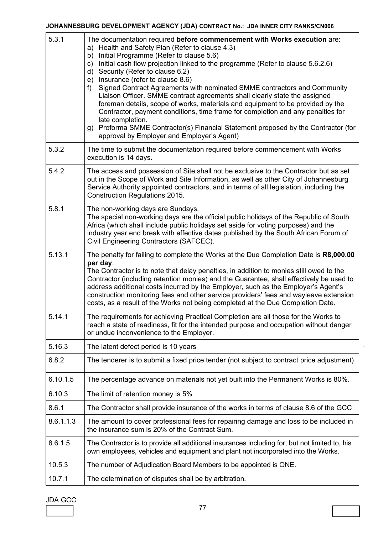| 5.3.1     | The documentation required before commencement with Works execution are:<br>a) Health and Safety Plan (Refer to clause 4.3)<br>Initial Programme (Refer to clause 5.6)<br>b)<br>Initial cash flow projection linked to the programme (Refer to clause 5.6.2.6)<br>c)<br>Security (Refer to clause 6.2)<br>d)<br>Insurance (refer to clause 8.6)<br>e)<br>Signed Contract Agreements with nominated SMME contractors and Community<br>f)<br>Liaison Officer. SMME contract agreements shall clearly state the assigned<br>foreman details, scope of works, materials and equipment to be provided by the<br>Contractor, payment conditions, time frame for completion and any penalties for<br>late completion.<br>Proforma SMME Contractor(s) Financial Statement proposed by the Contractor (for<br>g)<br>approval by Employer and Employer's Agent) |
|-----------|-------------------------------------------------------------------------------------------------------------------------------------------------------------------------------------------------------------------------------------------------------------------------------------------------------------------------------------------------------------------------------------------------------------------------------------------------------------------------------------------------------------------------------------------------------------------------------------------------------------------------------------------------------------------------------------------------------------------------------------------------------------------------------------------------------------------------------------------------------|
| 5.3.2     | The time to submit the documentation required before commencement with Works<br>execution is 14 days.                                                                                                                                                                                                                                                                                                                                                                                                                                                                                                                                                                                                                                                                                                                                                 |
| 5.4.2     | The access and possession of Site shall not be exclusive to the Contractor but as set<br>out in the Scope of Work and Site Information, as well as other City of Johannesburg<br>Service Authority appointed contractors, and in terms of all legislation, including the<br><b>Construction Regulations 2015.</b>                                                                                                                                                                                                                                                                                                                                                                                                                                                                                                                                     |
| 5.8.1     | The non-working days are Sundays.<br>The special non-working days are the official public holidays of the Republic of South<br>Africa (which shall include public holidays set aside for voting purposes) and the<br>industry year end break with effective dates published by the South African Forum of<br>Civil Engineering Contractors (SAFCEC).                                                                                                                                                                                                                                                                                                                                                                                                                                                                                                  |
| 5.13.1    | The penalty for failing to complete the Works at the Due Completion Date is R8,000.00<br>per day.<br>The Contractor is to note that delay penalties, in addition to monies still owed to the<br>Contractor (including retention monies) and the Guarantee, shall effectively be used to<br>address additional costs incurred by the Employer, such as the Employer's Agent's<br>construction monitoring fees and other service providers' fees and wayleave extension<br>costs, as a result of the Works not being completed at the Due Completion Date.                                                                                                                                                                                                                                                                                              |
| 5.14.1    | The requirements for achieving Practical Completion are all those for the Works to<br>reach a state of readiness, fit for the intended purpose and occupation without danger<br>or undue inconvenience to the Employer.                                                                                                                                                                                                                                                                                                                                                                                                                                                                                                                                                                                                                               |
| 5.16.3    | The latent defect period is 10 years                                                                                                                                                                                                                                                                                                                                                                                                                                                                                                                                                                                                                                                                                                                                                                                                                  |
| 6.8.2     | The tenderer is to submit a fixed price tender (not subject to contract price adjustment)                                                                                                                                                                                                                                                                                                                                                                                                                                                                                                                                                                                                                                                                                                                                                             |
| 6.10.1.5  | The percentage advance on materials not yet built into the Permanent Works is 80%.                                                                                                                                                                                                                                                                                                                                                                                                                                                                                                                                                                                                                                                                                                                                                                    |
| 6.10.3    | The limit of retention money is 5%                                                                                                                                                                                                                                                                                                                                                                                                                                                                                                                                                                                                                                                                                                                                                                                                                    |
| 8.6.1     | The Contractor shall provide insurance of the works in terms of clause 8.6 of the GCC                                                                                                                                                                                                                                                                                                                                                                                                                                                                                                                                                                                                                                                                                                                                                                 |
| 8.6.1.1.3 | The amount to cover professional fees for repairing damage and loss to be included in<br>the insurance sum is 20% of the Contract Sum.                                                                                                                                                                                                                                                                                                                                                                                                                                                                                                                                                                                                                                                                                                                |
| 8.6.1.5   | The Contractor is to provide all additional insurances including for, but not limited to, his<br>own employees, vehicles and equipment and plant not incorporated into the Works.                                                                                                                                                                                                                                                                                                                                                                                                                                                                                                                                                                                                                                                                     |
| 10.5.3    | The number of Adjudication Board Members to be appointed is ONE.                                                                                                                                                                                                                                                                                                                                                                                                                                                                                                                                                                                                                                                                                                                                                                                      |
| 10.7.1    | The determination of disputes shall be by arbitration.                                                                                                                                                                                                                                                                                                                                                                                                                                                                                                                                                                                                                                                                                                                                                                                                |

## JDA GCC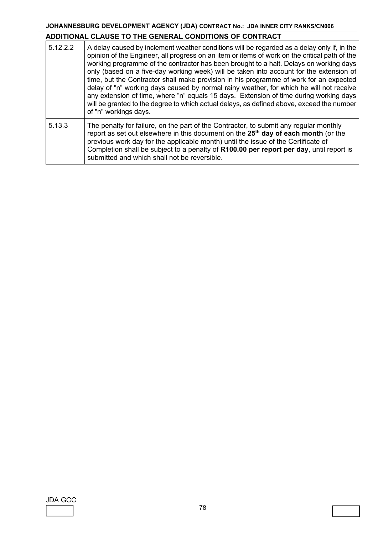## **ADDITIONAL CLAUSE TO THE GENERAL CONDITIONS OF CONTRACT**

| 5.12.2.2 | A delay caused by inclement weather conditions will be regarded as a delay only if, in the<br>opinion of the Engineer, all progress on an item or items of work on the critical path of the<br>working programme of the contractor has been brought to a halt. Delays on working days<br>only (based on a five-day working week) will be taken into account for the extension of<br>time, but the Contractor shall make provision in his programme of work for an expected<br>delay of "n" working days caused by normal rainy weather, for which he will not receive<br>any extension of time, where "n" equals 15 days. Extension of time during working days<br>will be granted to the degree to which actual delays, as defined above, exceed the number<br>of "n" workings days. |
|----------|---------------------------------------------------------------------------------------------------------------------------------------------------------------------------------------------------------------------------------------------------------------------------------------------------------------------------------------------------------------------------------------------------------------------------------------------------------------------------------------------------------------------------------------------------------------------------------------------------------------------------------------------------------------------------------------------------------------------------------------------------------------------------------------|
| 5.13.3   | The penalty for failure, on the part of the Contractor, to submit any regular monthly<br>report as set out elsewhere in this document on the 25 <sup>th</sup> day of each month (or the<br>previous work day for the applicable month) until the issue of the Certificate of<br>Completion shall be subject to a penalty of R100.00 per report per day, until report is<br>submitted and which shall not be reversible.                                                                                                                                                                                                                                                                                                                                                               |

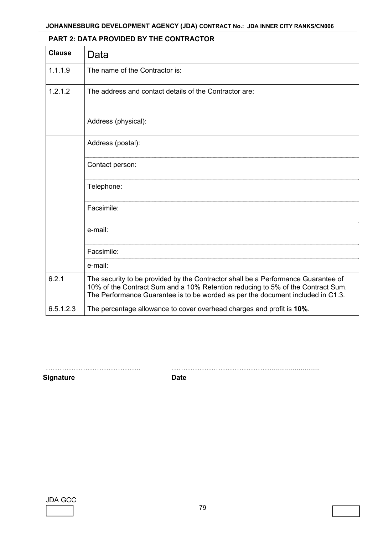| <b>Clause</b> | Data                                                                                                                                                                                                                                                    |
|---------------|---------------------------------------------------------------------------------------------------------------------------------------------------------------------------------------------------------------------------------------------------------|
| 1.1.1.9       | The name of the Contractor is:                                                                                                                                                                                                                          |
| 1.2.1.2       | The address and contact details of the Contractor are:                                                                                                                                                                                                  |
|               | Address (physical):                                                                                                                                                                                                                                     |
|               | Address (postal):                                                                                                                                                                                                                                       |
|               | Contact person:                                                                                                                                                                                                                                         |
|               | Telephone:                                                                                                                                                                                                                                              |
|               | Facsimile:                                                                                                                                                                                                                                              |
|               | e-mail:                                                                                                                                                                                                                                                 |
|               | Facsimile:                                                                                                                                                                                                                                              |
|               | e-mail:                                                                                                                                                                                                                                                 |
| 6.2.1         | The security to be provided by the Contractor shall be a Performance Guarantee of<br>10% of the Contract Sum and a 10% Retention reducing to 5% of the Contract Sum.<br>The Performance Guarantee is to be worded as per the document included in C1.3. |
| 6.5.1.2.3     | The percentage allowance to cover overhead charges and profit is 10%.                                                                                                                                                                                   |

## **PART 2: DATA PROVIDED BY THE CONTRACTOR**

**Signature Date** Date

………………………………….. ……………………………………..........................

JDA GCC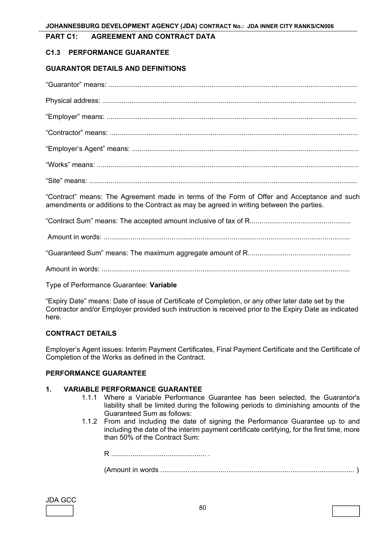#### **PART C1: AGREEMENT AND CONTRACT DATA**

#### **C1.3 PERFORMANCE GUARANTEE**

#### **GUARANTOR DETAILS AND DEFINITIONS**

| "Contract" means: The Agreement made in terms of the Form of Offer and Acceptance and such<br>amendments or additions to the Contract as may be agreed in writing between the parties. |
|----------------------------------------------------------------------------------------------------------------------------------------------------------------------------------------|
|                                                                                                                                                                                        |
|                                                                                                                                                                                        |
|                                                                                                                                                                                        |
|                                                                                                                                                                                        |

Type of Performance Guarantee: **Variable**

"Expiry Date" means: Date of issue of Certificate of Completion, or any other later date set by the Contractor and/or Employer provided such instruction is received prior to the Expiry Date as indicated here.

#### **CONTRACT DETAILS**

Employer's Agent issues: Interim Payment Certificates, Final Payment Certificate and the Certificate of Completion of the Works as defined in the Contract.

#### **PERFORMANCE GUARANTEE**

#### **1. VARIABLE PERFORMANCE GUARANTEE**

- 1.1.1 Where a Variable Performance Guarantee has been selected, the Guarantor's liability shall be limited during the following periods to diminishing amounts of the Guaranteed Sum as follows:
- 1.1.2 From and including the date of signing the Performance Guarantee up to and including the date of the interim payment certificate certifying, for the first time, more than 50% of the Contract Sum:

R ................................................. . (Amount in words .................................................................................................... )

| JDA | ( – i |  |
|-----|-------|--|
|     |       |  |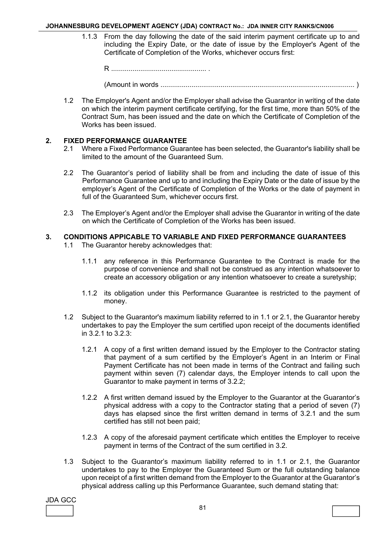1.1.3 From the day following the date of the said interim payment certificate up to and including the Expiry Date, or the date of issue by the Employer's Agent of the Certificate of Completion of the Works, whichever occurs first:

R ................................................. .

(Amount in words .................................................................................................... )

1.2 The Employer's Agent and/or the Employer shall advise the Guarantor in writing of the date on which the interim payment certificate certifying, for the first time, more than 50% of the Contract Sum, has been issued and the date on which the Certificate of Completion of the Works has been issued.

#### **2. FIXED PERFORMANCE GUARANTEE**

- 2.1 Where a Fixed Performance Guarantee has been selected, the Guarantor's liability shall be limited to the amount of the Guaranteed Sum.
- 2.2 The Guarantor's period of liability shall be from and including the date of issue of this Performance Guarantee and up to and including the Expiry Date or the date of issue by the employer's Agent of the Certificate of Completion of the Works or the date of payment in full of the Guaranteed Sum, whichever occurs first.
- 2.3 The Employer's Agent and/or the Employer shall advise the Guarantor in writing of the date on which the Certificate of Completion of the Works has been issued.

#### **3. CONDITIONS APPICABLE TO VARIABLE AND FIXED PERFORMANCE GUARANTEES**

- 1.1 The Guarantor hereby acknowledges that:
	- 1.1.1 any reference in this Performance Guarantee to the Contract is made for the purpose of convenience and shall not be construed as any intention whatsoever to create an accessory obligation or any intention whatsoever to create a suretyship;
	- 1.1.2 its obligation under this Performance Guarantee is restricted to the payment of money.
- 1.2 Subject to the Guarantor's maximum liability referred to in 1.1 or 2.1, the Guarantor hereby undertakes to pay the Employer the sum certified upon receipt of the documents identified in 3.2.1 to 3.2.3:
	- 1.2.1 A copy of a first written demand issued by the Employer to the Contractor stating that payment of a sum certified by the Employer's Agent in an Interim or Final Payment Certificate has not been made in terms of the Contract and failing such payment within seven (7) calendar days, the Employer intends to call upon the Guarantor to make payment in terms of 3.2.2;
	- 1.2.2 A first written demand issued by the Employer to the Guarantor at the Guarantor's physical address with a copy to the Contractor stating that a period of seven (7) days has elapsed since the first written demand in terms of 3.2.1 and the sum certified has still not been paid;
	- 1.2.3 A copy of the aforesaid payment certificate which entitles the Employer to receive payment in terms of the Contract of the sum certified in 3.2.
- 1.3 Subject to the Guarantor's maximum liability referred to in 1.1 or 2.1, the Guarantor undertakes to pay to the Employer the Guaranteed Sum or the full outstanding balance upon receipt of a first written demand from the Employer to the Guarantor at the Guarantor's physical address calling up this Performance Guarantee, such demand stating that:

JDA GCC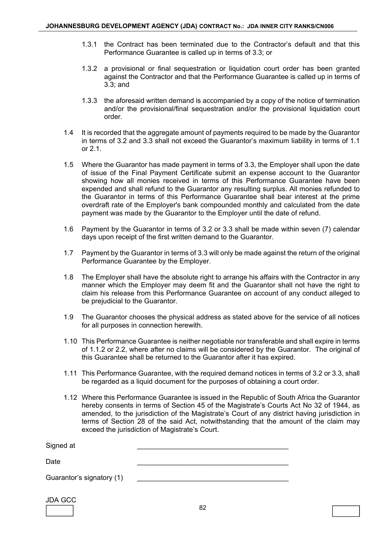- 1.3.1 the Contract has been terminated due to the Contractor's default and that this Performance Guarantee is called up in terms of 3.3; or
- 1.3.2 a provisional or final sequestration or liquidation court order has been granted against the Contractor and that the Performance Guarantee is called up in terms of 3.3; and
- 1.3.3 the aforesaid written demand is accompanied by a copy of the notice of termination and/or the provisional/final sequestration and/or the provisional liquidation court order.
- 1.4 It is recorded that the aggregate amount of payments required to be made by the Guarantor in terms of 3.2 and 3.3 shall not exceed the Guarantor's maximum liability in terms of 1.1 or 2.1.
- 1.5 Where the Guarantor has made payment in terms of 3.3, the Employer shall upon the date of issue of the Final Payment Certificate submit an expense account to the Guarantor showing how all monies received in terms of this Performance Guarantee have been expended and shall refund to the Guarantor any resulting surplus. All monies refunded to the Guarantor in terms of this Performance Guarantee shall bear interest at the prime overdraft rate of the Employer's bank compounded monthly and calculated from the date payment was made by the Guarantor to the Employer until the date of refund.
- 1.6 Payment by the Guarantor in terms of 3.2 or 3.3 shall be made within seven (7) calendar days upon receipt of the first written demand to the Guarantor.
- 1.7 Payment by the Guarantor in terms of 3.3 will only be made against the return of the original Performance Guarantee by the Employer.
- 1.8 The Employer shall have the absolute right to arrange his affairs with the Contractor in any manner which the Employer may deem fit and the Guarantor shall not have the right to claim his release from this Performance Guarantee on account of any conduct alleged to be prejudicial to the Guarantor.
- 1.9 The Guarantor chooses the physical address as stated above for the service of all notices for all purposes in connection herewith.
- 1.10 This Performance Guarantee is neither negotiable nor transferable and shall expire in terms of 1.1.2 or 2.2, where after no claims will be considered by the Guarantor. The original of this Guarantee shall be returned to the Guarantor after it has expired.
- 1.11 This Performance Guarantee, with the required demand notices in terms of 3.2 or 3.3, shall be regarded as a liquid document for the purposes of obtaining a court order.
- 1.12 Where this Performance Guarantee is issued in the Republic of South Africa the Guarantor hereby consents in terms of Section 45 of the Magistrate's Courts Act No 32 of 1944, as amended, to the jurisdiction of the Magistrate's Court of any district having jurisdiction in terms of Section 28 of the said Act, notwithstanding that the amount of the claim may exceed the jurisdiction of Magistrate's Court.

| Signed at                 |  |
|---------------------------|--|
| Date                      |  |
| Guarantor's signatory (1) |  |

JDA GCC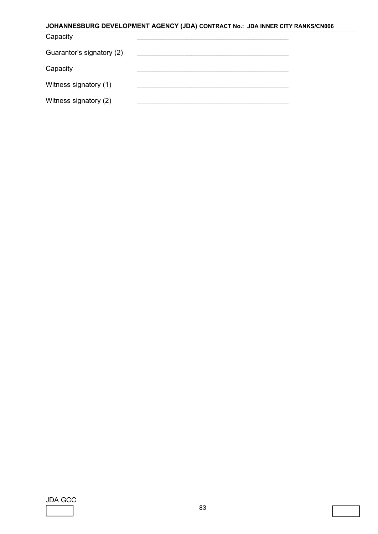## **JOHANNESBURG DEVELOPMENT AGENCY (JDA) CONTRACT No.: JDA INNER CITY RANKS/CN006** Capacity Guarantor's signatory (2) Capacity Witness signatory (1) Witness signatory (2)

JDA GCC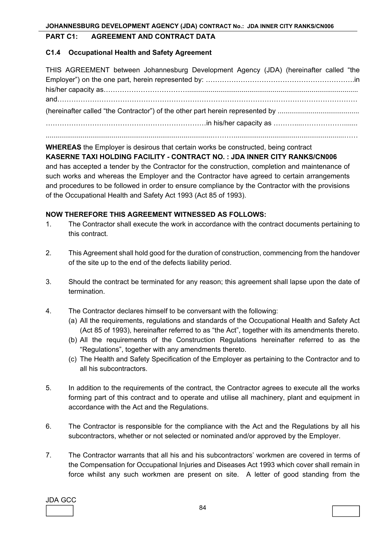#### **PART C1: AGREEMENT AND CONTRACT DATA**

#### **C1.4 Occupational Health and Safety Agreement**

| THIS AGREEMENT between Johannesburg Development Agency (JDA) (hereinafter called "the |  |
|---------------------------------------------------------------------------------------|--|
|                                                                                       |  |
|                                                                                       |  |
|                                                                                       |  |
|                                                                                       |  |
|                                                                                       |  |
|                                                                                       |  |

#### **WHEREAS** the Employer is desirous that certain works be constructed, being contract

## **KASERNE TAXI HOLDING FACILITY - CONTRACT NO. : JDA INNER CITY RANKS/CN006**

and has accepted a tender by the Contractor for the construction, completion and maintenance of such works and whereas the Employer and the Contractor have agreed to certain arrangements and procedures to be followed in order to ensure compliance by the Contractor with the provisions of the Occupational Health and Safety Act 1993 (Act 85 of 1993).

#### **NOW THEREFORE THIS AGREEMENT WITNESSED AS FOLLOWS:**

- 1. The Contractor shall execute the work in accordance with the contract documents pertaining to this contract.
- 2. This Agreement shall hold good for the duration of construction, commencing from the handover of the site up to the end of the defects liability period.
- 3. Should the contract be terminated for any reason; this agreement shall lapse upon the date of termination.
- 4. The Contractor declares himself to be conversant with the following:
	- (a) All the requirements, regulations and standards of the Occupational Health and Safety Act (Act 85 of 1993), hereinafter referred to as "the Act", together with its amendments thereto.
	- (b) All the requirements of the Construction Regulations hereinafter referred to as the "Regulations", together with any amendments thereto.
	- (c) The Health and Safety Specification of the Employer as pertaining to the Contractor and to all his subcontractors.
- 5. In addition to the requirements of the contract, the Contractor agrees to execute all the works forming part of this contract and to operate and utilise all machinery, plant and equipment in accordance with the Act and the Regulations.
- 6. The Contractor is responsible for the compliance with the Act and the Regulations by all his subcontractors, whether or not selected or nominated and/or approved by the Employer.
- 7. The Contractor warrants that all his and his subcontractors' workmen are covered in terms of the Compensation for Occupational Injuries and Diseases Act 1993 which cover shall remain in force whilst any such workmen are present on site. A letter of good standing from the

JDA GCC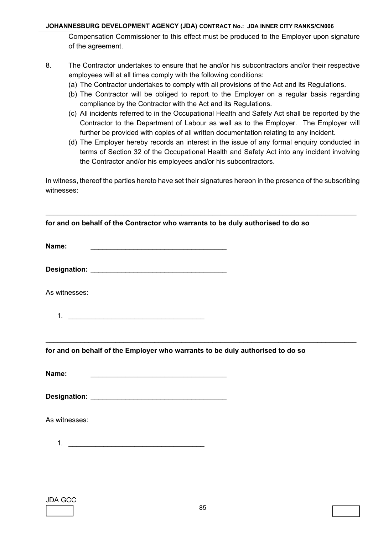Compensation Commissioner to this effect must be produced to the Employer upon signature of the agreement.

- 8. The Contractor undertakes to ensure that he and/or his subcontractors and/or their respective employees will at all times comply with the following conditions:
	- (a) The Contractor undertakes to comply with all provisions of the Act and its Regulations.
	- (b) The Contractor will be obliged to report to the Employer on a regular basis regarding compliance by the Contractor with the Act and its Regulations.
	- (c) All incidents referred to in the Occupational Health and Safety Act shall be reported by the Contractor to the Department of Labour as well as to the Employer. The Employer will further be provided with copies of all written documentation relating to any incident.
	- (d) The Employer hereby records an interest in the issue of any formal enquiry conducted in terms of Section 32 of the Occupational Health and Safety Act into any incident involving the Contractor and/or his employees and/or his subcontractors.

In witness, thereof the parties hereto have set their signatures hereon in the presence of the subscribing witnesses:

\_\_\_\_\_\_\_\_\_\_\_\_\_\_\_\_\_\_\_\_\_\_\_\_\_\_\_\_\_\_\_\_\_\_\_\_\_\_\_\_\_\_\_\_\_\_\_\_\_\_\_\_\_\_\_\_\_\_\_\_\_\_\_\_\_\_\_\_\_\_\_\_\_\_\_\_\_\_\_\_

| for and on behalf of the Contractor who warrants to be duly authorised to do so                                                                                                                                                                                                                                        |  |
|------------------------------------------------------------------------------------------------------------------------------------------------------------------------------------------------------------------------------------------------------------------------------------------------------------------------|--|
| Name:<br><u> 1989 - Johann Barn, fransk politik amerikansk politik (</u>                                                                                                                                                                                                                                               |  |
|                                                                                                                                                                                                                                                                                                                        |  |
| As witnesses:                                                                                                                                                                                                                                                                                                          |  |
| 1. $\frac{1}{2}$ $\frac{1}{2}$ $\frac{1}{2}$ $\frac{1}{2}$ $\frac{1}{2}$ $\frac{1}{2}$ $\frac{1}{2}$ $\frac{1}{2}$ $\frac{1}{2}$ $\frac{1}{2}$ $\frac{1}{2}$ $\frac{1}{2}$ $\frac{1}{2}$ $\frac{1}{2}$ $\frac{1}{2}$ $\frac{1}{2}$ $\frac{1}{2}$ $\frac{1}{2}$ $\frac{1}{2}$ $\frac{1}{2}$ $\frac{1}{2}$ $\frac{1}{2}$ |  |
|                                                                                                                                                                                                                                                                                                                        |  |
| for and on behalf of the Employer who warrants to be duly authorised to do so                                                                                                                                                                                                                                          |  |
| Name:<br><u> 1989 - Johann Barn, fransk politik fotograf (d. 1989)</u>                                                                                                                                                                                                                                                 |  |
|                                                                                                                                                                                                                                                                                                                        |  |
| As witnesses:                                                                                                                                                                                                                                                                                                          |  |
|                                                                                                                                                                                                                                                                                                                        |  |
|                                                                                                                                                                                                                                                                                                                        |  |
|                                                                                                                                                                                                                                                                                                                        |  |

| JDA GCC |  |
|---------|--|
|         |  |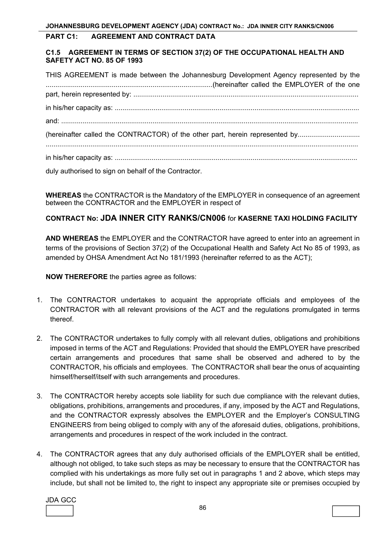#### **PART C1: AGREEMENT AND CONTRACT DATA**

#### **C1.5 AGREEMENT IN TERMS OF SECTION 37(2) OF THE OCCUPATIONAL HEALTH AND SAFETY ACT NO. 85 OF 1993**

| THIS AGREEMENT is made between the Johannesburg Development Agency represented by the                                               |
|-------------------------------------------------------------------------------------------------------------------------------------|
|                                                                                                                                     |
|                                                                                                                                     |
|                                                                                                                                     |
|                                                                                                                                     |
| (hereinafter called the CONTRACTOR) of the other part, herein represented by                                                        |
|                                                                                                                                     |
| $\mathbf{r}$ and $\mathbf{r}$ and $\mathbf{r}$ and $\mathbf{r}$ and $\mathbf{r}$ and $\mathbf{r}$ and $\mathbf{r}$ and $\mathbf{r}$ |

duly authorised to sign on behalf of the Contractor.

**WHEREAS** the CONTRACTOR is the Mandatory of the EMPLOYER in consequence of an agreement between the CONTRACTOR and the EMPLOYER in respect of

## **CONTRACT No: JDA INNER CITY RANKS/CN006** for **KASERNE TAXI HOLDING FACILITY**

**AND WHEREAS** the EMPLOYER and the CONTRACTOR have agreed to enter into an agreement in terms of the provisions of Section 37(2) of the Occupational Health and Safety Act No 85 of 1993, as amended by OHSA Amendment Act No 181/1993 (hereinafter referred to as the ACT);

**NOW THEREFORE** the parties agree as follows:

- 1. The CONTRACTOR undertakes to acquaint the appropriate officials and employees of the CONTRACTOR with all relevant provisions of the ACT and the regulations promulgated in terms thereof.
- 2. The CONTRACTOR undertakes to fully comply with all relevant duties, obligations and prohibitions imposed in terms of the ACT and Regulations: Provided that should the EMPLOYER have prescribed certain arrangements and procedures that same shall be observed and adhered to by the CONTRACTOR, his officials and employees. The CONTRACTOR shall bear the onus of acquainting himself/herself/itself with such arrangements and procedures.
- 3. The CONTRACTOR hereby accepts sole liability for such due compliance with the relevant duties, obligations, prohibitions, arrangements and procedures, if any, imposed by the ACT and Regulations, and the CONTRACTOR expressly absolves the EMPLOYER and the Employer's CONSULTING ENGINEERS from being obliged to comply with any of the aforesaid duties, obligations, prohibitions, arrangements and procedures in respect of the work included in the contract.
- 4. The CONTRACTOR agrees that any duly authorised officials of the EMPLOYER shall be entitled, although not obliged, to take such steps as may be necessary to ensure that the CONTRACTOR has complied with his undertakings as more fully set out in paragraphs 1 and 2 above, which steps may include, but shall not be limited to, the right to inspect any appropriate site or premises occupied by

JDA GCC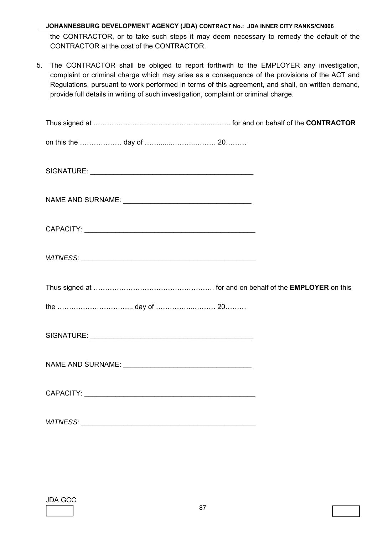the CONTRACTOR, or to take such steps it may deem necessary to remedy the default of the CONTRACTOR at the cost of the CONTRACTOR.

5. The CONTRACTOR shall be obliged to report forthwith to the EMPLOYER any investigation, complaint or criminal charge which may arise as a consequence of the provisions of the ACT and Regulations, pursuant to work performed in terms of this agreement, and shall, on written demand, provide full details in writing of such investigation, complaint or criminal charge.

JDA GCC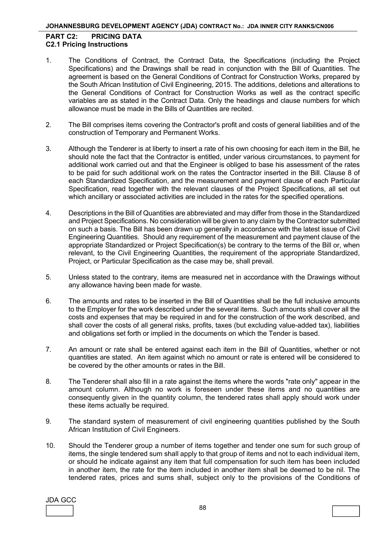#### **PART C2: PRICING DATA C2.1 Pricing Instructions**

- 1. The Conditions of Contract, the Contract Data, the Specifications (including the Project Specifications) and the Drawings shall be read in conjunction with the Bill of Quantities. The agreement is based on the General Conditions of Contract for Construction Works, prepared by the South African Institution of Civil Engineering, 2015. The additions, deletions and alterations to the General Conditions of Contract for Construction Works as well as the contract specific variables are as stated in the Contract Data. Only the headings and clause numbers for which allowance must be made in the Bills of Quantities are recited.
- 2. The Bill comprises items covering the Contractor's profit and costs of general liabilities and of the construction of Temporary and Permanent Works.
- 3. Although the Tenderer is at liberty to insert a rate of his own choosing for each item in the Bill, he should note the fact that the Contractor is entitled, under various circumstances, to payment for additional work carried out and that the Engineer is obliged to base his assessment of the rates to be paid for such additional work on the rates the Contractor inserted in the Bill. Clause 8 of each Standardized Specification, and the measurement and payment clause of each Particular Specification, read together with the relevant clauses of the Project Specifications, all set out which ancillary or associated activities are included in the rates for the specified operations.
- 4. Descriptions in the Bill of Quantities are abbreviated and may differ from those in the Standardized and Project Specifications. No consideration will be given to any claim by the Contractor submitted on such a basis. The Bill has been drawn up generally in accordance with the latest issue of Civil Engineering Quantities. Should any requirement of the measurement and payment clause of the appropriate Standardized or Project Specification(s) be contrary to the terms of the Bill or, when relevant, to the Civil Engineering Quantities, the requirement of the appropriate Standardized, Project, or Particular Specification as the case may be, shall prevail.
- 5. Unless stated to the contrary, items are measured net in accordance with the Drawings without any allowance having been made for waste.
- 6. The amounts and rates to be inserted in the Bill of Quantities shall be the full inclusive amounts to the Employer for the work described under the several items. Such amounts shall cover all the costs and expenses that may be required in and for the construction of the work described, and shall cover the costs of all general risks, profits, taxes (but excluding value-added tax), liabilities and obligations set forth or implied in the documents on which the Tender is based.
- 7. An amount or rate shall be entered against each item in the Bill of Quantities, whether or not quantities are stated. An item against which no amount or rate is entered will be considered to be covered by the other amounts or rates in the Bill.
- 8. The Tenderer shall also fill in a rate against the items where the words "rate only" appear in the amount column. Although no work is foreseen under these items and no quantities are consequently given in the quantity column, the tendered rates shall apply should work under these items actually be required.
- 9. The standard system of measurement of civil engineering quantities published by the South African Institution of Civil Engineers.
- 10. Should the Tenderer group a number of items together and tender one sum for such group of items, the single tendered sum shall apply to that group of items and not to each individual item, or should he indicate against any item that full compensation for such item has been included in another item, the rate for the item included in another item shall be deemed to be nil. The tendered rates, prices and sums shall, subject only to the provisions of the Conditions of

JDA GCC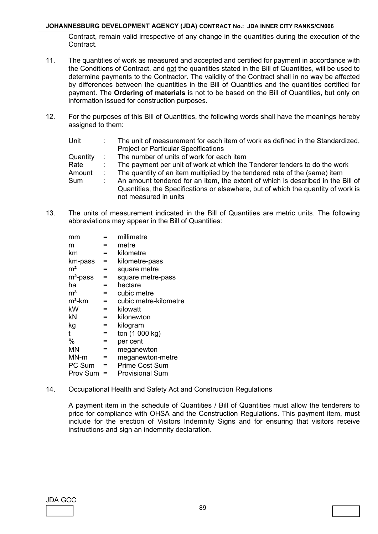Contract, remain valid irrespective of any change in the quantities during the execution of the Contract.

- 11. The quantities of work as measured and accepted and certified for payment in accordance with the Conditions of Contract, and not the quantities stated in the Bill of Quantities, will be used to determine payments to the Contractor. The validity of the Contract shall in no way be affected by differences between the quantities in the Bill of Quantities and the quantities certified for payment. The **Ordering of materials** is not to be based on the Bill of Quantities, but only on information issued for construction purposes.
- 12. For the purposes of this Bill of Quantities, the following words shall have the meanings hereby assigned to them:

| Unit     | The unit of measurement for each item of work as defined in the Standardized,                                                                                                                 |
|----------|-----------------------------------------------------------------------------------------------------------------------------------------------------------------------------------------------|
|          | <b>Project or Particular Specifications</b>                                                                                                                                                   |
| Quantity | The number of units of work for each item                                                                                                                                                     |
| Rate     | The payment per unit of work at which the Tenderer tenders to do the work                                                                                                                     |
| Amount   | The quantity of an item multiplied by the tendered rate of the (same) item                                                                                                                    |
| Sum      | An amount tendered for an item, the extent of which is described in the Bill of<br>Quantities, the Specifications or elsewhere, but of which the quantity of work is<br>not measured in units |
|          |                                                                                                                                                                                               |

13. The units of measurement indicated in the Bill of Quantities are metric units. The following abbreviations may appear in the Bill of Quantities:

| mm             |     | millimetre            |
|----------------|-----|-----------------------|
| m              |     | metre                 |
| km             | $=$ | kilometre             |
| km-pass        | Ξ   | kilometre-pass        |
| m <sup>2</sup> | $=$ | square metre          |
| $m2$ -pass     | Ξ   | square metre-pass     |
| ha             | $=$ | hectare               |
| $\mathsf{m}^3$ | $=$ | cubic metre           |
| $m3$ -km       | $=$ | cubic metre-kilometre |
| kW             | $=$ | kilowatt              |
| kN             | $=$ | kilonewton            |
| kg             | $=$ | kilogram              |
| t              | $=$ | ton (1 000 kg)        |
| %              | $=$ | per cent              |
| ΜN             | $=$ | meganewton            |
| MN-m           | $=$ | meganewton-metre      |
| PC Sum         | $=$ | <b>Prime Cost Sum</b> |
| Prov Sum       |     | Provisional Sum       |
|                |     |                       |

14. Occupational Health and Safety Act and Construction Regulations

A payment item in the schedule of Quantities / Bill of Quantities must allow the tenderers to price for compliance with OHSA and the Construction Regulations. This payment item, must include for the erection of Visitors Indemnity Signs and for ensuring that visitors receive instructions and sign an indemnity declaration.

JDA GCC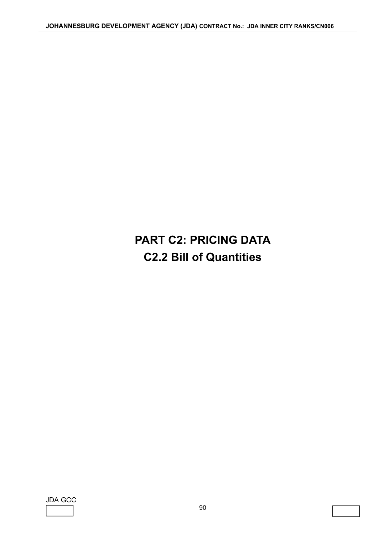# **PART C2: PRICING DATA C2.2 Bill of Quantities**

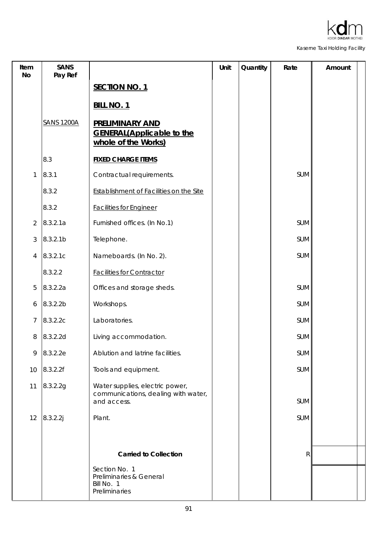

| Item<br><b>No</b> | <b>SANS</b><br>Pay Ref |                                                                                       | Unit | Quantity | Rate       | Amount |
|-------------------|------------------------|---------------------------------------------------------------------------------------|------|----------|------------|--------|
|                   |                        | <b>SECTION NO. 1</b>                                                                  |      |          |            |        |
|                   |                        | <b>BILL NO. 1</b>                                                                     |      |          |            |        |
|                   | <b>SANS 1200A</b>      | <b>PRELIMINARY AND</b><br><b>GENERAL(Applicable to the</b><br>whole of the Works)     |      |          |            |        |
|                   | 8.3                    | <b>FIXED CHARGE ITEMS</b>                                                             |      |          |            |        |
| $\mathbf{1}$      | 8.3.1                  | Contractual requirements.                                                             |      |          | <b>SUM</b> |        |
|                   | 8.3.2                  | Establishment of Facilities on the Site                                               |      |          |            |        |
|                   | 8.3.2                  | <b>Facilities for Engineer</b>                                                        |      |          |            |        |
| $\overline{2}$    | 8.3.2.1a               | Furnished offices. (In No.1)                                                          |      |          | <b>SUM</b> |        |
| 3                 | 8.3.2.1 <sub>b</sub>   | Telephone.                                                                            |      |          | SUM        |        |
| 4                 | 8.3.2.1c               | Nameboards. (In No. 2).                                                               |      |          | <b>SUM</b> |        |
|                   | 8.3.2.2                | <b>Facilities for Contractor</b>                                                      |      |          |            |        |
| 5                 | 8.3.2.2a               | Offices and storage sheds.                                                            |      |          | <b>SUM</b> |        |
| 6                 | 8.3.2.2b               | Workshops.                                                                            |      |          | <b>SUM</b> |        |
| 7                 | 8.3.2.2c               | Laboratories.                                                                         |      |          | <b>SUM</b> |        |
| 8                 | 8.3.2.2d               | Living accommodation.                                                                 |      |          | SUM        |        |
| 9                 | 8.3.2.2e               | Ablution and latrine facilities.                                                      |      |          | SUM        |        |
| 10                | 8.3.2.2f               | Tools and equipment.                                                                  |      |          | <b>SUM</b> |        |
| 11                | 8.3.2.2g               | Water supplies, electric power,<br>communications, dealing with water,<br>and access. |      |          | <b>SUM</b> |        |
| 12                | 8.3.2.2j               | Plant.                                                                                |      |          | SUM        |        |
|                   |                        |                                                                                       |      |          |            |        |
|                   |                        | <b>Carried to Collection</b>                                                          |      |          | R          |        |
|                   |                        | Section No. 1<br>Preliminaries & General<br>Bill No. 1<br>Preliminaries               |      |          |            |        |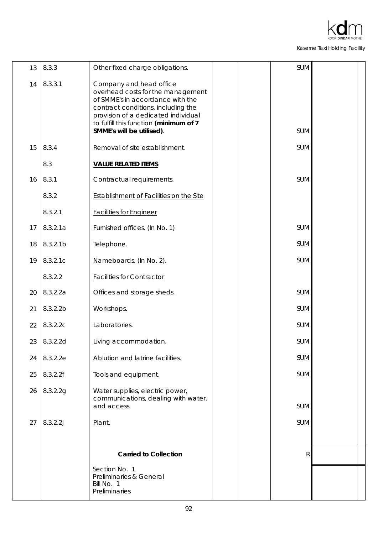

| 13 | 8.3.3                | Other fixed charge obligations.                                                                                                                                                                                                                      |  | SUM        |  |
|----|----------------------|------------------------------------------------------------------------------------------------------------------------------------------------------------------------------------------------------------------------------------------------------|--|------------|--|
| 14 | 8.3.3.1              | Company and head office<br>overhead costs for the management<br>of SMME's in accordance with the<br>contract conditions, including the<br>provision of a dedicated individual<br>to fulfill this function (minimum of 7<br>SMME's will be utilised). |  | <b>SUM</b> |  |
| 15 | 8.3.4                | Removal of site establishment.                                                                                                                                                                                                                       |  | <b>SUM</b> |  |
|    | 8.3                  | <b>VALUE RELATED ITEMS</b>                                                                                                                                                                                                                           |  |            |  |
| 16 | 8.3.1                | Contractual requirements.                                                                                                                                                                                                                            |  | <b>SUM</b> |  |
|    | 8.3.2                | Establishment of Facilities on the Site                                                                                                                                                                                                              |  |            |  |
|    | 8.3.2.1              | <b>Facilities for Engineer</b>                                                                                                                                                                                                                       |  |            |  |
| 17 | 8.3.2.1a             | Furnished offices. (In No. 1)                                                                                                                                                                                                                        |  | <b>SUM</b> |  |
| 18 | 8.3.2.1 <sub>b</sub> | Telephone.                                                                                                                                                                                                                                           |  | SUM        |  |
| 19 | 8.3.2.1c             | Nameboards. (In No. 2).                                                                                                                                                                                                                              |  | <b>SUM</b> |  |
|    | 8.3.2.2              | <b>Facilities for Contractor</b>                                                                                                                                                                                                                     |  |            |  |
| 20 | 8.3.2.2a             | Offices and storage sheds.                                                                                                                                                                                                                           |  | SUM        |  |
| 21 | 8.3.2.2 <sub>b</sub> | Workshops.                                                                                                                                                                                                                                           |  | SUM        |  |
| 22 | 8.3.2.2c             | Laboratories.                                                                                                                                                                                                                                        |  | SUM        |  |
| 23 | 8.3.2.2d             | Living accommodation.                                                                                                                                                                                                                                |  | <b>SUM</b> |  |
| 24 | 8.3.2.2e             | Ablution and latrine facilities.                                                                                                                                                                                                                     |  | <b>SUM</b> |  |
| 25 | 8.3.2.2f             | Tools and equipment.                                                                                                                                                                                                                                 |  | SUM        |  |
| 26 | 8.3.2.2g             | Water supplies, electric power,<br>communications, dealing with water,<br>and access.                                                                                                                                                                |  | <b>SUM</b> |  |
| 27 | 8.3.2.2j             | Plant.                                                                                                                                                                                                                                               |  | <b>SUM</b> |  |
|    |                      |                                                                                                                                                                                                                                                      |  |            |  |
|    |                      | <b>Carried to Collection</b>                                                                                                                                                                                                                         |  | R          |  |
|    |                      | Section No. 1<br>Preliminaries & General<br>Bill No. 1<br>Preliminaries                                                                                                                                                                              |  |            |  |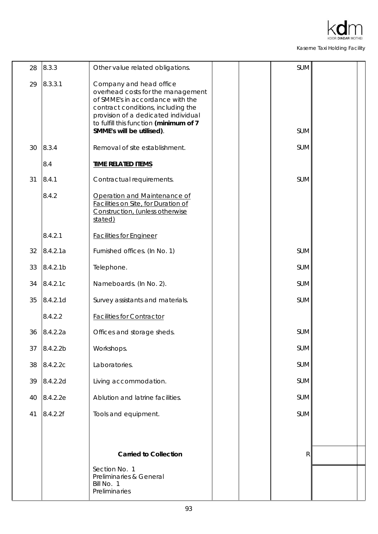

| 28 | 8.3.3                | Other value related obligations.                                                                                                                                                                                                                     |  | SUM        |  |
|----|----------------------|------------------------------------------------------------------------------------------------------------------------------------------------------------------------------------------------------------------------------------------------------|--|------------|--|
| 29 | 8.3.3.1              | Company and head office<br>overhead costs for the management<br>of SMME's in accordance with the<br>contract conditions, including the<br>provision of a dedicated individual<br>to fulfill this function (minimum of 7<br>SMME's will be utilised). |  | <b>SUM</b> |  |
|    |                      |                                                                                                                                                                                                                                                      |  |            |  |
| 30 | 8.3.4                | Removal of site establishment.                                                                                                                                                                                                                       |  | <b>SUM</b> |  |
|    | 8.4                  | <b>TIME RELATED ITEMS</b>                                                                                                                                                                                                                            |  |            |  |
| 31 | 8.4.1                | Contractual requirements.                                                                                                                                                                                                                            |  | <b>SUM</b> |  |
|    | 8.4.2                | Operation and Maintenance of<br>Facilities on Site, for Duration of<br>Construction, (unless otherwise<br>stated)                                                                                                                                    |  |            |  |
|    | 8.4.2.1              | <b>Facilities for Engineer</b>                                                                                                                                                                                                                       |  |            |  |
| 32 | 8.4.2.1a             | Furnished offices. (In No. 1)                                                                                                                                                                                                                        |  | <b>SUM</b> |  |
| 33 | 8.4.2.1 <sub>b</sub> | Telephone.                                                                                                                                                                                                                                           |  | <b>SUM</b> |  |
| 34 | 8.4.2.1c             | Nameboards. (In No. 2).                                                                                                                                                                                                                              |  | <b>SUM</b> |  |
| 35 | 8.4.2.1d             | Survey assistants and materials.                                                                                                                                                                                                                     |  | <b>SUM</b> |  |
|    | 8.4.2.2              | <b>Facilities for Contractor</b>                                                                                                                                                                                                                     |  |            |  |
| 36 | 8.4.2.2a             | Offices and storage sheds.                                                                                                                                                                                                                           |  | <b>SUM</b> |  |
| 37 | 8.4.2.2b             | Workshops.                                                                                                                                                                                                                                           |  | SUM        |  |
| 38 | 8.4.2.2c             | Laboratories.                                                                                                                                                                                                                                        |  | <b>SUM</b> |  |
| 39 | 8.4.2.2d             | Living accommodation.                                                                                                                                                                                                                                |  | <b>SUM</b> |  |
| 40 | 8.4.2.2e             | Ablution and latrine facilities.                                                                                                                                                                                                                     |  | <b>SUM</b> |  |
| 41 | 8.4.2.2f             | Tools and equipment.                                                                                                                                                                                                                                 |  | SUM        |  |
|    |                      |                                                                                                                                                                                                                                                      |  |            |  |
|    |                      |                                                                                                                                                                                                                                                      |  |            |  |
|    |                      | <b>Carried to Collection</b>                                                                                                                                                                                                                         |  | R          |  |
|    |                      | Section No. 1<br>Preliminaries & General<br>Bill No. 1<br>Preliminaries                                                                                                                                                                              |  |            |  |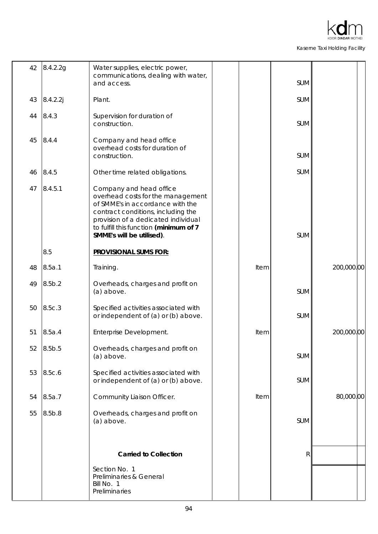| 42 | 8.4.2.2g           | Water supplies, electric power,<br>communications, dealing with water,<br>and access.                                                                                                                                                                |      | <b>SUM</b> |            |
|----|--------------------|------------------------------------------------------------------------------------------------------------------------------------------------------------------------------------------------------------------------------------------------------|------|------------|------------|
| 43 | 8.4.2.2j           | Plant.                                                                                                                                                                                                                                               |      | SUM        |            |
| 44 | 8.4.3              | Supervision for duration of<br>construction.                                                                                                                                                                                                         |      | SUM        |            |
| 45 | 8.4.4              | Company and head office<br>overhead costs for duration of<br>construction.                                                                                                                                                                           |      | <b>SUM</b> |            |
| 46 | 8.4.5              | Other time related obligations.                                                                                                                                                                                                                      |      | SUM        |            |
| 47 | 8.4.5.1            | Company and head office<br>overhead costs for the management<br>of SMME's in accordance with the<br>contract conditions, including the<br>provision of a dedicated individual<br>to fulfill this function (minimum of 7<br>SMME's will be utilised). |      | <b>SUM</b> |            |
|    | 8.5                | <b>PROVISIONAL SUMS FOR:</b>                                                                                                                                                                                                                         |      |            |            |
| 48 | 8.5a.1             | Training.                                                                                                                                                                                                                                            | Item |            | 200,000.00 |
| 49 | 8.5 <sub>b.2</sub> | Overheads, charges and profit on<br>(a) above.                                                                                                                                                                                                       |      | <b>SUM</b> |            |
| 50 | 8.5c.3             | Specified activities associated with<br>or independent of (a) or (b) above.                                                                                                                                                                          |      | <b>SUM</b> |            |
| 51 | 8.5a.4             | Enterprise Development.                                                                                                                                                                                                                              | Item |            | 200,000.00 |
| 52 | 8.5b.5             | Overheads, charges and profit on<br>(a) above.                                                                                                                                                                                                       |      | <b>SUM</b> |            |
| 53 | 8.5c.6             | Specified activities associated with<br>or independent of (a) or (b) above.                                                                                                                                                                          |      | <b>SUM</b> |            |
| 54 | 8.5a.7             | Community Liaison Officer.                                                                                                                                                                                                                           | Item |            | 80,000.00  |
| 55 | 8.5b.8             | Overheads, charges and profit on<br>(a) above.                                                                                                                                                                                                       |      | SUM        |            |
|    |                    | <b>Carried to Collection</b>                                                                                                                                                                                                                         |      | R          |            |
|    |                    | Section No. 1                                                                                                                                                                                                                                        |      |            |            |
|    |                    | Preliminaries & General<br>Bill No. 1<br>Preliminaries                                                                                                                                                                                               |      |            |            |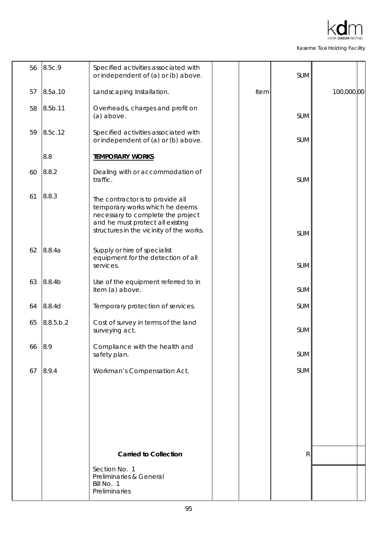| 56 | 8.5c.9             | Specified activities associated with<br>or independent of (a) or (b) above.                                                                                                             |      | SUM        |            |
|----|--------------------|-----------------------------------------------------------------------------------------------------------------------------------------------------------------------------------------|------|------------|------------|
| 57 | 8.5a.10            | Landscaping Installation.                                                                                                                                                               | Item |            | 100,000.00 |
| 58 | 8.5b.11            | Overheads, charges and profit on<br>(a) above.                                                                                                                                          |      | <b>SUM</b> |            |
| 59 | 8.5c.12            | Specified activities associated with<br>or independent of (a) or (b) above.                                                                                                             |      | <b>SUM</b> |            |
|    | 8.8                | <b>TEMPORARY WORKS</b>                                                                                                                                                                  |      |            |            |
| 60 | 8.8.2              | Dealing with or accommodation of<br>traffic.                                                                                                                                            |      | <b>SUM</b> |            |
| 61 | 8.8.3              | The contractor is to provide all<br>temporary works which he deems<br>necessary to complete the project<br>and he must protect all existing<br>structures in the vicinity of the works. |      | <b>SUM</b> |            |
| 62 | 8.8.4a             | Supply or hire of specialist<br>equipment for the detection of all<br>services.                                                                                                         |      | <b>SUM</b> |            |
| 63 | 8.8.4 <sub>b</sub> | Use of the equipment referred to in<br>item (a) above.                                                                                                                                  |      | <b>SUM</b> |            |
| 64 | 8.8.4d             | Temporary protection of services.                                                                                                                                                       |      | <b>SUM</b> |            |
| 65 | 8.8.5.b.2          | Cost of survey in terms of the land<br>surveying act.                                                                                                                                   |      | <b>SUM</b> |            |
| 66 | 8.9                | Compliance with the health and<br>safety plan.                                                                                                                                          |      | SUM        |            |
| 67 | 8.9.4              | Workman's Compensation Act.                                                                                                                                                             |      | SUM        |            |
|    |                    |                                                                                                                                                                                         |      |            |            |
|    |                    | <b>Carried to Collection</b>                                                                                                                                                            |      | R          |            |
|    |                    | Section No. 1<br>Preliminaries & General<br>Bill No. 1<br>Preliminaries                                                                                                                 |      |            |            |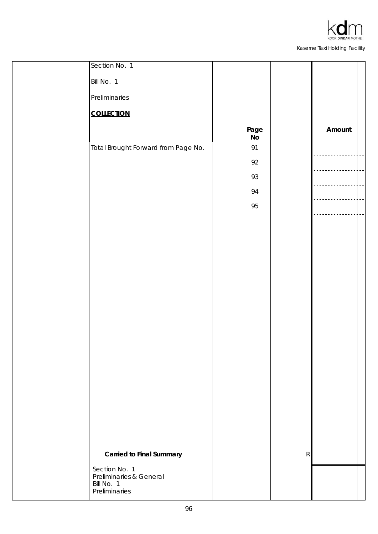

|  | Section No. 1                                          |            |           |        |  |
|--|--------------------------------------------------------|------------|-----------|--------|--|
|  | Bill No. 1                                             |            |           |        |  |
|  | Preliminaries                                          |            |           |        |  |
|  | <b>COLLECTION</b>                                      |            |           |        |  |
|  |                                                        | Page<br>No |           | Amount |  |
|  | Total Brought Forward from Page No.                    | 91         |           |        |  |
|  |                                                        | 92         |           |        |  |
|  |                                                        | 93         |           |        |  |
|  |                                                        | 94         |           |        |  |
|  |                                                        | 95         |           |        |  |
|  |                                                        |            |           |        |  |
|  |                                                        |            |           |        |  |
|  |                                                        |            |           |        |  |
|  |                                                        |            |           |        |  |
|  |                                                        |            |           |        |  |
|  |                                                        |            |           |        |  |
|  |                                                        |            |           |        |  |
|  |                                                        |            |           |        |  |
|  |                                                        |            |           |        |  |
|  |                                                        |            |           |        |  |
|  |                                                        |            |           |        |  |
|  |                                                        |            |           |        |  |
|  |                                                        |            |           |        |  |
|  |                                                        |            |           |        |  |
|  | <b>Carried to Final Summary</b>                        |            | ${\sf R}$ |        |  |
|  | Section No. 1<br>Preliminaries & General<br>Bill No. 1 |            |           |        |  |
|  | Preliminaries                                          |            |           |        |  |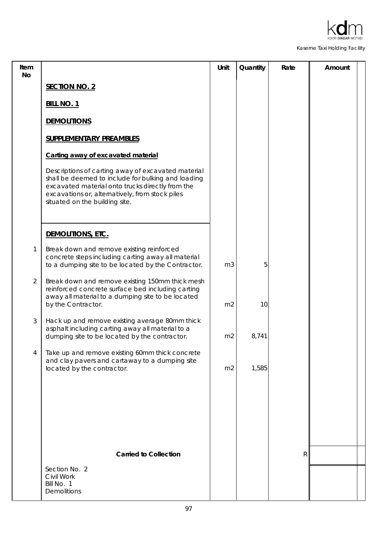

| Item<br>No |                                                                                                                                                                                                                                                   | Unit           | Quantity | Rate         | Amount |  |
|------------|---------------------------------------------------------------------------------------------------------------------------------------------------------------------------------------------------------------------------------------------------|----------------|----------|--------------|--------|--|
|            | <b>SECTION NO. 2</b>                                                                                                                                                                                                                              |                |          |              |        |  |
|            | <b>BILL NO. 1</b>                                                                                                                                                                                                                                 |                |          |              |        |  |
|            | <b>DEMOLITIONS</b>                                                                                                                                                                                                                                |                |          |              |        |  |
|            | <b>SUPPLEMENTARY PREAMBLES</b>                                                                                                                                                                                                                    |                |          |              |        |  |
|            | Carting away of excavated material                                                                                                                                                                                                                |                |          |              |        |  |
|            | Descriptions of carting away of excavated material<br>shall be deemed to include for bulking and loading<br>excavated material onto trucks directly from the<br>excavations or, alternatively, from stock piles<br>situated on the building site. |                |          |              |        |  |
|            | DEMOLITIONS, ETC.                                                                                                                                                                                                                                 |                |          |              |        |  |
| 1          | Break down and remove existing reinforced<br>concrete steps including carting away all material<br>to a dumping site to be located by the Contractor.                                                                                             | m <sub>3</sub> | 5        |              |        |  |
| 2          | Break down and remove existing 150mm thick mesh<br>reinforced concrete surface bed including carting<br>away all material to a dumping site to be located<br>by the Contractor.                                                                   | m <sub>2</sub> | 10       |              |        |  |
| 3          | Hack up and remove existing average 80mm thick<br>asphalt including carting away all material to a<br>dumping site to be located by the contractor.                                                                                               | m <sub>2</sub> | 8,741    |              |        |  |
| 4          | Take up and remove existing 60mm thick concrete<br>and clay pavers and cartaway to a dumping site<br>located by the contractor.                                                                                                                   | m <sub>2</sub> | 1,585    |              |        |  |
|            |                                                                                                                                                                                                                                                   |                |          |              |        |  |
|            |                                                                                                                                                                                                                                                   |                |          |              |        |  |
|            |                                                                                                                                                                                                                                                   |                |          |              |        |  |
|            | <b>Carried to Collection</b>                                                                                                                                                                                                                      |                |          | $\mathsf{R}$ |        |  |
|            | Section No. 2<br>Civil Work<br>Bill No. 1<br><b>Demolitions</b>                                                                                                                                                                                   |                |          |              |        |  |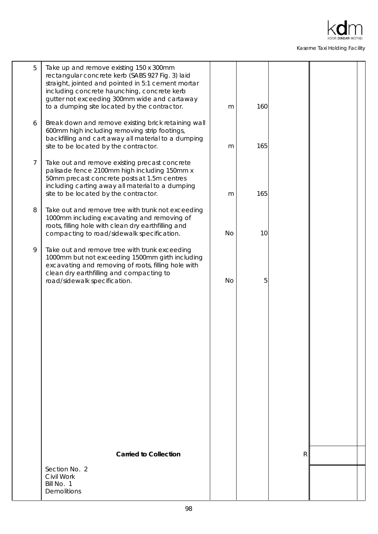

| 5 | Take up and remove existing 150 x 300mm<br>rectangular concrete kerb (SABS 927 Fig. 3) laid<br>straight, jointed and pointed in 5:1 cement mortar<br>including concrete haunching, concrete kerb<br>gutter not exceeding 300mm wide and cartaway<br>to a dumping site located by the contractor. | m         | 160 |   |  |
|---|--------------------------------------------------------------------------------------------------------------------------------------------------------------------------------------------------------------------------------------------------------------------------------------------------|-----------|-----|---|--|
| 6 | Break down and remove existing brick retaining wall<br>600mm high including removing strip footings,<br>backfilling and cart away all material to a dumping<br>site to be located by the contractor.                                                                                             | m         | 165 |   |  |
| 7 | Take out and remove existing precast concrete<br>palisade fence 2100mm high including 150mm x<br>50mm precast concrete posts at 1.5m centres<br>including carting away all material to a dumping<br>site to be located by the contractor.                                                        | m         | 165 |   |  |
| 8 | Take out and remove tree with trunk not exceeding<br>1000mm including excavating and removing of<br>roots, filling hole with clean dry earthfilling and<br>compacting to road/sidewalk specification.                                                                                            | <b>No</b> | 10  |   |  |
| 9 | Take out and remove tree with trunk exceeding<br>1000mm but not exceeding 1500mm girth including<br>excavating and removing of roots, filling hole with<br>clean dry earthfilling and compacting to<br>road/sidewalk specification.                                                              | <b>No</b> | 5   |   |  |
|   |                                                                                                                                                                                                                                                                                                  |           |     |   |  |
|   |                                                                                                                                                                                                                                                                                                  |           |     |   |  |
|   |                                                                                                                                                                                                                                                                                                  |           |     |   |  |
|   | <b>Carried to Collection</b>                                                                                                                                                                                                                                                                     |           |     | R |  |
|   | Section No. 2<br>Civil Work<br>Bill No. 1<br><b>Demolitions</b>                                                                                                                                                                                                                                  |           |     |   |  |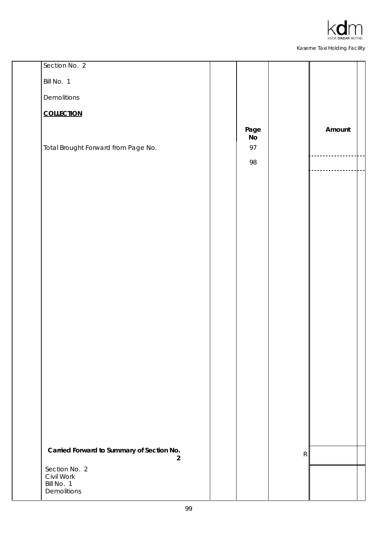

| Bill No. 1                                                 |        |
|------------------------------------------------------------|--------|
| Demolitions                                                |        |
| <b>COLLECTION</b>                                          |        |
| Page                                                       | Amount |
| $\mathsf{No}$<br>Total Brought Forward from Page No.<br>97 |        |
| 98                                                         |        |
|                                                            |        |
|                                                            |        |
|                                                            |        |
|                                                            |        |
|                                                            |        |
|                                                            |        |
|                                                            |        |
|                                                            |        |
|                                                            |        |
|                                                            |        |
|                                                            |        |
|                                                            |        |
|                                                            |        |
|                                                            |        |
|                                                            |        |
|                                                            |        |
|                                                            |        |
| Carried Forward to Summary of Section No.                  |        |
| R<br>$\overline{2}$                                        |        |
| Section No. 2<br>Civil Work                                |        |
| Bill No. 1<br>Demolitions                                  |        |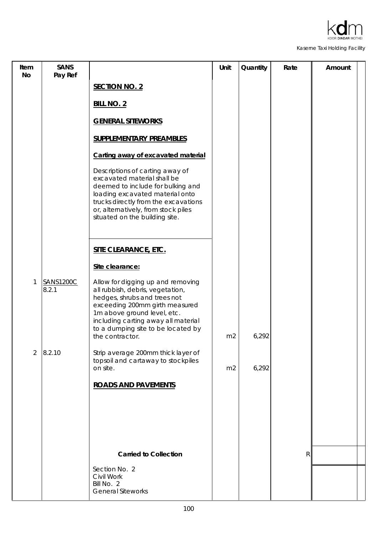

| Item<br>No | <b>SANS</b><br>Pay Ref    |                                                                                                                                                                                                                                                                        | Unit           | Quantity | Rate         | Amount |
|------------|---------------------------|------------------------------------------------------------------------------------------------------------------------------------------------------------------------------------------------------------------------------------------------------------------------|----------------|----------|--------------|--------|
|            |                           | <b>SECTION NO. 2</b>                                                                                                                                                                                                                                                   |                |          |              |        |
|            |                           | <b>BILL NO. 2</b>                                                                                                                                                                                                                                                      |                |          |              |        |
|            |                           | <b>GENERAL SITEWORKS</b>                                                                                                                                                                                                                                               |                |          |              |        |
|            |                           | <b>SUPPLEMENTARY PREAMBLES</b>                                                                                                                                                                                                                                         |                |          |              |        |
|            |                           | Carting away of excavated material                                                                                                                                                                                                                                     |                |          |              |        |
|            |                           | Descriptions of carting away of<br>excavated material shall be<br>deemed to include for bulking and<br>loading excavated material onto<br>trucks directly from the excavations<br>or, alternatively, from stock piles<br>situated on the building site.                |                |          |              |        |
|            |                           | <b>SITE CLEARANCE, ETC.</b>                                                                                                                                                                                                                                            |                |          |              |        |
|            |                           | Site clearance:                                                                                                                                                                                                                                                        |                |          |              |        |
| 1          | <b>SANS1200C</b><br>8.2.1 | Allow for digging up and removing<br>all rubbish, debris, vegetation,<br>hedges, shrubs and trees not<br>exceeding 200mm girth measured<br>1m above ground level, etc.<br>including carting away all material<br>to a dumping site to be located by<br>the contractor. | m <sub>2</sub> | 6,292    |              |        |
| 2          | 8.2.10                    | Strip average 200mm thick layer of<br>topsoil and cartaway to stockpiles<br>on site.                                                                                                                                                                                   | m <sub>2</sub> | 6,292    |              |        |
|            |                           | <b>ROADS AND PAVEMENTS</b>                                                                                                                                                                                                                                             |                |          |              |        |
|            |                           |                                                                                                                                                                                                                                                                        |                |          |              |        |
|            |                           |                                                                                                                                                                                                                                                                        |                |          |              |        |
|            |                           |                                                                                                                                                                                                                                                                        |                |          |              |        |
|            |                           | <b>Carried to Collection</b>                                                                                                                                                                                                                                           |                |          | $\mathsf{R}$ |        |
|            |                           | Section No. 2<br>Civil Work<br>Bill No. 2<br><b>General Siteworks</b>                                                                                                                                                                                                  |                |          |              |        |
|            |                           |                                                                                                                                                                                                                                                                        |                |          |              |        |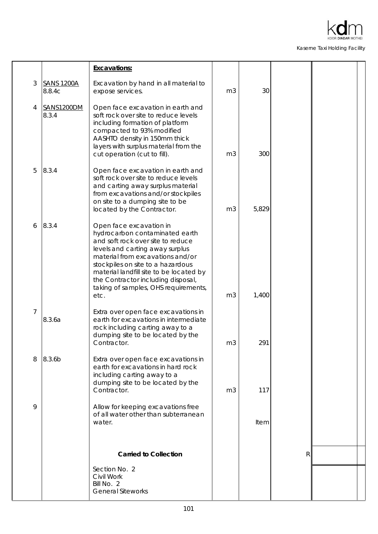

|                |                             | <b>Excavations:</b>                                                                                                                                                                                                                                                                                                                         |                |       |   |  |
|----------------|-----------------------------|---------------------------------------------------------------------------------------------------------------------------------------------------------------------------------------------------------------------------------------------------------------------------------------------------------------------------------------------|----------------|-------|---|--|
| 3              | <b>SANS 1200A</b><br>8.8.4c | Excavation by hand in all material to<br>expose services.                                                                                                                                                                                                                                                                                   | m <sub>3</sub> | 30    |   |  |
| 4              | SANS1200DM<br>8.3.4         | Open face excavation in earth and<br>soft rock over site to reduce levels<br>including formation of platform<br>compacted to 93% modified<br>AASHTO density in 150mm thick<br>layers with surplus material from the<br>cut operation (cut to fill).                                                                                         | m <sub>3</sub> | 300   |   |  |
| 5              | 8.3.4                       | Open face excavation in earth and<br>soft rock over site to reduce levels<br>and carting away surplus material<br>from excavations and/or stockpiles<br>on site to a dumping site to be<br>located by the Contractor.                                                                                                                       | m <sub>3</sub> | 5,829 |   |  |
| 6              | 8.3.4                       | Open face excavation in<br>hydrocarbon contaminated earth<br>and soft rock over site to reduce<br>levels and carting away surplus<br>material from excavations and/or<br>stockpiles on site to a hazardous<br>material landfill site to be located by<br>the Contractor including disposal,<br>taking of samples, OHS requirements,<br>etc. | m <sub>3</sub> | 1,400 |   |  |
| $\overline{7}$ | 8.3.6a                      | Extra over open face excavations in<br>earth for excavations in intermediate<br>rock including carting away to a<br>dumping site to be located by the<br>Contractor.                                                                                                                                                                        | m <sub>3</sub> | 291   |   |  |
| 8              | 8.3.6b                      | Extra over open face excavations in<br>earth for excavations in hard rock<br>including carting away to a<br>dumping site to be located by the<br>Contractor.                                                                                                                                                                                | m <sub>3</sub> | 117   |   |  |
| 9              |                             | Allow for keeping excavations free<br>of all water other than subterranean<br>water.                                                                                                                                                                                                                                                        |                | Item  |   |  |
|                |                             | <b>Carried to Collection</b>                                                                                                                                                                                                                                                                                                                |                |       | R |  |
|                |                             | Section No. 2<br>Civil Work<br>Bill No. 2<br><b>General Siteworks</b>                                                                                                                                                                                                                                                                       |                |       |   |  |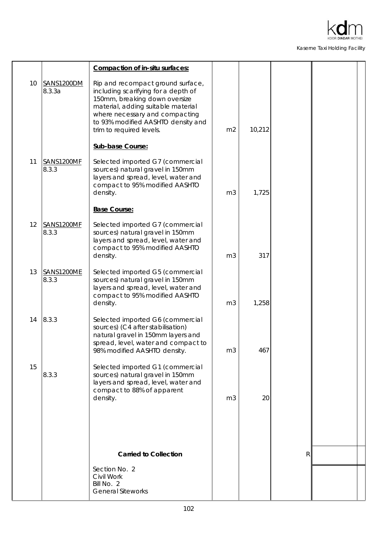

|    |                             | Compaction of in-situ surfaces:                                                                                                                                                                                                                     |                |        |              |  |
|----|-----------------------------|-----------------------------------------------------------------------------------------------------------------------------------------------------------------------------------------------------------------------------------------------------|----------------|--------|--------------|--|
| 10 | <b>SANS1200DM</b><br>8.3.3a | Rip and recompact ground surface,<br>including scarifying for a depth of<br>150mm, breaking down oversize<br>material, adding suitable material<br>where necessary and compacting<br>to 93% modified AASHTO density and<br>trim to required levels. | m <sub>2</sub> | 10,212 |              |  |
|    |                             | Sub-base Course:                                                                                                                                                                                                                                    |                |        |              |  |
| 11 | SANS1200MF<br>8.3.3         | Selected imported G7 (commercial<br>sources) natural gravel in 150mm<br>layers and spread, level, water and<br>compact to 95% modified AASHTO<br>density.                                                                                           | m <sub>3</sub> | 1,725  |              |  |
|    |                             | <b>Base Course:</b>                                                                                                                                                                                                                                 |                |        |              |  |
| 12 | SANS1200MF<br>8.3.3         | Selected imported G7 (commercial<br>sources) natural gravel in 150mm<br>layers and spread, level, water and<br>compact to 95% modified AASHTO<br>density.                                                                                           | m <sub>3</sub> | 317    |              |  |
| 13 | SANS1200ME<br>8.3.3         | Selected imported G5 (commercial<br>sources) natural gravel in 150mm<br>layers and spread, level, water and<br>compact to 95% modified AASHTO<br>density.                                                                                           | m <sub>3</sub> | 1,258  |              |  |
| 14 | 8.3.3                       | Selected imported G6 (commercial<br>sources) (C4 after stabilisation)<br>natural gravel in 150mm layers and<br>spread, level, water and compact to<br>98% modified AASHTO density.                                                                  | m <sub>3</sub> | 467    |              |  |
| 15 | 8.3.3                       | Selected imported G1 (commercial<br>sources) natural gravel in 150mm<br>layers and spread, level, water and<br>compact to 88% of apparent<br>density.                                                                                               | m <sub>3</sub> | 20     |              |  |
|    |                             |                                                                                                                                                                                                                                                     |                |        |              |  |
|    |                             | <b>Carried to Collection</b>                                                                                                                                                                                                                        |                |        | $\mathsf{R}$ |  |
|    |                             | Section No. 2                                                                                                                                                                                                                                       |                |        |              |  |
|    |                             | Civil Work<br>Bill No. 2<br><b>General Siteworks</b>                                                                                                                                                                                                |                |        |              |  |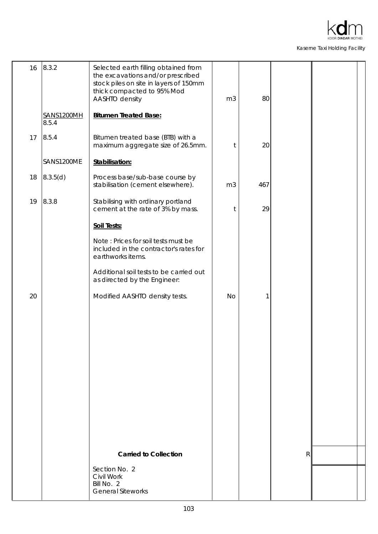

| 16 | 8.3.2               | Selected earth filling obtained from<br>the excavations and/or prescribed<br>stock piles on site in layers of 150mm<br>thick compacted to 95% Mod<br>AASHTO density | m <sub>3</sub> | 80  |   |  |
|----|---------------------|---------------------------------------------------------------------------------------------------------------------------------------------------------------------|----------------|-----|---|--|
|    | SANS1200MH<br>8.5.4 | <b>Bitumen Treated Base:</b>                                                                                                                                        |                |     |   |  |
| 17 | 8.5.4               | Bitumen treated base (BTB) with a<br>maximum aggregate size of 26.5mm.                                                                                              | $\mathfrak{t}$ | 20  |   |  |
|    | SANS1200ME          | Stabilisation:                                                                                                                                                      |                |     |   |  |
| 18 | 8.3.5(d)            | Process base/sub-base course by<br>stabilisation (cement elsewhere).                                                                                                | m <sub>3</sub> | 467 |   |  |
| 19 | 8.3.8               | Stabilising with ordinary portland<br>cement at the rate of 3% by mass.                                                                                             | t              | 29  |   |  |
|    |                     | Soil Tests:                                                                                                                                                         |                |     |   |  |
|    |                     | Note: Prices for soil tests must be<br>included in the contractor's rates for<br>earthworks items.                                                                  |                |     |   |  |
|    |                     | Additional soil tests to be carried out<br>as directed by the Engineer:                                                                                             |                |     |   |  |
| 20 |                     | Modified AASHTO density tests.                                                                                                                                      | <b>No</b>      | 1   |   |  |
|    |                     |                                                                                                                                                                     |                |     |   |  |
|    |                     |                                                                                                                                                                     |                |     |   |  |
|    |                     |                                                                                                                                                                     |                |     |   |  |
|    |                     |                                                                                                                                                                     |                |     |   |  |
|    |                     |                                                                                                                                                                     |                |     |   |  |
|    |                     |                                                                                                                                                                     |                |     |   |  |
|    |                     |                                                                                                                                                                     |                |     |   |  |
|    |                     |                                                                                                                                                                     |                |     |   |  |
|    |                     |                                                                                                                                                                     |                |     |   |  |
|    |                     | <b>Carried to Collection</b>                                                                                                                                        |                |     | R |  |
|    |                     | Section No. 2<br>Civil Work<br>Bill No. 2<br><b>General Siteworks</b>                                                                                               |                |     |   |  |
|    |                     |                                                                                                                                                                     |                |     |   |  |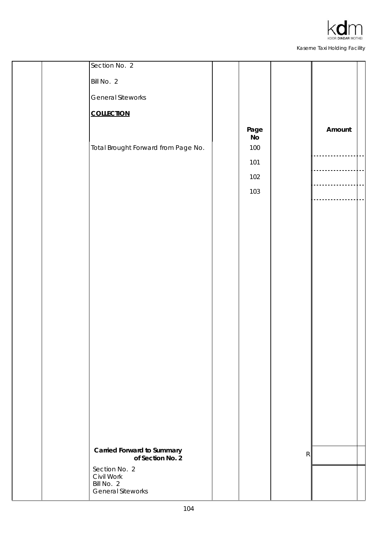

| Section No. 2                          |                          |           |        |  |
|----------------------------------------|--------------------------|-----------|--------|--|
| Bill No. 2                             |                          |           |        |  |
| <b>General Siteworks</b>               |                          |           |        |  |
| <b>COLLECTION</b>                      |                          |           |        |  |
| Total Brought Forward from Page No.    | Page<br><b>No</b><br>100 |           | Amount |  |
|                                        | 101                      |           |        |  |
|                                        | 102                      |           |        |  |
|                                        | 103                      |           |        |  |
|                                        |                          |           |        |  |
|                                        |                          |           |        |  |
|                                        |                          |           |        |  |
|                                        |                          |           |        |  |
|                                        |                          |           |        |  |
|                                        |                          |           |        |  |
|                                        |                          |           |        |  |
|                                        |                          |           |        |  |
|                                        |                          |           |        |  |
|                                        |                          |           |        |  |
|                                        |                          |           |        |  |
|                                        |                          |           |        |  |
|                                        |                          |           |        |  |
|                                        |                          |           |        |  |
|                                        |                          |           |        |  |
|                                        |                          |           |        |  |
| <b>Carried Forward to Summary</b>      |                          |           |        |  |
| of Section No. 2                       |                          | ${\sf R}$ |        |  |
| Section No. 2<br>Civil Work            |                          |           |        |  |
| Bill No. 2<br><b>General Siteworks</b> |                          |           |        |  |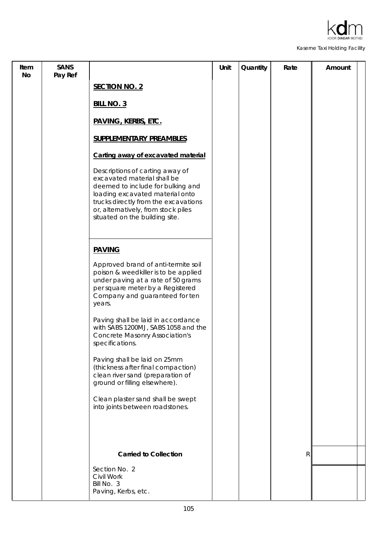

| Item<br>No | <b>SANS</b><br>Pay Ref |                                                                                                                                                                                                                                                         | Unit | Quantity | Rate         | Amount |
|------------|------------------------|---------------------------------------------------------------------------------------------------------------------------------------------------------------------------------------------------------------------------------------------------------|------|----------|--------------|--------|
|            |                        | <b>SECTION NO. 2</b>                                                                                                                                                                                                                                    |      |          |              |        |
|            |                        | <b>BILL NO. 3</b>                                                                                                                                                                                                                                       |      |          |              |        |
|            |                        | <b>PAVING, KERBS, ETC.</b>                                                                                                                                                                                                                              |      |          |              |        |
|            |                        | <b>SUPPLEMENTARY PREAMBLES</b>                                                                                                                                                                                                                          |      |          |              |        |
|            |                        | Carting away of excavated material                                                                                                                                                                                                                      |      |          |              |        |
|            |                        | Descriptions of carting away of<br>excavated material shall be<br>deemed to include for bulking and<br>loading excavated material onto<br>trucks directly from the excavations<br>or, alternatively, from stock piles<br>situated on the building site. |      |          |              |        |
|            |                        | <b>PAVING</b>                                                                                                                                                                                                                                           |      |          |              |        |
|            |                        | Approved brand of anti-termite soil<br>poison & weedkiller is to be applied<br>under paving at a rate of 50 grams<br>per square meter by a Registered<br>Company and guaranteed for ten<br>years.                                                       |      |          |              |        |
|            |                        | Paving shall be laid in accordance<br>with SABS 1200MJ, SABS 1058 and the<br><b>Concrete Masonry Association's</b><br>specifications.                                                                                                                   |      |          |              |        |
|            |                        | Paving shall be laid on 25mm<br>(thickness after final compaction)<br>clean river sand (preparation of<br>ground or filling elsewhere).                                                                                                                 |      |          |              |        |
|            |                        | Clean plaster sand shall be swept<br>into joints between roadstones.                                                                                                                                                                                    |      |          |              |        |
|            |                        |                                                                                                                                                                                                                                                         |      |          |              |        |
|            |                        | <b>Carried to Collection</b>                                                                                                                                                                                                                            |      |          | $\mathsf{R}$ |        |
|            |                        | Section No. 2<br>Civil Work<br>Bill No. 3<br>Paving, Kerbs, etc.                                                                                                                                                                                        |      |          |              |        |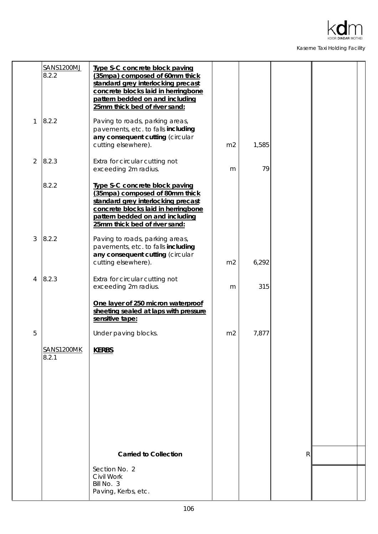

|                | <b>SANS1200MJ</b><br>8.2.2 | Type S-C concrete block paving<br>(35mpa) composed of 60mm thick<br>standard grey interlocking precast<br>concrete blocks laid in herringbone<br>pattern bedded on and including<br>25mm thick bed of river sand: |                |       |   |  |
|----------------|----------------------------|-------------------------------------------------------------------------------------------------------------------------------------------------------------------------------------------------------------------|----------------|-------|---|--|
| 1              | 8.2.2                      | Paving to roads, parking areas,<br>pavements, etc. to falls including<br>any consequent cutting (circular<br>cutting elsewhere).                                                                                  | m <sub>2</sub> | 1,585 |   |  |
| $\overline{2}$ | 8.2.3                      | Extra for circular cutting not<br>exceeding 2m radius.                                                                                                                                                            | m              | 79    |   |  |
|                | 8.2.2                      | Type S-C concrete block paving<br>(35mpa) composed of 80mm thick<br>standard grey interlocking precast<br>concrete blocks laid in herringbone<br>pattern bedded on and including<br>25mm thick bed of river sand: |                |       |   |  |
| 3              | 8.2.2                      | Paving to roads, parking areas,<br>pavements, etc. to falls including<br>any consequent cutting (circular<br>cutting elsewhere).                                                                                  | m <sub>2</sub> | 6,292 |   |  |
| 4              | 8.2.3                      | Extra for circular cutting not<br>exceeding 2m radius.                                                                                                                                                            | m              | 315   |   |  |
|                |                            | One layer of 250 micron waterproof<br>sheeting sealed at laps with pressure<br>sensitive tape:                                                                                                                    |                |       |   |  |
| 5              |                            | Under paving blocks.                                                                                                                                                                                              | m <sub>2</sub> | 7,877 |   |  |
|                | SANS1200MK<br>8.2.1        | <b>KERBS</b>                                                                                                                                                                                                      |                |       |   |  |
|                |                            |                                                                                                                                                                                                                   |                |       |   |  |
|                |                            |                                                                                                                                                                                                                   |                |       |   |  |
|                |                            |                                                                                                                                                                                                                   |                |       |   |  |
|                |                            | <b>Carried to Collection</b>                                                                                                                                                                                      |                |       | R |  |
|                |                            | Section No. 2<br>Civil Work<br>Bill No. 3<br>Paving, Kerbs, etc.                                                                                                                                                  |                |       |   |  |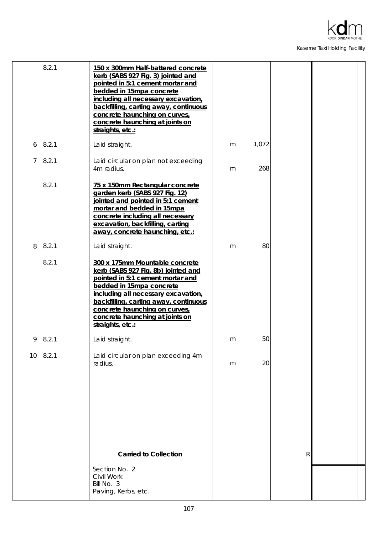

|    | 8.2.1 | 150 x 300mm Half-battered concrete<br>kerb (SABS 927 Fig. 3) jointed and<br>pointed in 5:1 cement mortar and<br>bedded in 15mpa concrete<br>including all necessary excavation,<br>backfilling, carting away, continuous<br>concrete haunching on curves,<br>concrete haunching at joints on<br>straights, etc.: |   |       |   |  |
|----|-------|------------------------------------------------------------------------------------------------------------------------------------------------------------------------------------------------------------------------------------------------------------------------------------------------------------------|---|-------|---|--|
| 6  | 8.2.1 | Laid straight.                                                                                                                                                                                                                                                                                                   | m | 1,072 |   |  |
| 7  | 8.2.1 | Laid circular on plan not exceeding<br>4m radius.                                                                                                                                                                                                                                                                | m | 268   |   |  |
|    | 8.2.1 | 75 x 150mm Rectangular concrete<br>garden kerb (SABS 927 Fig. 12)<br>jointed and pointed in 5:1 cement<br>mortar and bedded in 15mpa<br>concrete including all necessary<br>excavation, backfilling, carting<br>away, concrete haunching, etc.:                                                                  |   |       |   |  |
| 8  | 8.2.1 | Laid straight.                                                                                                                                                                                                                                                                                                   | m | 80    |   |  |
|    | 8.2.1 | 300 x 175mm Mountable concrete<br>kerb (SABS 927 Fig. 8b) jointed and<br>pointed in 5:1 cement mortar and<br>bedded in 15mpa concrete<br>including all necessary excavation,<br>backfilling, carting away, continuous<br>concrete haunching on curves,<br>concrete haunching at joints on<br>straights, etc.:    |   |       |   |  |
| 9  | 8.2.1 | Laid straight.                                                                                                                                                                                                                                                                                                   | m | 50    |   |  |
| 10 | 8.2.1 | Laid circular on plan exceeding 4m<br>radius.                                                                                                                                                                                                                                                                    | m | 20    |   |  |
|    |       |                                                                                                                                                                                                                                                                                                                  |   |       |   |  |
|    |       | <b>Carried to Collection</b>                                                                                                                                                                                                                                                                                     |   |       | R |  |
|    |       | Section No. 2<br>Civil Work<br>Bill No. 3<br>Paving, Kerbs, etc.                                                                                                                                                                                                                                                 |   |       |   |  |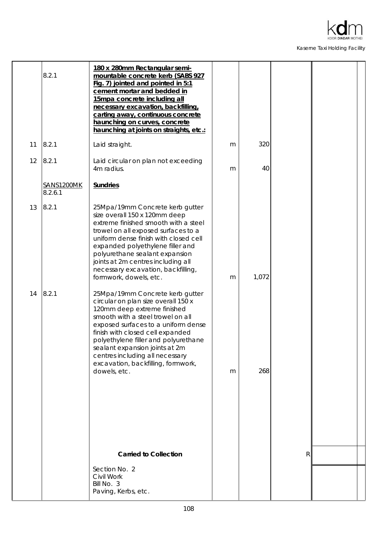

|    | 8.2.1                 | 180 x 280mm Rectangular semi-<br>mountable concrete kerb (SABS 927<br>Fig. 7) jointed and pointed in 5:1<br>cement mortar and bedded in<br>15mpa concrete including all<br>necessary excavation, backfilling,<br>carting away, continuous concrete<br>haunching on curves, concrete<br>haunching at joints on straights, etc.:                                           |   |       |   |  |
|----|-----------------------|--------------------------------------------------------------------------------------------------------------------------------------------------------------------------------------------------------------------------------------------------------------------------------------------------------------------------------------------------------------------------|---|-------|---|--|
| 11 | 8.2.1                 | Laid straight.                                                                                                                                                                                                                                                                                                                                                           | m | 320   |   |  |
| 12 | 8.2.1                 | Laid circular on plan not exceeding<br>4m radius.                                                                                                                                                                                                                                                                                                                        | m | 40    |   |  |
|    | SANS1200MK<br>8.2.6.1 | <b>Sundries</b>                                                                                                                                                                                                                                                                                                                                                          |   |       |   |  |
| 13 | 8.2.1                 | 25Mpa/19mm Concrete kerb gutter<br>size overall 150 x 120mm deep<br>extreme finished smooth with a steel<br>trowel on all exposed surfaces to a<br>uniform dense finish with closed cell<br>expanded polyethylene filler and<br>polyurethane sealant expansion<br>joints at 2m centres including all<br>necessary excavation, backfilling,<br>formwork, dowels, etc.     | m | 1,072 |   |  |
| 14 | 8.2.1                 | 25Mpa/19mm Concrete kerb gutter<br>circular on plan size overall 150 x<br>120mm deep extreme finished<br>smooth with a steel trowel on all<br>exposed surfaces to a uniform dense<br>finish with closed cell expanded<br>polyethylene filler and polyurethane<br>sealant expansion joints at 2m<br>centres including all necessary<br>excavation, backfilling, formwork, |   |       |   |  |
|    |                       | dowels, etc.                                                                                                                                                                                                                                                                                                                                                             | m | 268   |   |  |
|    |                       |                                                                                                                                                                                                                                                                                                                                                                          |   |       |   |  |
|    |                       | <b>Carried to Collection</b>                                                                                                                                                                                                                                                                                                                                             |   |       | R |  |
|    |                       | Section No. 2<br>Civil Work<br>Bill No. 3<br>Paving, Kerbs, etc.                                                                                                                                                                                                                                                                                                         |   |       |   |  |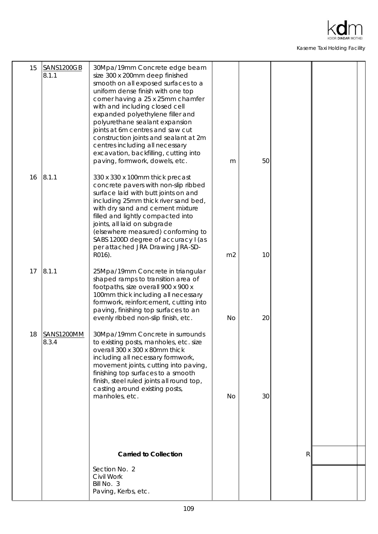

| 15 | SANS1200GB<br> 8.1.1 | 30Mpa/19mm Concrete edge beam<br>size 300 x 200mm deep finished<br>smooth on all exposed surfaces to a<br>uniform dense finish with one top<br>corner having a 25 x 25mm chamfer<br>with and including closed cell<br>expanded polyethylene filler and<br>polyurethane sealant expansion<br>joints at 6m centres and saw cut<br>construction joints and sealant at 2m<br>centres including all necessary<br>excavation, backfilling, cutting into<br>paving, formwork, dowels, etc. | m              | 50 |              |  |
|----|----------------------|-------------------------------------------------------------------------------------------------------------------------------------------------------------------------------------------------------------------------------------------------------------------------------------------------------------------------------------------------------------------------------------------------------------------------------------------------------------------------------------|----------------|----|--------------|--|
| 16 | 8.1.1                | 330 x 330 x 100mm thick precast<br>concrete pavers with non-slip ribbed<br>surface laid with butt joints on and<br>including 25mm thick river sand bed,<br>with dry sand and cement mixture<br>filled and lightly compacted into<br>joints, all laid on subgrade<br>(elsewhere measured) conforming to<br>SABS 1200D degree of accuracy I (as<br>per attached JRA Drawing JRA-SD-<br>R016).                                                                                         | m <sub>2</sub> | 10 |              |  |
| 17 | 8.1.1                | 25Mpa/19mm Concrete in triangular<br>shaped ramps to transition area of<br>footpaths, size overall 900 x 900 x<br>100mm thick including all necessary<br>formwork, reinforcement, cutting into<br>paving, finishing top surfaces to an<br>evenly ribbed non-slip finish, etc.                                                                                                                                                                                                       | <b>No</b>      | 20 |              |  |
| 18 | SANS1200MM<br>8.3.4  | 30Mpa/19mm Concrete in surrounds<br>to existing posts, manholes, etc. size<br>overall 300 x 300 x 80mm thick<br>including all necessary formwork,<br>movement joints, cutting into paving,<br>finishing top surfaces to a smooth<br>finish, steel ruled joints all round top,<br>casting around existing posts,<br>manholes, etc.                                                                                                                                                   | <b>No</b>      | 30 |              |  |
|    |                      |                                                                                                                                                                                                                                                                                                                                                                                                                                                                                     |                |    |              |  |
|    |                      | <b>Carried to Collection</b>                                                                                                                                                                                                                                                                                                                                                                                                                                                        |                |    | $\mathsf{R}$ |  |
|    |                      | Section No. 2<br>Civil Work<br>Bill No. 3<br>Paving, Kerbs, etc.                                                                                                                                                                                                                                                                                                                                                                                                                    |                |    |              |  |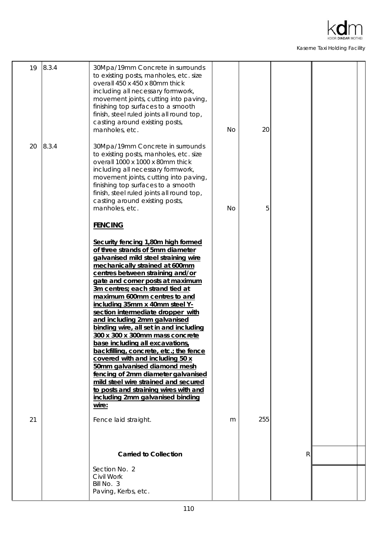

| 30Mpa/19mm Concrete in surrounds<br>to existing posts, manholes, etc. size<br>overall 1000 x 1000 x 80mm thick<br>including all necessary formwork,<br>movement joints, cutting into paving,<br>finishing top surfaces to a smooth<br>finish, steel ruled joints all round top,<br>casting around existing posts,<br>manholes, etc.<br><b>FENCING</b><br>Security fencing 1,80m high formed<br>of three strands of 5mm diameter<br>galvanised mild steel straining wire<br>mechanically strained at 600mm<br>centres between straining and/or<br>gate and corner posts at maximum | No | 5 |                     |                     |
|-----------------------------------------------------------------------------------------------------------------------------------------------------------------------------------------------------------------------------------------------------------------------------------------------------------------------------------------------------------------------------------------------------------------------------------------------------------------------------------------------------------------------------------------------------------------------------------|----|---|---------------------|---------------------|
|                                                                                                                                                                                                                                                                                                                                                                                                                                                                                                                                                                                   |    |   |                     |                     |
| 3m centres; each strand tied at<br>maximum 600mm centres to and<br>including 35mm x 40mm steel Y-<br>section intermediate dropper with<br>and including 2mm galvanised<br>binding wire, all set in and including<br>300 x 300 x 300mm mass concrete<br>base including all excavations,<br>backfilling, concrete, etc.; the fence<br>covered with and including 50 x<br>50mm galvanised diamond mesh<br>fencing of 2mm diameter galvanised<br>mild steel wire strained and secured<br>to posts and straining wires with and<br>including 2mm galvanised binding<br>wire:           |    |   |                     |                     |
| Fence laid straight.                                                                                                                                                                                                                                                                                                                                                                                                                                                                                                                                                              | m  |   |                     |                     |
| <b>Carried to Collection</b><br>Section No. 2<br>Civil Work<br>Bill No. 3                                                                                                                                                                                                                                                                                                                                                                                                                                                                                                         |    |   |                     |                     |
|                                                                                                                                                                                                                                                                                                                                                                                                                                                                                                                                                                                   |    |   | Paving, Kerbs, etc. | 255<br>$\mathsf{R}$ |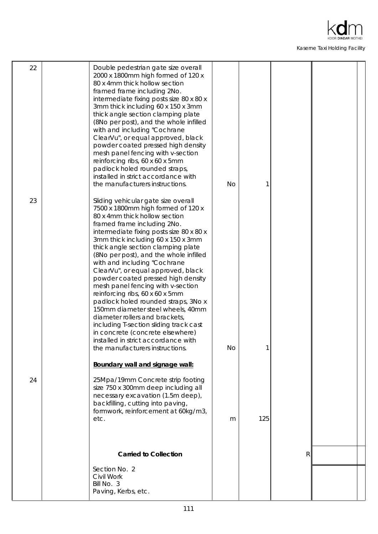

| 22 | Double pedestrian gate size overall<br>2000 x 1800mm high formed of 120 x<br>80 x 4mm thick hollow section<br>framed frame including 2No.<br>intermediate fixing posts size 80 x 80 x<br>3mm thick including 60 x 150 x 3mm<br>thick angle section clamping plate<br>(8No per post), and the whole infilled<br>with and including "Cochrane<br>ClearVu", or equal approved, black<br>powder coated pressed high density<br>mesh panel fencing with v-section<br>reinforcing ribs, 60 x 60 x 5mm<br>padlock holed rounded straps,<br>installed in strict accordance with<br>the manufacturers instructions.                                                                                                                                                            | No        |     |   |  |
|----|-----------------------------------------------------------------------------------------------------------------------------------------------------------------------------------------------------------------------------------------------------------------------------------------------------------------------------------------------------------------------------------------------------------------------------------------------------------------------------------------------------------------------------------------------------------------------------------------------------------------------------------------------------------------------------------------------------------------------------------------------------------------------|-----------|-----|---|--|
| 23 | Sliding vehicular gate size overall<br>7500 x 1800mm high formed of 120 x<br>80 x 4mm thick hollow section<br>framed frame including 2No.<br>intermediate fixing posts size 80 x 80 x<br>3mm thick including 60 x 150 x 3mm<br>thick angle section clamping plate<br>(8No per post), and the whole infilled<br>with and including "Cochrane<br>ClearVu", or equal approved, black<br>powder coated pressed high density<br>mesh panel fencing with v-section<br>reinforcing ribs, 60 x 60 x 5mm<br>padlock holed rounded straps, 3No x<br>150mm diameter steel wheels, 40mm<br>diameter rollers and brackets,<br>including T-section sliding track cast<br>in concrete (concrete elsewhere)<br>installed in strict accordance with<br>the manufacturers instructions. | <b>No</b> |     |   |  |
| 24 | Boundary wall and signage wall:<br>25Mpa/19mm Concrete strip footing                                                                                                                                                                                                                                                                                                                                                                                                                                                                                                                                                                                                                                                                                                  |           |     |   |  |
|    | size 750 x 300mm deep including all<br>necessary excavation (1.5m deep),<br>backfilling, cutting into paving,<br>formwork, reinforcement at 60kg/m3,<br>etc.                                                                                                                                                                                                                                                                                                                                                                                                                                                                                                                                                                                                          | m         | 125 |   |  |
|    | <b>Carried to Collection</b>                                                                                                                                                                                                                                                                                                                                                                                                                                                                                                                                                                                                                                                                                                                                          |           |     | R |  |
|    | Section No. 2<br>Civil Work<br>Bill No. 3<br>Paving, Kerbs, etc.                                                                                                                                                                                                                                                                                                                                                                                                                                                                                                                                                                                                                                                                                                      |           |     |   |  |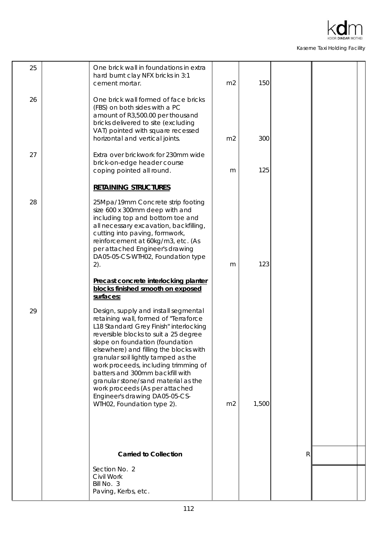

| 25 | One brick wall in foundations in extra<br>hard burnt clay NFX bricks in 3:1<br>cement mortar.                                                                                                                                                                                                                                                                                                                                                                                                            | m <sub>2</sub> | 150   |              |  |
|----|----------------------------------------------------------------------------------------------------------------------------------------------------------------------------------------------------------------------------------------------------------------------------------------------------------------------------------------------------------------------------------------------------------------------------------------------------------------------------------------------------------|----------------|-------|--------------|--|
| 26 | One brick wall formed of face bricks<br>(FBS) on both sides with a PC<br>amount of R3,500.00 per thousand<br>bricks delivered to site (excluding<br>VAT) pointed with square recessed<br>horizontal and vertical joints.                                                                                                                                                                                                                                                                                 | m <sub>2</sub> | 300   |              |  |
| 27 | Extra over brickwork for 230mm wide<br>brick-on-edge header course<br>coping pointed all round.                                                                                                                                                                                                                                                                                                                                                                                                          | m              | 125   |              |  |
|    | <b>RETAINING STRUCTURES</b>                                                                                                                                                                                                                                                                                                                                                                                                                                                                              |                |       |              |  |
| 28 | 25Mpa/19mm Concrete strip footing<br>size 600 x 300mm deep with and<br>including top and bottom toe and<br>all necessary excavation, backfilling,<br>cutting into paving, formwork,<br>reinforcement at 60kg/m3, etc. (As<br>per attached Engineer's drawing<br>DA05-05-CS-WTH02, Foundation type<br>2).                                                                                                                                                                                                 | m              | 123   |              |  |
|    | Precast concrete interlocking planter<br>blocks finished smooth on exposed<br>surfaces:                                                                                                                                                                                                                                                                                                                                                                                                                  |                |       |              |  |
| 29 | Design, supply and install segmental<br>retaining wall, formed of "Terraforce<br>L18 Standard Grey Finish" interlocking<br>reversible blocks to suit a 25 degree<br>slope on foundation (foundation<br>elsewhere) and filling the blocks with<br>granular soil lightly tamped as the<br>work proceeds, including trimming of<br>batters and 300mm backfill with<br>granular stone/sand material as the<br>work proceeds (As per attached<br>Engineer's drawing DA05-05-CS-<br>WTH02, Foundation type 2). | m <sub>2</sub> | 1,500 |              |  |
|    |                                                                                                                                                                                                                                                                                                                                                                                                                                                                                                          |                |       |              |  |
|    | <b>Carried to Collection</b>                                                                                                                                                                                                                                                                                                                                                                                                                                                                             |                |       | $\mathsf{R}$ |  |
|    | Section No. 2<br>Civil Work<br>Bill No. 3<br>Paving, Kerbs, etc.                                                                                                                                                                                                                                                                                                                                                                                                                                         |                |       |              |  |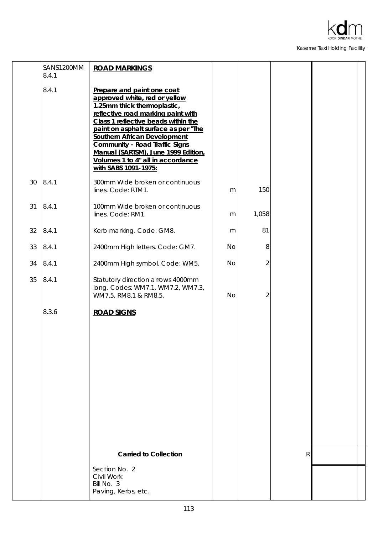

÷

Kaserne Taxi Holding Facility

÷

|    | SANS1200MM<br>8.4.1 | <b>ROAD MARKINGS</b>                                                                                                                                                                                                                                                                                                                                                                                |           |                |   |  |
|----|---------------------|-----------------------------------------------------------------------------------------------------------------------------------------------------------------------------------------------------------------------------------------------------------------------------------------------------------------------------------------------------------------------------------------------------|-----------|----------------|---|--|
|    | 8.4.1               | Prepare and paint one coat<br>approved white, red or yellow<br>1.25mm thick thermoplastic,<br>reflective road marking paint with<br>Class 1 reflective beads within the<br>paint on asphalt surface as per "The<br><b>Southern African Development</b><br><b>Community - Road Traffic Signs</b><br>Manual (SARTSM), June 1999 Edition,<br>Volumes 1 to 4" all in accordance<br>with SABS 1091-1975: |           |                |   |  |
| 30 | 8.4.1               | 300mm Wide broken or continuous<br>lines. Code: RTM1.                                                                                                                                                                                                                                                                                                                                               | m         | 150            |   |  |
| 31 | 8.4.1               | 100mm Wide broken or continuous<br>lines. Code: RM1.                                                                                                                                                                                                                                                                                                                                                | m         | 1,058          |   |  |
| 32 | 8.4.1               | Kerb marking. Code: GM8.                                                                                                                                                                                                                                                                                                                                                                            | m         | 81             |   |  |
| 33 | 8.4.1               | 2400mm High letters. Code: GM7.                                                                                                                                                                                                                                                                                                                                                                     | <b>No</b> | 8              |   |  |
| 34 | 8.4.1               | 2400mm High symbol. Code: WM5.                                                                                                                                                                                                                                                                                                                                                                      | <b>No</b> | 2              |   |  |
| 35 | 8.4.1               | Statutory direction arrows 4000mm<br>long. Codes: WM7.1, WM7.2, WM7.3,<br>WM7.5, RM8.1 & RM8.5.                                                                                                                                                                                                                                                                                                     | <b>No</b> | $\overline{2}$ |   |  |
|    | 8.3.6               | <b>ROAD SIGNS</b><br><b>Carried to Collection</b>                                                                                                                                                                                                                                                                                                                                                   |           |                | R |  |
|    |                     | Section No. 2<br>Civil Work<br>Bill No. 3<br>Paving, Kerbs, etc.                                                                                                                                                                                                                                                                                                                                    |           |                |   |  |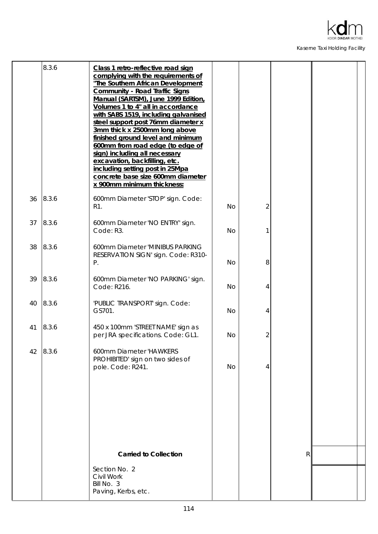

|    | 8.3.6 | Class 1 retro-reflective road sign<br>complying with the requirements of<br>"The Southern African Development<br><b>Community - Road Traffic Signs</b><br>Manual (SARTSM), June 1999 Edition,<br>Volumes 1 to 4" all in accordance<br>with SABS 1519, including galvanised<br>steel support post 76mm diameter x<br>3mm thick x 2500mm long above<br>finished ground level and minimum<br>600mm from road edge (to edge of<br>sign) including all necessary<br>excavation, backfilling, etc.<br>including setting post in 25Mpa<br>concrete base size 600mm diameter<br>x 900mm minimum thickness: |           |                |              |  |
|----|-------|----------------------------------------------------------------------------------------------------------------------------------------------------------------------------------------------------------------------------------------------------------------------------------------------------------------------------------------------------------------------------------------------------------------------------------------------------------------------------------------------------------------------------------------------------------------------------------------------------|-----------|----------------|--------------|--|
| 36 | 8.3.6 | 600mm Diameter 'STOP' sign. Code:<br>R1.                                                                                                                                                                                                                                                                                                                                                                                                                                                                                                                                                           | <b>No</b> | $\overline{2}$ |              |  |
| 37 | 8.3.6 | 600mm Diameter 'NO ENTRY' sign.<br>Code: R3.                                                                                                                                                                                                                                                                                                                                                                                                                                                                                                                                                       | <b>No</b> |                |              |  |
| 38 | 8.3.6 | 600mm Diameter 'MINIBUS PARKING<br>RESERVATION SIGN' sign. Code: R310-<br>Ρ.                                                                                                                                                                                                                                                                                                                                                                                                                                                                                                                       | <b>No</b> | 8              |              |  |
| 39 | 8.3.6 | 600mm Diameter 'NO PARKING' sign.<br>Code: R216.                                                                                                                                                                                                                                                                                                                                                                                                                                                                                                                                                   | <b>No</b> | 4              |              |  |
| 40 | 8.3.6 | 'PUBLIC TRANSPORT' sign. Code:<br>GS701.                                                                                                                                                                                                                                                                                                                                                                                                                                                                                                                                                           | <b>No</b> | 4              |              |  |
| 41 | 8.3.6 | 450 x 100mm 'STREET NAME' sign as<br>per JRA specifications. Code: GL1.                                                                                                                                                                                                                                                                                                                                                                                                                                                                                                                            | <b>No</b> | 2              |              |  |
| 42 | 8.3.6 | 600mm Diameter 'HAWKERS<br>PROHIBITED' sign on two sides of<br>pole. Code: R241.                                                                                                                                                                                                                                                                                                                                                                                                                                                                                                                   | <b>No</b> | 4              |              |  |
|    |       |                                                                                                                                                                                                                                                                                                                                                                                                                                                                                                                                                                                                    |           |                |              |  |
|    |       |                                                                                                                                                                                                                                                                                                                                                                                                                                                                                                                                                                                                    |           |                |              |  |
|    |       | <b>Carried to Collection</b>                                                                                                                                                                                                                                                                                                                                                                                                                                                                                                                                                                       |           |                | $\mathsf{R}$ |  |
|    |       | Section No. 2<br>Civil Work<br>Bill No. 3<br>Paving, Kerbs, etc.                                                                                                                                                                                                                                                                                                                                                                                                                                                                                                                                   |           |                |              |  |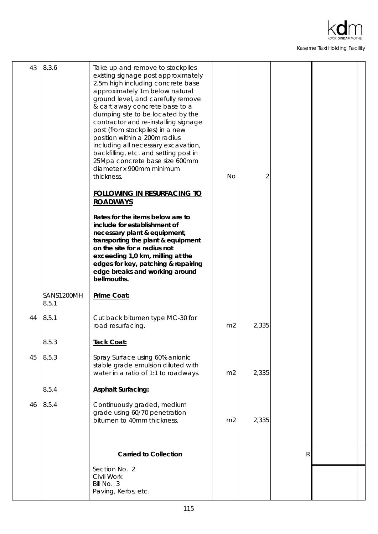

| 43 | 8.3.6               | Take up and remove to stockpiles<br>existing signage post approximately<br>2.5m high including concrete base<br>approximately 1m below natural<br>ground level, and carefully remove<br>& cart away concrete base to a<br>dumping site to be located by the<br>contractor and re-installing signage<br>post (from stockpiles) in a new<br>position within a 200m radius<br>including all necessary excavation,<br>backfilling, etc. and setting post in<br>25Mpa concrete base size 600mm<br>diameter x 900mm minimum<br>thickness. | <b>No</b>      | 2     |   |  |
|----|---------------------|-------------------------------------------------------------------------------------------------------------------------------------------------------------------------------------------------------------------------------------------------------------------------------------------------------------------------------------------------------------------------------------------------------------------------------------------------------------------------------------------------------------------------------------|----------------|-------|---|--|
|    |                     | <b>FOLLOWING IN RESURFACING TO</b><br><b>ROADWAYS</b>                                                                                                                                                                                                                                                                                                                                                                                                                                                                               |                |       |   |  |
|    |                     | Rates for the items below are to<br>include for establishment of<br>necessary plant & equipment,<br>transporting the plant & equipment<br>on the site for a radius not<br>exceeding 1,0 km, milling at the<br>edges for key, patching & repairing<br>edge breaks and working around<br>bellmouths.                                                                                                                                                                                                                                  |                |       |   |  |
|    | SANS1200MH<br>8.5.1 | Prime Coat:                                                                                                                                                                                                                                                                                                                                                                                                                                                                                                                         |                |       |   |  |
| 44 | 8.5.1               | Cut back bitumen type MC-30 for<br>road resurfacing.                                                                                                                                                                                                                                                                                                                                                                                                                                                                                | m <sub>2</sub> | 2,335 |   |  |
|    | 8.5.3               | Tack Coat:                                                                                                                                                                                                                                                                                                                                                                                                                                                                                                                          |                |       |   |  |
| 45 | 8.5.3               | Spray Surface using 60% anionic<br>stable grade emulsion diluted with<br>water in a ratio of 1:1 to roadways.                                                                                                                                                                                                                                                                                                                                                                                                                       | m <sub>2</sub> | 2,335 |   |  |
|    | 8.5.4               | <b>Asphalt Surfacing:</b>                                                                                                                                                                                                                                                                                                                                                                                                                                                                                                           |                |       |   |  |
| 46 | 8.5.4               | Continuously graded, medium<br>grade using 60/70 penetration<br>bitumen to 40mm thickness.                                                                                                                                                                                                                                                                                                                                                                                                                                          | m <sub>2</sub> | 2,335 |   |  |
|    |                     | <b>Carried to Collection</b>                                                                                                                                                                                                                                                                                                                                                                                                                                                                                                        |                |       | R |  |
|    |                     | Section No. 2<br>Civil Work<br>Bill No. 3<br>Paving, Kerbs, etc.                                                                                                                                                                                                                                                                                                                                                                                                                                                                    |                |       |   |  |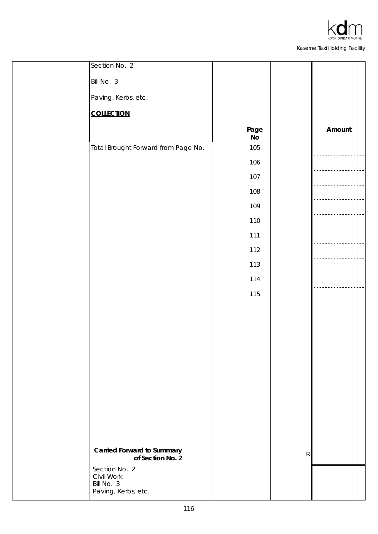

|  | Section No. 2                                         |            |                           |        |  |
|--|-------------------------------------------------------|------------|---------------------------|--------|--|
|  | Bill No. 3                                            |            |                           |        |  |
|  | Paving, Kerbs, etc.                                   |            |                           |        |  |
|  | <b>COLLECTION</b>                                     |            |                           |        |  |
|  |                                                       | Page<br>No |                           | Amount |  |
|  | Total Brought Forward from Page No.                   | 105        |                           |        |  |
|  |                                                       | 106        |                           |        |  |
|  |                                                       | 107        |                           |        |  |
|  |                                                       | 108        |                           |        |  |
|  |                                                       | 109        |                           |        |  |
|  |                                                       | 110        |                           |        |  |
|  |                                                       | $111$      |                           |        |  |
|  |                                                       | 112        |                           |        |  |
|  |                                                       | 113        |                           |        |  |
|  |                                                       | 114        |                           |        |  |
|  |                                                       | 115        |                           |        |  |
|  |                                                       |            |                           |        |  |
|  |                                                       |            |                           |        |  |
|  |                                                       |            |                           |        |  |
|  |                                                       |            |                           |        |  |
|  |                                                       |            |                           |        |  |
|  |                                                       |            |                           |        |  |
|  |                                                       |            |                           |        |  |
|  |                                                       |            |                           |        |  |
|  |                                                       |            |                           |        |  |
|  |                                                       |            |                           |        |  |
|  | <b>Carried Forward to Summary</b><br>of Section No. 2 |            | $\ensuremath{\mathsf{R}}$ |        |  |
|  | Section No. 2                                         |            |                           |        |  |
|  | Civil Work<br>Bill No. 3                              |            |                           |        |  |
|  | Paving, Kerbs, etc.                                   |            |                           |        |  |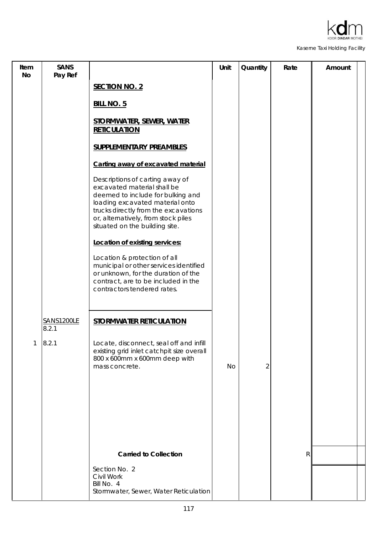

| Item<br><b>No</b> | <b>SANS</b><br>Pay Ref |                                                                                                                                                                                                                                                         | Unit | Quantity       | Rate         | Amount |
|-------------------|------------------------|---------------------------------------------------------------------------------------------------------------------------------------------------------------------------------------------------------------------------------------------------------|------|----------------|--------------|--------|
|                   |                        | <b>SECTION NO. 2</b>                                                                                                                                                                                                                                    |      |                |              |        |
|                   |                        | <b>BILL NO. 5</b>                                                                                                                                                                                                                                       |      |                |              |        |
|                   |                        | <b>STORMWATER, SEWER, WATER</b><br><b>RETICULATION</b>                                                                                                                                                                                                  |      |                |              |        |
|                   |                        | <b>SUPPLEMENTARY PREAMBLES</b>                                                                                                                                                                                                                          |      |                |              |        |
|                   |                        | Carting away of excavated material                                                                                                                                                                                                                      |      |                |              |        |
|                   |                        | Descriptions of carting away of<br>excavated material shall be<br>deemed to include for bulking and<br>loading excavated material onto<br>trucks directly from the excavations<br>or, alternatively, from stock piles<br>situated on the building site. |      |                |              |        |
|                   |                        | Location of existing services:                                                                                                                                                                                                                          |      |                |              |        |
|                   |                        | Location & protection of all<br>municipal or other services identified<br>or unknown, for the duration of the<br>contract, are to be included in the<br>contractors tendered rates.                                                                     |      |                |              |        |
|                   | SANS1200LE<br>8.2.1    | <b>STORMWATER RETICULATION</b>                                                                                                                                                                                                                          |      |                |              |        |
| 1                 | 8.2.1                  | Locate, disconnect, seal off and infill<br>existing grid inlet catchpit size overall<br>800 x 600mm x 600mm deep with<br>mass concrete.                                                                                                                 | No   | $\overline{2}$ |              |        |
|                   |                        |                                                                                                                                                                                                                                                         |      |                |              |        |
|                   |                        |                                                                                                                                                                                                                                                         |      |                |              |        |
|                   |                        | <b>Carried to Collection</b>                                                                                                                                                                                                                            |      |                | $\mathsf{R}$ |        |
|                   |                        | Section No. 2<br>Civil Work<br>Bill No. 4<br>Stormwater, Sewer, Water Reticulation                                                                                                                                                                      |      |                |              |        |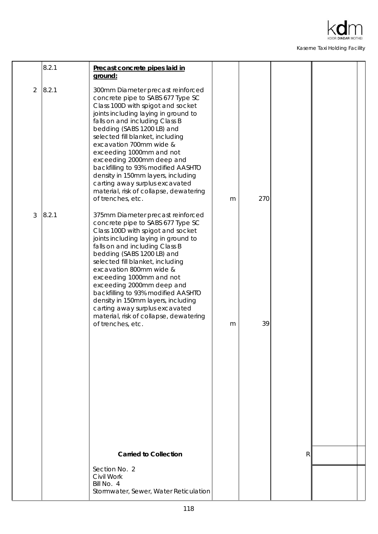

|   | 8.2.1 | Precast concrete pipes laid in<br>ground:                                                                                                                                                                                                                                                                                                                                                                                                                                                                                |   |     |   |  |
|---|-------|--------------------------------------------------------------------------------------------------------------------------------------------------------------------------------------------------------------------------------------------------------------------------------------------------------------------------------------------------------------------------------------------------------------------------------------------------------------------------------------------------------------------------|---|-----|---|--|
| 2 | 8.2.1 | 300mm Diameter precast reinforced<br>concrete pipe to SABS 677 Type SC<br>Class 100D with spigot and socket<br>joints including laying in ground to<br>falls on and including Class B<br>bedding (SABS 1200 LB) and<br>selected fill blanket, including<br>excavation 700mm wide &<br>exceeding 1000mm and not<br>exceeding 2000mm deep and<br>backfilling to 93% modified AASHTO<br>density in 150mm layers, including<br>carting away surplus excavated<br>material, risk of collapse, dewatering<br>of trenches, etc. | m | 270 |   |  |
| 3 | 8.2.1 | 375mm Diameter precast reinforced<br>concrete pipe to SABS 677 Type SC<br>Class 100D with spigot and socket<br>joints including laying in ground to<br>falls on and including Class B<br>bedding (SABS 1200 LB) and<br>selected fill blanket, including<br>excavation 800mm wide &<br>exceeding 1000mm and not<br>exceeding 2000mm deep and<br>backfilling to 93% modified AASHTO<br>density in 150mm layers, including<br>carting away surplus excavated<br>material, risk of collapse, dewatering<br>of trenches, etc. | m | 39  |   |  |
|   |       | <b>Carried to Collection</b>                                                                                                                                                                                                                                                                                                                                                                                                                                                                                             |   |     | R |  |
|   |       | Section No. 2<br>Civil Work<br>Bill No. 4<br>Stormwater, Sewer, Water Reticulation                                                                                                                                                                                                                                                                                                                                                                                                                                       |   |     |   |  |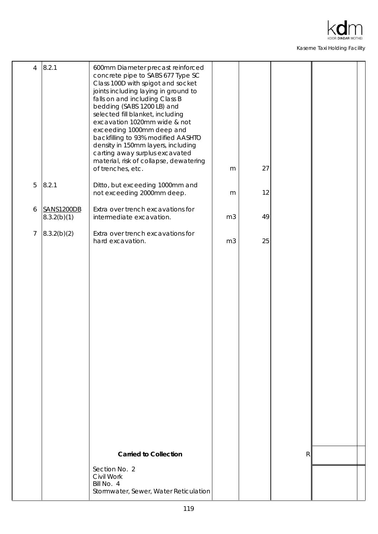

| $\overline{4}$ | 8.2.1                     | 600mm Diameter precast reinforced<br>concrete pipe to SABS 677 Type SC<br>Class 100D with spigot and socket<br>joints including laying in ground to<br>falls on and including Class B<br>bedding (SABS 1200 LB) and<br>selected fill blanket, including<br>excavation 1020mm wide & not<br>exceeding 1000mm deep and<br>backfilling to 93% modified AASHTO<br>density in 150mm layers, including<br>carting away surplus excavated<br>material, risk of collapse, dewatering<br>of trenches, etc. | m              | 27 |              |  |
|----------------|---------------------------|---------------------------------------------------------------------------------------------------------------------------------------------------------------------------------------------------------------------------------------------------------------------------------------------------------------------------------------------------------------------------------------------------------------------------------------------------------------------------------------------------|----------------|----|--------------|--|
| 5              | 8.2.1                     | Ditto, but exceeding 1000mm and<br>not exceeding 2000mm deep.                                                                                                                                                                                                                                                                                                                                                                                                                                     | m              | 12 |              |  |
| 6              | SANS1200DB<br>8.3.2(b)(1) | Extra over trench excavations for<br>intermediate excavation.                                                                                                                                                                                                                                                                                                                                                                                                                                     | m <sub>3</sub> | 49 |              |  |
| $\overline{7}$ | 8.3.2(b)(2)               | Extra over trench excavations for<br>hard excavation.                                                                                                                                                                                                                                                                                                                                                                                                                                             | m <sub>3</sub> | 25 |              |  |
|                |                           |                                                                                                                                                                                                                                                                                                                                                                                                                                                                                                   |                |    |              |  |
|                |                           |                                                                                                                                                                                                                                                                                                                                                                                                                                                                                                   |                |    |              |  |
|                |                           |                                                                                                                                                                                                                                                                                                                                                                                                                                                                                                   |                |    |              |  |
|                |                           |                                                                                                                                                                                                                                                                                                                                                                                                                                                                                                   |                |    |              |  |
|                |                           |                                                                                                                                                                                                                                                                                                                                                                                                                                                                                                   |                |    |              |  |
|                |                           |                                                                                                                                                                                                                                                                                                                                                                                                                                                                                                   |                |    |              |  |
|                |                           |                                                                                                                                                                                                                                                                                                                                                                                                                                                                                                   |                |    |              |  |
|                |                           | <b>Carried to Collection</b>                                                                                                                                                                                                                                                                                                                                                                                                                                                                      |                |    | $\mathsf{R}$ |  |
|                |                           | Section No. 2<br>Civil Work<br>Bill No. 4<br>Stormwater, Sewer, Water Reticulation                                                                                                                                                                                                                                                                                                                                                                                                                |                |    |              |  |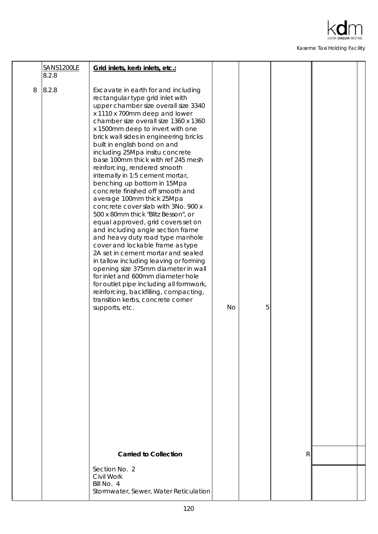

|   | SANS1200LE<br>8.2.8 | Grid inlets, kerb inlets, etc.:                                                                                                                                                                                                                                                                                                                                                                                                                                                                                                                                                                                                                                                                                                                                                                                                                                                                                                                                                                                                                                                                                              |           |   |   |  |
|---|---------------------|------------------------------------------------------------------------------------------------------------------------------------------------------------------------------------------------------------------------------------------------------------------------------------------------------------------------------------------------------------------------------------------------------------------------------------------------------------------------------------------------------------------------------------------------------------------------------------------------------------------------------------------------------------------------------------------------------------------------------------------------------------------------------------------------------------------------------------------------------------------------------------------------------------------------------------------------------------------------------------------------------------------------------------------------------------------------------------------------------------------------------|-----------|---|---|--|
| 8 | 8.2.8               | Excavate in earth for and including<br>rectangular type grid inlet with<br>upper chamber size overall size 3340<br>x 1110 x 700mm deep and lower<br>chamber size overall size 1360 x 1360<br>x 1500mm deep to invert with one<br>brick wall sides in engineering bricks<br>built in english bond on and<br>including 25Mpa insitu concrete<br>base 100mm thick with ref 245 mesh<br>reinforcing, rendered smooth<br>internally in 1:5 cement mortar,<br>benching up bottom in 15Mpa<br>concrete finished off smooth and<br>average 100mm thick 25Mpa<br>concrete cover slab with 3No. 900 x<br>500 x 80mm thick "Blitz Besson", or<br>equal approved, grid covers set on<br>and including angle section frame<br>and heavy duty road type manhole<br>cover and lockable frame as type<br>2A set in cement mortar and sealed<br>in tallow including leaving or forming<br>opening size 375mm diameter in wall<br>for inlet and 600mm diameter hole<br>for outlet pipe including all formwork,<br>reinforcing, backfilling, compacting,<br>transition kerbs, concrete corner<br>supports, etc.<br><b>Carried to Collection</b> | <b>No</b> | 5 | R |  |
|   |                     | Section No. 2                                                                                                                                                                                                                                                                                                                                                                                                                                                                                                                                                                                                                                                                                                                                                                                                                                                                                                                                                                                                                                                                                                                |           |   |   |  |
|   |                     | Civil Work<br>Bill No. 4<br>Stormwater, Sewer, Water Reticulation                                                                                                                                                                                                                                                                                                                                                                                                                                                                                                                                                                                                                                                                                                                                                                                                                                                                                                                                                                                                                                                            |           |   |   |  |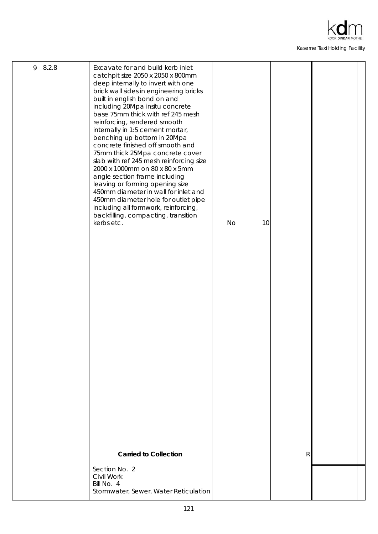

| 9 | 8.2.8 | Excavate for and build kerb inlet<br>catchpit size 2050 x 2050 x 800mm<br>deep internally to invert with one<br>brick wall sides in engineering bricks<br>built in english bond on and<br>including 20Mpa insitu concrete<br>base 75mm thick with ref 245 mesh<br>reinforcing, rendered smooth<br>internally in 1:5 cement mortar,<br>benching up bottom in 20Mpa<br>concrete finished off smooth and<br>75mm thick 25Mpa concrete cover<br>slab with ref 245 mesh reinforcing size<br>2000 x 1000mm on 80 x 80 x 5mm<br>angle section frame including<br>leaving or forming opening size<br>450mm diameter in wall for inlet and<br>450mm diameter hole for outlet pipe<br>including all formwork, reinforcing,<br>backfilling, compacting, transition<br>kerbs etc. | <b>No</b> | 10 |   |  |
|---|-------|-----------------------------------------------------------------------------------------------------------------------------------------------------------------------------------------------------------------------------------------------------------------------------------------------------------------------------------------------------------------------------------------------------------------------------------------------------------------------------------------------------------------------------------------------------------------------------------------------------------------------------------------------------------------------------------------------------------------------------------------------------------------------|-----------|----|---|--|
|   |       |                                                                                                                                                                                                                                                                                                                                                                                                                                                                                                                                                                                                                                                                                                                                                                       |           |    |   |  |
|   |       | <b>Carried to Collection</b><br>Section No. 2<br>Civil Work<br>Bill No. 4<br>Stormwater, Sewer, Water Reticulation                                                                                                                                                                                                                                                                                                                                                                                                                                                                                                                                                                                                                                                    |           |    | R |  |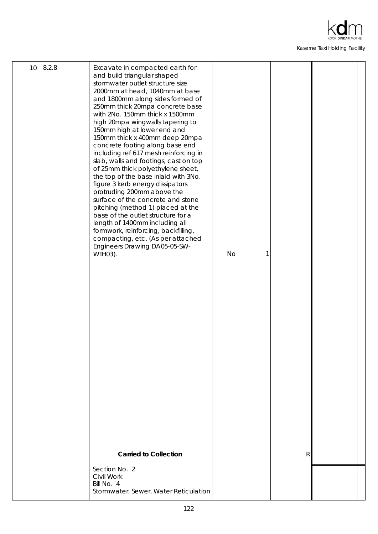

| 10 <sup>°</sup> | 8.2.8 | Excavate in compacted earth for<br>and build triangular shaped<br>stormwater outlet structure size<br>2000mm at head, 1040mm at base<br>and 1800mm along sides formed of<br>250mm thick 20mpa concrete base<br>with 2No. 150mm thick x 1500mm<br>high 20mpa wingwalls tapering to<br>150mm high at lower end and<br>150mm thick x 400mm deep 20mpa<br>concrete footing along base end<br>including ref 617 mesh reinforcing in<br>slab, walls and footings, cast on top<br>of 25mm thick polyethylene sheet,<br>the top of the base inlaid with 3No.<br>figure 3 kerb energy dissipators<br>protruding 200mm above the<br>surface of the concrete and stone<br>pitching (method 1) placed at the<br>base of the outlet structure for a<br>length of 1400mm including all<br>formwork, reinforcing, backfilling,<br>compacting, etc. (As per attached<br>Engineers Drawing DA05-05-SW-<br>WTH03). | <b>No</b> |              |  |
|-----------------|-------|--------------------------------------------------------------------------------------------------------------------------------------------------------------------------------------------------------------------------------------------------------------------------------------------------------------------------------------------------------------------------------------------------------------------------------------------------------------------------------------------------------------------------------------------------------------------------------------------------------------------------------------------------------------------------------------------------------------------------------------------------------------------------------------------------------------------------------------------------------------------------------------------------|-----------|--------------|--|
|                 |       | <b>Carried to Collection</b>                                                                                                                                                                                                                                                                                                                                                                                                                                                                                                                                                                                                                                                                                                                                                                                                                                                                     |           | $\mathsf{R}$ |  |
|                 |       | Section No. 2<br>Civil Work<br>Bill No. 4<br>Stormwater, Sewer, Water Reticulation                                                                                                                                                                                                                                                                                                                                                                                                                                                                                                                                                                                                                                                                                                                                                                                                               |           |              |  |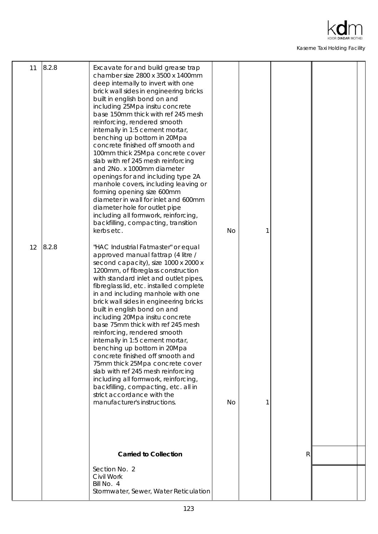

| 11 | 8.2.8 | Excavate for and build grease trap<br>chamber size 2800 x 3500 x 1400mm<br>deep internally to invert with one<br>brick wall sides in engineering bricks<br>built in english bond on and<br>including 25Mpa insitu concrete<br>base 150mm thick with ref 245 mesh<br>reinforcing, rendered smooth<br>internally in 1:5 cement mortar,<br>benching up bottom in 20Mpa<br>concrete finished off smooth and<br>100mm thick 25Mpa concrete cover<br>slab with ref 245 mesh reinforcing<br>and 2No. x 1000mm diameter<br>openings for and including type 2A<br>manhole covers, including leaving or<br>forming opening size 600mm<br>diameter in wall for inlet and 600mm<br>diameter hole for outlet pipe<br>including all formwork, reinforcing,<br>backfilling, compacting, transition<br>kerbs etc. | <b>No</b> |   |  |
|----|-------|---------------------------------------------------------------------------------------------------------------------------------------------------------------------------------------------------------------------------------------------------------------------------------------------------------------------------------------------------------------------------------------------------------------------------------------------------------------------------------------------------------------------------------------------------------------------------------------------------------------------------------------------------------------------------------------------------------------------------------------------------------------------------------------------------|-----------|---|--|
| 12 | 8.2.8 | "HAC Industrial Fatmaster" or equal<br>approved manual fattrap (4 litre /<br>second capacity), size 1000 x 2000 x<br>1200mm, of fibreglass construction<br>with standard inlet and outlet pipes,<br>fibreglass lid, etc. installed complete<br>in and including manhole with one<br>brick wall sides in engineering bricks<br>built in english bond on and<br>including 20Mpa insitu concrete<br>base 75mm thick with ref 245 mesh<br>reinforcing, rendered smooth<br>internally in 1:5 cement mortar,<br>benching up bottom in 20Mpa<br>concrete finished off smooth and<br>75mm thick 25Mpa concrete cover<br>slab with ref 245 mesh reinforcing<br>including all formwork, reinforcing,<br>backfilling, compacting, etc. all in<br>strict accordance with the<br>manufacturer's instructions.  | <b>No</b> |   |  |
|    |       | <b>Carried to Collection</b>                                                                                                                                                                                                                                                                                                                                                                                                                                                                                                                                                                                                                                                                                                                                                                      |           | R |  |
|    |       | Section No. 2<br>Civil Work<br>Bill No. 4<br>Stormwater, Sewer, Water Reticulation                                                                                                                                                                                                                                                                                                                                                                                                                                                                                                                                                                                                                                                                                                                |           |   |  |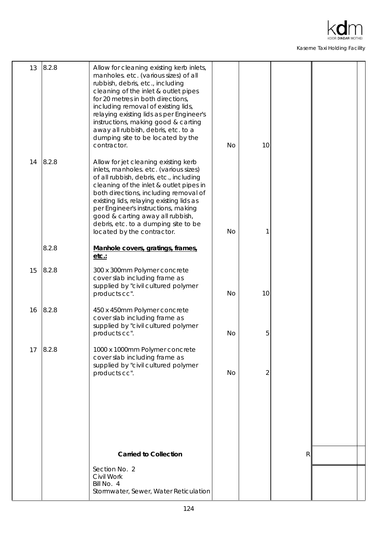

| 13 | 8.2.8 | Allow for cleaning existing kerb inlets,<br>manholes. etc. (various sizes) of all<br>rubbish, debris, etc., including<br>cleaning of the inlet & outlet pipes<br>for 20 metres in both directions,<br>including removal of existing lids,<br>relaying existing lids as per Engineer's<br>instructions, making good & carting<br>away all rubbish, debris, etc. to a<br>dumping site to be located by the<br>contractor. | <b>No</b> | 10             |   |  |
|----|-------|-------------------------------------------------------------------------------------------------------------------------------------------------------------------------------------------------------------------------------------------------------------------------------------------------------------------------------------------------------------------------------------------------------------------------|-----------|----------------|---|--|
| 14 | 8.2.8 | Allow for jet cleaning existing kerb<br>inlets, manholes. etc. (various sizes)<br>of all rubbish, debris, etc., including<br>cleaning of the inlet & outlet pipes in<br>both directions, including removal of<br>existing lids, relaying existing lids as<br>per Engineer's instructions, making<br>good & carting away all rubbish,<br>debris, etc. to a dumping site to be<br>located by the contractor.              | <b>No</b> |                |   |  |
|    | 8.2.8 | Manhole covers, gratings, frames,<br>etc.                                                                                                                                                                                                                                                                                                                                                                               |           |                |   |  |
| 15 | 8.2.8 | 300 x 300mm Polymer concrete<br>cover slab including frame as<br>supplied by "civil cultured polymer<br>products cc".                                                                                                                                                                                                                                                                                                   | <b>No</b> | 10             |   |  |
| 16 | 8.2.8 | 450 x 450mm Polymer concrete<br>cover slab including frame as<br>supplied by "civil cultured polymer<br>products cc".                                                                                                                                                                                                                                                                                                   | <b>No</b> | 5              |   |  |
| 17 | 8.2.8 | 1000 x 1000mm Polymer concrete<br>cover slab including frame as<br>supplied by "civil cultured polymer<br>products cc".                                                                                                                                                                                                                                                                                                 | No        | $\overline{2}$ |   |  |
|    |       |                                                                                                                                                                                                                                                                                                                                                                                                                         |           |                |   |  |
|    |       | <b>Carried to Collection</b>                                                                                                                                                                                                                                                                                                                                                                                            |           |                | R |  |
|    |       | Section No. 2<br>Civil Work<br>Bill No. 4<br>Stormwater, Sewer, Water Reticulation                                                                                                                                                                                                                                                                                                                                      |           |                |   |  |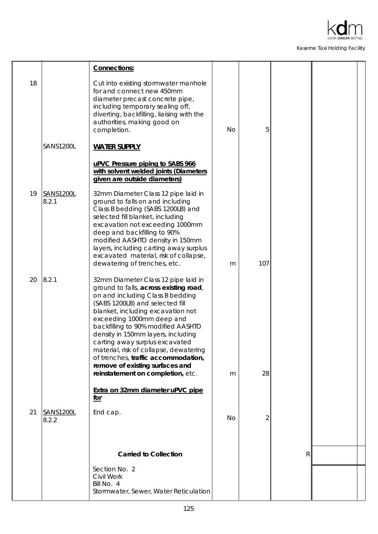

|    |                           | Connections:                                                                                                                                                                                                                                                                                                                                                                                                                                                                                  |           |     |              |  |
|----|---------------------------|-----------------------------------------------------------------------------------------------------------------------------------------------------------------------------------------------------------------------------------------------------------------------------------------------------------------------------------------------------------------------------------------------------------------------------------------------------------------------------------------------|-----------|-----|--------------|--|
| 18 |                           | Cut into existing stormwater manhole<br>for and connect new 450mm<br>diameter precast concrete pipe,<br>including temporary sealing off,<br>diverting, backfilling, liaising with the<br>authorities, making good on<br>completion.                                                                                                                                                                                                                                                           | <b>No</b> | 5   |              |  |
|    | <b>SANS1200L</b>          | <b>WATER SUPPLY</b>                                                                                                                                                                                                                                                                                                                                                                                                                                                                           |           |     |              |  |
|    |                           | uPVC Pressure piping to SABS 966<br>with solvent welded joints (Diameters<br>given are outside diameters)                                                                                                                                                                                                                                                                                                                                                                                     |           |     |              |  |
| 19 | SANS1200L<br>8.2.1        | 32mm Diameter Class 12 pipe laid in<br>ground to falls on and including<br>Class B bedding (SABS 1200LB) and<br>selected fill blanket, including<br>excavation not exceeding 1000mm<br>deep and backfilling to 90%<br>modified AASHTO density in 150mm<br>layers, including carting away surplus<br>excavated material, risk of collapse,<br>dewatering of trenches, etc.                                                                                                                     | m         | 107 |              |  |
| 20 | 8.2.1                     | 32mm Diameter Class 12 pipe laid in<br>ground to falls, across existing road,<br>on and including Class B bedding<br>(SABS 1200LB) and selected fill<br>blanket, including excavation not<br>exceeding 1000mm deep and<br>backfilling to 90% modified AASHTO<br>density in 150mm layers, including<br>carting away surplus excavated<br>material, risk of collapse, dewatering<br>of trenches, traffic accommodation,<br>remove of existing surfaces and<br>reinstatement on completion, etc. | m         | 28  |              |  |
|    |                           | Extra on 32mm diameter uPVC pipe<br>for                                                                                                                                                                                                                                                                                                                                                                                                                                                       |           |     |              |  |
| 21 | <b>SANS1200L</b><br>8.2.2 | End cap.                                                                                                                                                                                                                                                                                                                                                                                                                                                                                      | <b>No</b> | 2   |              |  |
|    |                           | <b>Carried to Collection</b>                                                                                                                                                                                                                                                                                                                                                                                                                                                                  |           |     | $\mathsf{R}$ |  |
|    |                           | Section No. 2<br>Civil Work<br>Bill No. 4<br>Stormwater, Sewer, Water Reticulation                                                                                                                                                                                                                                                                                                                                                                                                            |           |     |              |  |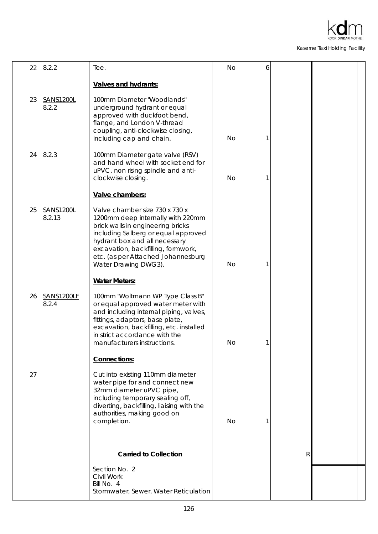

| 22 | 8.2.2                      | Tee.                                                                                                                                                                                                                                                                                                    | No        | 6 |   |  |
|----|----------------------------|---------------------------------------------------------------------------------------------------------------------------------------------------------------------------------------------------------------------------------------------------------------------------------------------------------|-----------|---|---|--|
|    |                            | <b>Valves and hydrants:</b>                                                                                                                                                                                                                                                                             |           |   |   |  |
| 23 | SANS1200L<br>8.2.2         | 100mm Diameter "Woodlands"<br>underground hydrant or equal<br>approved with duckfoot bend,<br>flange, and London V-thread<br>coupling, anti-clockwise closing,<br>including cap and chain.                                                                                                              | No        |   |   |  |
| 24 | 8.2.3                      | 100mm Diameter gate valve (RSV)<br>and hand wheel with socket end for<br>uPVC, non rising spindle and anti-<br>clockwise closing.                                                                                                                                                                       | <b>No</b> |   |   |  |
| 25 | <b>SANS1200L</b><br>8.2.13 | Valve chambers:<br>Valve chamber size 730 x 730 x<br>1200mm deep internally with 220mm<br>brick walls in engineering bricks<br>including Salberg or equal approved<br>hydrant box and all necessary<br>excavation, backfilling, formwork,<br>etc. (as per Attached Johannesburg<br>Water Drawing DWG3). | No        |   |   |  |
|    |                            | <b>Water Meters:</b>                                                                                                                                                                                                                                                                                    |           |   |   |  |
| 26 | SANS1200LF<br>8.2.4        | 100mm "Woltmann WP Type Class B"<br>or equal approved water meter with<br>and including internal piping, valves,<br>fittings, adaptors, base plate,<br>excavation, backfilling, etc. installed<br>in strict accordance with the<br>manufacturers instructions.                                          | <b>No</b> | 1 |   |  |
|    |                            | Connections:                                                                                                                                                                                                                                                                                            |           |   |   |  |
| 27 |                            | Cut into existing 110mm diameter<br>water pipe for and connect new<br>32mm diameter uPVC pipe,<br>including temporary sealing off,<br>diverting, backfilling, liaising with the<br>authorities, making good on<br>completion.                                                                           | <b>No</b> |   |   |  |
|    |                            | <b>Carried to Collection</b>                                                                                                                                                                                                                                                                            |           |   | R |  |
|    |                            | Section No. 2<br>Civil Work<br>Bill No. 4<br>Stormwater, Sewer, Water Reticulation                                                                                                                                                                                                                      |           |   |   |  |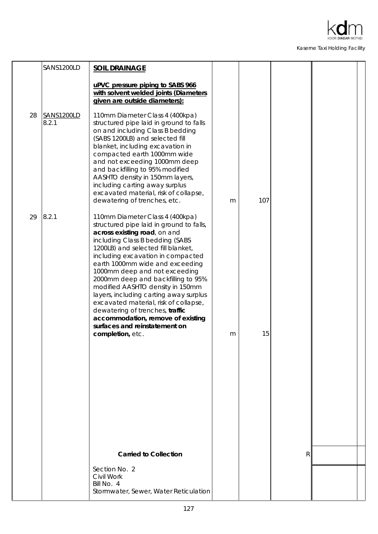

|    | SANS1200LD          | <b>SOIL DRAINAGE</b>                                                                                                                                                                                                                                                                                                                                                                                                                                                                                                                                                                    |   |     |   |  |
|----|---------------------|-----------------------------------------------------------------------------------------------------------------------------------------------------------------------------------------------------------------------------------------------------------------------------------------------------------------------------------------------------------------------------------------------------------------------------------------------------------------------------------------------------------------------------------------------------------------------------------------|---|-----|---|--|
|    |                     | uPVC pressure piping to SABS 966<br>with solvent welded joints (Diameters<br>given are outside diameters):                                                                                                                                                                                                                                                                                                                                                                                                                                                                              |   |     |   |  |
| 28 | SANS1200LD<br>8.2.1 | 110mm Diameter Class 4 (400kpa)<br>structured pipe laid in ground to falls<br>on and including Class B bedding<br>(SABS 1200LB) and selected fill<br>blanket, including excavation in<br>compacted earth 1000mm wide<br>and not exceeding 1000mm deep<br>and backfilling to 95% modified<br>AASHTO density in 150mm layers,<br>including carting away surplus<br>excavated material, risk of collapse,<br>dewatering of trenches, etc.                                                                                                                                                  | m | 107 |   |  |
| 29 | 8.2.1               | 110mm Diameter Class 4 (400kpa)<br>structured pipe laid in ground to falls,<br>across existing road, on and<br>including Class B bedding (SABS<br>1200LB) and selected fill blanket,<br>including excavation in compacted<br>earth 1000mm wide and exceeding<br>1000mm deep and not exceeding<br>2000mm deep and backfilling to 95%<br>modified AASHTO density in 150mm<br>layers, including carting away surplus<br>excavated material, risk of collapse,<br>dewatering of trenches, traffic<br>accommodation, remove of existing<br>surfaces and reinstatement on<br>completion, etc. | m | 15  |   |  |
|    |                     |                                                                                                                                                                                                                                                                                                                                                                                                                                                                                                                                                                                         |   |     |   |  |
|    |                     | <b>Carried to Collection</b><br>Section No. 2                                                                                                                                                                                                                                                                                                                                                                                                                                                                                                                                           |   |     | R |  |
|    |                     | Civil Work<br>Bill No. 4<br>Stormwater, Sewer, Water Reticulation                                                                                                                                                                                                                                                                                                                                                                                                                                                                                                                       |   |     |   |  |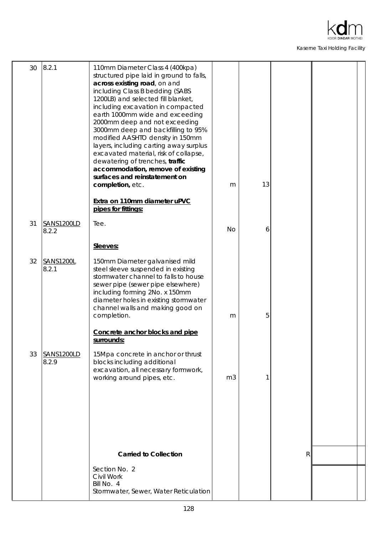

| 30 | 8.2.1                     | 110mm Diameter Class 4 (400kpa)<br>structured pipe laid in ground to falls,<br>across existing road, on and<br>including Class B bedding (SABS<br>1200LB) and selected fill blanket,<br>including excavation in compacted<br>earth 1000mm wide and exceeding<br>2000mm deep and not exceeding<br>3000mm deep and backfilling to 95%<br>modified AASHTO density in 150mm<br>layers, including carting away surplus<br>excavated material, risk of collapse,<br>dewatering of trenches, traffic<br>accommodation, remove of existing<br>surfaces and reinstatement on<br>completion, etc.<br>Extra on 110mm diameter uPVC<br>pipes for fittings: | m              | 13 |   |  |
|----|---------------------------|------------------------------------------------------------------------------------------------------------------------------------------------------------------------------------------------------------------------------------------------------------------------------------------------------------------------------------------------------------------------------------------------------------------------------------------------------------------------------------------------------------------------------------------------------------------------------------------------------------------------------------------------|----------------|----|---|--|
| 31 | SANS1200LD                | Tee.                                                                                                                                                                                                                                                                                                                                                                                                                                                                                                                                                                                                                                           |                |    |   |  |
|    | 8.2.2                     |                                                                                                                                                                                                                                                                                                                                                                                                                                                                                                                                                                                                                                                | <b>No</b>      | 6  |   |  |
|    |                           | Sleeves:                                                                                                                                                                                                                                                                                                                                                                                                                                                                                                                                                                                                                                       |                |    |   |  |
| 32 | <b>SANS1200L</b><br>8.2.1 | 150mm Diameter galvanised mild<br>steel sleeve suspended in existing<br>stormwater channel to falls to house<br>sewer pipe (sewer pipe elsewhere)<br>including forming 2No. x 150mm<br>diameter holes in existing stormwater<br>channel walls and making good on                                                                                                                                                                                                                                                                                                                                                                               |                |    |   |  |
|    |                           | completion.<br>Concrete anchor blocks and pipe                                                                                                                                                                                                                                                                                                                                                                                                                                                                                                                                                                                                 | m              | 5  |   |  |
|    |                           | surrounds:                                                                                                                                                                                                                                                                                                                                                                                                                                                                                                                                                                                                                                     |                |    |   |  |
| 33 | SANS1200LD<br>8.2.9       | 15Mpa concrete in anchor or thrust<br>blocks including additional<br>excavation, all necessary formwork,<br>working around pipes, etc.                                                                                                                                                                                                                                                                                                                                                                                                                                                                                                         | m <sub>3</sub> | 1  |   |  |
|    |                           |                                                                                                                                                                                                                                                                                                                                                                                                                                                                                                                                                                                                                                                |                |    |   |  |
|    |                           |                                                                                                                                                                                                                                                                                                                                                                                                                                                                                                                                                                                                                                                |                |    |   |  |
|    |                           | <b>Carried to Collection</b>                                                                                                                                                                                                                                                                                                                                                                                                                                                                                                                                                                                                                   |                |    | R |  |
|    |                           | Section No. 2                                                                                                                                                                                                                                                                                                                                                                                                                                                                                                                                                                                                                                  |                |    |   |  |
|    |                           | Civil Work<br>Bill No. 4<br>Stormwater, Sewer, Water Reticulation                                                                                                                                                                                                                                                                                                                                                                                                                                                                                                                                                                              |                |    |   |  |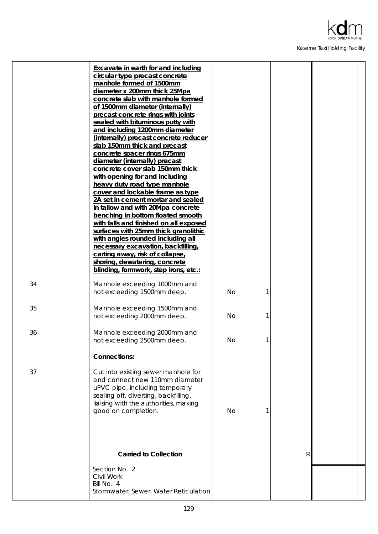

|    | <b>Excavate in earth for and including</b><br>circular type precast concrete<br>manhole formed of 1500mm<br>diameter x 200mm thick 25Mpa<br>concrete slab with manhole formed<br>of 1500mm diameter (internally)<br>precast concrete rings with joints<br>sealed with bituminous putty with<br>and including 1200mm diameter<br>(internally) precast concrete reducer<br>slab 150mm thick and precast<br>concrete spacer rings 675mm<br>diameter (internally) precast<br>concrete cover slab 150mm thick<br>with opening for and including<br>heavy duty road type manhole<br>cover and lockable frame as type<br>2A set in cement mortar and sealed<br>in tallow and with 20Mpa concrete<br>benching in bottom floated smooth<br>with falls and finished on all exposed<br>surfaces with 25mm thick granolithic<br>with angles rounded including all<br>necessary excavation, backfilling,<br>carting away, risk of collapse,<br>shoring, dewatering, concrete |           |   |   |  |
|----|-----------------------------------------------------------------------------------------------------------------------------------------------------------------------------------------------------------------------------------------------------------------------------------------------------------------------------------------------------------------------------------------------------------------------------------------------------------------------------------------------------------------------------------------------------------------------------------------------------------------------------------------------------------------------------------------------------------------------------------------------------------------------------------------------------------------------------------------------------------------------------------------------------------------------------------------------------------------|-----------|---|---|--|
|    | blinding, formwork, step irons, etc.:                                                                                                                                                                                                                                                                                                                                                                                                                                                                                                                                                                                                                                                                                                                                                                                                                                                                                                                           |           |   |   |  |
| 34 | Manhole exceeding 1000mm and<br>not exceeding 1500mm deep.                                                                                                                                                                                                                                                                                                                                                                                                                                                                                                                                                                                                                                                                                                                                                                                                                                                                                                      | <b>No</b> |   |   |  |
| 35 | Manhole exceeding 1500mm and<br>not exceeding 2000mm deep.                                                                                                                                                                                                                                                                                                                                                                                                                                                                                                                                                                                                                                                                                                                                                                                                                                                                                                      | <b>No</b> |   |   |  |
| 36 | Manhole exceeding 2000mm and<br>not exceeding 2500mm deep.                                                                                                                                                                                                                                                                                                                                                                                                                                                                                                                                                                                                                                                                                                                                                                                                                                                                                                      | <b>No</b> | 1 |   |  |
|    | Connections:                                                                                                                                                                                                                                                                                                                                                                                                                                                                                                                                                                                                                                                                                                                                                                                                                                                                                                                                                    |           |   |   |  |
| 37 | Cut into existing sewer manhole for<br>and connect new 110mm diameter<br>uPVC pipe, including temporary<br>sealing off, diverting, backfilling,<br>liaising with the authorities, making<br>good on completion.                                                                                                                                                                                                                                                                                                                                                                                                                                                                                                                                                                                                                                                                                                                                                 | <b>No</b> | 1 |   |  |
|    |                                                                                                                                                                                                                                                                                                                                                                                                                                                                                                                                                                                                                                                                                                                                                                                                                                                                                                                                                                 |           |   |   |  |
|    | <b>Carried to Collection</b>                                                                                                                                                                                                                                                                                                                                                                                                                                                                                                                                                                                                                                                                                                                                                                                                                                                                                                                                    |           |   | R |  |
|    | Section No. 2<br>Civil Work<br>Bill No. 4<br>Stormwater, Sewer, Water Reticulation                                                                                                                                                                                                                                                                                                                                                                                                                                                                                                                                                                                                                                                                                                                                                                                                                                                                              |           |   |   |  |
|    |                                                                                                                                                                                                                                                                                                                                                                                                                                                                                                                                                                                                                                                                                                                                                                                                                                                                                                                                                                 |           |   |   |  |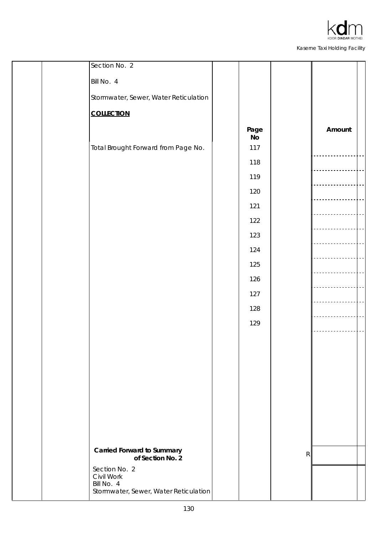

| Section No. 2                         |            |              |        |  |
|---------------------------------------|------------|--------------|--------|--|
| Bill No. 4                            |            |              |        |  |
| Stormwater, Sewer, Water Reticulation |            |              |        |  |
| <b>COLLECTION</b>                     |            |              |        |  |
|                                       | Page<br>No |              | Amount |  |
| Total Brought Forward from Page No.   | $117$      |              |        |  |
|                                       | 118        |              |        |  |
|                                       | 119        |              |        |  |
|                                       | 120        |              |        |  |
|                                       | 121        |              |        |  |
|                                       | 122        |              |        |  |
|                                       | 123        |              |        |  |
|                                       | 124        |              |        |  |
|                                       | 125        |              |        |  |
|                                       | 126        |              |        |  |
|                                       | 127        |              |        |  |
|                                       | 128        |              |        |  |
|                                       | 129        |              |        |  |
|                                       |            |              |        |  |
|                                       |            |              |        |  |
|                                       |            |              |        |  |
|                                       |            |              |        |  |
|                                       |            |              |        |  |
|                                       |            |              |        |  |
|                                       |            |              |        |  |
|                                       |            |              |        |  |
| <b>Carried Forward to Summary</b>     |            | $\mathsf{R}$ |        |  |
| of Section No. 2<br>Section No. 2     |            |              |        |  |
| Civil Work<br>Bill No. 4              |            |              |        |  |
| Stormwater, Sewer, Water Reticulation |            |              |        |  |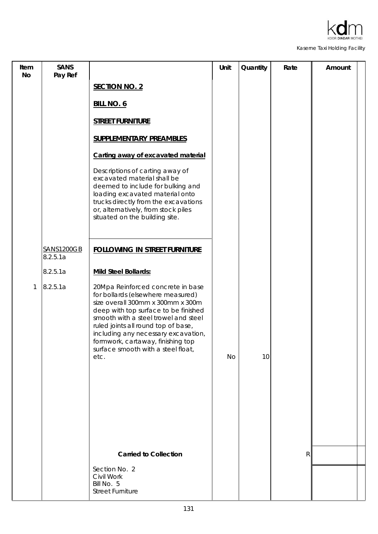

| Item<br>No | <b>SANS</b><br>Pay Ref        |                                                                                                                                                                                                                                                                                                                                                              | Unit | Quantity | Rate      | Amount |  |
|------------|-------------------------------|--------------------------------------------------------------------------------------------------------------------------------------------------------------------------------------------------------------------------------------------------------------------------------------------------------------------------------------------------------------|------|----------|-----------|--------|--|
|            |                               | <b>SECTION NO. 2</b>                                                                                                                                                                                                                                                                                                                                         |      |          |           |        |  |
|            |                               | <b>BILL NO. 6</b>                                                                                                                                                                                                                                                                                                                                            |      |          |           |        |  |
|            |                               | <b>STREET FURNITURE</b>                                                                                                                                                                                                                                                                                                                                      |      |          |           |        |  |
|            |                               | <b>SUPPLEMENTARY PREAMBLES</b>                                                                                                                                                                                                                                                                                                                               |      |          |           |        |  |
|            |                               | Carting away of excavated material                                                                                                                                                                                                                                                                                                                           |      |          |           |        |  |
|            |                               | Descriptions of carting away of<br>excavated material shall be<br>deemed to include for bulking and<br>loading excavated material onto<br>trucks directly from the excavations<br>or, alternatively, from stock piles<br>situated on the building site.                                                                                                      |      |          |           |        |  |
|            | <b>SANS1200GB</b><br>8.2.5.1a | <b>FOLLOWING IN STREET FURNITURE</b>                                                                                                                                                                                                                                                                                                                         |      |          |           |        |  |
|            | 8.2.5.1a                      | Mild Steel Bollards:                                                                                                                                                                                                                                                                                                                                         |      |          |           |        |  |
| 1          | 8.2.5.1a                      | 20Mpa Reinforced concrete in base<br>for bollards (elsewhere measured)<br>size overall 300mm x 300mm x 300m<br>deep with top surface to be finished<br>smooth with a steel trowel and steel<br>ruled joints all round top of base,<br>including any necessary excavation,<br>formwork, cartaway, finishing top<br>surface smooth with a steel float,<br>etc. | No   | 10       |           |        |  |
|            |                               | <b>Carried to Collection</b>                                                                                                                                                                                                                                                                                                                                 |      |          | ${\sf R}$ |        |  |
|            |                               | Section No. 2<br>Civil Work<br>Bill No. 5<br><b>Street Furniture</b>                                                                                                                                                                                                                                                                                         |      |          |           |        |  |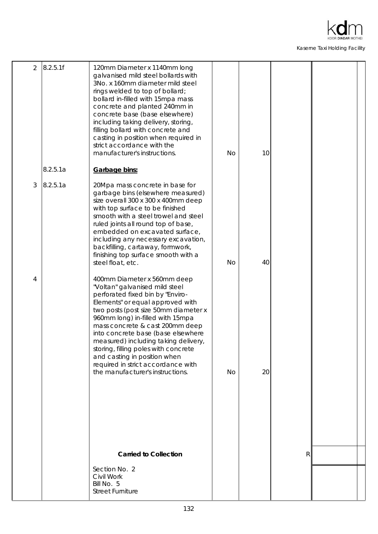

| 2 | 8.2.5.1f | 120mm Diameter x 1140mm long<br>galvanised mild steel bollards with<br>3No. x 160mm diameter mild steel<br>rings welded to top of bollard;<br>bollard in-filled with 15mpa mass<br>concrete and planted 240mm in<br>concrete base (base elsewhere)<br>including taking delivery, storing,<br>filling bollard with concrete and<br>casting in position when required in<br>strict accordance with the<br>manufacturer's instructions.                                                 | <b>No</b> | 10 |   |  |
|---|----------|--------------------------------------------------------------------------------------------------------------------------------------------------------------------------------------------------------------------------------------------------------------------------------------------------------------------------------------------------------------------------------------------------------------------------------------------------------------------------------------|-----------|----|---|--|
|   | 8.2.5.1a | Garbage bins:                                                                                                                                                                                                                                                                                                                                                                                                                                                                        |           |    |   |  |
| 3 | 8.2.5.1a | 20Mpa mass concrete in base for<br>garbage bins (elsewhere measured)<br>size overall 300 x 300 x 400mm deep<br>with top surface to be finished<br>smooth with a steel trowel and steel<br>ruled joints all round top of base,<br>embedded on excavated surface,<br>including any necessary excavation,<br>backfilling, cartaway, formwork,<br>finishing top surface smooth with a<br>steel float, etc.                                                                               | <b>No</b> | 40 |   |  |
| 4 |          | 400mm Diameter x 560mm deep<br>"Voltan" galvanised mild steel<br>perforated fixed bin by "Enviro-<br>Elements" or equal approved with<br>two posts (post size 50mm diameter x<br>960mm long) in-filled with 15mpa<br>mass concrete & cast 200mm deep<br>into concrete base (base elsewhere<br>measured) including taking delivery,<br>storing, filling poles with concrete<br>and casting in position when<br>required in strict accordance with<br>the manufacturer's instructions. | <b>No</b> | 20 |   |  |
|   |          |                                                                                                                                                                                                                                                                                                                                                                                                                                                                                      |           |    |   |  |
|   |          | <b>Carried to Collection</b>                                                                                                                                                                                                                                                                                                                                                                                                                                                         |           |    | R |  |
|   |          | Section No. 2<br>Civil Work<br>Bill No. 5<br><b>Street Furniture</b>                                                                                                                                                                                                                                                                                                                                                                                                                 |           |    |   |  |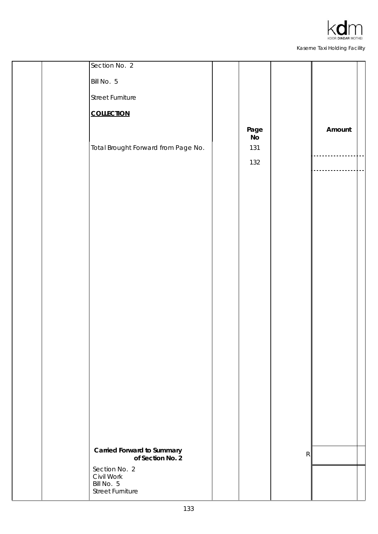

| Section No. 2                                                          |                                 |           |        |  |
|------------------------------------------------------------------------|---------------------------------|-----------|--------|--|
| Bill No. 5                                                             |                                 |           |        |  |
| <b>Street Furniture</b>                                                |                                 |           |        |  |
| <b>COLLECTION</b>                                                      |                                 |           |        |  |
| Total Brought Forward from Page No.                                    | Page<br><b>No</b><br>131<br>132 |           | Amount |  |
|                                                                        |                                 |           |        |  |
|                                                                        |                                 |           |        |  |
|                                                                        |                                 |           |        |  |
|                                                                        |                                 |           |        |  |
|                                                                        |                                 |           |        |  |
| <b>Carried Forward to Summary</b><br>of Section No. 2<br>Section No. 2 |                                 | ${\sf R}$ |        |  |
| Civil Work<br>Bill No. 5<br><b>Street Furniture</b>                    |                                 |           |        |  |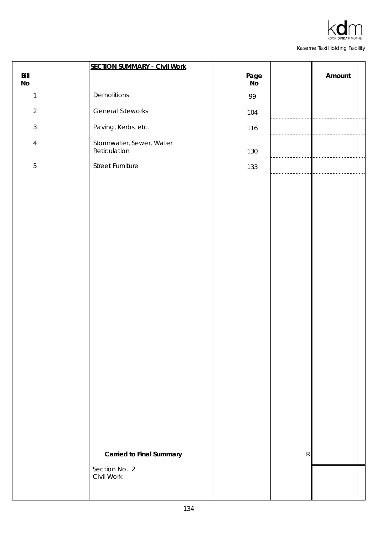|                       | <b>SECTION SUMMARY - Civil Work</b>      |            |             |        |  |
|-----------------------|------------------------------------------|------------|-------------|--------|--|
| Bill<br>$\mathsf{No}$ |                                          | Page<br>No |             | Amount |  |
| $\mathbf{1}$          | Demolitions                              | 99         |             |        |  |
| $\overline{2}$        | <b>General Siteworks</b>                 | 104        |             |        |  |
| $\mathfrak{Z}$        | Paving, Kerbs, etc.                      | 116        |             |        |  |
| $\overline{4}$        | Stormwater, Sewer, Water<br>Reticulation | 130        |             |        |  |
| $\sqrt{5}$            | <b>Street Furniture</b>                  | 133        |             |        |  |
|                       |                                          |            |             |        |  |
|                       |                                          |            |             |        |  |
|                       |                                          |            |             |        |  |
|                       |                                          |            |             |        |  |
|                       |                                          |            |             |        |  |
|                       |                                          |            |             |        |  |
|                       |                                          |            |             |        |  |
|                       |                                          |            |             |        |  |
|                       |                                          |            |             |        |  |
|                       |                                          |            |             |        |  |
|                       |                                          |            |             |        |  |
|                       |                                          |            |             |        |  |
|                       |                                          |            |             |        |  |
|                       |                                          |            |             |        |  |
|                       |                                          |            |             |        |  |
|                       |                                          |            |             |        |  |
|                       |                                          |            |             |        |  |
|                       |                                          |            |             |        |  |
|                       |                                          |            |             |        |  |
|                       | <b>Carried to Final Summary</b>          |            | $\mathsf R$ |        |  |
|                       | Section No. 2<br>Civil Work              |            |             |        |  |
|                       |                                          |            |             |        |  |
|                       |                                          |            |             |        |  |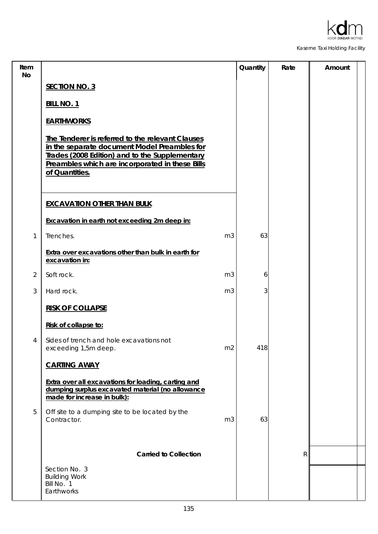

| Item<br>No     |                                                                                                                                                                                                                         |                | Quantity | Rate | Amount |
|----------------|-------------------------------------------------------------------------------------------------------------------------------------------------------------------------------------------------------------------------|----------------|----------|------|--------|
|                | <b>SECTION NO. 3</b>                                                                                                                                                                                                    |                |          |      |        |
|                | <b>BILL NO. 1</b>                                                                                                                                                                                                       |                |          |      |        |
|                | <b>EARTHWORKS</b>                                                                                                                                                                                                       |                |          |      |        |
|                | The Tenderer is referred to the relevant Clauses<br>in the separate document Model Preambles for<br>Trades (2008 Edition) and to the Supplementary<br>Preambles which are incorporated in these Bills<br>of Quantities. |                |          |      |        |
|                | <b>EXCAVATION OTHER THAN BULK</b>                                                                                                                                                                                       |                |          |      |        |
|                | Excavation in earth not exceeding 2m deep in:                                                                                                                                                                           |                |          |      |        |
| $\mathbf{1}$   | Trenches.                                                                                                                                                                                                               | m <sub>3</sub> | 63       |      |        |
|                | Extra over excavations other than bulk in earth for<br>excavation in:                                                                                                                                                   |                |          |      |        |
| $\overline{2}$ | Soft rock.                                                                                                                                                                                                              | m <sub>3</sub> | 6        |      |        |
| 3              | Hard rock.                                                                                                                                                                                                              | m <sub>3</sub> | 3        |      |        |
|                | <b>RISK OF COLLAPSE</b>                                                                                                                                                                                                 |                |          |      |        |
|                | Risk of collapse to:                                                                                                                                                                                                    |                |          |      |        |
| 4              | Sides of trench and hole excavations not<br>exceeding 1,5m deep.                                                                                                                                                        | m <sub>2</sub> | 418      |      |        |
|                | <b>CARTING AWAY</b>                                                                                                                                                                                                     |                |          |      |        |
|                | Extra over all excavations for loading, carting and<br>dumping surplus excavated material (no allowance<br>made for increase in bulk):                                                                                  |                |          |      |        |
| 5              | Off site to a dumping site to be located by the<br>Contractor.                                                                                                                                                          | m <sub>3</sub> | 63       |      |        |
|                | <b>Carried to Collection</b>                                                                                                                                                                                            |                |          | R    |        |
|                | Section No. 3<br><b>Building Work</b><br>Bill No. 1<br>Earthworks                                                                                                                                                       |                |          |      |        |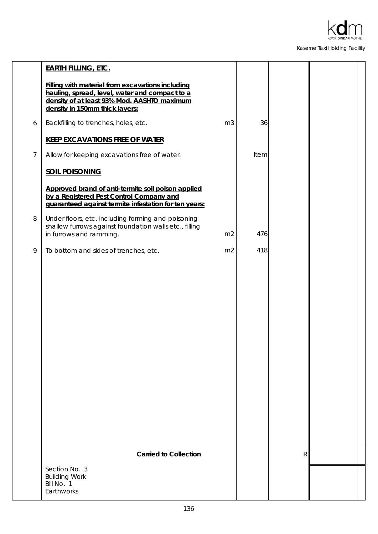

|                | <b>EARTH FILLING, ETC.</b>                                                                                                                                                          |                |      |   |  |
|----------------|-------------------------------------------------------------------------------------------------------------------------------------------------------------------------------------|----------------|------|---|--|
|                | Filling with material from excavations including<br>hauling, spread, level, water and compact to a<br>density of at least 93% Mod. AASHTO maximum<br>density in 150mm thick layers: |                |      |   |  |
| 6              | Backfilling to trenches, holes, etc.                                                                                                                                                | m <sub>3</sub> | 36   |   |  |
|                | <b>KEEP EXCAVATIONS FREE OF WATER</b>                                                                                                                                               |                |      |   |  |
| $\overline{7}$ | Allow for keeping excavations free of water.                                                                                                                                        |                | Item |   |  |
|                | <b>SOIL POISONING</b>                                                                                                                                                               |                |      |   |  |
|                | Approved brand of anti-termite soil poison applied<br>by a Registered Pest Control Company and<br>guaranteed against termite infestation for ten years:                             |                |      |   |  |
| 8              | Under floors, etc. including forming and poisoning<br>shallow furrows against foundation walls etc., filling<br>in furrows and ramming.                                             | m <sub>2</sub> | 476  |   |  |
| 9              | To bottom and sides of trenches, etc.                                                                                                                                               | m <sub>2</sub> | 418  |   |  |
|                |                                                                                                                                                                                     |                |      |   |  |
|                | <b>Carried to Collection</b>                                                                                                                                                        |                |      | R |  |
|                | Section No. 3<br><b>Building Work</b><br>Bill No. 1<br>Earthworks                                                                                                                   |                |      |   |  |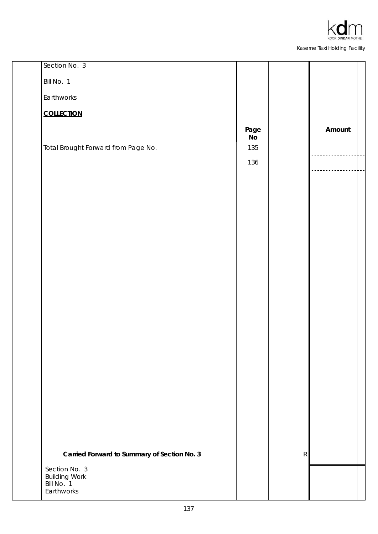

| Section No. 3                               |                     |   |        |
|---------------------------------------------|---------------------|---|--------|
| Bill No. 1                                  |                     |   |        |
| Earthworks                                  |                     |   |        |
| <b>COLLECTION</b>                           |                     |   |        |
|                                             | Page<br>$N_{\rm O}$ |   | Amount |
| Total Brought Forward from Page No.         | 135                 |   |        |
|                                             | 136                 |   |        |
|                                             |                     |   |        |
|                                             |                     |   |        |
|                                             |                     |   |        |
|                                             |                     |   |        |
|                                             |                     |   |        |
|                                             |                     |   |        |
|                                             |                     |   |        |
|                                             |                     |   |        |
|                                             |                     |   |        |
|                                             |                     |   |        |
|                                             |                     |   |        |
|                                             |                     |   |        |
|                                             |                     |   |        |
|                                             |                     |   |        |
|                                             |                     |   |        |
|                                             |                     |   |        |
|                                             |                     |   |        |
| Carried Forward to Summary of Section No. 3 |                     | R |        |
| Section No. 3<br><b>Building Work</b>       |                     |   |        |
| Bill No. <sup>1</sup><br>Earthworks         |                     |   |        |
|                                             |                     |   |        |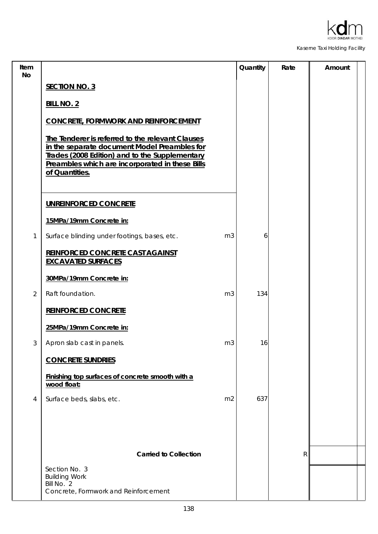

| Item<br>No     |                                                                                                                                                                                                                         | Quantity | Rate | Amount |
|----------------|-------------------------------------------------------------------------------------------------------------------------------------------------------------------------------------------------------------------------|----------|------|--------|
|                | <b>SECTION NO. 3</b>                                                                                                                                                                                                    |          |      |        |
|                | <b>BILL NO. 2</b>                                                                                                                                                                                                       |          |      |        |
|                | <b>CONCRETE, FORMWORK AND REINFORCEMENT</b>                                                                                                                                                                             |          |      |        |
|                | The Tenderer is referred to the relevant Clauses<br>in the separate document Model Preambles for<br>Trades (2008 Edition) and to the Supplementary<br>Preambles which are incorporated in these Bills<br>of Quantities. |          |      |        |
|                | UNREINFORCED CONCRETE                                                                                                                                                                                                   |          |      |        |
|                | 15MPa/19mm Concrete in:                                                                                                                                                                                                 |          |      |        |
| 1              | Surface blinding under footings, bases, etc.<br>m <sub>3</sub>                                                                                                                                                          | 6        |      |        |
|                | REINFORCED CONCRETE CAST AGAINST<br><b>EXCAVATED SURFACES</b>                                                                                                                                                           |          |      |        |
|                | 30MPa/19mm Concrete in:                                                                                                                                                                                                 |          |      |        |
| $\overline{2}$ | Raft foundation.<br>m <sub>3</sub>                                                                                                                                                                                      | 134      |      |        |
|                | <b>REINFORCED CONCRETE</b>                                                                                                                                                                                              |          |      |        |
|                | 25MPa/19mm Concrete in:                                                                                                                                                                                                 |          |      |        |
| 3              | m <sub>3</sub><br>Apron slab cast in panels.                                                                                                                                                                            | 16       |      |        |
|                | <b>CONCRETE SUNDRIES</b>                                                                                                                                                                                                |          |      |        |
|                | Finishing top surfaces of concrete smooth with a<br>wood float:                                                                                                                                                         |          |      |        |
| 4              | Surface beds, slabs, etc.<br>m <sub>2</sub>                                                                                                                                                                             | 637      |      |        |
|                |                                                                                                                                                                                                                         |          |      |        |
|                |                                                                                                                                                                                                                         |          |      |        |
|                | <b>Carried to Collection</b>                                                                                                                                                                                            |          | R    |        |
|                | Section No. 3<br><b>Building Work</b>                                                                                                                                                                                   |          |      |        |
|                | Bill No. 2<br>Concrete, Formwork and Reinforcement                                                                                                                                                                      |          |      |        |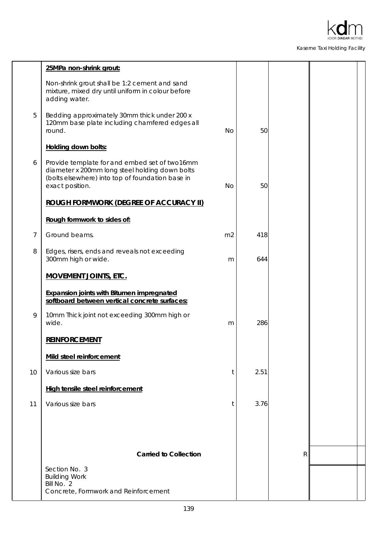

|    | 25MPa non-shrink grout:                                                                                                                                                |                |      |   |  |
|----|------------------------------------------------------------------------------------------------------------------------------------------------------------------------|----------------|------|---|--|
|    | Non-shrink grout shall be 1:2 cement and sand<br>mixture, mixed dry until uniform in colour before<br>adding water.                                                    |                |      |   |  |
| 5  | Bedding approximately 30mm thick under 200 x<br>120mm base plate including chamfered edges all<br>round.                                                               | <b>No</b>      | 50   |   |  |
|    | Holding down bolts:                                                                                                                                                    |                |      |   |  |
| 6  | Provide template for and embed set of two16mm<br>diameter x 200mm long steel holding down bolts<br>(bolts elsewhere) into top of foundation base in<br>exact position. | <b>No</b>      | 50   |   |  |
|    | <b>ROUGH FORMWORK (DEGREE OF ACCURACY II)</b>                                                                                                                          |                |      |   |  |
|    | Rough formwork to sides of:                                                                                                                                            |                |      |   |  |
| 7  | Ground beams.                                                                                                                                                          | m <sub>2</sub> | 418  |   |  |
| 8  | Edges, risers, ends and reveals not exceeding<br>300mm high or wide.                                                                                                   | m              | 644  |   |  |
|    | <b>MOVEMENT JOINTS, ETC.</b>                                                                                                                                           |                |      |   |  |
|    | <b>Expansion joints with Bitumen impregnated</b><br>softboard between vertical concrete surfaces:                                                                      |                |      |   |  |
| 9  | 10mm Thick joint not exceeding 300mm high or<br>wide.                                                                                                                  | m              | 286  |   |  |
|    | <b>REINFORCEMENT</b>                                                                                                                                                   |                |      |   |  |
|    | Mild steel reinforcement                                                                                                                                               |                |      |   |  |
| 10 | Various size bars                                                                                                                                                      | t              | 2.51 |   |  |
|    | High tensile steel reinforcement                                                                                                                                       |                |      |   |  |
| 11 | Various size bars                                                                                                                                                      | t              | 3.76 |   |  |
|    |                                                                                                                                                                        |                |      |   |  |
|    |                                                                                                                                                                        |                |      |   |  |
|    | <b>Carried to Collection</b>                                                                                                                                           |                |      | R |  |
|    | Section No. 3<br><b>Building Work</b><br>Bill No. 2                                                                                                                    |                |      |   |  |
|    | Concrete, Formwork and Reinforcement                                                                                                                                   |                |      |   |  |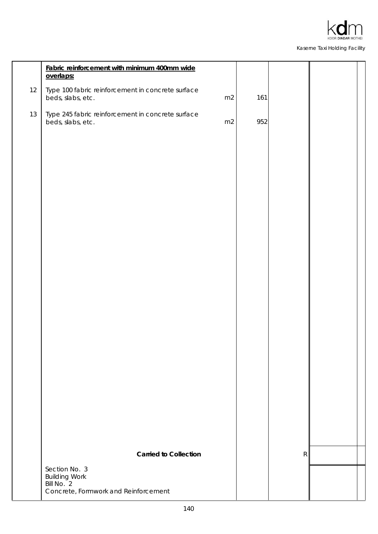

|    | Fabric reinforcement with minimum 400mm wide<br>overlaps:              |    |     |           |  |
|----|------------------------------------------------------------------------|----|-----|-----------|--|
| 12 | Type 100 fabric reinforcement in concrete surface<br>beds, slabs, etc. | m2 | 161 |           |  |
| 13 | Type 245 fabric reinforcement in concrete surface<br>beds, slabs, etc. | m2 | 952 |           |  |
|    |                                                                        |    |     |           |  |
|    |                                                                        |    |     |           |  |
|    |                                                                        |    |     |           |  |
|    |                                                                        |    |     |           |  |
|    |                                                                        |    |     |           |  |
|    |                                                                        |    |     |           |  |
|    |                                                                        |    |     |           |  |
|    |                                                                        |    |     |           |  |
|    |                                                                        |    |     |           |  |
|    |                                                                        |    |     |           |  |
|    |                                                                        |    |     |           |  |
|    |                                                                        |    |     |           |  |
|    |                                                                        |    |     |           |  |
|    |                                                                        |    |     |           |  |
|    | <b>Carried to Collection</b>                                           |    |     | ${\sf R}$ |  |
|    | Section No. 3<br><b>Building Work</b><br>Bill No. 2                    |    |     |           |  |
|    | Concrete, Formwork and Reinforcement                                   |    |     |           |  |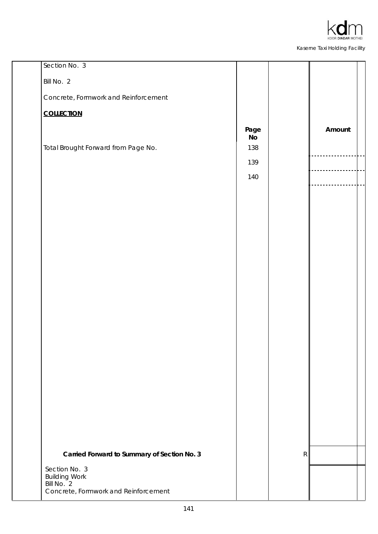

| Section No. 3                                      |                        |   |        |
|----------------------------------------------------|------------------------|---|--------|
| Bill No. 2                                         |                        |   |        |
| Concrete, Formwork and Reinforcement               |                        |   |        |
| <b>COLLECTION</b>                                  |                        |   |        |
|                                                    | Page<br>N <sub>o</sub> |   | Amount |
| Total Brought Forward from Page No.                | 138                    |   |        |
|                                                    | 139                    |   |        |
|                                                    | 140                    |   |        |
|                                                    |                        |   |        |
|                                                    |                        |   |        |
|                                                    |                        |   |        |
|                                                    |                        |   |        |
|                                                    |                        |   |        |
|                                                    |                        |   |        |
|                                                    |                        |   |        |
|                                                    |                        |   |        |
|                                                    |                        |   |        |
|                                                    |                        |   |        |
|                                                    |                        |   |        |
|                                                    |                        |   |        |
|                                                    |                        |   |        |
|                                                    |                        |   |        |
|                                                    |                        |   |        |
|                                                    |                        |   |        |
|                                                    |                        |   |        |
| Carried Forward to Summary of Section No. 3        |                        | R |        |
| Section No. 3<br><b>Building Work</b>              |                        |   |        |
| Bill No. 2<br>Concrete, Formwork and Reinforcement |                        |   |        |
|                                                    |                        |   |        |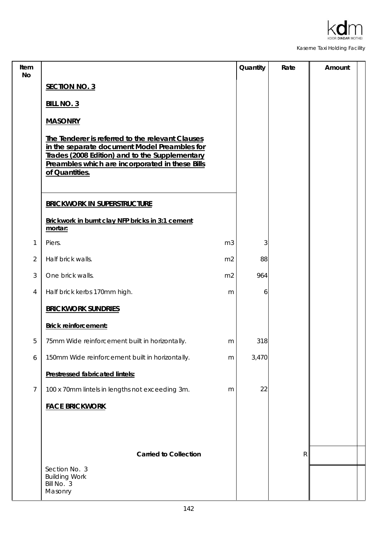

| Item<br>No     |                                                                                                                                                                                                                         | Quantity | Rate         | Amount |
|----------------|-------------------------------------------------------------------------------------------------------------------------------------------------------------------------------------------------------------------------|----------|--------------|--------|
|                | <b>SECTION NO. 3</b>                                                                                                                                                                                                    |          |              |        |
|                | <b>BILL NO. 3</b>                                                                                                                                                                                                       |          |              |        |
|                | <b>MASONRY</b>                                                                                                                                                                                                          |          |              |        |
|                | The Tenderer is referred to the relevant Clauses<br>in the separate document Model Preambles for<br>Trades (2008 Edition) and to the Supplementary<br>Preambles which are incorporated in these Bills<br>of Quantities. |          |              |        |
|                | <b>BRICKWORK IN SUPERSTRUCTURE</b>                                                                                                                                                                                      |          |              |        |
|                | Brickwork in burnt clay NFP bricks in 3:1 cement<br>mortar:                                                                                                                                                             |          |              |        |
| 1              | Piers.<br>m <sub>3</sub>                                                                                                                                                                                                | 3        |              |        |
| $\overline{2}$ | Half brick walls.<br>m <sub>2</sub>                                                                                                                                                                                     | 88       |              |        |
| 3              | One brick walls.<br>m <sub>2</sub>                                                                                                                                                                                      | 964      |              |        |
| 4              | Half brick kerbs 170mm high.<br>m                                                                                                                                                                                       | 6        |              |        |
|                | <b>BRICKWORK SUNDRIES</b>                                                                                                                                                                                               |          |              |        |
|                | <b>Brick reinforcement:</b>                                                                                                                                                                                             |          |              |        |
| 5              | 75mm Wide reinforcement built in horizontally.<br>m                                                                                                                                                                     | 318      |              |        |
| 6              | 150mm Wide reinforcement built in horizontally.<br>m                                                                                                                                                                    | 3,470    |              |        |
|                | Prestressed fabricated lintels:                                                                                                                                                                                         |          |              |        |
| 7              | 100 x 70mm lintels in lengths not exceeding 3m.<br>m                                                                                                                                                                    | 22       |              |        |
|                | <b>FACE BRICKWORK</b>                                                                                                                                                                                                   |          |              |        |
|                |                                                                                                                                                                                                                         |          |              |        |
|                |                                                                                                                                                                                                                         |          |              |        |
|                | <b>Carried to Collection</b>                                                                                                                                                                                            |          | $\mathsf{R}$ |        |
|                | Section No. 3<br><b>Building Work</b><br>Bill No. 3<br>Masonry                                                                                                                                                          |          |              |        |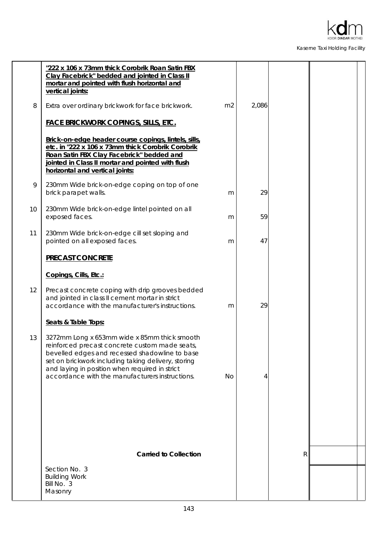

|    | "222 x 106 x 73mm thick Corobrik Roan Satin FBX<br>Clay Facebrick" bedded and jointed in Class II<br>mortar and pointed with flush horizontal and<br>vertical joints:                                                                                                                                        |                |       |              |  |
|----|--------------------------------------------------------------------------------------------------------------------------------------------------------------------------------------------------------------------------------------------------------------------------------------------------------------|----------------|-------|--------------|--|
| 8  | Extra over ordinary brickwork for face brickwork.                                                                                                                                                                                                                                                            | m <sub>2</sub> | 2,086 |              |  |
|    | <b>FACE BRICKWORK COPINGS, SILLS, ETC.</b>                                                                                                                                                                                                                                                                   |                |       |              |  |
|    | Brick-on-edge header course copings, lintels, sills,<br>etc. in "222 x 106 x 73mm thick Corobrik Corobrik<br>Roan Satin FBX Clay Facebrick" bedded and<br>jointed in Class II mortar and pointed with flush<br>horizontal and vertical joints:                                                               |                |       |              |  |
| 9  | 230mm Wide brick-on-edge coping on top of one<br>brick parapet walls.                                                                                                                                                                                                                                        | m              | 29    |              |  |
| 10 | 230mm Wide brick-on-edge lintel pointed on all<br>exposed faces.                                                                                                                                                                                                                                             | m              | 59    |              |  |
| 11 | 230mm Wide brick-on-edge cill set sloping and<br>pointed on all exposed faces.                                                                                                                                                                                                                               | m              | 47    |              |  |
|    | <b>PRECAST CONCRETE</b>                                                                                                                                                                                                                                                                                      |                |       |              |  |
|    | Copings, Cills, Etc.:                                                                                                                                                                                                                                                                                        |                |       |              |  |
| 12 | Precast concrete coping with drip grooves bedded<br>and jointed in class II cement mortar in strict<br>accordance with the manufacturer's instructions.                                                                                                                                                      | m              | 29    |              |  |
|    | Seats & Table Tops:                                                                                                                                                                                                                                                                                          |                |       |              |  |
| 13 | 3272mm Long x 653mm wide x 85mm thick smooth<br>reinforced precast concrete custom made seats,<br>bevelled edges and recessed shadowline to base<br>set on brickwork including taking delivery, storing<br>and laying in position when required in strict<br>accordance with the manufacturers instructions. | No             | 4     |              |  |
|    |                                                                                                                                                                                                                                                                                                              |                |       |              |  |
|    |                                                                                                                                                                                                                                                                                                              |                |       |              |  |
|    | <b>Carried to Collection</b>                                                                                                                                                                                                                                                                                 |                |       | $\mathsf{R}$ |  |
|    | Section No. 3                                                                                                                                                                                                                                                                                                |                |       |              |  |
|    | <b>Building Work</b><br>Bill No. 3<br>Masonry                                                                                                                                                                                                                                                                |                |       |              |  |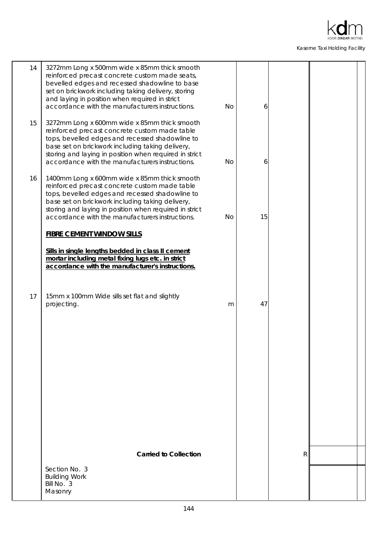

| 14 | 3272mm Long x 500mm wide x 85mm thick smooth<br>reinforced precast concrete custom made seats,<br>bevelled edges and recessed shadowline to base<br>set on brickwork including taking delivery, storing<br>and laying in position when required in strict<br>accordance with the manufacturers instructions.      | <b>No</b> | 6  |   |  |
|----|-------------------------------------------------------------------------------------------------------------------------------------------------------------------------------------------------------------------------------------------------------------------------------------------------------------------|-----------|----|---|--|
| 15 | 3272mm Long x 600mm wide x 85mm thick smooth<br>reinforced precast concrete custom made table<br>tops, bevelled edges and recessed shadowline to<br>base set on brickwork including taking delivery,<br>storing and laying in position when required in strict<br>accordance with the manufacturers instructions. | <b>No</b> | 6  |   |  |
| 16 | 1400mm Long x 600mm wide x 85mm thick smooth<br>reinforced precast concrete custom made table<br>tops, bevelled edges and recessed shadowline to<br>base set on brickwork including taking delivery,<br>storing and laying in position when required in strict<br>accordance with the manufacturers instructions. | No        | 15 |   |  |
|    | <b>FIBRE CEMENT WINDOW SILLS</b>                                                                                                                                                                                                                                                                                  |           |    |   |  |
|    | Sills in single lengths bedded in class II cement<br>mortar including metal fixing lugs etc. in strict<br>accordance with the manufacturer's instructions.                                                                                                                                                        |           |    |   |  |
| 17 | 15mm x 100mm Wide sills set flat and slightly<br>projecting.                                                                                                                                                                                                                                                      | m         | 47 |   |  |
|    |                                                                                                                                                                                                                                                                                                                   |           |    |   |  |
|    |                                                                                                                                                                                                                                                                                                                   |           |    |   |  |
|    |                                                                                                                                                                                                                                                                                                                   |           |    |   |  |
|    | <b>Carried to Collection</b>                                                                                                                                                                                                                                                                                      |           |    | R |  |
|    | Section No. 3                                                                                                                                                                                                                                                                                                     |           |    |   |  |
|    | <b>Building Work</b><br>Bill No. 3<br>Masonry                                                                                                                                                                                                                                                                     |           |    |   |  |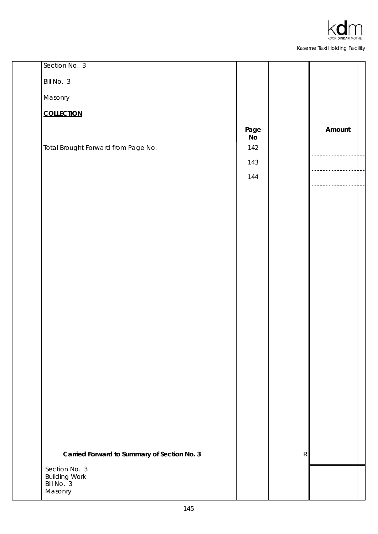

| Section No. 3                               |                     |   |        |
|---------------------------------------------|---------------------|---|--------|
| Bill No. 3                                  |                     |   |        |
| Masonry                                     |                     |   |        |
| <b>COLLECTION</b>                           |                     |   |        |
|                                             | Page<br>$N_{\rm O}$ |   | Amount |
| Total Brought Forward from Page No.         | 142                 |   |        |
|                                             | 143                 |   |        |
|                                             | 144                 |   |        |
|                                             |                     |   |        |
|                                             |                     |   |        |
|                                             |                     |   |        |
|                                             |                     |   |        |
|                                             |                     |   |        |
|                                             |                     |   |        |
|                                             |                     |   |        |
|                                             |                     |   |        |
|                                             |                     |   |        |
|                                             |                     |   |        |
|                                             |                     |   |        |
|                                             |                     |   |        |
|                                             |                     |   |        |
|                                             |                     |   |        |
|                                             |                     |   |        |
|                                             |                     |   |        |
|                                             |                     |   |        |
| Carried Forward to Summary of Section No. 3 |                     | R |        |
| Section No. 3<br><b>Building Work</b>       |                     |   |        |
| Bill No. 3<br>Masonry                       |                     |   |        |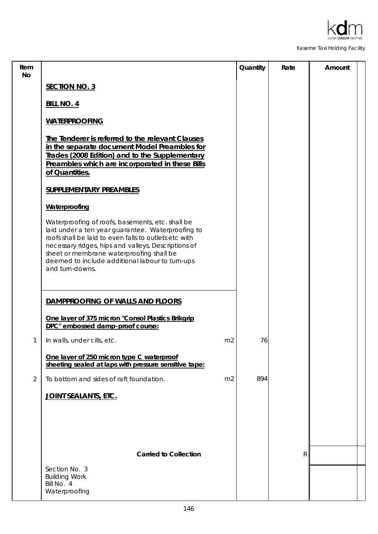

| Item<br><b>No</b> |                                                                                                                                                                                                                                                                                                                                         | Quantity | Rate | Amount |
|-------------------|-----------------------------------------------------------------------------------------------------------------------------------------------------------------------------------------------------------------------------------------------------------------------------------------------------------------------------------------|----------|------|--------|
|                   | <b>SECTION NO. 3</b>                                                                                                                                                                                                                                                                                                                    |          |      |        |
|                   | <b>BILL NO. 4</b>                                                                                                                                                                                                                                                                                                                       |          |      |        |
|                   | <b>WATERPROOFING</b>                                                                                                                                                                                                                                                                                                                    |          |      |        |
|                   | The Tenderer is referred to the relevant Clauses<br>in the separate document Model Preambles for<br>Trades (2008 Edition) and to the Supplementary<br>Preambles which are incorporated in these Bills<br>of Quantities.                                                                                                                 |          |      |        |
|                   | <b>SUPPLEMENTARY PREAMBLES</b>                                                                                                                                                                                                                                                                                                          |          |      |        |
|                   | Waterproofing                                                                                                                                                                                                                                                                                                                           |          |      |        |
|                   | Waterproofing of roofs, basements, etc. shall be<br>laid under a ten year guarantee. Waterproofing to<br>roofs shall be laid to even falls to outlets etc with<br>necessary ridges, hips and valleys. Descriptions of<br>sheet or membrane waterproofing shall be<br>deemed to include additional labour to turn-ups<br>and turn-downs. |          |      |        |
|                   | DAMPPROOFING OF WALLS AND FLOORS                                                                                                                                                                                                                                                                                                        |          |      |        |
|                   | One layer of 375 micron "Consol Plastics Brikgrip<br>DPC" embossed damp-proof course:                                                                                                                                                                                                                                                   |          |      |        |
| 1                 | In walls, under cills, etc.<br>m <sub>2</sub>                                                                                                                                                                                                                                                                                           | 76       |      |        |
|                   | One layer of 250 micron type C waterproof<br>sheeting sealed at laps with pressure sensitive tape:                                                                                                                                                                                                                                      |          |      |        |
| 2                 | To bottom and sides of raft foundation.<br>m <sub>2</sub>                                                                                                                                                                                                                                                                               | 894      |      |        |
|                   | JOINT SEALANTS, ETC.                                                                                                                                                                                                                                                                                                                    |          |      |        |
|                   |                                                                                                                                                                                                                                                                                                                                         |          |      |        |
|                   | <b>Carried to Collection</b>                                                                                                                                                                                                                                                                                                            |          | R    |        |
|                   | Section No. 3<br><b>Building Work</b><br>Bill No. 4<br>Waterproofing                                                                                                                                                                                                                                                                    |          |      |        |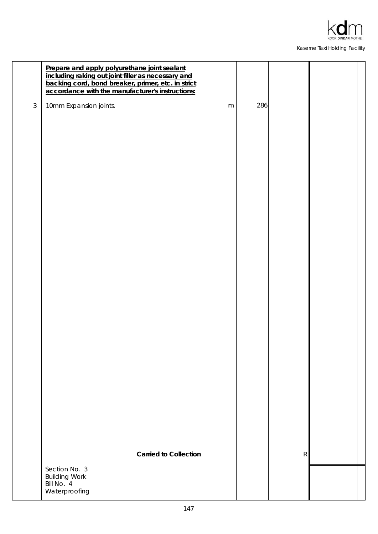

|            | Prepare and apply polyurethane joint sealant<br>including raking out joint filler as necessary and<br>backing cord, bond breaker, primer, etc. in strict<br>accordance with the manufacturer's instructions: |           |     |             |  |
|------------|--------------------------------------------------------------------------------------------------------------------------------------------------------------------------------------------------------------|-----------|-----|-------------|--|
| $\sqrt{3}$ | 10mm Expansion joints.                                                                                                                                                                                       | ${\sf m}$ | 286 |             |  |
|            |                                                                                                                                                                                                              |           |     |             |  |
|            |                                                                                                                                                                                                              |           |     |             |  |
|            |                                                                                                                                                                                                              |           |     |             |  |
|            |                                                                                                                                                                                                              |           |     |             |  |
|            |                                                                                                                                                                                                              |           |     |             |  |
|            |                                                                                                                                                                                                              |           |     |             |  |
|            |                                                                                                                                                                                                              |           |     |             |  |
|            |                                                                                                                                                                                                              |           |     |             |  |
|            |                                                                                                                                                                                                              |           |     |             |  |
|            |                                                                                                                                                                                                              |           |     |             |  |
|            |                                                                                                                                                                                                              |           |     |             |  |
|            |                                                                                                                                                                                                              |           |     |             |  |
|            |                                                                                                                                                                                                              |           |     |             |  |
|            |                                                                                                                                                                                                              |           |     |             |  |
|            |                                                                                                                                                                                                              |           |     |             |  |
|            |                                                                                                                                                                                                              |           |     |             |  |
|            |                                                                                                                                                                                                              |           |     |             |  |
|            |                                                                                                                                                                                                              |           |     |             |  |
|            |                                                                                                                                                                                                              |           |     |             |  |
|            | <b>Carried to Collection</b>                                                                                                                                                                                 |           |     | $\mathsf R$ |  |
|            | Section No. 3                                                                                                                                                                                                |           |     |             |  |
|            | <b>Building Work</b><br>Bill No. 4<br>Waterproofing                                                                                                                                                          |           |     |             |  |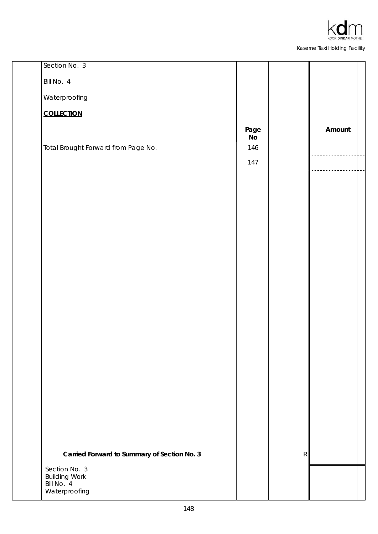

| Section No. 3                               |                        |             |        |
|---------------------------------------------|------------------------|-------------|--------|
| Bill No. 4                                  |                        |             |        |
| Waterproofing                               |                        |             |        |
| <b>COLLECTION</b>                           |                        |             |        |
|                                             | Page<br>N <sub>o</sub> |             | Amount |
| Total Brought Forward from Page No.         | 146                    |             |        |
|                                             | 147                    |             |        |
|                                             |                        |             |        |
|                                             |                        |             |        |
|                                             |                        |             |        |
|                                             |                        |             |        |
|                                             |                        |             |        |
|                                             |                        |             |        |
|                                             |                        |             |        |
|                                             |                        |             |        |
|                                             |                        |             |        |
|                                             |                        |             |        |
|                                             |                        |             |        |
|                                             |                        |             |        |
|                                             |                        |             |        |
|                                             |                        |             |        |
|                                             |                        |             |        |
|                                             |                        |             |        |
|                                             |                        |             |        |
| Carried Forward to Summary of Section No. 3 |                        | $\mathsf R$ |        |
| Section No. 3<br><b>Building Work</b>       |                        |             |        |
| Bill No. 4<br>Waterproofing                 |                        |             |        |
|                                             |                        |             |        |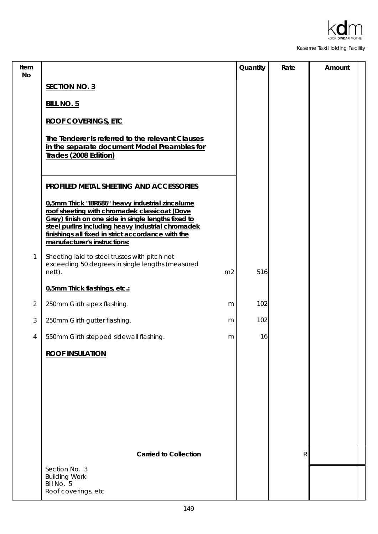

| Item<br>No     |                                                                                                                                                                                                                                                                                                     |                | Quantity | Rate         | Amount |
|----------------|-----------------------------------------------------------------------------------------------------------------------------------------------------------------------------------------------------------------------------------------------------------------------------------------------------|----------------|----------|--------------|--------|
|                | <b>SECTION NO. 3</b>                                                                                                                                                                                                                                                                                |                |          |              |        |
|                | <b>BILL NO. 5</b>                                                                                                                                                                                                                                                                                   |                |          |              |        |
|                | <b>ROOF COVERINGS, ETC</b>                                                                                                                                                                                                                                                                          |                |          |              |        |
|                | The Tenderer is referred to the relevant Clauses<br>in the separate document Model Preambles for<br>Trades (2008 Edition)                                                                                                                                                                           |                |          |              |        |
|                | PROFILED METAL SHEETING AND ACCESSORIES                                                                                                                                                                                                                                                             |                |          |              |        |
|                | 0,5mm Thick "IBR686" heavy industrial zincalume<br>roof sheeting with chromadek classicoat (Dove<br>Grey) finish on one side in single lengths fixed to<br>steel purlins including heavy industrial chromadek<br>finishings all fixed in strict accordance with the<br>manufacturer's instructions: |                |          |              |        |
| 1              | Sheeting laid to steel trusses with pitch not<br>exceeding 50 degrees in single lengths (measured<br>nett).                                                                                                                                                                                         | m <sub>2</sub> | 516      |              |        |
|                | 0,5mm Thick flashings, etc.:                                                                                                                                                                                                                                                                        |                |          |              |        |
| $\overline{2}$ | 250mm Girth apex flashing.                                                                                                                                                                                                                                                                          | m              | 102      |              |        |
| 3              | 250mm Girth gutter flashing.                                                                                                                                                                                                                                                                        | m              | 102      |              |        |
| 4              | 550mm Girth stepped sidewall flashing.                                                                                                                                                                                                                                                              | m              | 16       |              |        |
|                | <b>ROOF INSULATION</b>                                                                                                                                                                                                                                                                              |                |          |              |        |
|                |                                                                                                                                                                                                                                                                                                     |                |          |              |        |
|                | <b>Carried to Collection</b>                                                                                                                                                                                                                                                                        |                |          | $\mathsf{R}$ |        |
|                | Section No. 3<br><b>Building Work</b><br>Bill No. 5<br>Roof coverings, etc                                                                                                                                                                                                                          |                |          |              |        |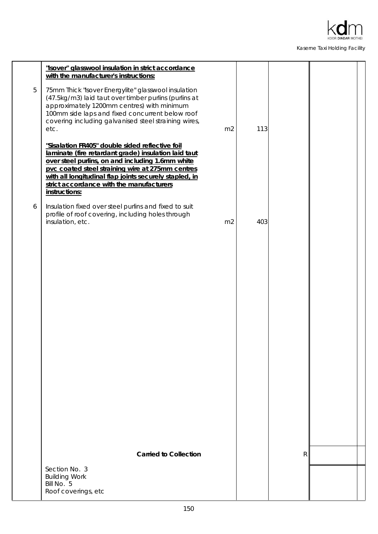

|   | "Isover" glasswool insulation in strict accordance<br>with the manufacturer's instructions:                                                                                                                                                                                                                                            |                |     |   |  |
|---|----------------------------------------------------------------------------------------------------------------------------------------------------------------------------------------------------------------------------------------------------------------------------------------------------------------------------------------|----------------|-----|---|--|
| 5 | 75mm Thick "Isover Energylite" glasswool insulation<br>(47.5kg/m3) laid taut over timber purlins (purlins at<br>approximately 1200mm centres) with minimum<br>100mm side laps and fixed concurrent below roof<br>covering including galvanised steel straining wires,<br>etc.                                                          | m <sub>2</sub> | 113 |   |  |
|   | "Sisalation FR405" double sided reflective foil<br>laminate (fire retardant grade) insulation laid taut<br>over steel purlins, on and including 1.6mm white<br>pvc coated steel straining wire at 275mm centres<br>with all longitudinal flap joints securely stapled, in<br>strict accordance with the manufacturers<br>instructions: |                |     |   |  |
| 6 | Insulation fixed over steel purlins and fixed to suit<br>profile of roof covering, including holes through<br>insulation, etc.                                                                                                                                                                                                         | m <sub>2</sub> | 403 |   |  |
|   |                                                                                                                                                                                                                                                                                                                                        |                |     |   |  |
|   |                                                                                                                                                                                                                                                                                                                                        |                |     |   |  |
|   |                                                                                                                                                                                                                                                                                                                                        |                |     |   |  |
|   |                                                                                                                                                                                                                                                                                                                                        |                |     |   |  |
|   |                                                                                                                                                                                                                                                                                                                                        |                |     |   |  |
|   |                                                                                                                                                                                                                                                                                                                                        |                |     |   |  |
|   |                                                                                                                                                                                                                                                                                                                                        |                |     |   |  |
|   |                                                                                                                                                                                                                                                                                                                                        |                |     |   |  |
|   | <b>Carried to Collection</b>                                                                                                                                                                                                                                                                                                           |                |     | R |  |
|   | Section No. 3<br><b>Building Work</b><br>Bill No. 5<br>Roof coverings, etc                                                                                                                                                                                                                                                             |                |     |   |  |
|   |                                                                                                                                                                                                                                                                                                                                        |                |     |   |  |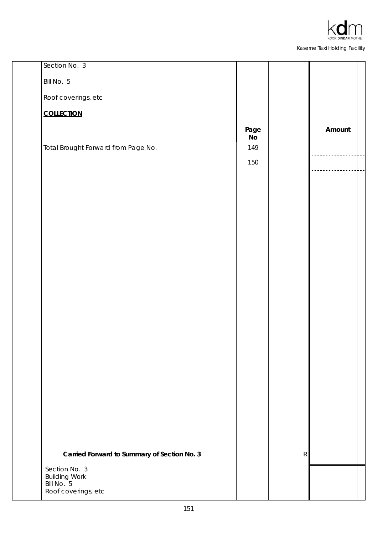

| Section No. 3                                |                        |   |        |
|----------------------------------------------|------------------------|---|--------|
| Bill No. 5                                   |                        |   |        |
| Roof coverings, etc                          |                        |   |        |
| <b>COLLECTION</b>                            |                        |   |        |
|                                              | Page<br>N <sub>o</sub> |   | Amount |
| Total Brought Forward from Page No.          | 149                    |   |        |
|                                              | 150                    |   |        |
|                                              |                        |   |        |
|                                              |                        |   |        |
|                                              |                        |   |        |
|                                              |                        |   |        |
|                                              |                        |   |        |
|                                              |                        |   |        |
|                                              |                        |   |        |
|                                              |                        |   |        |
|                                              |                        |   |        |
|                                              |                        |   |        |
|                                              |                        |   |        |
|                                              |                        |   |        |
|                                              |                        |   |        |
|                                              |                        |   |        |
|                                              |                        |   |        |
|                                              |                        |   |        |
|                                              |                        |   |        |
|                                              |                        |   |        |
| Carried Forward to Summary of Section No. 3  |                        | R |        |
| Section No. 3<br>Building Work<br>Bill No. 5 |                        |   |        |
| Roof coverings, etc                          |                        |   |        |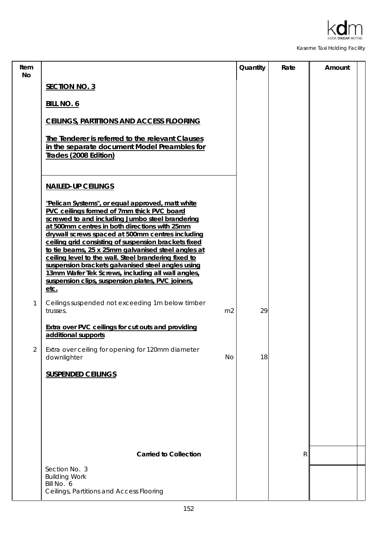

| Item<br><b>No</b> |                                                                                                                                                                                                                                                                                                                                                                                                                                                                                                                                                                                                     | Quantity | Rate         | Amount |
|-------------------|-----------------------------------------------------------------------------------------------------------------------------------------------------------------------------------------------------------------------------------------------------------------------------------------------------------------------------------------------------------------------------------------------------------------------------------------------------------------------------------------------------------------------------------------------------------------------------------------------------|----------|--------------|--------|
|                   | <b>SECTION NO. 3</b>                                                                                                                                                                                                                                                                                                                                                                                                                                                                                                                                                                                |          |              |        |
|                   | <b>BILL NO. 6</b>                                                                                                                                                                                                                                                                                                                                                                                                                                                                                                                                                                                   |          |              |        |
|                   | <b>CEILINGS, PARTITIONS AND ACCESS FLOORING</b>                                                                                                                                                                                                                                                                                                                                                                                                                                                                                                                                                     |          |              |        |
|                   | The Tenderer is referred to the relevant Clauses<br>in the separate document Model Preambles for<br>Trades (2008 Edition)                                                                                                                                                                                                                                                                                                                                                                                                                                                                           |          |              |        |
|                   | <b>NAILED-UP CEILINGS</b>                                                                                                                                                                                                                                                                                                                                                                                                                                                                                                                                                                           |          |              |        |
|                   | "Pelican Systems", or equal approved, matt white<br>PVC ceilings formed of 7mm thick PVC board<br>screwed to and including Jumbo steel brandering<br>at 500mm centres in both directions with 25mm<br>drywall screws spaced at 500mm centres including<br>ceiling grid consisting of suspension brackets fixed<br>to tie beams, 25 x 25mm galvanised steel angles at<br>ceiling level to the wall. Steel brandering fixed to<br>suspension brackets galvanised steel angles using<br>13mm Wafer Tek Screws, including all wall angles,<br>suspension clips, suspension plates, PVC joiners,<br>etc. |          |              |        |
| 1                 | Ceilings suspended not exceeding 1m below timber<br>m <sub>2</sub><br>trusses.                                                                                                                                                                                                                                                                                                                                                                                                                                                                                                                      | 29       |              |        |
|                   | <b>Extra over PVC ceilings for cut outs and providing</b><br>additional supports                                                                                                                                                                                                                                                                                                                                                                                                                                                                                                                    |          |              |        |
| 2                 | Extra over ceiling for opening for 120mm diameter<br>downlighter<br>No                                                                                                                                                                                                                                                                                                                                                                                                                                                                                                                              | 18       |              |        |
|                   | <b>SUSPENDED CEILINGS</b>                                                                                                                                                                                                                                                                                                                                                                                                                                                                                                                                                                           |          |              |        |
|                   |                                                                                                                                                                                                                                                                                                                                                                                                                                                                                                                                                                                                     |          |              |        |
|                   |                                                                                                                                                                                                                                                                                                                                                                                                                                                                                                                                                                                                     |          |              |        |
|                   |                                                                                                                                                                                                                                                                                                                                                                                                                                                                                                                                                                                                     |          |              |        |
|                   | <b>Carried to Collection</b>                                                                                                                                                                                                                                                                                                                                                                                                                                                                                                                                                                        |          | $\mathsf{R}$ |        |
|                   | Section No. 3<br><b>Building Work</b><br>Bill No. 6                                                                                                                                                                                                                                                                                                                                                                                                                                                                                                                                                 |          |              |        |
|                   | Ceilings, Partitions and Access Flooring                                                                                                                                                                                                                                                                                                                                                                                                                                                                                                                                                            |          |              |        |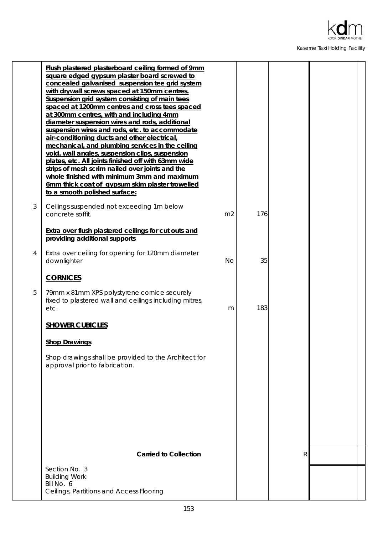

|   | Flush plastered plasterboard ceiling formed of 9mm<br>square edged gypsum plaster board screwed to<br>concealed galvanised suspension tee grid system<br>with drywall screws spaced at 150mm centres.<br>Suspension grid system consisting of main tees<br>spaced at 1200mm centres and cross tees spaced<br>at 300mm centres, with and including 4mm<br>diameter suspension wires and rods, additional<br>suspension wires and rods, etc. to accommodate<br>air-conditioning ducts and other electrical,<br>mechanical, and plumbing services in the ceiling<br>void, wall angles, suspension clips, suspension<br>plates, etc. All joints finished off with 63mm wide<br>strips of mesh scrim nailed over joints and the<br>whole finished with minimum 3mm and maximum<br>6mm thick coat of gypsum skim plaster trowelled<br>to a smooth polished surface: |                |     |   |  |
|---|---------------------------------------------------------------------------------------------------------------------------------------------------------------------------------------------------------------------------------------------------------------------------------------------------------------------------------------------------------------------------------------------------------------------------------------------------------------------------------------------------------------------------------------------------------------------------------------------------------------------------------------------------------------------------------------------------------------------------------------------------------------------------------------------------------------------------------------------------------------|----------------|-----|---|--|
| 3 | Ceilings suspended not exceeding 1m below<br>concrete soffit.                                                                                                                                                                                                                                                                                                                                                                                                                                                                                                                                                                                                                                                                                                                                                                                                 | m <sub>2</sub> | 176 |   |  |
|   | Extra over flush plastered ceilings for cut outs and<br>providing additional supports                                                                                                                                                                                                                                                                                                                                                                                                                                                                                                                                                                                                                                                                                                                                                                         |                |     |   |  |
| 4 | Extra over ceiling for opening for 120mm diameter<br>downlighter                                                                                                                                                                                                                                                                                                                                                                                                                                                                                                                                                                                                                                                                                                                                                                                              | No             | 35  |   |  |
|   | <b>CORNICES</b>                                                                                                                                                                                                                                                                                                                                                                                                                                                                                                                                                                                                                                                                                                                                                                                                                                               |                |     |   |  |
| 5 | 79mm x 81mm XPS polystyrene cornice securely<br>fixed to plastered wall and ceilings including mitres,<br>etc.                                                                                                                                                                                                                                                                                                                                                                                                                                                                                                                                                                                                                                                                                                                                                | m              | 183 |   |  |
|   | <b>SHOWER CUBICLES</b>                                                                                                                                                                                                                                                                                                                                                                                                                                                                                                                                                                                                                                                                                                                                                                                                                                        |                |     |   |  |
|   | <b>Shop Drawings</b>                                                                                                                                                                                                                                                                                                                                                                                                                                                                                                                                                                                                                                                                                                                                                                                                                                          |                |     |   |  |
|   | Shop drawings shall be provided to the Architect for<br>approval prior to fabrication.                                                                                                                                                                                                                                                                                                                                                                                                                                                                                                                                                                                                                                                                                                                                                                        |                |     |   |  |
|   |                                                                                                                                                                                                                                                                                                                                                                                                                                                                                                                                                                                                                                                                                                                                                                                                                                                               |                |     |   |  |
|   | <b>Carried to Collection</b>                                                                                                                                                                                                                                                                                                                                                                                                                                                                                                                                                                                                                                                                                                                                                                                                                                  |                |     | R |  |
|   | Section No. 3<br><b>Building Work</b><br>Bill No. 6<br>Ceilings, Partitions and Access Flooring                                                                                                                                                                                                                                                                                                                                                                                                                                                                                                                                                                                                                                                                                                                                                               |                |     |   |  |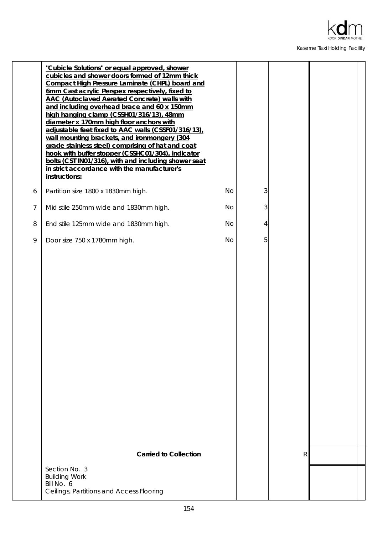

|                | "Cubicle Solutions" or equal approved, shower<br>cubicles and shower doors formed of 12mm thick<br>Compact High Pressure Laminate (CHPL) board and<br>6mm Cast acrylic Perspex respectively, fixed to<br><b>AAC (Autoclaved Aerated Concrete) walls with</b><br>and including overhead brace and 60 x 150mm<br>high hanging clamp (CSSH01/316/13), 48mm<br>diameter x 170mm high floor anchors with<br>adjustable feet fixed to AAC walls (CSSF01/316/13),<br>wall mounting brackets, and ironmongery (304<br>grade stainless steel) comprising of hat and coat<br>hook with buffer stopper (CSSHC01/304), indicator<br>bolts (CST IN01/316), with and including shower seat<br>in strict accordance with the manufacturer's<br>instructions: |    |   |   |  |
|----------------|-----------------------------------------------------------------------------------------------------------------------------------------------------------------------------------------------------------------------------------------------------------------------------------------------------------------------------------------------------------------------------------------------------------------------------------------------------------------------------------------------------------------------------------------------------------------------------------------------------------------------------------------------------------------------------------------------------------------------------------------------|----|---|---|--|
| 6              | Partition size 1800 x 1830mm high.                                                                                                                                                                                                                                                                                                                                                                                                                                                                                                                                                                                                                                                                                                            | No | 3 |   |  |
| $\overline{7}$ | Mid stile 250mm wide and 1830mm high.                                                                                                                                                                                                                                                                                                                                                                                                                                                                                                                                                                                                                                                                                                         | No | 3 |   |  |
| 8              | End stile 125mm wide and 1830mm high.                                                                                                                                                                                                                                                                                                                                                                                                                                                                                                                                                                                                                                                                                                         | No | 4 |   |  |
| 9              | Door size 750 x 1780mm high.                                                                                                                                                                                                                                                                                                                                                                                                                                                                                                                                                                                                                                                                                                                  | No | 5 |   |  |
|                |                                                                                                                                                                                                                                                                                                                                                                                                                                                                                                                                                                                                                                                                                                                                               |    |   |   |  |
|                | <b>Carried to Collection</b>                                                                                                                                                                                                                                                                                                                                                                                                                                                                                                                                                                                                                                                                                                                  |    |   | R |  |
|                | Section No. 3<br><b>Building Work</b><br>Bill No. 6<br>Ceilings, Partitions and Access Flooring                                                                                                                                                                                                                                                                                                                                                                                                                                                                                                                                                                                                                                               |    |   |   |  |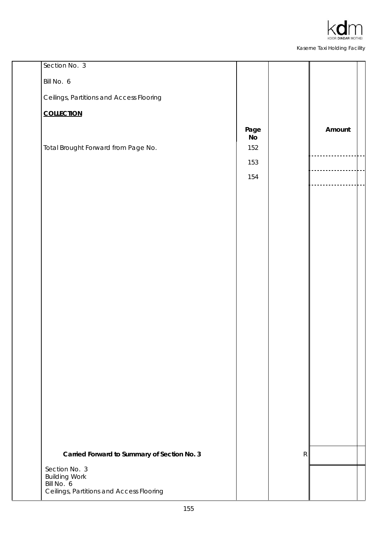

| Section No. 3                               |                       |   |        |
|---------------------------------------------|-----------------------|---|--------|
| Bill No. 6                                  |                       |   |        |
| Ceilings, Partitions and Access Flooring    |                       |   |        |
| <b>COLLECTION</b>                           |                       |   |        |
|                                             | Page<br>$\mathsf{No}$ |   | Amount |
| Total Brought Forward from Page No.         | 152                   |   |        |
|                                             | 153                   |   |        |
|                                             | 154                   |   |        |
|                                             |                       |   |        |
|                                             |                       |   |        |
|                                             |                       |   |        |
|                                             |                       |   |        |
|                                             |                       |   |        |
|                                             |                       |   |        |
|                                             |                       |   |        |
|                                             |                       |   |        |
|                                             |                       |   |        |
|                                             |                       |   |        |
|                                             |                       |   |        |
|                                             |                       |   |        |
|                                             |                       |   |        |
|                                             |                       |   |        |
|                                             |                       |   |        |
|                                             |                       |   |        |
|                                             |                       |   |        |
| Carried Forward to Summary of Section No. 3 |                       | R |        |
| Section No. 3                               |                       |   |        |
| <b>Building Work</b><br>Bill No. 6          |                       |   |        |
| Ceilings, Partitions and Access Flooring    |                       |   |        |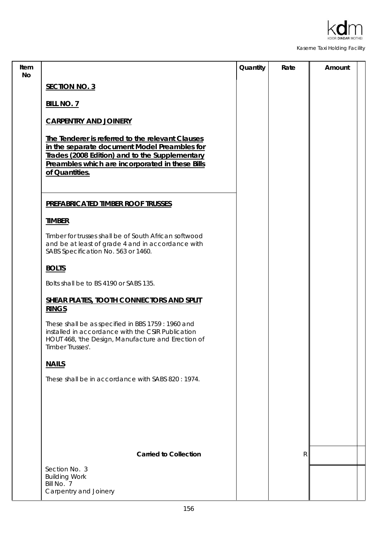

| Item<br><b>No</b> |                                                                                                                                                                                                                         | Quantity | Rate | Amount |
|-------------------|-------------------------------------------------------------------------------------------------------------------------------------------------------------------------------------------------------------------------|----------|------|--------|
|                   | <b>SECTION NO. 3</b>                                                                                                                                                                                                    |          |      |        |
|                   | <b>BILL NO. 7</b>                                                                                                                                                                                                       |          |      |        |
|                   | <b>CARPENTRY AND JOINERY</b>                                                                                                                                                                                            |          |      |        |
|                   | The Tenderer is referred to the relevant Clauses<br>in the separate document Model Preambles for<br>Trades (2008 Edition) and to the Supplementary<br>Preambles which are incorporated in these Bills<br>of Quantities. |          |      |        |
|                   | PREFABRICATED TIMBER ROOF TRUSSES                                                                                                                                                                                       |          |      |        |
|                   | <b>TIMBER</b>                                                                                                                                                                                                           |          |      |        |
|                   | Timber for trusses shall be of South African softwood<br>and be at least of grade 4 and in accordance with<br>SABS Specification No. 563 or 1460.                                                                       |          |      |        |
|                   | <b>BOLTS</b>                                                                                                                                                                                                            |          |      |        |
|                   | Bolts shall be to BS 4190 or SABS 135.                                                                                                                                                                                  |          |      |        |
|                   | SHEAR PLATES, TOOTH CONNECTORS AND SPLIT<br><b>RINGS</b>                                                                                                                                                                |          |      |        |
|                   | These shall be as specified in BBS 1759 : 1960 and<br>installed in accordance with the CSIR Publication<br>HOUT 468, 'the Design, Manufacture and Erection of<br>Timber Trusses'.                                       |          |      |        |
|                   | <b>NAILS</b>                                                                                                                                                                                                            |          |      |        |
|                   | These shall be in accordance with SABS 820 : 1974.                                                                                                                                                                      |          |      |        |
|                   |                                                                                                                                                                                                                         |          |      |        |
|                   |                                                                                                                                                                                                                         |          |      |        |
|                   |                                                                                                                                                                                                                         |          |      |        |
|                   | <b>Carried to Collection</b>                                                                                                                                                                                            |          | R    |        |
|                   | Section No. 3<br><b>Building Work</b><br>Bill No. 7<br>Carpentry and Joinery                                                                                                                                            |          |      |        |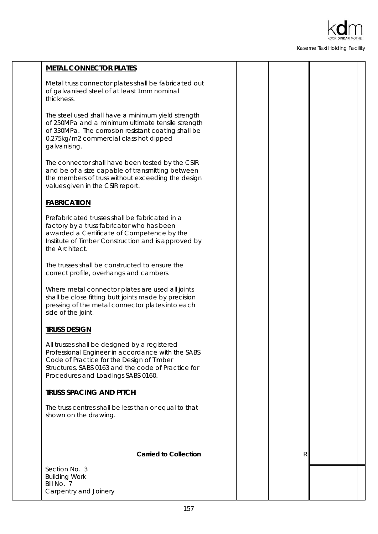

| <b>METAL CONNECTOR PLATES</b>                                                                                                                                                                                                               |   |  |
|---------------------------------------------------------------------------------------------------------------------------------------------------------------------------------------------------------------------------------------------|---|--|
| Metal truss connector plates shall be fabricated out<br>of galvanised steel of at least 1mm nominal<br>thickness.                                                                                                                           |   |  |
| The steel used shall have a minimum yield strength<br>of 250MPa and a minimum ultimate tensile strength<br>of 330MPa. The corrosion resistant coating shall be<br>0.275kg/m2 commercial class hot dipped<br>galvanising.                    |   |  |
| The connector shall have been tested by the CSIR<br>and be of a size capable of transmitting between<br>the members of truss without exceeding the design<br>values given in the CSIR report.                                               |   |  |
| <b>FABRICATION</b>                                                                                                                                                                                                                          |   |  |
| Prefabricated trusses shall be fabricated in a<br>factory by a truss fabricator who has been<br>awarded a Certificate of Competence by the<br>Institute of Timber Construction and is approved by<br>the Architect.                         |   |  |
| The trusses shall be constructed to ensure the<br>correct profile, overhangs and cambers.                                                                                                                                                   |   |  |
| Where metal connector plates are used all joints<br>shall be close fitting butt joints made by precision<br>pressing of the metal connector plates into each<br>side of the joint.                                                          |   |  |
| <b>TRUSS DESIGN</b>                                                                                                                                                                                                                         |   |  |
| All trusses shall be designed by a registered<br>Professional Engineer in accordance with the SABS<br>Code of Practice for the Design of Timber<br>Structures, SABS 0163 and the code of Practice for<br>Procedures and Loadings SABS 0160. |   |  |
| <b>TRUSS SPACING AND PITCH</b>                                                                                                                                                                                                              |   |  |
| The truss centres shall be less than or equal to that<br>shown on the drawing.                                                                                                                                                              |   |  |
|                                                                                                                                                                                                                                             |   |  |
| <b>Carried to Collection</b>                                                                                                                                                                                                                | R |  |
| Section No. 3<br><b>Building Work</b>                                                                                                                                                                                                       |   |  |
| Bill No. 7                                                                                                                                                                                                                                  |   |  |
| Carpentry and Joinery                                                                                                                                                                                                                       |   |  |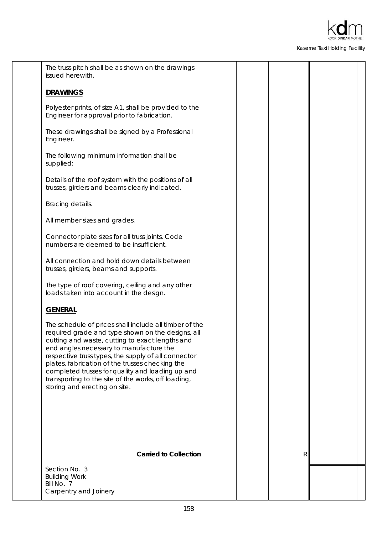

| The truss pitch shall be as shown on the drawings<br>issued herewith.                                                                                                                                                                                                                                                                                                                                                                                           |    |  |
|-----------------------------------------------------------------------------------------------------------------------------------------------------------------------------------------------------------------------------------------------------------------------------------------------------------------------------------------------------------------------------------------------------------------------------------------------------------------|----|--|
| <b>DRAWINGS</b>                                                                                                                                                                                                                                                                                                                                                                                                                                                 |    |  |
| Polyester prints, of size A1, shall be provided to the<br>Engineer for approval prior to fabrication.                                                                                                                                                                                                                                                                                                                                                           |    |  |
| These drawings shall be signed by a Professional<br>Engineer.                                                                                                                                                                                                                                                                                                                                                                                                   |    |  |
| The following minimum information shall be<br>supplied:                                                                                                                                                                                                                                                                                                                                                                                                         |    |  |
| Details of the roof system with the positions of all<br>trusses, girders and beams clearly indicated.                                                                                                                                                                                                                                                                                                                                                           |    |  |
| Bracing details.                                                                                                                                                                                                                                                                                                                                                                                                                                                |    |  |
| All member sizes and grades.                                                                                                                                                                                                                                                                                                                                                                                                                                    |    |  |
| Connector plate sizes for all truss joints. Code<br>numbers are deemed to be insufficient.                                                                                                                                                                                                                                                                                                                                                                      |    |  |
| All connection and hold down details between<br>trusses, girders, beams and supports.                                                                                                                                                                                                                                                                                                                                                                           |    |  |
| The type of roof covering, ceiling and any other<br>loads taken into account in the design.                                                                                                                                                                                                                                                                                                                                                                     |    |  |
| <b>GENERAL</b>                                                                                                                                                                                                                                                                                                                                                                                                                                                  |    |  |
| The schedule of prices shall include all timber of the<br>required grade and type shown on the designs, all<br>cutting and waste, cutting to exact lengths and<br>end angles necessary to manufacture the<br>respective truss types, the supply of all connector<br>plates, fabrication of the trusses checking the<br>completed trusses for quality and loading up and<br>transporting to the site of the works, off loading,<br>storing and erecting on site. |    |  |
|                                                                                                                                                                                                                                                                                                                                                                                                                                                                 |    |  |
| <b>Carried to Collection</b>                                                                                                                                                                                                                                                                                                                                                                                                                                    | R. |  |
| Section No. 3<br><b>Building Work</b><br>Bill No. 7<br>Carpentry and Joinery                                                                                                                                                                                                                                                                                                                                                                                    |    |  |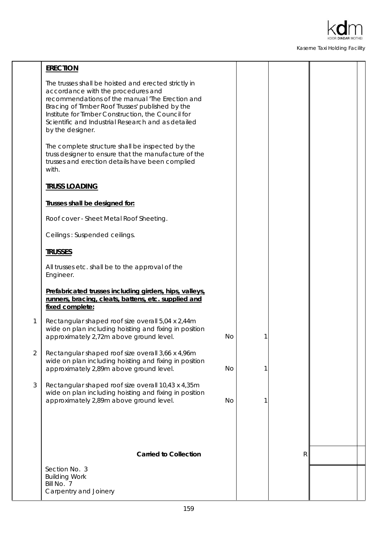

|                | <b>ERECTION</b>                                                                                                                                                                                                                                                                                                                   |    |   |   |  |
|----------------|-----------------------------------------------------------------------------------------------------------------------------------------------------------------------------------------------------------------------------------------------------------------------------------------------------------------------------------|----|---|---|--|
|                | The trusses shall be hoisted and erected strictly in<br>accordance with the procedures and<br>recommendations of the manual 'The Erection and<br>Bracing of Timber Roof Trusses' published by the<br>Institute for Timber Construction, the Council for<br>Scientific and Industrial Research and as detailed<br>by the designer. |    |   |   |  |
|                | The complete structure shall be inspected by the<br>truss designer to ensure that the manufacture of the<br>trusses and erection details have been complied<br>with.                                                                                                                                                              |    |   |   |  |
|                | <b>TRUSS LOADING</b>                                                                                                                                                                                                                                                                                                              |    |   |   |  |
|                | Trusses shall be designed for:                                                                                                                                                                                                                                                                                                    |    |   |   |  |
|                | Roof cover - Sheet Metal Roof Sheeting.                                                                                                                                                                                                                                                                                           |    |   |   |  |
|                | Ceilings: Suspended ceilings.                                                                                                                                                                                                                                                                                                     |    |   |   |  |
|                | <b>TRUSSES</b>                                                                                                                                                                                                                                                                                                                    |    |   |   |  |
|                | All trusses etc. shall be to the approval of the<br>Engineer.                                                                                                                                                                                                                                                                     |    |   |   |  |
|                | Prefabricated trusses including girders, hips, valleys,<br>runners, bracing, cleats, battens, etc. supplied and<br>fixed complete:                                                                                                                                                                                                |    |   |   |  |
| $\mathbf{1}$   | Rectangular shaped roof size overall 5,04 x 2,44m<br>wide on plan including hoisting and fixing in position<br>approximately 2,72m above ground level.                                                                                                                                                                            | No |   |   |  |
| $\overline{2}$ | Rectangular shaped roof size overall 3,66 x 4,96m<br>wide on plan including hoisting and fixing in position<br>approximately 2,89m above ground level.                                                                                                                                                                            | No | 1 |   |  |
| 3              | Rectangular shaped roof size overall 10,43 x 4,35m<br>wide on plan including hoisting and fixing in position<br>approximately 2,89m above ground level.                                                                                                                                                                           | No |   |   |  |
|                |                                                                                                                                                                                                                                                                                                                                   |    |   |   |  |
|                | <b>Carried to Collection</b>                                                                                                                                                                                                                                                                                                      |    |   | R |  |
|                | Section No. 3<br><b>Building Work</b>                                                                                                                                                                                                                                                                                             |    |   |   |  |
|                | Bill No. 7<br>Carpentry and Joinery                                                                                                                                                                                                                                                                                               |    |   |   |  |
|                |                                                                                                                                                                                                                                                                                                                                   |    |   |   |  |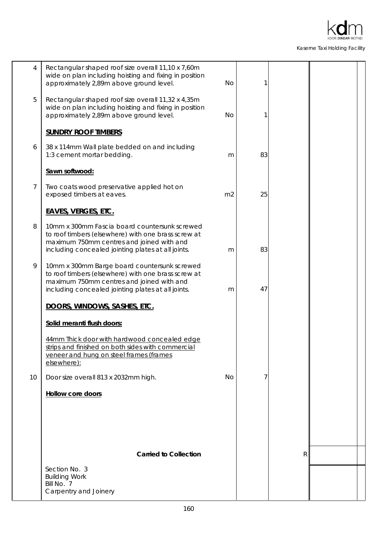

| 4              | Rectangular shaped roof size overall 11,10 x 7,60m<br>wide on plan including hoisting and fixing in position<br>approximately 2,89m above ground level.                                                 | No             | 1  |   |  |
|----------------|---------------------------------------------------------------------------------------------------------------------------------------------------------------------------------------------------------|----------------|----|---|--|
| 5              | Rectangular shaped roof size overall 11,32 x 4,35m<br>wide on plan including hoisting and fixing in position<br>approximately 2,89m above ground level.                                                 | <b>No</b>      | 1  |   |  |
|                | <b>SUNDRY ROOF TIMBERS</b>                                                                                                                                                                              |                |    |   |  |
| 6              | 38 x 114mm Wall plate bedded on and including<br>1:3 cement mortar bedding.                                                                                                                             | m              | 83 |   |  |
|                | Sawn softwood:                                                                                                                                                                                          |                |    |   |  |
| $\overline{7}$ | Two coats wood preservative applied hot on<br>exposed timbers at eaves.                                                                                                                                 | m <sub>2</sub> | 25 |   |  |
|                | <b>EAVES, VERGES, ETC.</b>                                                                                                                                                                              |                |    |   |  |
| 8              | 10mm x 300mm Fascia board countersunk screwed<br>to roof timbers (elsewhere) with one brass screw at<br>maximum 750mm centres and joined with and<br>including concealed jointing plates at all joints. | m              | 83 |   |  |
| 9              | 10mm x 300mm Barge board countersunk screwed<br>to roof timbers (elsewhere) with one brass screw at<br>maximum 750mm centres and joined with and<br>including concealed jointing plates at all joints.  | m              | 47 |   |  |
|                | DOORS, WINDOWS, SASHES, ETC.                                                                                                                                                                            |                |    |   |  |
|                | Solid meranti flush doors:                                                                                                                                                                              |                |    |   |  |
|                | 44mm Thick door with hardwood concealed edge<br>strips and finished on both sides with commercial<br>veneer and hung on steel frames (frames<br>elsewhere):                                             |                |    |   |  |
| 10             | Door size overall 813 x 2032mm high.                                                                                                                                                                    | <b>No</b>      | 7  |   |  |
|                | <b>Hollow core doors</b>                                                                                                                                                                                |                |    |   |  |
|                |                                                                                                                                                                                                         |                |    |   |  |
|                | <b>Carried to Collection</b>                                                                                                                                                                            |                |    | R |  |
|                | Section No. 3<br><b>Building Work</b><br>Bill No. 7<br>Carpentry and Joinery                                                                                                                            |                |    |   |  |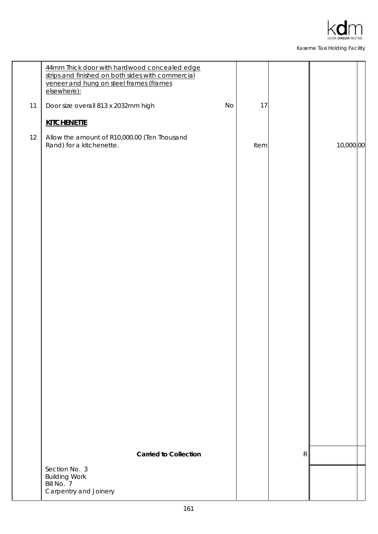

|    | 44mm Thick door with hardwood concealed edge<br>strips and finished on both sides with commercial<br>veneer and hung on steel frames (frames<br>elsewhere): |           |      |   |           |
|----|-------------------------------------------------------------------------------------------------------------------------------------------------------------|-----------|------|---|-----------|
| 11 | Door size overall 813 x 2032mm high                                                                                                                         | <b>No</b> | 17   |   |           |
|    | <b>KITCHENETTE</b>                                                                                                                                          |           |      |   |           |
| 12 | Allow the amount of R10,000.00 (Ten Thousand<br>Rand) for a kitchenette.                                                                                    |           | Item |   | 10,000,00 |
|    |                                                                                                                                                             |           |      |   |           |
|    |                                                                                                                                                             |           |      |   |           |
|    | <b>Carried to Collection</b>                                                                                                                                |           |      | R |           |
|    | Section No. 3<br><b>Building Work</b><br>Bill No. 7<br>Carpentry and Joinery                                                                                |           |      |   |           |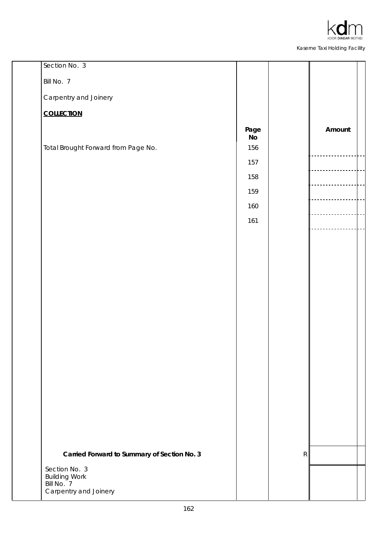

| Section No. 3                                  |                                     |   |        |
|------------------------------------------------|-------------------------------------|---|--------|
| Bill No. 7                                     |                                     |   |        |
| Carpentry and Joinery                          |                                     |   |        |
| <b>COLLECTION</b>                              |                                     |   |        |
|                                                | Page                                |   | Amount |
| Total Brought Forward from Page No.            | $\operatorname{\mathsf{No}}$<br>156 |   |        |
|                                                | 157                                 |   |        |
|                                                | 158                                 |   |        |
|                                                | 159                                 |   |        |
|                                                | 160                                 |   |        |
|                                                | 161                                 |   |        |
|                                                |                                     |   |        |
|                                                |                                     |   |        |
|                                                |                                     |   |        |
|                                                |                                     |   |        |
|                                                |                                     |   |        |
|                                                |                                     |   |        |
|                                                |                                     |   |        |
|                                                |                                     |   |        |
|                                                |                                     |   |        |
|                                                |                                     |   |        |
|                                                |                                     |   |        |
|                                                |                                     |   |        |
|                                                |                                     |   |        |
|                                                |                                     |   |        |
|                                                |                                     |   |        |
| Carried Forward to Summary of Section No. 3    |                                     | R |        |
| Section No. 3<br><b>Building Work</b>          |                                     |   |        |
| Bill No. <sup>7</sup><br>Carpentry and Joinery |                                     |   |        |
|                                                |                                     |   |        |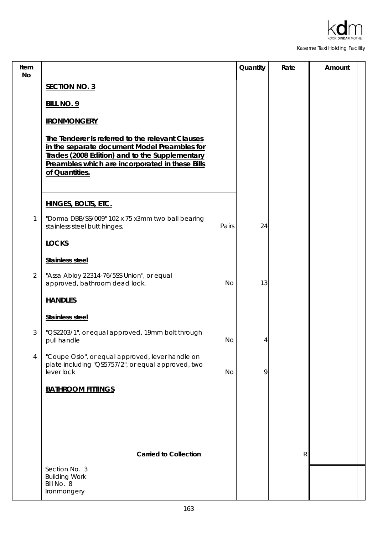

| Item<br>No     |                                                                                                                                                                                                                         |           | Quantity | Rate         | Amount |
|----------------|-------------------------------------------------------------------------------------------------------------------------------------------------------------------------------------------------------------------------|-----------|----------|--------------|--------|
|                | <b>SECTION NO. 3</b>                                                                                                                                                                                                    |           |          |              |        |
|                | <b>BILL NO. 9</b>                                                                                                                                                                                                       |           |          |              |        |
|                | <b>IRONMONGERY</b>                                                                                                                                                                                                      |           |          |              |        |
|                | The Tenderer is referred to the relevant Clauses<br>in the separate document Model Preambles for<br>Trades (2008 Edition) and to the Supplementary<br>Preambles which are incorporated in these Bills<br>of Quantities. |           |          |              |        |
|                | <b>HINGES, BOLTS, ETC.</b>                                                                                                                                                                                              |           |          |              |        |
| 1              | "Dorma DBB/SS/009" 102 x 75 x3mm two ball bearing<br>stainless steel butt hinges.                                                                                                                                       | Pairs     | 24       |              |        |
|                | <b>LOCKS</b>                                                                                                                                                                                                            |           |          |              |        |
|                | <b>Stainless steel</b>                                                                                                                                                                                                  |           |          |              |        |
| $\overline{2}$ | "Assa Abloy 22314-76/5SS Union", or equal<br>approved, bathroom dead lock.                                                                                                                                              | <b>No</b> | 13       |              |        |
|                | <b>HANDLES</b>                                                                                                                                                                                                          |           |          |              |        |
|                | <b>Stainless steel</b>                                                                                                                                                                                                  |           |          |              |        |
| 3              | "QS2203/1", or equal approved, 19mm bolt through<br>pull handle                                                                                                                                                         | No        | 4        |              |        |
| 4              | "Coupe Oslo", or equal approved, lever handle on<br>plate including "QS5757/2", or equal approved, two<br>lever lock                                                                                                    | <b>No</b> | 9        |              |        |
|                | <b>BATHROOM FITTINGS</b>                                                                                                                                                                                                |           |          |              |        |
|                |                                                                                                                                                                                                                         |           |          |              |        |
|                | <b>Carried to Collection</b>                                                                                                                                                                                            |           |          | $\mathsf{R}$ |        |
|                | Section No. 3<br><b>Building Work</b><br>Bill No. 8<br>Ironmongery                                                                                                                                                      |           |          |              |        |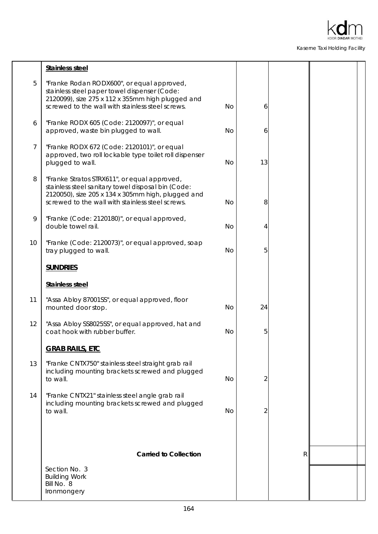

|                | <b>Stainless steel</b>                                                                                                                                                                                       |           |    |   |  |
|----------------|--------------------------------------------------------------------------------------------------------------------------------------------------------------------------------------------------------------|-----------|----|---|--|
| 5              | "Franke Rodan RODX600", or equal approved,<br>stainless steel paper towel dispenser (Code:<br>2120099), size 275 x 112 x 355mm high plugged and<br>screwed to the wall with stainless steel screws.          | No        | 6  |   |  |
| 6              | "Franke RODX 605 (Code: 2120097)", or equal<br>approved, waste bin plugged to wall.                                                                                                                          | <b>No</b> | 6  |   |  |
| $\overline{7}$ | "Franke RODX 672 (Code: 2120101)", or equal<br>approved, two roll lockable type toilet roll dispenser<br>plugged to wall.                                                                                    | <b>No</b> | 13 |   |  |
| 8              | "Franke Stratos STRX611", or equal approved,<br>stainless steel sanitary towel disposal bin (Code:<br>2120050), size 205 x 134 x 305mm high, plugged and<br>screwed to the wall with stainless steel screws. | <b>No</b> | 8  |   |  |
| 9              | "Franke (Code: 2120180)", or equal approved,<br>double towel rail.                                                                                                                                           | <b>No</b> | 4  |   |  |
| 10             | "Franke (Code: 2120073)", or equal approved, soap<br>tray plugged to wall.                                                                                                                                   | <b>No</b> | 5  |   |  |
|                | <b>SUNDRIES</b>                                                                                                                                                                                              |           |    |   |  |
|                | <b>Stainless steel</b>                                                                                                                                                                                       |           |    |   |  |
| 11             | "Assa Abloy 87001SS", or equal approved, floor<br>mounted door stop.                                                                                                                                         | <b>No</b> | 24 |   |  |
| 12             | "Assa Abloy SS8025SS", or equal approved, hat and<br>coat hook with rubber buffer.                                                                                                                           | <b>No</b> | 5  |   |  |
|                | <b>GRAB RAILS, ETC</b>                                                                                                                                                                                       |           |    |   |  |
| 13             | "Franke CNTX750" stainless steel straight grab rail<br>including mounting brackets screwed and plugged<br>to wall.                                                                                           | <b>No</b> | 2  |   |  |
| 14             | "Franke CNTX21" stainless steel angle grab rail<br>including mounting brackets screwed and plugged<br>to wall.                                                                                               | No        | 2  |   |  |
|                |                                                                                                                                                                                                              |           |    |   |  |
|                | <b>Carried to Collection</b>                                                                                                                                                                                 |           |    | R |  |
|                | Section No. 3<br><b>Building Work</b><br>Bill No. 8<br>Ironmongery                                                                                                                                           |           |    |   |  |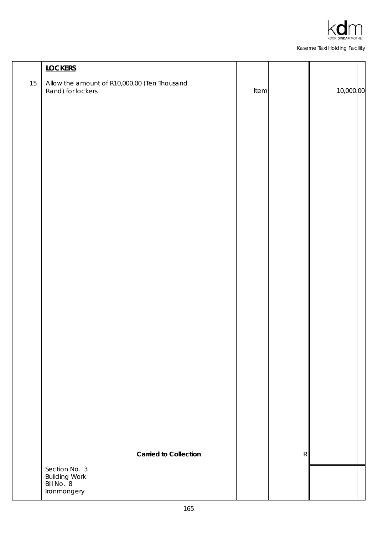

|        | <b>LOCKERS</b>                                                     |      |             |           |
|--------|--------------------------------------------------------------------|------|-------------|-----------|
| $15\,$ | Allow the amount of R10,000.00 (Ten Thousand<br>Rand) for lockers. | Item |             | 10,000.00 |
|        |                                                                    |      |             |           |
|        |                                                                    |      |             |           |
|        |                                                                    |      |             |           |
|        |                                                                    |      |             |           |
|        |                                                                    |      |             |           |
|        |                                                                    |      |             |           |
|        |                                                                    |      |             |           |
|        |                                                                    |      |             |           |
|        |                                                                    |      |             |           |
|        |                                                                    |      |             |           |
|        |                                                                    |      |             |           |
|        |                                                                    |      |             |           |
|        |                                                                    |      |             |           |
|        |                                                                    |      |             |           |
|        |                                                                    |      |             |           |
|        |                                                                    |      |             |           |
|        |                                                                    |      |             |           |
|        |                                                                    |      |             |           |
|        |                                                                    |      |             |           |
|        |                                                                    |      |             |           |
|        |                                                                    |      |             |           |
|        | <b>Carried to Collection</b>                                       |      | $\mathsf R$ |           |
|        | Section No. 3<br><b>Building Work</b>                              |      |             |           |
|        | Bill No. 8<br>Ironmongery                                          |      |             |           |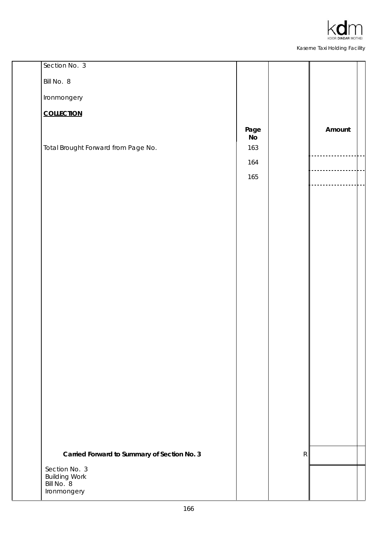

| Section No. 3                               |                       |             |        |
|---------------------------------------------|-----------------------|-------------|--------|
| Bill No. 8                                  |                       |             |        |
| Ironmongery                                 |                       |             |        |
| <b>COLLECTION</b>                           |                       |             |        |
|                                             | Page                  |             | Amount |
| Total Brought Forward from Page No.         | N <sub>o</sub><br>163 |             |        |
|                                             | 164                   |             |        |
|                                             | 165                   |             |        |
|                                             |                       |             |        |
|                                             |                       |             |        |
|                                             |                       |             |        |
|                                             |                       |             |        |
|                                             |                       |             |        |
|                                             |                       |             |        |
|                                             |                       |             |        |
|                                             |                       |             |        |
|                                             |                       |             |        |
|                                             |                       |             |        |
|                                             |                       |             |        |
|                                             |                       |             |        |
|                                             |                       |             |        |
|                                             |                       |             |        |
|                                             |                       |             |        |
|                                             |                       |             |        |
|                                             |                       |             |        |
| Carried Forward to Summary of Section No. 3 |                       | $\mathsf R$ |        |
| Section No. 3                               |                       |             |        |
| <b>Building Work</b><br>Bill No. 8          |                       |             |        |
| Ironmongery                                 |                       |             |        |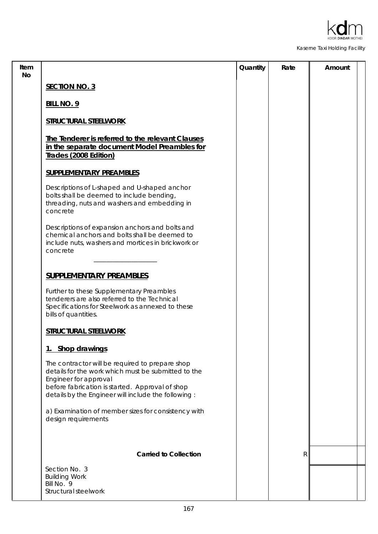

| <b>SECTION NO. 3</b>                                                                                                                                                                                                                      |              |  |
|-------------------------------------------------------------------------------------------------------------------------------------------------------------------------------------------------------------------------------------------|--------------|--|
| <b>BILL NO. 9</b>                                                                                                                                                                                                                         |              |  |
| <b>STRUCTURAL STEELWORK</b>                                                                                                                                                                                                               |              |  |
| The Tenderer is referred to the relevant Clauses<br>in the separate document Model Preambles for<br>Trades (2008 Edition)                                                                                                                 |              |  |
| <b>SUPPLEMENTARY PREAMBLES</b>                                                                                                                                                                                                            |              |  |
| Descriptions of L-shaped and U-shaped anchor<br>bolts shall be deemed to include bending,<br>threading, nuts and washers and embedding in<br>concrete                                                                                     |              |  |
| Descriptions of expansion anchors and bolts and<br>chemical anchors and bolts shall be deemed to<br>include nuts, washers and mortices in brickwork or<br>concrete                                                                        |              |  |
| <b>SUPPLEMENTARY PREAMBLES</b>                                                                                                                                                                                                            |              |  |
| Further to these Supplementary Preambles<br>tenderers are also referred to the Technical<br>Specifications for Steelwork as annexed to these<br>bills of quantities.                                                                      |              |  |
| <b>STRUCTURAL STEELWORK</b>                                                                                                                                                                                                               |              |  |
| 1. Shop drawings                                                                                                                                                                                                                          |              |  |
| The contractor will be required to prepare shop<br>details for the work which must be submitted to the<br>Engineer for approval<br>before fabrication is started. Approval of shop<br>details by the Engineer will include the following: |              |  |
| a) Examination of member sizes for consistency with<br>design requirements                                                                                                                                                                |              |  |
| <b>Carried to Collection</b>                                                                                                                                                                                                              | $\mathsf{R}$ |  |
| Section No. 3<br><b>Building Work</b><br>Bill No. 9<br>Structural steelwork                                                                                                                                                               |              |  |
|                                                                                                                                                                                                                                           |              |  |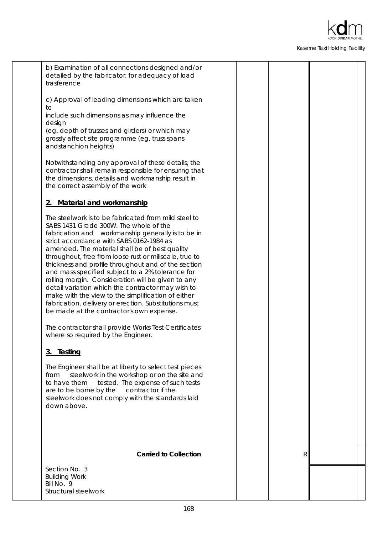

trasference c) Approval of leading dimensions which are taken to include such dimensions as may influence the design (eg, depth of trusses and girders) or which may grossly affect site programme (eg, truss spans andstanchion heights) Notwithstanding any approval of these details, the contractor shall remain responsible for ensuring that the dimensions, details and workmanship result in the correct assembly of the work The steelwork is to be fabricated from mild steel to SABS 1431 Grade 300W. The whole of the fabrication and workmanship generally is to be in strict accordance with SABS 0162-1984 as amended. The material shall be of best quality throughout, free from loose rust or millscale, true to thickness and profile throughout and of the section and mass specified subject to a 2% tolerance for rolling margin. Consideration will be given to any detail variation which the contractor may wish to make with the view to the simplification of either fabrication, delivery or erection. Substitutions must be made at the contractor's own expense. **2. Material and workmanship** The contractor shall provide Works Test Certificates where so required by the Engineer. The Engineer shall be at liberty to select test pieces from steelwork in the workshop or on the site and to have them tested. The expense of such tests are to be borne by the contractor if the steelwork does not comply with the standards laid down above. **3. Testing Carried to Collection R R** 

b) Examination of all connections designed and/or detailed by the fabricator, for adequacy of load

Structural steelwork Bill No. 9 Building Work Section No. 3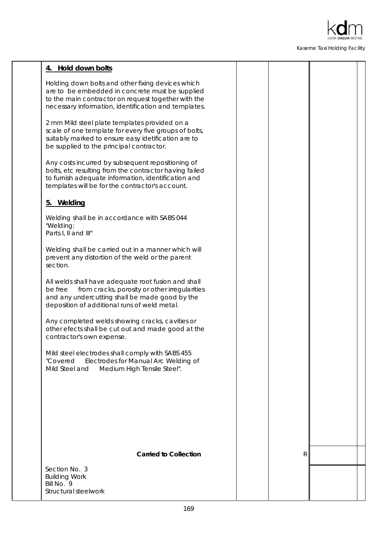

| 4. Hold down bolts                                                                                                                                                                                                    |   |  |
|-----------------------------------------------------------------------------------------------------------------------------------------------------------------------------------------------------------------------|---|--|
| Holding down bolts and other fixing devices which<br>are to be embedded in concrete must be supplied<br>to the main contractor on request together with the<br>necessary information, identification and templates.   |   |  |
| 2 mm Mild steel plate templates provided on a<br>scale of one template for every five groups of bolts,<br>suitably marked to ensure easy idetification are to<br>be supplied to the principal contractor.             |   |  |
| Any costs incurred by subsequent repositioning of<br>bolts, etc resulting from the contractor having failed<br>to furnish adequate information, identification and<br>templates will be for the contractor's account. |   |  |
| 5. Welding                                                                                                                                                                                                            |   |  |
| Welding shall be in accordance with SABS 044<br>"Welding:<br>Parts I, II and III"                                                                                                                                     |   |  |
| Welding shall be carried out in a manner which will<br>prevent any distortion of the weld or the parent<br>section.                                                                                                   |   |  |
| All welds shall have adequate root fusion and shall<br>from cracks, porosity or other irregularities<br>be free<br>and any undercutting shall be made good by the<br>deposition of additional runs of weld metal.     |   |  |
| Any completed welds showing cracks, cavities or<br>other efects shall be cut out and made good at the<br>contractor's own expense.                                                                                    |   |  |
| Mild steel electrodes shall comply with SABS 455<br>Electrodes for Manual Arc Welding of<br>"Covered<br>Mild Steel and<br>Medium High Tensile Steel".                                                                 |   |  |
|                                                                                                                                                                                                                       |   |  |
|                                                                                                                                                                                                                       |   |  |
| <b>Carried to Collection</b>                                                                                                                                                                                          | R |  |
| Section No. 3<br><b>Building Work</b><br>Bill No. 9<br>Structural steelwork                                                                                                                                           |   |  |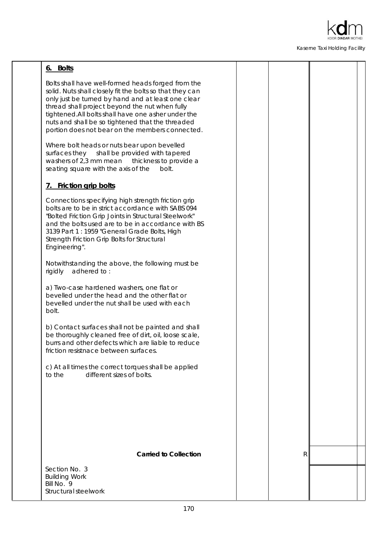

# **6. Bolts**

Bolts shall have well-formed heads forged from the solid. Nuts shall closely fit the bolts so that they can only just be turned by hand and at least one clear thread shall project beyond the nut when fully tightened.All bolts shall have one asher under the nuts and shall be so tightened that the threaded portion does not bear on the members connected.

Where bolt heads or nuts bear upon bevelled surfaces they shall be provided with tapered washers of 2,3 mm mean thickness to provide a seating square with the axis of the bolt.

# **7. Friction grip bolts**

Connections specifying high strength friction grip bolts are to be in strict accordance with SABS 094 "Bolted Friction Grip Joints in Structural Steelwork" and the bolts used are to be in accordance with BS 3139 Part 1 : 1959 "General Grade Bolts, High Strength Friction Grip Bolts for Structural Engineering".

Notwithstanding the above, the following must be rigidly adhered to :

a) Two-case hardened washers, one flat or bevelled under the head and the other flat or bevelled under the nut shall be used with each bolt.

b) Contact surfaces shall not be painted and shall be thoroughly cleaned free of dirt, oil, loose scale, burrs and other defects which are liable to reduce friction resistnace between surfaces.

c) At all times the correct torques shall be applied to the different sizes of bolts.

# **Carried to Collection R R**

Structural steelwork  $Rill$  No.  $9$ Building Work Section No. 3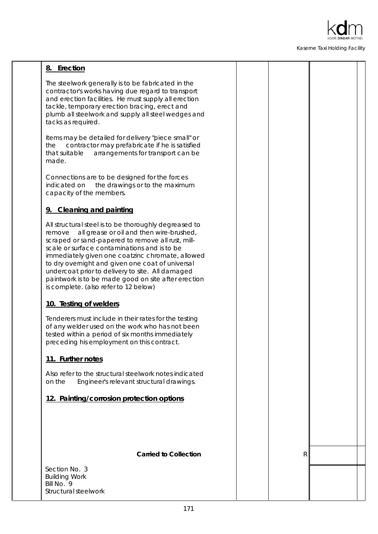

# **8. Erection**

The steelwork generally is to be fabricated in the contractor's works having due regard to transport and erection facilities. He must supply all erection tackle, temporary erection bracing, erect and plumb all steelwork and supply all steel wedges and tacks as required.

Items may be detailed for delivery "piece small" or the contractor may prefabricate if he is satisfied that suitable arrangements for transport can be made.

Connections are to be designed for the forces indicated on the drawings or to the maximum capacity of the members.

# **9. Cleaning and painting**

All structural steel is to be thoroughly degreased to remove all grease or oil and then wire-brushed, scraped or sand-papered to remove all rust, millscale or surface contaminations and is to be immediately given one coatzinc chromate, allowed to dry overnight and given one coat of universal undercoat prior to delivery to site. All damaged paintwork is to be made good on site after erection is complete. (also refer to 12 below)

# **10. Testing of welders**

Tenderers must include in their rates for the testing of any welder used on the work who has not been tested within a period of six months immediately preceding his employment on this contract.

# **11. Further notes**

Also refer to the structural steelwork notes indicated on the Engineer's relevant structural drawings.

# **12. Painting/corrosion protection options**

**Carried to Collection R R** 

Structural steelwork  $Rill$  No.  $9$ Building Work Section No. 3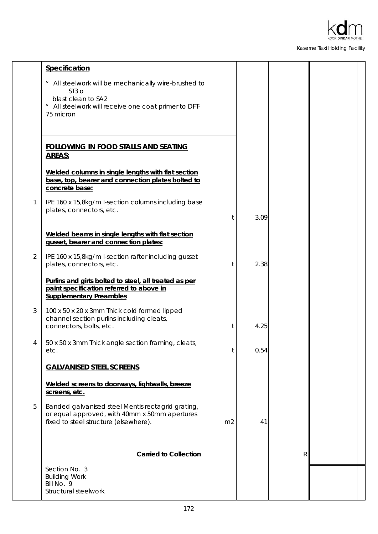

|                | Specification                                                                                                                                                               |                |      |   |  |
|----------------|-----------------------------------------------------------------------------------------------------------------------------------------------------------------------------|----------------|------|---|--|
|                | All steelwork will be mechanically wire-brushed to<br>ST <sub>3</sub> o<br>blast clean to SA2<br>All steelwork will receive one coat primer to DFT-<br>$\circ$<br>75 micron |                |      |   |  |
|                | <b>FOLLOWING IN FOOD STALLS AND SEATING</b><br><b>AREAS:</b>                                                                                                                |                |      |   |  |
|                | Welded columns in single lengths with flat section<br>base, top, bearer and connection plates bolted to<br>concrete base:                                                   |                |      |   |  |
| 1              | IPE 160 x 15,8kg/m I-section columns including base<br>plates, connectors, etc.                                                                                             | t              | 3.09 |   |  |
|                | Welded beams in single lengths with flat section<br>gusset, bearer and connection plates:                                                                                   |                |      |   |  |
| $\overline{2}$ | IPE 160 x 15,8kg/m I-section rafter including gusset<br>plates, connectors, etc.                                                                                            | t              | 2.38 |   |  |
|                | Purlins and girts bolted to steel, all treated as per<br>paint specification referred to above in<br><b>Supplementary Preambles</b>                                         |                |      |   |  |
| $\sqrt{3}$     | 100 x 50 x 20 x 3mm Thick cold formed lipped<br>channel section purlins including cleats,<br>connectors, bolts, etc.                                                        | t              | 4.25 |   |  |
| 4              | 50 x 50 x 3mm Thick angle section framing, cleats,<br>etc.                                                                                                                  | t              | 0.54 |   |  |
|                | <b>GALVANISED STEEL SCREENS</b>                                                                                                                                             |                |      |   |  |
|                | Welded screens to doorways, lightwalls, breeze<br>screens, etc.                                                                                                             |                |      |   |  |
| 5              | Banded galvanised steel Mentis rectagrid grating,<br>or equal approved, with 40mm x 50mm apertures<br>fixed to steel structure (elsewhere).                                 | m <sub>2</sub> | 41   |   |  |
|                | <b>Carried to Collection</b>                                                                                                                                                |                |      | R |  |
|                | Section No. 3<br><b>Building Work</b><br>Bill No. 9<br>Structural steelwork                                                                                                 |                |      |   |  |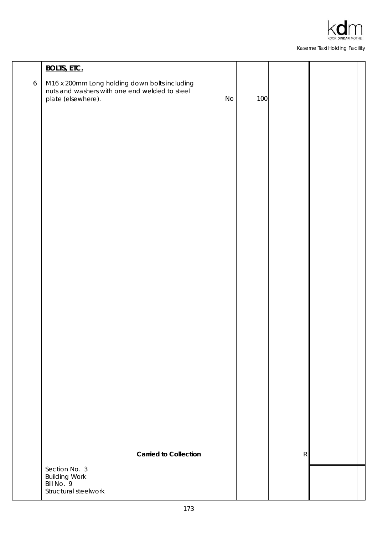

|                  | <b>BOLTS, ETC.</b>                                                                                                   |    |     |             |  |
|------------------|----------------------------------------------------------------------------------------------------------------------|----|-----|-------------|--|
| $\boldsymbol{6}$ | M16 x 200mm Long holding down bolts including<br>nuts and washers with one end welded to steel<br>plate (elsewhere). | No | 100 |             |  |
|                  |                                                                                                                      |    |     |             |  |
|                  |                                                                                                                      |    |     |             |  |
|                  |                                                                                                                      |    |     |             |  |
|                  |                                                                                                                      |    |     |             |  |
|                  |                                                                                                                      |    |     |             |  |
|                  |                                                                                                                      |    |     |             |  |
|                  |                                                                                                                      |    |     |             |  |
|                  |                                                                                                                      |    |     |             |  |
|                  | <b>Carried to Collection</b>                                                                                         |    |     | $\mathsf R$ |  |
|                  | Section No. 3<br>Building Work<br>Bill No. 9<br>Structural steelwork                                                 |    |     |             |  |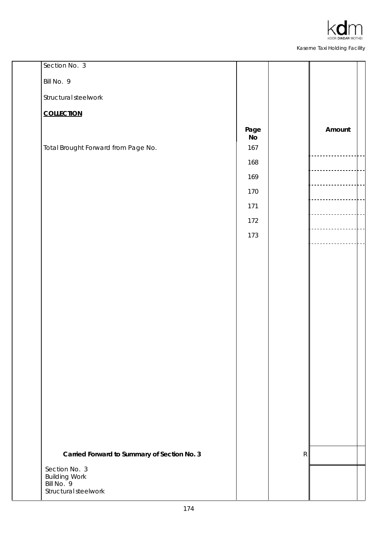

| Section No. 3                               |            |   |        |
|---------------------------------------------|------------|---|--------|
| Bill No. 9                                  |            |   |        |
| Structural steelwork                        |            |   |        |
| <b>COLLECTION</b>                           |            |   |        |
|                                             | Page<br>No |   | Amount |
| Total Brought Forward from Page No.         | 167        |   |        |
|                                             | 168        |   |        |
|                                             | 169        |   |        |
|                                             | 170        |   |        |
|                                             | 171        |   |        |
|                                             | 172        |   |        |
|                                             | 173        |   |        |
|                                             |            |   |        |
|                                             |            |   |        |
|                                             |            |   |        |
|                                             |            |   |        |
|                                             |            |   |        |
|                                             |            |   |        |
|                                             |            |   |        |
|                                             |            |   |        |
|                                             |            |   |        |
|                                             |            |   |        |
|                                             |            |   |        |
|                                             |            |   |        |
|                                             |            |   |        |
|                                             |            |   |        |
| Carried Forward to Summary of Section No. 3 |            | R |        |
| Section No. 3<br><b>Building Work</b>       |            |   |        |
| Bill No. 9<br>Structural steelwork          |            |   |        |
|                                             |            |   |        |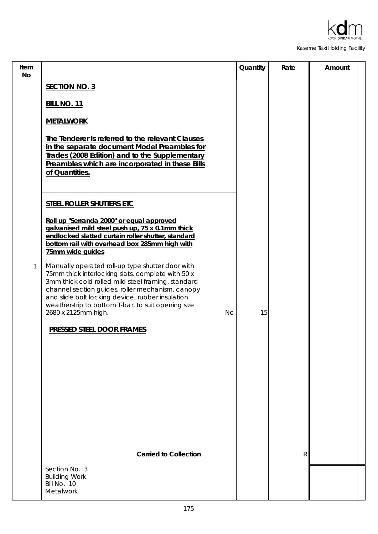

| Item<br><b>No</b> |                                                                                                                                                                                                                                                                                                                                                               | Quantity | Rate         | Amount |
|-------------------|---------------------------------------------------------------------------------------------------------------------------------------------------------------------------------------------------------------------------------------------------------------------------------------------------------------------------------------------------------------|----------|--------------|--------|
|                   | <b>SECTION NO. 3</b>                                                                                                                                                                                                                                                                                                                                          |          |              |        |
|                   | <b>BILL NO. 11</b>                                                                                                                                                                                                                                                                                                                                            |          |              |        |
|                   | <b>METALWORK</b>                                                                                                                                                                                                                                                                                                                                              |          |              |        |
|                   | The Tenderer is referred to the relevant Clauses<br>in the separate document Model Preambles for<br>Trades (2008 Edition) and to the Supplementary<br>Preambles which are incorporated in these Bills<br>of Quantities.                                                                                                                                       |          |              |        |
|                   | STEEL ROLLER SHUTTERS ETC                                                                                                                                                                                                                                                                                                                                     |          |              |        |
|                   | Roll up "Serranda 2000" or equal approved<br>galvanised mild steel push up, 75 x 0.1mm thick<br>endlocked slatted curtain roller shutter, standard<br>bottom rail with overhead box 285mm high with<br>75mm wide guides                                                                                                                                       |          |              |        |
| 1                 | Manually operated roll-up type shutter door with<br>75mm thick interlocking slats, complete with 50 x<br>3mm thick cold rolled mild steel framing, standard<br>channel section guides, roller mechanism, canopy<br>and slide bolt locking device, rubber insulation<br>weatherstrip to bottom T-bar, to suit opening size<br><b>No</b><br>2680 x 2125mm high. | 15       |              |        |
|                   | <b>PRESSED STEEL DOOR FRAMES</b>                                                                                                                                                                                                                                                                                                                              |          |              |        |
|                   |                                                                                                                                                                                                                                                                                                                                                               |          |              |        |
|                   |                                                                                                                                                                                                                                                                                                                                                               |          |              |        |
|                   |                                                                                                                                                                                                                                                                                                                                                               |          |              |        |
|                   |                                                                                                                                                                                                                                                                                                                                                               |          |              |        |
|                   |                                                                                                                                                                                                                                                                                                                                                               |          |              |        |
|                   |                                                                                                                                                                                                                                                                                                                                                               |          |              |        |
|                   |                                                                                                                                                                                                                                                                                                                                                               |          |              |        |
|                   | <b>Carried to Collection</b>                                                                                                                                                                                                                                                                                                                                  |          | $\mathsf{R}$ |        |
|                   | Section No. 3<br><b>Building Work</b><br>Bill No. 10<br>Metalwork                                                                                                                                                                                                                                                                                             |          |              |        |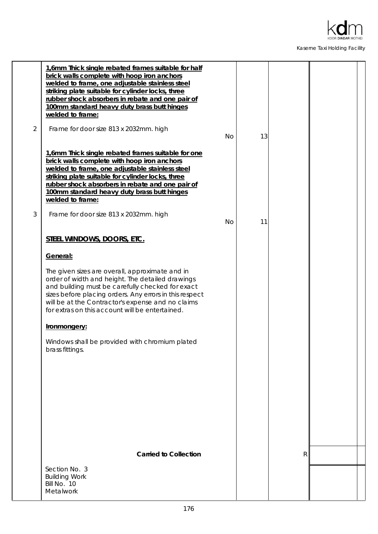

|                | 1,6mm Thick single rebated frames suitable for half<br>brick walls complete with hoop iron anchors<br>welded to frame, one adjustable stainless steel<br>striking plate suitable for cylinder locks, three<br>rubber shock absorbers in rebate and one pair of<br>100mm standard heavy duty brass butt hinges<br>welded to frame: |           |    |   |  |
|----------------|-----------------------------------------------------------------------------------------------------------------------------------------------------------------------------------------------------------------------------------------------------------------------------------------------------------------------------------|-----------|----|---|--|
| $\overline{2}$ | Frame for door size 813 x 2032mm. high                                                                                                                                                                                                                                                                                            | <b>No</b> | 13 |   |  |
|                | 1,6mm Thick single rebated frames suitable for one<br>brick walls complete with hoop iron anchors<br>welded to frame, one adjustable stainless steel<br>striking plate suitable for cylinder locks, three<br>rubber shock absorbers in rebate and one pair of<br>100mm standard heavy duty brass butt hinges<br>welded to frame:  |           |    |   |  |
| 3              | Frame for door size 813 x 2032mm. high                                                                                                                                                                                                                                                                                            | <b>No</b> | 11 |   |  |
|                | STEEL WINDOWS, DOORS, ETC.                                                                                                                                                                                                                                                                                                        |           |    |   |  |
|                | General:                                                                                                                                                                                                                                                                                                                          |           |    |   |  |
|                | The given sizes are overall, approximate and in<br>order of width and height. The detailed drawings<br>and building must be carefully checked for exact<br>sizes before placing orders. Any errors in this respect<br>will be at the Contractor's expense and no claims<br>for extras on this account will be entertained.        |           |    |   |  |
|                | <b>Ironmongery:</b>                                                                                                                                                                                                                                                                                                               |           |    |   |  |
|                | Windows shall be provided with chromium plated<br>brass fittings.                                                                                                                                                                                                                                                                 |           |    |   |  |
|                |                                                                                                                                                                                                                                                                                                                                   |           |    |   |  |
|                | <b>Carried to Collection</b>                                                                                                                                                                                                                                                                                                      |           |    | R |  |
|                | Section No. 3                                                                                                                                                                                                                                                                                                                     |           |    |   |  |
|                | <b>Building Work</b><br>Bill No. 10<br>Metalwork                                                                                                                                                                                                                                                                                  |           |    |   |  |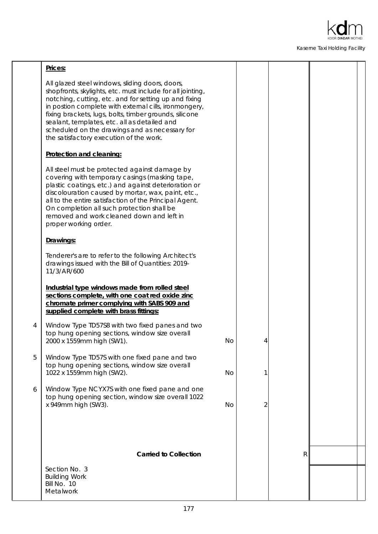

|   | Prices:                                                                                                                                                                                                                                                                                                                                                                                                                                |    |                |   |  |
|---|----------------------------------------------------------------------------------------------------------------------------------------------------------------------------------------------------------------------------------------------------------------------------------------------------------------------------------------------------------------------------------------------------------------------------------------|----|----------------|---|--|
|   | All glazed steel windows, sliding doors, doors,<br>shopfronts, skylights, etc. must include for all jointing,<br>notching, cutting, etc. and for setting up and fixing<br>in postion complete with external cills, ironmongery,<br>fixing brackets, lugs, bolts, timber grounds, silicone<br>sealant, templates, etc. all as detailed and<br>scheduled on the drawings and as necessary for<br>the satisfactory execution of the work. |    |                |   |  |
|   | Protection and cleaning:                                                                                                                                                                                                                                                                                                                                                                                                               |    |                |   |  |
|   | All steel must be protected against damage by<br>covering with temporary casings (masking tape,<br>plastic coatings, etc.) and against deterioration or<br>discolouration caused by mortar, wax, paint, etc.,<br>all to the entire satisfaction of the Principal Agent.<br>On completion all such protection shall be<br>removed and work cleaned down and left in<br>proper working order.                                            |    |                |   |  |
|   | Drawings:                                                                                                                                                                                                                                                                                                                                                                                                                              |    |                |   |  |
|   | Tenderer's are to refer to the following Architect's<br>drawings issued with the Bill of Quantities: 2019-<br>11/3/AR/600                                                                                                                                                                                                                                                                                                              |    |                |   |  |
|   | Industrial type windows made from rolled steel<br>sections complete, with one coat red oxide zinc<br>chromate primer complying with SABS 909 and<br>supplied complete with brass fittings:                                                                                                                                                                                                                                             |    |                |   |  |
| 4 | Window Type TD57S8 with two fixed panes and two<br>top hung opening sections, window size overall<br>2000 x 1559mm high (SW1).                                                                                                                                                                                                                                                                                                         | No | 4              |   |  |
| 5 | Window Type TD57S with one fixed pane and two<br>top hung opening sections, window size overall<br>1022 x 1559mm high (SW2).                                                                                                                                                                                                                                                                                                           | No | 1              |   |  |
| 6 | Window Type NCYX7S with one fixed pane and one<br>top hung opening section, window size overall 1022<br>x 949mm high (SW3).                                                                                                                                                                                                                                                                                                            | No | $\overline{2}$ |   |  |
|   |                                                                                                                                                                                                                                                                                                                                                                                                                                        |    |                |   |  |
|   | <b>Carried to Collection</b>                                                                                                                                                                                                                                                                                                                                                                                                           |    |                | R |  |
|   | Section No. 3<br><b>Building Work</b><br>Bill No. 10<br>Metalwork                                                                                                                                                                                                                                                                                                                                                                      |    |                |   |  |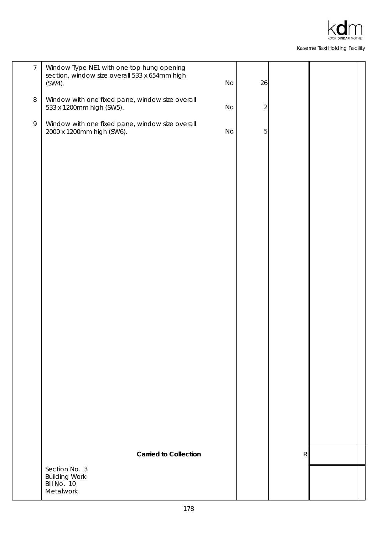

| $\overline{7}$ | Window Type NE1 with one top hung opening<br>section, window size overall 533 x 654mm high<br>$(SW4)$ . | No | 26             |           |  |
|----------------|---------------------------------------------------------------------------------------------------------|----|----------------|-----------|--|
| $\, 8$         | Window with one fixed pane, window size overall<br>533 x 1200mm high (SW5).                             | No | $\sqrt{2}$     |           |  |
| $\mathsf{Q}$   | Window with one fixed pane, window size overall<br>2000 x 1200mm high (SW6).                            | No | $\overline{5}$ |           |  |
|                |                                                                                                         |    |                |           |  |
|                |                                                                                                         |    |                |           |  |
|                |                                                                                                         |    |                |           |  |
|                |                                                                                                         |    |                |           |  |
|                |                                                                                                         |    |                |           |  |
|                |                                                                                                         |    |                |           |  |
|                |                                                                                                         |    |                |           |  |
|                |                                                                                                         |    |                |           |  |
|                |                                                                                                         |    |                |           |  |
|                |                                                                                                         |    |                |           |  |
|                |                                                                                                         |    |                |           |  |
|                |                                                                                                         |    |                |           |  |
|                | <b>Carried to Collection</b>                                                                            |    |                | ${\sf R}$ |  |
|                | Section No. 3<br><b>Building Work</b><br>Bill No. 10<br>Metalwork                                       |    |                |           |  |
|                |                                                                                                         |    |                |           |  |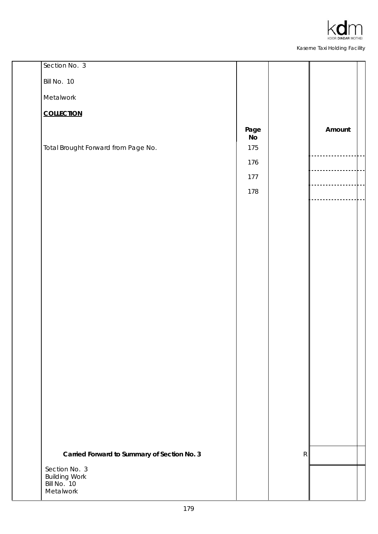

| Section No. 3                               |                             |   |        |
|---------------------------------------------|-----------------------------|---|--------|
| Bill No. 10                                 |                             |   |        |
| Metalwork                                   |                             |   |        |
| <b>COLLECTION</b>                           |                             |   |        |
|                                             | Page                        |   | Amount |
| Total Brought Forward from Page No.         | $\mathsf N\mathsf o$<br>175 |   |        |
|                                             | 176                         |   |        |
|                                             | 177                         |   |        |
|                                             | 178                         |   |        |
|                                             |                             |   |        |
|                                             |                             |   |        |
|                                             |                             |   |        |
|                                             |                             |   |        |
|                                             |                             |   |        |
|                                             |                             |   |        |
|                                             |                             |   |        |
|                                             |                             |   |        |
|                                             |                             |   |        |
|                                             |                             |   |        |
|                                             |                             |   |        |
|                                             |                             |   |        |
|                                             |                             |   |        |
|                                             |                             |   |        |
|                                             |                             |   |        |
|                                             |                             |   |        |
|                                             |                             |   |        |
| Carried Forward to Summary of Section No. 3 |                             | R |        |
| Section No. 3<br><b>Building Work</b>       |                             |   |        |
| Bill No. 10<br>Metalwork                    |                             |   |        |
|                                             |                             |   |        |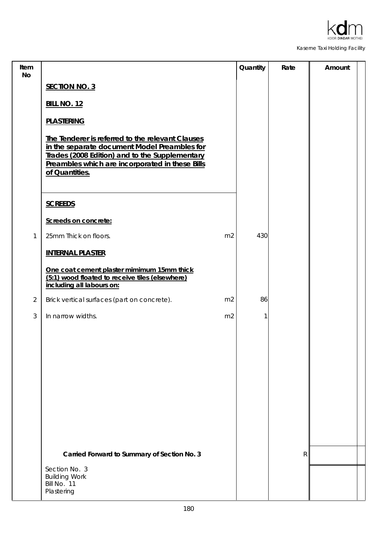

| Item<br>No     |                                                                                                                                                                                                                         | Quantity | Rate         | Amount |
|----------------|-------------------------------------------------------------------------------------------------------------------------------------------------------------------------------------------------------------------------|----------|--------------|--------|
|                | <b>SECTION NO. 3</b>                                                                                                                                                                                                    |          |              |        |
|                | <b>BILL NO. 12</b>                                                                                                                                                                                                      |          |              |        |
|                | <b>PLASTERING</b>                                                                                                                                                                                                       |          |              |        |
|                | The Tenderer is referred to the relevant Clauses<br>in the separate document Model Preambles for<br>Trades (2008 Edition) and to the Supplementary<br>Preambles which are incorporated in these Bills<br>of Quantities. |          |              |        |
|                | <b>SCREEDS</b>                                                                                                                                                                                                          |          |              |        |
|                | Screeds on concrete:                                                                                                                                                                                                    |          |              |        |
| 1              | 25mm Thick on floors.<br>m <sub>2</sub>                                                                                                                                                                                 | 430      |              |        |
|                | <b>INTERNAL PLASTER</b>                                                                                                                                                                                                 |          |              |        |
|                | One coat cement plaster mimimum 15mm thick<br>(5:1) wood floated to receive tiles (elsewhere)<br>including all labours on:                                                                                              |          |              |        |
| $\overline{2}$ | Brick vertical surfaces (part on concrete).<br>m <sub>2</sub>                                                                                                                                                           | 86       |              |        |
| 3              | In narrow widths.<br>m <sub>2</sub>                                                                                                                                                                                     | 1        |              |        |
|                |                                                                                                                                                                                                                         |          |              |        |
|                |                                                                                                                                                                                                                         |          |              |        |
|                |                                                                                                                                                                                                                         |          |              |        |
|                |                                                                                                                                                                                                                         |          |              |        |
|                |                                                                                                                                                                                                                         |          |              |        |
|                |                                                                                                                                                                                                                         |          |              |        |
|                |                                                                                                                                                                                                                         |          |              |        |
|                | Carried Forward to Summary of Section No. 3                                                                                                                                                                             |          | $\mathsf{R}$ |        |
|                | Section No. 3<br><b>Building Work</b><br>Bill No. 11<br>Plastering                                                                                                                                                      |          |              |        |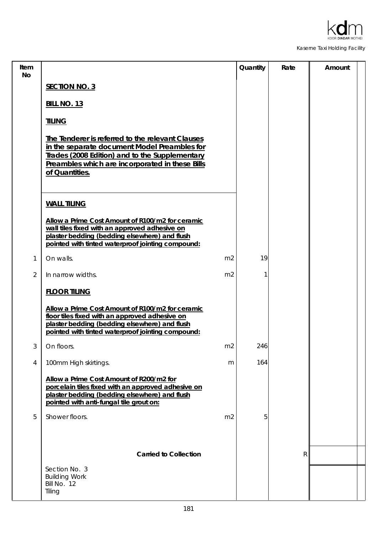

| Item<br>No     |                                                                                                                                                                                                                         | Quantity | Rate | Amount |
|----------------|-------------------------------------------------------------------------------------------------------------------------------------------------------------------------------------------------------------------------|----------|------|--------|
|                | <b>SECTION NO. 3</b>                                                                                                                                                                                                    |          |      |        |
|                | <b>BILL NO. 13</b>                                                                                                                                                                                                      |          |      |        |
|                | <b>TILING</b>                                                                                                                                                                                                           |          |      |        |
|                | The Tenderer is referred to the relevant Clauses<br>in the separate document Model Preambles for<br>Trades (2008 Edition) and to the Supplementary<br>Preambles which are incorporated in these Bills<br>of Quantities. |          |      |        |
|                | <b>WALL TILING</b>                                                                                                                                                                                                      |          |      |        |
|                | Allow a Prime Cost Amount of R100/m2 for ceramic<br>wall tiles fixed with an approved adhesive on<br>plaster bedding (bedding elsewhere) and flush<br>pointed with tinted waterproof jointing compound:                 |          |      |        |
| 1              | On walls.<br>m <sub>2</sub>                                                                                                                                                                                             | 19       |      |        |
| $\overline{2}$ | In narrow widths.<br>m <sub>2</sub>                                                                                                                                                                                     |          |      |        |
|                | <b>FLOOR TILING</b>                                                                                                                                                                                                     |          |      |        |
|                | Allow a Prime Cost Amount of R100/m2 for ceramic<br>floor tiles fixed with an approved adhesive on<br>plaster bedding (bedding elsewhere) and flush<br>pointed with tinted waterproof jointing compound:                |          |      |        |
| 3              | m2<br>On floors.                                                                                                                                                                                                        | 246      |      |        |
| 4              | 100mm High skirtings.<br>m                                                                                                                                                                                              | 164      |      |        |
|                | Allow a Prime Cost Amount of R200/m2 for<br>porcelain tiles fixed with an approved adhesive on<br>plaster bedding (bedding elsewhere) and flush<br>pointed with anti-fungal tile grout on:                              |          |      |        |
| 5              | Shower floors.<br>m <sub>2</sub>                                                                                                                                                                                        | 5        |      |        |
|                |                                                                                                                                                                                                                         |          |      |        |
|                | <b>Carried to Collection</b>                                                                                                                                                                                            |          | R    |        |
|                | Section No. 3<br><b>Building Work</b><br>Bill No. 12<br>Tiling                                                                                                                                                          |          |      |        |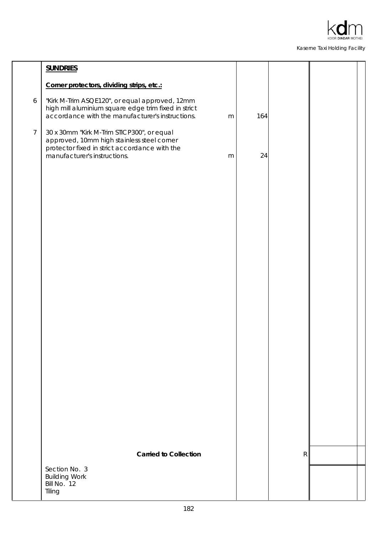

|                 | <b>SUNDRIES</b>                                                                                                                                                           |           |     |   |  |
|-----------------|---------------------------------------------------------------------------------------------------------------------------------------------------------------------------|-----------|-----|---|--|
|                 | Corner protectors, dividing strips, etc.:                                                                                                                                 |           |     |   |  |
| 6               | "Kirk M-Trim ASQE120", or equal approved, 12mm<br>high mill aluminium square edge trim fixed in strict<br>accordance with the manufacturer's instructions.                | m         | 164 |   |  |
| $7\overline{ }$ | 30 x 30mm "Kirk M-Trim STICP300", or equal<br>approved, 10mm high stainless steel corner<br>protector fixed in strict accordance with the<br>manufacturer's instructions. | ${\sf m}$ | 24  |   |  |
|                 |                                                                                                                                                                           |           |     |   |  |
|                 |                                                                                                                                                                           |           |     |   |  |
|                 |                                                                                                                                                                           |           |     |   |  |
|                 |                                                                                                                                                                           |           |     |   |  |
|                 |                                                                                                                                                                           |           |     |   |  |
|                 |                                                                                                                                                                           |           |     |   |  |
|                 |                                                                                                                                                                           |           |     |   |  |
|                 |                                                                                                                                                                           |           |     |   |  |
|                 | <b>Carried to Collection</b>                                                                                                                                              |           |     | R |  |
|                 | Section No. 3                                                                                                                                                             |           |     |   |  |
|                 | <b>Building Work</b><br>Bill No. 12<br>Tiling                                                                                                                             |           |     |   |  |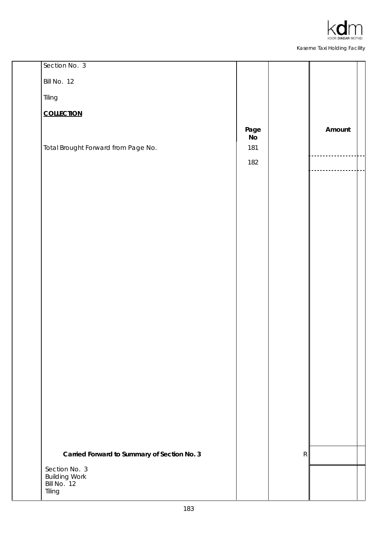

| Section No. 3                               |                        |   |        |
|---------------------------------------------|------------------------|---|--------|
| Bill No. 12                                 |                        |   |        |
| Tiling                                      |                        |   |        |
| <b>COLLECTION</b>                           |                        |   |        |
|                                             | Page<br>N <sub>o</sub> |   | Amount |
| Total Brought Forward from Page No.         | 181                    |   |        |
|                                             | 182                    |   |        |
|                                             |                        |   |        |
|                                             |                        |   |        |
|                                             |                        |   |        |
|                                             |                        |   |        |
|                                             |                        |   |        |
|                                             |                        |   |        |
|                                             |                        |   |        |
|                                             |                        |   |        |
|                                             |                        |   |        |
|                                             |                        |   |        |
|                                             |                        |   |        |
|                                             |                        |   |        |
|                                             |                        |   |        |
|                                             |                        |   |        |
|                                             |                        |   |        |
|                                             |                        |   |        |
|                                             |                        |   |        |
| Carried Forward to Summary of Section No. 3 |                        | R |        |
| Section No. 3<br><b>Building Work</b>       |                        |   |        |
| Bill No. 12<br>Tiling                       |                        |   |        |
|                                             |                        |   |        |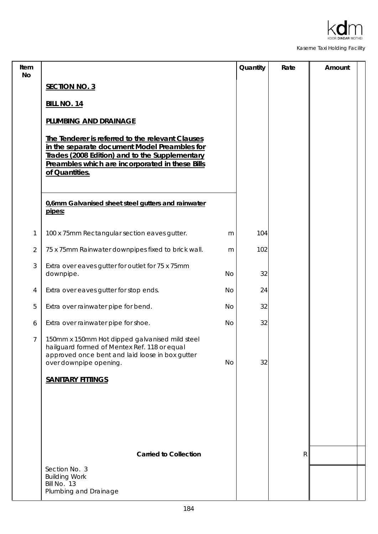

| Item<br>No     |                                                                                                                                                                                                                         |           | Quantity | Rate         | Amount |
|----------------|-------------------------------------------------------------------------------------------------------------------------------------------------------------------------------------------------------------------------|-----------|----------|--------------|--------|
|                | <b>SECTION NO. 3</b>                                                                                                                                                                                                    |           |          |              |        |
|                | <b>BILL NO. 14</b>                                                                                                                                                                                                      |           |          |              |        |
|                | PLUMBING AND DRAINAGE                                                                                                                                                                                                   |           |          |              |        |
|                | The Tenderer is referred to the relevant Clauses<br>in the separate document Model Preambles for<br>Trades (2008 Edition) and to the Supplementary<br>Preambles which are incorporated in these Bills<br>of Quantities. |           |          |              |        |
|                | 0,6mm Galvanised sheet steel gutters and rainwater<br>pipes:                                                                                                                                                            |           |          |              |        |
| 1              | 100 x 75mm Rectangular section eaves gutter.                                                                                                                                                                            | m         | 104      |              |        |
| $\overline{2}$ | 75 x 75mm Rainwater downpipes fixed to brick wall.                                                                                                                                                                      | m         | 102      |              |        |
| 3              | Extra over eaves gutter for outlet for 75 x 75mm<br>downpipe.                                                                                                                                                           | <b>No</b> | 32       |              |        |
| 4              | Extra over eaves gutter for stop ends.                                                                                                                                                                                  | No        | 24       |              |        |
| 5              | Extra over rainwater pipe for bend.                                                                                                                                                                                     | No        | 32       |              |        |
| 6              | Extra over rainwater pipe for shoe.                                                                                                                                                                                     | No        | 32       |              |        |
| $\overline{7}$ | 150mm x 150mm Hot dipped galvanised mild steel<br>hailguard formed of Mentex Ref. 118 or equal<br>approved once bent and laid loose in box gutter<br>over downpipe opening.                                             | No        | 32       |              |        |
|                | <b>SANITARY FITTINGS</b>                                                                                                                                                                                                |           |          |              |        |
|                |                                                                                                                                                                                                                         |           |          |              |        |
|                | <b>Carried to Collection</b>                                                                                                                                                                                            |           |          | $\mathsf{R}$ |        |
|                | Section No. 3<br><b>Building Work</b><br>Bill No. 13<br>Plumbing and Drainage                                                                                                                                           |           |          |              |        |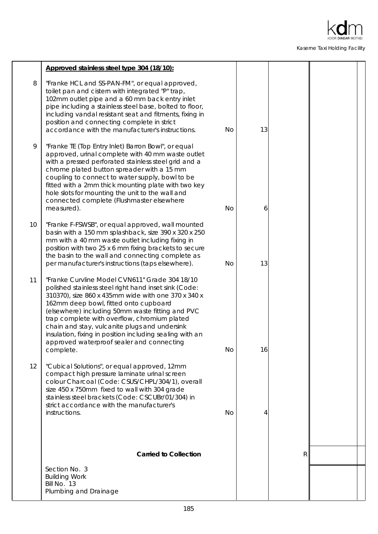

|    | Approved stainless steel type 304 (18/10):                                                                                                                                                                                                                                                                                                                                                                                                                                         |           |    |              |  |
|----|------------------------------------------------------------------------------------------------------------------------------------------------------------------------------------------------------------------------------------------------------------------------------------------------------------------------------------------------------------------------------------------------------------------------------------------------------------------------------------|-----------|----|--------------|--|
| 8  | "Franke HCL and SS-PAN-FM", or equal approved,<br>toilet pan and cistern with integrated "P" trap,<br>102mm outlet pipe and a 60 mm back entry inlet<br>pipe including a stainless steel base, bolted to floor,<br>including vandal resistant seat and fitments, fixing in<br>position and connecting complete in strict<br>accordance with the manufacturer's instructions.                                                                                                       | <b>No</b> | 13 |              |  |
| 9  | "Franke TE (Top Entry Inlet) Barron Bowl", or equal<br>approved, urinal complete with 40 mm waste outlet<br>with a pressed perforated stainless steel grid and a<br>chrome plated button spreader with a 15 mm<br>coupling to connect to water supply, bowl to be<br>fitted with a 2mm thick mounting plate with two key<br>hole slots for mounting the unit to the wall and<br>connected complete (Flushmaster elsewhere<br>measured).                                            | <b>No</b> | 6  |              |  |
| 10 | "Franke F-FSWSB", or equal approved, wall mounted<br>basin with a 150 mm splashback, size 390 x 320 x 250<br>mm with a 40 mm waste outlet including fixing in<br>position with two 25 x 6 mm fixing brackets to secure<br>the basin to the wall and connecting complete as<br>per manufacturer's instructions (taps elsewhere).                                                                                                                                                    | <b>No</b> | 13 |              |  |
| 11 | "Franke Curvline Model CVN611" Grade 304 18/10<br>polished stainless steel right hand inset sink (Code:<br>310370), size 860 x 435mm wide with one 370 x 340 x<br>162mm deep bowl, fitted onto cupboard<br>(elsewhere) including 50mm waste fitting and PVC<br>trap complete with overflow, chromium plated<br>chain and stay, vulcanite plugs and undersink<br>insulation, fixing in position including sealing with an<br>approved waterproof sealer and connecting<br>complete. | No        | 16 |              |  |
| 12 | "Cubical Solutions", or equal approved, 12mm<br>compact high pressure laminate urinal screen<br>colour Charcoal (Code: CSUS/CHPL/304/1), overall<br>size 450 x 750mm fixed to wall with 304 grade<br>stainless steel brackets (Code: CSCUBr/01/304) in<br>strict accordance with the manufacturer's<br>instructions.                                                                                                                                                               | <b>No</b> | 4  |              |  |
|    | <b>Carried to Collection</b>                                                                                                                                                                                                                                                                                                                                                                                                                                                       |           |    | $\mathsf{R}$ |  |
|    | Section No. 3                                                                                                                                                                                                                                                                                                                                                                                                                                                                      |           |    |              |  |
|    | <b>Building Work</b><br>Bill No. 13                                                                                                                                                                                                                                                                                                                                                                                                                                                |           |    |              |  |
|    | Plumbing and Drainage                                                                                                                                                                                                                                                                                                                                                                                                                                                              |           |    |              |  |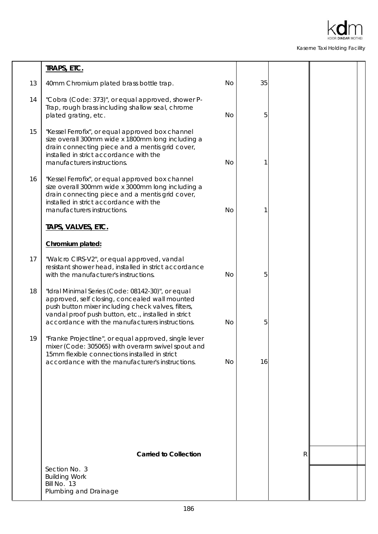

|    | <b>TRAPS, ETC.</b>                                                                                                                                                                                                                                                  |           |    |   |  |
|----|---------------------------------------------------------------------------------------------------------------------------------------------------------------------------------------------------------------------------------------------------------------------|-----------|----|---|--|
| 13 | 40mm Chromium plated brass bottle trap.                                                                                                                                                                                                                             | No        | 35 |   |  |
| 14 | "Cobra (Code: 373)", or equal approved, shower P-<br>Trap, rough brass including shallow seal, chrome<br>plated grating, etc.                                                                                                                                       | <b>No</b> | 5  |   |  |
| 15 | "Kessel Ferrofix", or equal approved box channel<br>size overall 300mm wide x 1800mm long including a<br>drain connecting piece and a mentis grid cover,<br>installed in strict accordance with the<br>manufacturers instructions.                                  | <b>No</b> |    |   |  |
| 16 | "Kessel Ferrofix", or equal approved box channel<br>size overall 300mm wide x 3000mm long including a<br>drain connecting piece and a mentis grid cover,<br>installed in strict accordance with the<br>manufacturers instructions.                                  | <b>No</b> |    |   |  |
|    | TAPS, VALVES, ETC.                                                                                                                                                                                                                                                  |           |    |   |  |
|    | Chromium plated:                                                                                                                                                                                                                                                    |           |    |   |  |
| 17 | "Walcro CIRS-V2", or equal approved, vandal<br>resistant shower head, installed in strict accordance<br>with the manufacturer's instructions.                                                                                                                       | <b>No</b> | 5  |   |  |
| 18 | "Idral Minimal Series (Code: 08142-30)", or equal<br>approved, self closing, concealed wall mounted<br>push button mixer including check valves, filters,<br>vandal proof push button, etc., installed in strict<br>accordance with the manufacturers instructions. | <b>No</b> | 5  |   |  |
| 19 | "Franke Projectline", or equal approved, single lever<br>mixer (Code: 305065) with overarm swivel spout and<br>15mm flexible connections installed in strict<br>accordance with the manufacturer's instructions.                                                    | No        | 16 |   |  |
|    |                                                                                                                                                                                                                                                                     |           |    |   |  |
|    |                                                                                                                                                                                                                                                                     |           |    |   |  |
|    |                                                                                                                                                                                                                                                                     |           |    |   |  |
|    |                                                                                                                                                                                                                                                                     |           |    |   |  |
|    | <b>Carried to Collection</b>                                                                                                                                                                                                                                        |           |    | R |  |
|    | Section No. 3<br><b>Building Work</b><br>Bill No. 13<br>Plumbing and Drainage                                                                                                                                                                                       |           |    |   |  |
|    |                                                                                                                                                                                                                                                                     |           |    |   |  |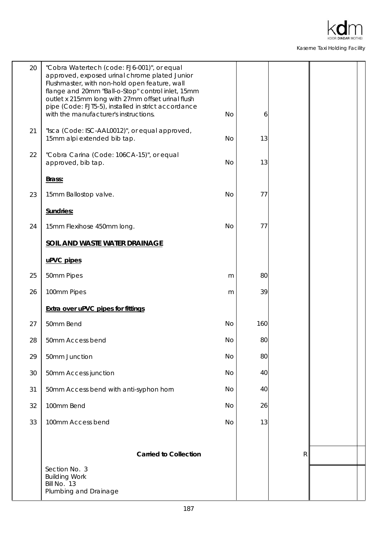

| 20 | "Cobra Watertech (code: FJ6-001)", or equal<br>approved, exposed urinal chrome plated Junior<br>Flushmaster, with non-hold open feature, wall<br>flange and 20mm "Ball-o-Stop" control inlet, 15mm<br>outlet x 215mm long with 27mm offset urinal flush<br>pipe (Code: FJT5-5), installed in strict accordance |           |     |   |  |
|----|----------------------------------------------------------------------------------------------------------------------------------------------------------------------------------------------------------------------------------------------------------------------------------------------------------------|-----------|-----|---|--|
|    | with the manufacturer's instructions.                                                                                                                                                                                                                                                                          | No        | 6   |   |  |
| 21 | "Isca (Code: ISC-AAL0012)", or equal approved,<br>15mm alpi extended bib tap.                                                                                                                                                                                                                                  | No        | 13  |   |  |
| 22 | "Cobra Carina (Code: 106CA-15)", or equal<br>approved, bib tap.                                                                                                                                                                                                                                                | No        | 13  |   |  |
|    | Brass:                                                                                                                                                                                                                                                                                                         |           |     |   |  |
| 23 | 15mm Ballostop valve.                                                                                                                                                                                                                                                                                          | <b>No</b> | 77  |   |  |
|    | Sundries:                                                                                                                                                                                                                                                                                                      |           |     |   |  |
| 24 | 15mm Flexihose 450mm long.                                                                                                                                                                                                                                                                                     | <b>No</b> | 77  |   |  |
|    | SOIL AND WASTE WATER DRAINAGE                                                                                                                                                                                                                                                                                  |           |     |   |  |
|    | uPVC pipes                                                                                                                                                                                                                                                                                                     |           |     |   |  |
| 25 | 50mm Pipes                                                                                                                                                                                                                                                                                                     | m         | 80  |   |  |
| 26 | 100mm Pipes                                                                                                                                                                                                                                                                                                    | m         | 39  |   |  |
|    | <b>Extra over uPVC pipes for fittings</b>                                                                                                                                                                                                                                                                      |           |     |   |  |
| 27 | 50mm Bend                                                                                                                                                                                                                                                                                                      | <b>No</b> | 160 |   |  |
| 28 | 50mm Access bend                                                                                                                                                                                                                                                                                               | No        | 80  |   |  |
| 29 | 50mm Junction                                                                                                                                                                                                                                                                                                  | No        | 80  |   |  |
| 30 | 50mm Access junction                                                                                                                                                                                                                                                                                           | No        | 40  |   |  |
| 31 | 50mm Access bend with anti-syphon horn                                                                                                                                                                                                                                                                         | No        | 40  |   |  |
| 32 | 100mm Bend                                                                                                                                                                                                                                                                                                     | No        | 26  |   |  |
| 33 | 100mm Access bend                                                                                                                                                                                                                                                                                              | No        | 13  |   |  |
|    |                                                                                                                                                                                                                                                                                                                |           |     |   |  |
|    | <b>Carried to Collection</b>                                                                                                                                                                                                                                                                                   |           |     | R |  |
|    | Section No. 3<br><b>Building Work</b><br>Bill No. 13<br>Plumbing and Drainage                                                                                                                                                                                                                                  |           |     |   |  |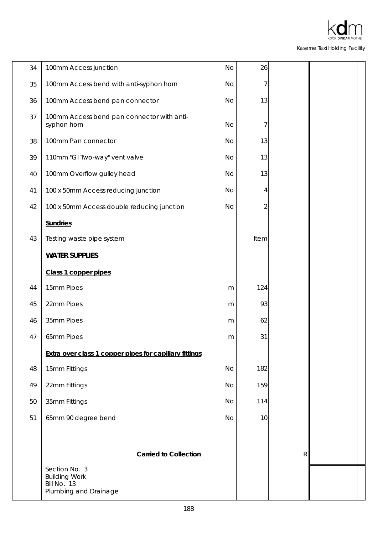

| 34 | 100mm Access junction                                                         | No | 26   |             |  |
|----|-------------------------------------------------------------------------------|----|------|-------------|--|
| 35 | 100mm Access bend with anti-syphon horn                                       | No | 7    |             |  |
| 36 | 100mm Access bend pan connector                                               | No | 13   |             |  |
| 37 | 100mm Access bend pan connector with anti-<br>syphon horn                     | No | 7    |             |  |
| 38 | 100mm Pan connector                                                           | No | 13   |             |  |
| 39 | 110mm "GI Two-way" vent valve                                                 | No | 13   |             |  |
| 40 | 100mm Overflow gulley head                                                    | No | 13   |             |  |
| 41 | 100 x 50mm Access reducing junction                                           | No | 4    |             |  |
| 42 | 100 x 50mm Access double reducing junction                                    | No | 2    |             |  |
|    | <b>Sundries</b>                                                               |    |      |             |  |
| 43 | Testing waste pipe system                                                     |    | Item |             |  |
|    | <b>WATER SUPPLIES</b>                                                         |    |      |             |  |
|    | Class 1 copper pipes                                                          |    |      |             |  |
| 44 | 15mm Pipes                                                                    | m  | 124  |             |  |
| 45 | 22mm Pipes                                                                    | m  | 93   |             |  |
| 46 | 35mm Pipes                                                                    | m  | 62   |             |  |
| 47 | 65mm Pipes                                                                    | m  | 31   |             |  |
|    | Extra over class 1 copper pipes for capillary fittings                        |    |      |             |  |
| 48 | 15mm Fittings                                                                 | No | 182  |             |  |
| 49 | 22mm Fittings                                                                 | No | 159  |             |  |
| 50 | 35mm Fittings                                                                 | No | 114  |             |  |
| 51 | 65mm 90 degree bend                                                           | No | 10   |             |  |
|    |                                                                               |    |      |             |  |
|    | <b>Carried to Collection</b>                                                  |    |      | $\mathsf R$ |  |
|    | Section No. 3<br><b>Building Work</b><br>Bill No. 13<br>Plumbing and Drainage |    |      |             |  |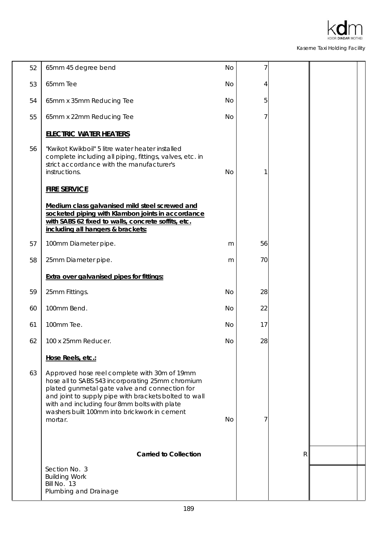

| 52 | 65mm 45 degree bend                                                                                                                                                                                                                                                                                                   | No        | 7  |   |  |
|----|-----------------------------------------------------------------------------------------------------------------------------------------------------------------------------------------------------------------------------------------------------------------------------------------------------------------------|-----------|----|---|--|
| 53 | 65mm Tee                                                                                                                                                                                                                                                                                                              | No        | 4  |   |  |
| 54 | 65mm x 35mm Reducing Tee                                                                                                                                                                                                                                                                                              | No        | 5  |   |  |
| 55 | 65mm x 22mm Reducing Tee                                                                                                                                                                                                                                                                                              | No        | 7  |   |  |
|    | <b>ELECTRIC WATER HEATERS</b>                                                                                                                                                                                                                                                                                         |           |    |   |  |
| 56 | "Kwikot Kwikboil" 5 litre water heater installed<br>complete including all piping, fittings, valves, etc. in<br>strict accordance with the manufacturer's<br>instructions.                                                                                                                                            | No        |    |   |  |
|    | <b>FIRE SERVICE</b>                                                                                                                                                                                                                                                                                                   |           |    |   |  |
|    | Medium class galvanised mild steel screwed and<br>socketed piping with Klambon joints in accordance<br>with SABS 62 fixed to walls, concrete soffits, etc.<br>including all hangers & brackets:                                                                                                                       |           |    |   |  |
| 57 | 100mm Diameter pipe.                                                                                                                                                                                                                                                                                                  | m         | 56 |   |  |
| 58 | 25mm Diameter pipe.                                                                                                                                                                                                                                                                                                   | m         | 70 |   |  |
|    | <b>Extra over galvanised pipes for fittings:</b>                                                                                                                                                                                                                                                                      |           |    |   |  |
| 59 | 25mm Fittings.                                                                                                                                                                                                                                                                                                        | No        | 28 |   |  |
| 60 | 100mm Bend.                                                                                                                                                                                                                                                                                                           | <b>No</b> | 22 |   |  |
| 61 | 100mm Tee.                                                                                                                                                                                                                                                                                                            | No        | 17 |   |  |
| 62 | 100 x 25mm Reducer.                                                                                                                                                                                                                                                                                                   | No        | 28 |   |  |
|    | Hose Reels, etc.:                                                                                                                                                                                                                                                                                                     |           |    |   |  |
| 63 | Approved hose reel complete with 30m of 19mm<br>hose all to SABS 543 incorporating 25mm chromium<br>plated gunmetal gate valve and connection for<br>and joint to supply pipe with brackets bolted to wall<br>with and including four 8mm bolts with plate<br>washers built 100mm into brickwork in cement<br>mortar. | No        |    |   |  |
|    | <b>Carried to Collection</b>                                                                                                                                                                                                                                                                                          |           |    | R |  |
|    | Section No. 3<br><b>Building Work</b><br>Bill No. 13<br>Plumbing and Drainage                                                                                                                                                                                                                                         |           |    |   |  |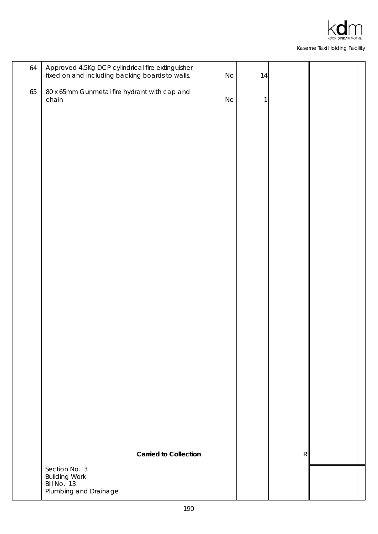

| 64 | Approved 4,5Kg DCP cylindrical fire extinguisher<br>fixed on and including backing boards to walls. | No | 14 |           |  |
|----|-----------------------------------------------------------------------------------------------------|----|----|-----------|--|
| 65 | 80 x 65mm Gunmetal fire hydrant with cap and<br>chain                                               | No | 1  |           |  |
|    |                                                                                                     |    |    |           |  |
|    |                                                                                                     |    |    |           |  |
|    |                                                                                                     |    |    |           |  |
|    |                                                                                                     |    |    |           |  |
|    |                                                                                                     |    |    |           |  |
|    |                                                                                                     |    |    |           |  |
|    |                                                                                                     |    |    |           |  |
|    |                                                                                                     |    |    |           |  |
|    |                                                                                                     |    |    |           |  |
|    |                                                                                                     |    |    |           |  |
|    |                                                                                                     |    |    |           |  |
|    |                                                                                                     |    |    |           |  |
|    |                                                                                                     |    |    |           |  |
|    |                                                                                                     |    |    |           |  |
|    |                                                                                                     |    |    |           |  |
|    | <b>Carried to Collection</b>                                                                        |    |    | ${\sf R}$ |  |
|    | Section No. 3<br><b>Building Work</b><br>Bill No. 13                                                |    |    |           |  |
|    | Plumbing and Drainage                                                                               |    |    |           |  |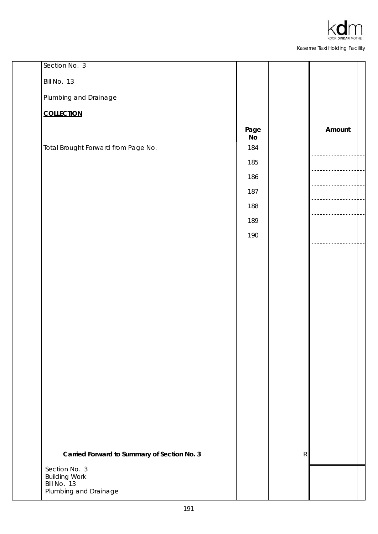

| Section No. 3                               |                       |   |        |  |
|---------------------------------------------|-----------------------|---|--------|--|
| Bill No. 13                                 |                       |   |        |  |
| Plumbing and Drainage                       |                       |   |        |  |
| <b>COLLECTION</b>                           |                       |   |        |  |
|                                             | Page<br>$\mathsf{No}$ |   | Amount |  |
| Total Brought Forward from Page No.         | 184                   |   |        |  |
|                                             | 185                   |   |        |  |
|                                             | 186                   |   |        |  |
|                                             | 187                   |   |        |  |
|                                             | 188                   |   |        |  |
|                                             | 189                   |   |        |  |
|                                             | 190                   |   |        |  |
|                                             |                       |   |        |  |
|                                             |                       |   |        |  |
|                                             |                       |   |        |  |
|                                             |                       |   |        |  |
|                                             |                       |   |        |  |
|                                             |                       |   |        |  |
|                                             |                       |   |        |  |
|                                             |                       |   |        |  |
|                                             |                       |   |        |  |
|                                             |                       |   |        |  |
|                                             |                       |   |        |  |
|                                             |                       |   |        |  |
|                                             |                       |   |        |  |
|                                             |                       |   |        |  |
| Carried Forward to Summary of Section No. 3 |                       | R |        |  |
| Section No. 3                               |                       |   |        |  |
| <b>Building Work</b><br>Bill No. 13         |                       |   |        |  |
| Plumbing and Drainage                       |                       |   |        |  |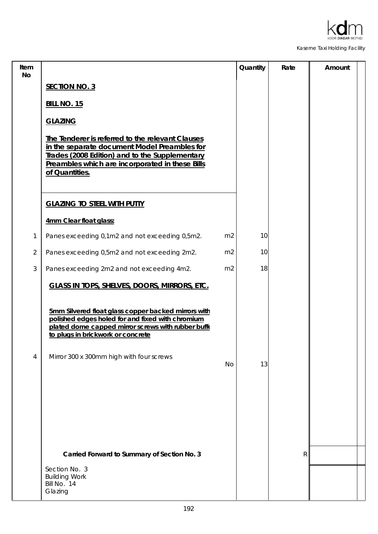

| Item<br><b>No</b> |                                                                                                                                                                                                                         | Quantity | Rate | Amount |
|-------------------|-------------------------------------------------------------------------------------------------------------------------------------------------------------------------------------------------------------------------|----------|------|--------|
|                   | <b>SECTION NO. 3</b>                                                                                                                                                                                                    |          |      |        |
|                   | <b>BILL NO. 15</b>                                                                                                                                                                                                      |          |      |        |
|                   | <b>GLAZING</b>                                                                                                                                                                                                          |          |      |        |
|                   | The Tenderer is referred to the relevant Clauses<br>in the separate document Model Preambles for<br>Trades (2008 Edition) and to the Supplementary<br>Preambles which are incorporated in these Bills<br>of Quantities. |          |      |        |
|                   | <b>GLAZING TO STEEL WITH PUTTY</b>                                                                                                                                                                                      |          |      |        |
|                   | 4mm Clear float glass:                                                                                                                                                                                                  |          |      |        |
| 1                 | Panes exceeding 0,1m2 and not exceeding 0,5m2.<br>m <sub>2</sub>                                                                                                                                                        | 10       |      |        |
| $\overline{2}$    | Panes exceeding 0,5m2 and not exceeding 2m2.<br>m <sub>2</sub>                                                                                                                                                          | 10       |      |        |
| 3                 | Panes exceeding 2m2 and not exceeding 4m2.<br>m <sub>2</sub>                                                                                                                                                            | 18       |      |        |
|                   | <b>GLASS IN TOPS, SHELVES, DOORS, MIRRORS, ETC.</b>                                                                                                                                                                     |          |      |        |
|                   | 5mm Silvered float glass copper backed mirrors with<br>polished edges holed for and fixed with chromium<br>plated dome capped mirror screws with rubber buffe<br>to plugs in brickwork or concrete                      |          |      |        |
| 4                 | Mirror 300 x 300mm high with four screws<br>No                                                                                                                                                                          | 13       |      |        |
|                   |                                                                                                                                                                                                                         |          |      |        |
|                   |                                                                                                                                                                                                                         |          |      |        |
|                   |                                                                                                                                                                                                                         |          |      |        |
|                   |                                                                                                                                                                                                                         |          |      |        |
|                   |                                                                                                                                                                                                                         |          |      |        |
|                   | Carried Forward to Summary of Section No. 3                                                                                                                                                                             |          | R    |        |
|                   | Section No. 3<br><b>Building Work</b><br>Bill No. 14<br>Glazing                                                                                                                                                         |          |      |        |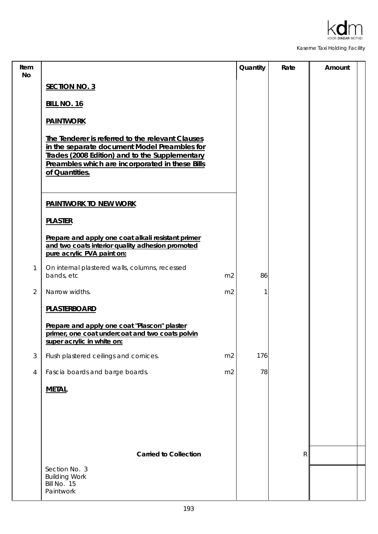

| Item<br>No     |                                                                                                                                                                                                                         | Quantity | Rate         | Amount |
|----------------|-------------------------------------------------------------------------------------------------------------------------------------------------------------------------------------------------------------------------|----------|--------------|--------|
|                | <b>SECTION NO. 3</b>                                                                                                                                                                                                    |          |              |        |
|                | <b>BILL NO. 16</b>                                                                                                                                                                                                      |          |              |        |
|                | <b>PAINTWORK</b>                                                                                                                                                                                                        |          |              |        |
|                | The Tenderer is referred to the relevant Clauses<br>in the separate document Model Preambles for<br>Trades (2008 Edition) and to the Supplementary<br>Preambles which are incorporated in these Bills<br>of Quantities. |          |              |        |
|                | <b>PAINTWORK TO NEW WORK</b>                                                                                                                                                                                            |          |              |        |
|                | <b>PLASTER</b>                                                                                                                                                                                                          |          |              |        |
|                | Prepare and apply one coat alkali resistant primer<br>and two coats interior quality adhesion promoted<br>pure acrylic PVA paint on:                                                                                    |          |              |        |
| $\mathbf{1}$   | On internal plastered walls, columns, recessed<br>bands, etc<br>m <sub>2</sub>                                                                                                                                          | 86       |              |        |
| $\overline{2}$ | Narrow widths.<br>m <sub>2</sub>                                                                                                                                                                                        |          |              |        |
|                | <b>PLASTERBOARD</b>                                                                                                                                                                                                     |          |              |        |
|                | Prepare and apply one coat "Plascon" plaster<br>primer, one coat undercoat and two coats polvin<br>super acrylic in white on:                                                                                           |          |              |        |
| 3              | Flush plastered ceilings and cornices.<br>m <sub>2</sub>                                                                                                                                                                | 176      |              |        |
| $\overline{4}$ | Fascia boards and barge boards.<br>m <sub>2</sub>                                                                                                                                                                       | 78       |              |        |
|                | <b>METAL</b>                                                                                                                                                                                                            |          |              |        |
|                |                                                                                                                                                                                                                         |          |              |        |
|                |                                                                                                                                                                                                                         |          |              |        |
|                | <b>Carried to Collection</b>                                                                                                                                                                                            |          | $\mathsf{R}$ |        |
|                | Section No. 3<br><b>Building Work</b><br>Bill No. 15<br>Paintwork                                                                                                                                                       |          |              |        |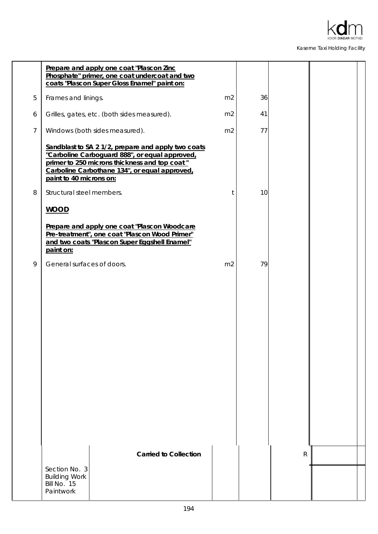

|                | Prepare and apply one coat "Plascon Zinc<br>Phosphate" primer, one coat undercoat and two<br>coats "Plascon Super Gloss Enamel" paint on:                                                                                                                      |                |    |              |  |
|----------------|----------------------------------------------------------------------------------------------------------------------------------------------------------------------------------------------------------------------------------------------------------------|----------------|----|--------------|--|
| 5              | Frames and linings.                                                                                                                                                                                                                                            | m <sub>2</sub> | 36 |              |  |
| 6              | Grilles, gates, etc. (both sides measured).                                                                                                                                                                                                                    | m2             | 41 |              |  |
| $\overline{7}$ | Windows (both sides measured).                                                                                                                                                                                                                                 | m2             | 77 |              |  |
| 8              | Sandblast to SA 2 1/2, prepare and apply two coats<br>"Carboline Carboguard 888", or equal approved,<br>primer to 250 microns thickness and top coat"<br>Carboline Carbothane 134", or equal approved,<br>paint to 40 microns on:<br>Structural steel members. | t              | 10 |              |  |
|                | <b>WOOD</b>                                                                                                                                                                                                                                                    |                |    |              |  |
|                | Prepare and apply one coat "Plascon Woodcare<br>Pre-treatment", one coat "Plascon Wood Primer"<br>and two coats "Plascon Super Eggshell Enamel"<br>paint on:                                                                                                   |                |    |              |  |
| 9              | General surfaces of doors.                                                                                                                                                                                                                                     | m <sub>2</sub> | 79 |              |  |
|                |                                                                                                                                                                                                                                                                |                |    |              |  |
|                | <b>Carried to Collection</b>                                                                                                                                                                                                                                   |                |    | $\mathsf{R}$ |  |
|                | Section No. 3<br><b>Building Work</b><br>Bill No. 15<br>Paintwork                                                                                                                                                                                              |                |    |              |  |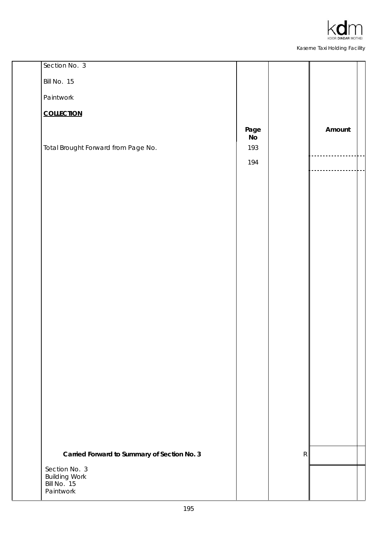

| Section No. 3                               |            |   |        |
|---------------------------------------------|------------|---|--------|
| Bill No. 15                                 |            |   |        |
| Paintwork                                   |            |   |        |
| <b>COLLECTION</b>                           |            |   |        |
|                                             | Page<br>No |   | Amount |
| Total Brought Forward from Page No.         | 193        |   |        |
|                                             | 194        |   |        |
|                                             |            |   |        |
|                                             |            |   |        |
|                                             |            |   |        |
|                                             |            |   |        |
|                                             |            |   |        |
|                                             |            |   |        |
|                                             |            |   |        |
|                                             |            |   |        |
|                                             |            |   |        |
|                                             |            |   |        |
|                                             |            |   |        |
|                                             |            |   |        |
|                                             |            |   |        |
|                                             |            |   |        |
|                                             |            |   |        |
|                                             |            |   |        |
|                                             |            |   |        |
| Carried Forward to Summary of Section No. 3 |            | R |        |
| Section No. 3<br><b>Building Work</b>       |            |   |        |
| Bill No. 15<br>Paintwork                    |            |   |        |
|                                             |            |   |        |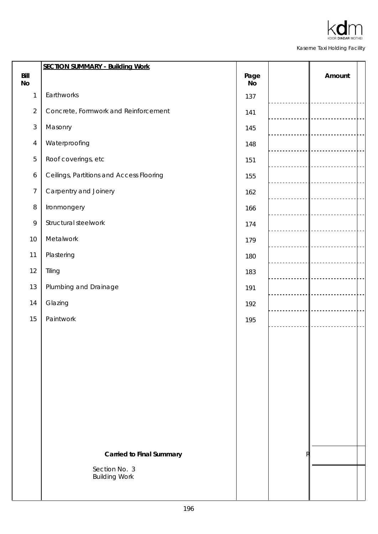|                   | <b>SECTION SUMMARY - Building Work</b>   |            |        |
|-------------------|------------------------------------------|------------|--------|
| Bill<br><b>No</b> |                                          | Page<br>No | Amount |
| 1                 | Earthworks                               | 137        |        |
| $\overline{2}$    | Concrete, Formwork and Reinforcement     | 141        |        |
| $\sqrt{3}$        | Masonry                                  | 145        |        |
| $\overline{4}$    | Waterproofing                            | 148        |        |
| 5                 | Roof coverings, etc                      | 151        |        |
| 6                 | Ceilings, Partitions and Access Flooring | 155        |        |
| $\overline{7}$    | Carpentry and Joinery                    | 162        |        |
| $\, 8$            | Ironmongery                              | 166        |        |
| $\mathsf q$       | Structural steelwork                     | 174        |        |
| 10                | Metalwork                                | 179        |        |
| 11                | Plastering                               | 180        |        |
| 12                | Tiling                                   | 183        |        |
| 13                | Plumbing and Drainage                    | 191        |        |
| 14                | Glazing                                  | 192        |        |
| 15                | Paintwork                                | 195        |        |
|                   |                                          |            |        |
|                   |                                          |            |        |
|                   |                                          |            |        |
|                   |                                          |            |        |
|                   |                                          |            |        |
|                   |                                          |            |        |
|                   |                                          |            |        |
|                   |                                          |            |        |
|                   | <b>Carried to Final Summary</b>          |            |        |
|                   | Section No. 3<br><b>Building Work</b>    |            |        |
|                   |                                          |            |        |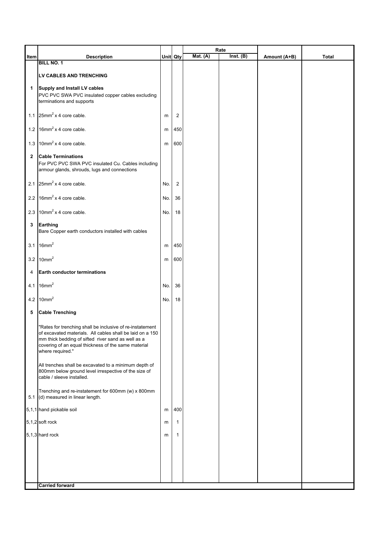|              |                                                                                                                                                                                                                                                         |     |                | Rate     |           |              |       |
|--------------|---------------------------------------------------------------------------------------------------------------------------------------------------------------------------------------------------------------------------------------------------------|-----|----------------|----------|-----------|--------------|-------|
| Item         | <b>Description</b>                                                                                                                                                                                                                                      |     | Unit Qty       | Mat. (A) | Inst. (B) | Amount (A+B) | Total |
|              | <b>BILL NO. 1</b>                                                                                                                                                                                                                                       |     |                |          |           |              |       |
|              | LV CABLES AND TRENCHING                                                                                                                                                                                                                                 |     |                |          |           |              |       |
| 1            | Supply and Install LV cables<br>PVC PVC SWA PVC insulated copper cables excluding<br>terminations and supports                                                                                                                                          |     |                |          |           |              |       |
|              | 1.1 $25mm^2 x 4 core cable.$                                                                                                                                                                                                                            | m   | $\overline{2}$ |          |           |              |       |
|              | 1.2 $16mm^2 x 4 core cable.$                                                                                                                                                                                                                            | m   | 450            |          |           |              |       |
|              | 1.3 $10mm^2$ x 4 core cable.                                                                                                                                                                                                                            | m   | 600            |          |           |              |       |
| $\mathbf{2}$ | <b>Cable Terminations</b><br>For PVC PVC SWA PVC insulated Cu. Cables including<br>armour glands, shrouds, lugs and connections                                                                                                                         |     |                |          |           |              |       |
|              | 2.1 $25mm^2 x 4 core cable.$                                                                                                                                                                                                                            | No. | $\overline{2}$ |          |           |              |       |
|              | 2.2 $16mm^2 x 4 core cable.$                                                                                                                                                                                                                            | No. | 36             |          |           |              |       |
|              | 2.3 $10mm^2$ x 4 core cable.                                                                                                                                                                                                                            | No. | 18             |          |           |              |       |
| 3            | Earthing<br>Bare Copper earth conductors installed with cables                                                                                                                                                                                          |     |                |          |           |              |       |
|              | 3.1 $16mm^2$                                                                                                                                                                                                                                            | m   | 450            |          |           |              |       |
|              | 3.2 $10mm2$                                                                                                                                                                                                                                             | m   | 600            |          |           |              |       |
| 4            | <b>Earth conductor terminations</b>                                                                                                                                                                                                                     |     |                |          |           |              |       |
|              | 4.1 $16mm^2$                                                                                                                                                                                                                                            | No. | 36             |          |           |              |       |
|              | 4.2 $10mm2$                                                                                                                                                                                                                                             | No. | 18             |          |           |              |       |
| 5            | <b>Cable Trenching</b>                                                                                                                                                                                                                                  |     |                |          |           |              |       |
|              | "Rates for trenching shall be inclusive of re-instatement<br>of excavated materials. All cables shall be laid on a 150<br>mm thick bedding of sifted river sand as well as a<br>covering of an equal thickness of the same material<br>where required." |     |                |          |           |              |       |
|              | All trenches shall be excavated to a minimum depth of<br>800mm below ground level irrespective of the size of<br>cable / sleeve installed.                                                                                                              |     |                |          |           |              |       |
|              | Trenching and re-instatement for 600mm (w) x 800mm<br>5.1 (d) measured in linear length.                                                                                                                                                                |     |                |          |           |              |       |
|              | 5,1,1 hand pickable soil                                                                                                                                                                                                                                | m   | 400            |          |           |              |       |
|              | 5,1,2 soft rock                                                                                                                                                                                                                                         | m   | 1              |          |           |              |       |
|              | 5,1,3 hard rock                                                                                                                                                                                                                                         | m   | 1              |          |           |              |       |
|              |                                                                                                                                                                                                                                                         |     |                |          |           |              |       |
|              |                                                                                                                                                                                                                                                         |     |                |          |           |              |       |
|              |                                                                                                                                                                                                                                                         |     |                |          |           |              |       |
|              | <b>Carried forward</b>                                                                                                                                                                                                                                  |     |                |          |           |              |       |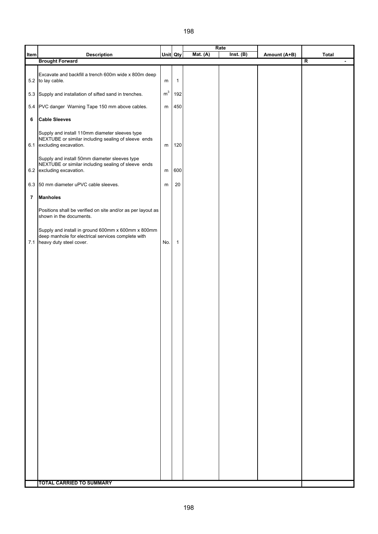|      |                                                                                                                                         |                |              |            | Rate      |              |                                           |
|------|-----------------------------------------------------------------------------------------------------------------------------------------|----------------|--------------|------------|-----------|--------------|-------------------------------------------|
| Item | <b>Description</b>                                                                                                                      |                | Unit Qty     | Mat. $(A)$ | Inst. (B) | Amount (A+B) | <b>Total</b>                              |
|      | <b>Brought Forward</b>                                                                                                                  |                |              |            |           |              | $\overline{\mathsf{R}}$<br>$\blacksquare$ |
|      | Excavate and backfill a trench 600m wide x 800m deep<br>5.2 to lay cable.                                                               | m              | $\mathbf{1}$ |            |           |              |                                           |
|      | 5.3 Supply and installation of sifted sand in trenches.                                                                                 | m <sup>3</sup> | 192          |            |           |              |                                           |
|      | 5.4 PVC danger Warning Tape 150 mm above cables.                                                                                        | m              | 450          |            |           |              |                                           |
| 6    | <b>Cable Sleeves</b>                                                                                                                    |                |              |            |           |              |                                           |
|      | Supply and install 110mm diameter sleeves type<br>NEXTUBE or similar including sealing of sleeve ends<br>6.1 excluding excavation.      | m              | 120          |            |           |              |                                           |
|      | Supply and install 50mm diameter sleeves type<br>NEXTUBE or similar including sealing of sleeve ends<br>6.2 excluding excavation.       | ${\sf m}$      | 600          |            |           |              |                                           |
|      | 6.3 50 mm diameter uPVC cable sleeves.                                                                                                  | m              | 20           |            |           |              |                                           |
| 7    | <b>Manholes</b>                                                                                                                         |                |              |            |           |              |                                           |
|      | Positions shall be verified on site and/or as per layout as<br>shown in the documents.                                                  |                |              |            |           |              |                                           |
|      | Supply and install in ground 600mm x 600mm x 800mm<br>deep manhole for electrical services complete with<br>7.1 heavy duty steel cover. | No.            | $\mathbf{1}$ |            |           |              |                                           |
|      |                                                                                                                                         |                |              |            |           |              |                                           |
|      |                                                                                                                                         |                |              |            |           |              |                                           |
|      |                                                                                                                                         |                |              |            |           |              |                                           |
|      |                                                                                                                                         |                |              |            |           |              |                                           |
|      |                                                                                                                                         |                |              |            |           |              |                                           |
|      |                                                                                                                                         |                |              |            |           |              |                                           |
|      |                                                                                                                                         |                |              |            |           |              |                                           |
|      |                                                                                                                                         |                |              |            |           |              |                                           |
|      |                                                                                                                                         |                |              |            |           |              |                                           |
|      |                                                                                                                                         |                |              |            |           |              |                                           |
|      |                                                                                                                                         |                |              |            |           |              |                                           |
|      | <b>TOTAL CARRIED TO SUMMARY</b>                                                                                                         |                |              |            |           |              |                                           |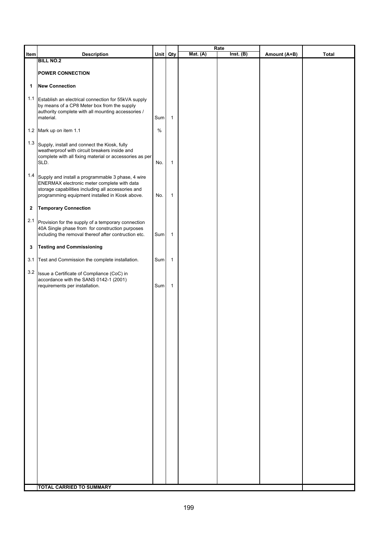|              |                                                                                                   |      |              |            | Rate      |              |       |
|--------------|---------------------------------------------------------------------------------------------------|------|--------------|------------|-----------|--------------|-------|
| Item         | <b>Description</b>                                                                                |      | Unit Qty     | Mat. $(A)$ | Inst. (B) | Amount (A+B) | Total |
|              | <b>BILL NO.2</b>                                                                                  |      |              |            |           |              |       |
|              | <b>POWER CONNECTION</b>                                                                           |      |              |            |           |              |       |
|              |                                                                                                   |      |              |            |           |              |       |
| 1            | <b>New Connection</b>                                                                             |      |              |            |           |              |       |
|              |                                                                                                   |      |              |            |           |              |       |
|              | 1.1 Establish an electrical connection for 55kVA supply                                           |      |              |            |           |              |       |
|              | by means of a CP8 Meter box from the supply<br>authority complete with all mounting accessories / |      |              |            |           |              |       |
|              | material.                                                                                         | Sum  | $\mathbf{1}$ |            |           |              |       |
|              |                                                                                                   |      |              |            |           |              |       |
|              | 1.2 Mark up on item 1.1                                                                           | $\%$ |              |            |           |              |       |
|              |                                                                                                   |      |              |            |           |              |       |
|              | 1.3 Supply, install and connect the Kiosk, fully                                                  |      |              |            |           |              |       |
|              | weatherproof with circuit breakers inside and                                                     |      |              |            |           |              |       |
|              | complete with all fixing material or accessories as per<br>SLD.                                   | No.  | $\mathbf{1}$ |            |           |              |       |
|              |                                                                                                   |      |              |            |           |              |       |
| 1.4          | Supply and install a programmable 3 phase, 4 wire                                                 |      |              |            |           |              |       |
|              | ENERMAX electronic meter complete with data                                                       |      |              |            |           |              |       |
|              | storage capabilities including all accessories and                                                |      |              |            |           |              |       |
|              | programming equipment installed in Kiosk above.                                                   | No.  | $\mathbf{1}$ |            |           |              |       |
|              |                                                                                                   |      |              |            |           |              |       |
| $\mathbf{2}$ | <b>Temporary Connection</b>                                                                       |      |              |            |           |              |       |
|              | 2.1 Provision for the supply of a temporary connection                                            |      |              |            |           |              |       |
|              | 40A Single phase from for construction purposes                                                   |      |              |            |           |              |       |
|              | including the removal thereof after contruction etc.                                              | Sum  | $\mathbf{1}$ |            |           |              |       |
|              |                                                                                                   |      |              |            |           |              |       |
| 3            | <b>Testing and Commissioning</b>                                                                  |      |              |            |           |              |       |
|              |                                                                                                   |      |              |            |           |              |       |
|              | 3.1 Test and Commission the complete installation.                                                | Sum  | $\mathbf{1}$ |            |           |              |       |
|              | 3.2 Issue a Certificate of Compliance (CoC) in                                                    |      |              |            |           |              |       |
|              | accordance with the SANS 0142-1 (2001)                                                            |      |              |            |           |              |       |
|              | requirements per installation.                                                                    | Sum  | $\mathbf{1}$ |            |           |              |       |
|              |                                                                                                   |      |              |            |           |              |       |
|              |                                                                                                   |      |              |            |           |              |       |
|              |                                                                                                   |      |              |            |           |              |       |
|              |                                                                                                   |      |              |            |           |              |       |
|              |                                                                                                   |      |              |            |           |              |       |
|              |                                                                                                   |      |              |            |           |              |       |
|              |                                                                                                   |      |              |            |           |              |       |
|              |                                                                                                   |      |              |            |           |              |       |
|              |                                                                                                   |      |              |            |           |              |       |
|              |                                                                                                   |      |              |            |           |              |       |
|              |                                                                                                   |      |              |            |           |              |       |
|              |                                                                                                   |      |              |            |           |              |       |
|              |                                                                                                   |      |              |            |           |              |       |
|              |                                                                                                   |      |              |            |           |              |       |
|              |                                                                                                   |      |              |            |           |              |       |
|              |                                                                                                   |      |              |            |           |              |       |
|              |                                                                                                   |      |              |            |           |              |       |
|              |                                                                                                   |      |              |            |           |              |       |
|              |                                                                                                   |      |              |            |           |              |       |
|              |                                                                                                   |      |              |            |           |              |       |
|              |                                                                                                   |      |              |            |           |              |       |
|              |                                                                                                   |      |              |            |           |              |       |
|              |                                                                                                   |      |              |            |           |              |       |
|              |                                                                                                   |      |              |            |           |              |       |
|              |                                                                                                   |      |              |            |           |              |       |
|              |                                                                                                   |      |              |            |           |              |       |
|              | <b>TOTAL CARRIED TO SUMMARY</b>                                                                   |      |              |            |           |              |       |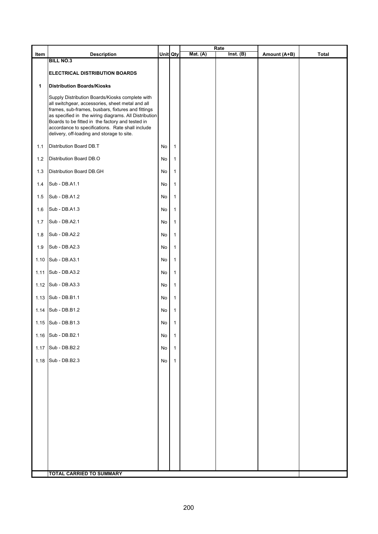|      |                                                                                                                                                                                                                                                                                                                                                                          |          |              |            | Rate      |              |              |
|------|--------------------------------------------------------------------------------------------------------------------------------------------------------------------------------------------------------------------------------------------------------------------------------------------------------------------------------------------------------------------------|----------|--------------|------------|-----------|--------------|--------------|
| Item | <b>Description</b><br><b>BILL NO.3</b>                                                                                                                                                                                                                                                                                                                                   | Unit Qty |              | Mat. $(A)$ | Inst. (B) | Amount (A+B) | <b>Total</b> |
|      | ELECTRICAL DISTRIBUTION BOARDS                                                                                                                                                                                                                                                                                                                                           |          |              |            |           |              |              |
| 1    | <b>Distribution Boards/Kiosks</b>                                                                                                                                                                                                                                                                                                                                        |          |              |            |           |              |              |
|      | Supply Distribution Boards/Kiosks complete with<br>all switchgear, accessories, sheet metal and all<br>frames, sub-frames, busbars, fixtures and fittings<br>as specified in the wiring diagrams. All Distribution<br>Boards to be fitted in the factory and tested in<br>accordance to specifications. Rate shall include<br>delivery, off-loading and storage to site. |          |              |            |           |              |              |
| 1.1  | Distribution Board DB.T                                                                                                                                                                                                                                                                                                                                                  | No       | 1            |            |           |              |              |
| 1.2  | Distribution Board DB.O                                                                                                                                                                                                                                                                                                                                                  | No       | $\mathbf{1}$ |            |           |              |              |
| 1.3  | Distribution Board DB.GH                                                                                                                                                                                                                                                                                                                                                 | No       | 1            |            |           |              |              |
| 1.4  | Sub - DB.A1.1                                                                                                                                                                                                                                                                                                                                                            | No       | $\mathbf{1}$ |            |           |              |              |
| 1.5  | Sub - DB.A1.2                                                                                                                                                                                                                                                                                                                                                            | No       | 1            |            |           |              |              |
| 1.6  | Sub - DB.A1.3                                                                                                                                                                                                                                                                                                                                                            | No       | $\mathbf{1}$ |            |           |              |              |
| 1.7  | Sub - DB.A2.1                                                                                                                                                                                                                                                                                                                                                            | No       | $\mathbf{1}$ |            |           |              |              |
| 1.8  | Sub - DB.A2.2                                                                                                                                                                                                                                                                                                                                                            | No       | 1            |            |           |              |              |
| 1.9  | Sub - DB.A2.3                                                                                                                                                                                                                                                                                                                                                            | No       | $\mathbf{1}$ |            |           |              |              |
| 1.10 | Sub - DB.A3.1                                                                                                                                                                                                                                                                                                                                                            | No       | $\mathbf{1}$ |            |           |              |              |
| 1.11 | Sub - DB.A3.2                                                                                                                                                                                                                                                                                                                                                            | No       | 1            |            |           |              |              |
| 1.12 | Sub - DB.A3.3                                                                                                                                                                                                                                                                                                                                                            | No       | 1            |            |           |              |              |
| 1.13 | Sub - DB.B1.1                                                                                                                                                                                                                                                                                                                                                            | No       | $\mathbf{1}$ |            |           |              |              |
| 1.14 | Sub - DB.B1.2                                                                                                                                                                                                                                                                                                                                                            | No       | 1            |            |           |              |              |
| 1.15 | Sub - DB.B1.3                                                                                                                                                                                                                                                                                                                                                            | No       | 1            |            |           |              |              |
| 1.16 | Sub - DB.B2.1                                                                                                                                                                                                                                                                                                                                                            | No       | $\mathbf{1}$ |            |           |              |              |
| 1.17 | Sub - DB.B2.2                                                                                                                                                                                                                                                                                                                                                            | No       | $\mathbf{1}$ |            |           |              |              |
| 1.18 | Sub - DB.B2.3                                                                                                                                                                                                                                                                                                                                                            | No       | $\mathbf{1}$ |            |           |              |              |
|      |                                                                                                                                                                                                                                                                                                                                                                          |          |              |            |           |              |              |
|      |                                                                                                                                                                                                                                                                                                                                                                          |          |              |            |           |              |              |
|      |                                                                                                                                                                                                                                                                                                                                                                          |          |              |            |           |              |              |
|      |                                                                                                                                                                                                                                                                                                                                                                          |          |              |            |           |              |              |
|      |                                                                                                                                                                                                                                                                                                                                                                          |          |              |            |           |              |              |
|      |                                                                                                                                                                                                                                                                                                                                                                          |          |              |            |           |              |              |
|      |                                                                                                                                                                                                                                                                                                                                                                          |          |              |            |           |              |              |
|      |                                                                                                                                                                                                                                                                                                                                                                          |          |              |            |           |              |              |
|      | <b>TOTAL CARRIED TO SUMMARY</b>                                                                                                                                                                                                                                                                                                                                          |          |              |            |           |              |              |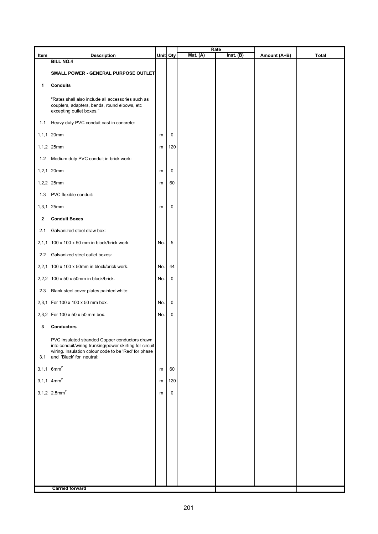| Item         | <b>Description</b>                                                                                                                                                                            |     | Unit Qty    | <b>Mat.</b> (A) | Rate<br>Inst. (B) | Amount (A+B) | <b>Total</b> |
|--------------|-----------------------------------------------------------------------------------------------------------------------------------------------------------------------------------------------|-----|-------------|-----------------|-------------------|--------------|--------------|
|              | <b>BILL NO.4</b>                                                                                                                                                                              |     |             |                 |                   |              |              |
|              | SMALL POWER - GENERAL PURPOSE OUTLET!                                                                                                                                                         |     |             |                 |                   |              |              |
| 1            | <b>Conduits</b>                                                                                                                                                                               |     |             |                 |                   |              |              |
|              | "Rates shall also include all accessories such as<br>couplers, adapters, bends, round elbows, etc<br>excepting outlet boxes."                                                                 |     |             |                 |                   |              |              |
| 1.1          | Heavy duty PVC conduit cast in concrete:                                                                                                                                                      |     |             |                 |                   |              |              |
| 1, 1, 1      | 20mm                                                                                                                                                                                          | m   | $\mathbf 0$ |                 |                   |              |              |
|              | 1,1,2 25mm                                                                                                                                                                                    | m   | 120         |                 |                   |              |              |
| 1.2          | Medium duty PVC conduit in brick work:                                                                                                                                                        |     |             |                 |                   |              |              |
| 1, 2, 1      | 20mm                                                                                                                                                                                          | m   | $\mathbf 0$ |                 |                   |              |              |
| 1,2,2        | 25mm                                                                                                                                                                                          | m   | 60          |                 |                   |              |              |
| 1.3          | PVC flexible conduit:                                                                                                                                                                         |     |             |                 |                   |              |              |
| 1, 3, 1      | 25mm                                                                                                                                                                                          | m   | 0           |                 |                   |              |              |
| $\mathbf{2}$ | <b>Conduit Boxes</b>                                                                                                                                                                          |     |             |                 |                   |              |              |
| 2.1          | Galvanized steel draw box:                                                                                                                                                                    |     |             |                 |                   |              |              |
| 2, 1, 1      | 100 x 100 x 50 mm in block/brick work.                                                                                                                                                        | No. | 5           |                 |                   |              |              |
| 2.2          | Galvanized steel outlet boxes:                                                                                                                                                                |     |             |                 |                   |              |              |
| 2,2,1        | 100 x 100 x 50mm in block/brick work.                                                                                                                                                         | No. | 44          |                 |                   |              |              |
|              | 2,2,2 100 x 50 x 50mm in block/brick.                                                                                                                                                         | No. | $\mathbf 0$ |                 |                   |              |              |
| 2.3          | Blank steel cover plates painted white:                                                                                                                                                       |     |             |                 |                   |              |              |
| 2,3,1        | For 100 x 100 x 50 mm box.                                                                                                                                                                    | No. | $\mathbf 0$ |                 |                   |              |              |
|              | 2,3,2 For 100 x 50 x 50 mm box.                                                                                                                                                               | No. | $\mathbf 0$ |                 |                   |              |              |
| 3            | <b>Conductors</b>                                                                                                                                                                             |     |             |                 |                   |              |              |
| 3.1          | PVC insulated stranded Copper conductors drawn<br>into conduit/wiring trunking/power skirting for circuit<br>wiring. Insulation colour code to be 'Red' for phase<br>and 'Black' for neutral: |     |             |                 |                   |              |              |
|              | $3,1,1$ 6mm <sup>2</sup>                                                                                                                                                                      | m   | 60          |                 |                   |              |              |
|              | $3,1,1$ 4mm <sup>2</sup>                                                                                                                                                                      | m   | 120         |                 |                   |              |              |
|              | 3,1,2 $2.5mm2$                                                                                                                                                                                | m   | $\mathbf 0$ |                 |                   |              |              |
|              |                                                                                                                                                                                               |     |             |                 |                   |              |              |
|              |                                                                                                                                                                                               |     |             |                 |                   |              |              |
|              |                                                                                                                                                                                               |     |             |                 |                   |              |              |
|              |                                                                                                                                                                                               |     |             |                 |                   |              |              |
|              |                                                                                                                                                                                               |     |             |                 |                   |              |              |
|              |                                                                                                                                                                                               |     |             |                 |                   |              |              |
|              |                                                                                                                                                                                               |     |             |                 |                   |              |              |
|              | <b>Carried forward</b>                                                                                                                                                                        |     |             |                 |                   |              |              |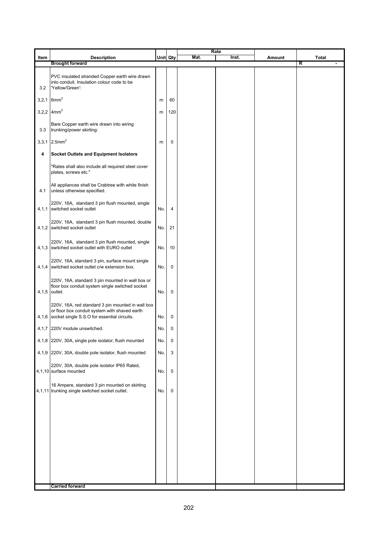|         |                                                                                                                                                         |          |                |      | Rate  |        |                              |
|---------|---------------------------------------------------------------------------------------------------------------------------------------------------------|----------|----------------|------|-------|--------|------------------------------|
| Item    | <b>Description</b><br><b>Brought forward</b>                                                                                                            | Unit Qty |                | Mat. | Inst. | Amount | Total<br>R<br>$\blacksquare$ |
| 3.2     | PVC insulated stranded Copper earth wire drawn<br>into conduit. Insulation colour code to be<br>'Yellow/Green':                                         |          |                |      |       |        |                              |
| 3, 2, 1 | 6mm <sup>2</sup>                                                                                                                                        | m        | 60             |      |       |        |                              |
|         | 3,2,2 $4mm2$                                                                                                                                            | m        | 120            |      |       |        |                              |
| 3.3     | Bare Copper earth wire drawn into wiring<br>trunking/power skirting:                                                                                    |          |                |      |       |        |                              |
| 3,3,1   | $2.5$ mm $2$                                                                                                                                            | m        | 0              |      |       |        |                              |
| 4       | <b>Socket Outlets and Equipment Isolators</b>                                                                                                           |          |                |      |       |        |                              |
|         | 'Rates shall also include all required steel cover<br>plates, screws etc."                                                                              |          |                |      |       |        |                              |
| 4.1     | All appliances shall be Crabtree with white finish<br>unless otherwise specified.                                                                       |          |                |      |       |        |                              |
|         | 220V, 16A, standard 3 pin flush mounted, single<br>4,1,1 switched socket outlet                                                                         | No.      | $\overline{4}$ |      |       |        |                              |
|         | 220V, 16A, standard 3 pin flush mounted, double<br>4,1,2 switched socket outlet                                                                         | No.      | 21             |      |       |        |                              |
|         | 220V, 16A, standard 3 pin flush mounted, single<br>4,1,3 switched socket outlet with EURO outlet                                                        | No.      | 10             |      |       |        |                              |
|         | 220V, 16A, standard 3 pin, surface mount single<br>4,1,4 switched socket outlet c/w extension box.                                                      | No.      | 0              |      |       |        |                              |
|         | 220V, 16A, standard 3 pin mounted in wall box or<br>floor box conduit system single switched socket<br>4,1,5 outlet.                                    | No.      | $\mathbf 0$    |      |       |        |                              |
|         | 220V, 16A, red standard 3 pin mounted in wall box<br>or floor box conduit system with shaved earth<br>4,1,6 socket single S.S.O for essential circuits. | No. I    | 0              |      |       |        |                              |
|         | 4,1,7 220V module unswitched.                                                                                                                           | No.      | 0              |      |       |        |                              |
|         | 4,1,8 220V, 30A, single pole isolator, flush mounted                                                                                                    | No.      | 0              |      |       |        |                              |
|         | 4,1,9 220V, 30A, double pole isolator, flush mounted                                                                                                    | No.      | 3              |      |       |        |                              |
|         | 220V, 30A, double pole isolator IP65 Rated,<br>4,1,10 surface mounted                                                                                   | No.      | 5              |      |       |        |                              |
|         | 16 Ampere, standard 3 pin mounted on skirting<br>4,1,11 trunking single switched socket outlet.                                                         | No.      | 0              |      |       |        |                              |
|         |                                                                                                                                                         |          |                |      |       |        |                              |
|         |                                                                                                                                                         |          |                |      |       |        |                              |
|         |                                                                                                                                                         |          |                |      |       |        |                              |
|         |                                                                                                                                                         |          |                |      |       |        |                              |
|         |                                                                                                                                                         |          |                |      |       |        |                              |
|         |                                                                                                                                                         |          |                |      |       |        |                              |
|         | <b>Carried forward</b>                                                                                                                                  |          |                |      |       |        |                              |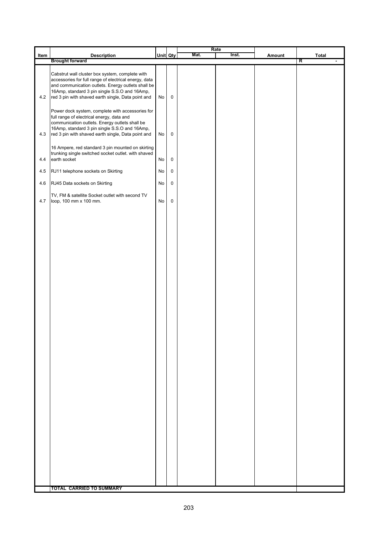|      |                                                                                                                                                                                                                                                                       |    |                     | Rate |       |        |                   |
|------|-----------------------------------------------------------------------------------------------------------------------------------------------------------------------------------------------------------------------------------------------------------------------|----|---------------------|------|-------|--------|-------------------|
| Item | <b>Description</b><br><b>Brought forward</b>                                                                                                                                                                                                                          |    | Unit Qty            | Mat. | Inst. | Amount | <b>Total</b><br>R |
| 4.2  | Cabstrut wall cluster box system, complete with<br>accessories for full range of electrical energy, data<br>and communication outlets. Energy outlets shall be<br>16Amp, standard 3 pin single S.S.O and 16Amp,<br>red 3 pin with shaved earth single, Data point and | No | $\mathsf 0$         |      |       |        |                   |
| 4.3  | Power dock system, complete with accessories for<br>full range of electrical energy, data and<br>communication outlets. Energy outlets shall be<br>16Amp, standard 3 pin single S.S.O and 16Amp,<br>red 3 pin with shaved earth single, Data point and                | No | 0                   |      |       |        |                   |
| 4.4  | 16 Ampere, red standard 3 pin mounted on skirting<br>trunking single switched socket outlet. with shaved<br>earth socket                                                                                                                                              | No | $\pmb{0}$           |      |       |        |                   |
| 4.5  | RJ11 telephone sockets on Skirting                                                                                                                                                                                                                                    | No | $\mathsf{O}\xspace$ |      |       |        |                   |
| 4.6  | RJ45 Data sockets on Skirting                                                                                                                                                                                                                                         | No | 0                   |      |       |        |                   |
| 4.7  | TV, FM & satellite Socket outlet with second TV<br>loop, 100 mm x 100 mm.                                                                                                                                                                                             | No | $\pmb{0}$           |      |       |        |                   |
|      |                                                                                                                                                                                                                                                                       |    |                     |      |       |        |                   |
|      |                                                                                                                                                                                                                                                                       |    |                     |      |       |        |                   |
|      |                                                                                                                                                                                                                                                                       |    |                     |      |       |        |                   |
|      |                                                                                                                                                                                                                                                                       |    |                     |      |       |        |                   |
|      |                                                                                                                                                                                                                                                                       |    |                     |      |       |        |                   |
|      |                                                                                                                                                                                                                                                                       |    |                     |      |       |        |                   |
|      |                                                                                                                                                                                                                                                                       |    |                     |      |       |        |                   |
|      |                                                                                                                                                                                                                                                                       |    |                     |      |       |        |                   |
|      |                                                                                                                                                                                                                                                                       |    |                     |      |       |        |                   |
|      |                                                                                                                                                                                                                                                                       |    |                     |      |       |        |                   |
|      | <b>TOTAL CARRIED TO SUMMARY</b>                                                                                                                                                                                                                                       |    |                     |      |       |        |                   |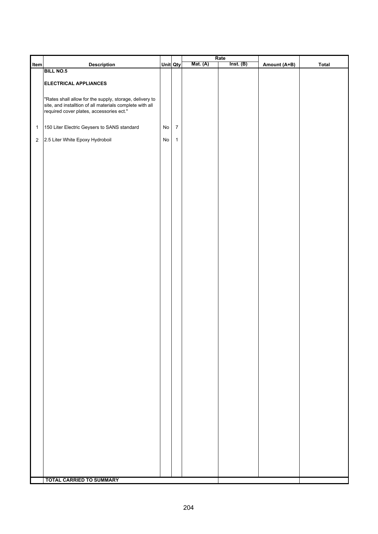|              |                                                          |            |                  |                 | Rate      |              |              |
|--------------|----------------------------------------------------------|------------|------------------|-----------------|-----------|--------------|--------------|
| Item         | <b>Description</b>                                       | Unit Qty   |                  | <b>Mat.</b> (A) | Inst. (B) | Amount (A+B) | <b>Total</b> |
|              | <b>BILL NO.5</b>                                         |            |                  |                 |           |              |              |
|              |                                                          |            |                  |                 |           |              |              |
|              | <b>ELECTRICAL APPLIANCES</b>                             |            |                  |                 |           |              |              |
|              |                                                          |            |                  |                 |           |              |              |
|              |                                                          |            |                  |                 |           |              |              |
|              | "Rates shall allow for the supply, storage, delivery to  |            |                  |                 |           |              |              |
|              | site, and installtion of all materials complete with all |            |                  |                 |           |              |              |
|              | required cover plates, accessories ect."                 |            |                  |                 |           |              |              |
|              |                                                          |            |                  |                 |           |              |              |
|              |                                                          |            |                  |                 |           |              |              |
| $\mathbf{1}$ | 150 Liter Electric Geysers to SANS standard              | ${\sf No}$ | $\boldsymbol{7}$ |                 |           |              |              |
|              |                                                          |            |                  |                 |           |              |              |
| $\sqrt{2}$   | 2.5 Liter White Epoxy Hydroboil                          | ${\sf No}$ | $\mathbf{1}$     |                 |           |              |              |
|              |                                                          |            |                  |                 |           |              |              |
|              |                                                          |            |                  |                 |           |              |              |
|              |                                                          |            |                  |                 |           |              |              |
|              |                                                          |            |                  |                 |           |              |              |
|              |                                                          |            |                  |                 |           |              |              |
|              |                                                          |            |                  |                 |           |              |              |
|              |                                                          |            |                  |                 |           |              |              |
|              |                                                          |            |                  |                 |           |              |              |
|              |                                                          |            |                  |                 |           |              |              |
|              |                                                          |            |                  |                 |           |              |              |
|              |                                                          |            |                  |                 |           |              |              |
|              |                                                          |            |                  |                 |           |              |              |
|              |                                                          |            |                  |                 |           |              |              |
|              |                                                          |            |                  |                 |           |              |              |
|              |                                                          |            |                  |                 |           |              |              |
|              |                                                          |            |                  |                 |           |              |              |
|              |                                                          |            |                  |                 |           |              |              |
|              |                                                          |            |                  |                 |           |              |              |
|              |                                                          |            |                  |                 |           |              |              |
|              |                                                          |            |                  |                 |           |              |              |
|              |                                                          |            |                  |                 |           |              |              |
|              |                                                          |            |                  |                 |           |              |              |
|              |                                                          |            |                  |                 |           |              |              |
|              |                                                          |            |                  |                 |           |              |              |
|              |                                                          |            |                  |                 |           |              |              |
|              |                                                          |            |                  |                 |           |              |              |
|              |                                                          |            |                  |                 |           |              |              |
|              |                                                          |            |                  |                 |           |              |              |
|              |                                                          |            |                  |                 |           |              |              |
|              |                                                          |            |                  |                 |           |              |              |
|              |                                                          |            |                  |                 |           |              |              |
|              |                                                          |            |                  |                 |           |              |              |
|              |                                                          |            |                  |                 |           |              |              |
|              |                                                          |            |                  |                 |           |              |              |
|              |                                                          |            |                  |                 |           |              |              |
|              |                                                          |            |                  |                 |           |              |              |
|              |                                                          |            |                  |                 |           |              |              |
|              |                                                          |            |                  |                 |           |              |              |
|              |                                                          |            |                  |                 |           |              |              |
|              |                                                          |            |                  |                 |           |              |              |
|              |                                                          |            |                  |                 |           |              |              |
|              |                                                          |            |                  |                 |           |              |              |
|              |                                                          |            |                  |                 |           |              |              |
|              |                                                          |            |                  |                 |           |              |              |
|              |                                                          |            |                  |                 |           |              |              |
|              |                                                          |            |                  |                 |           |              |              |
|              |                                                          |            |                  |                 |           |              |              |
|              |                                                          |            |                  |                 |           |              |              |
|              |                                                          |            |                  |                 |           |              |              |
|              |                                                          |            |                  |                 |           |              |              |
|              |                                                          |            |                  |                 |           |              |              |
|              |                                                          |            |                  |                 |           |              |              |
|              |                                                          |            |                  |                 |           |              |              |
|              |                                                          |            |                  |                 |           |              |              |
|              |                                                          |            |                  |                 |           |              |              |
|              |                                                          |            |                  |                 |           |              |              |
|              | <b>TOTAL CARRIED TO SUMMARY</b>                          |            |                  |                 |           |              |              |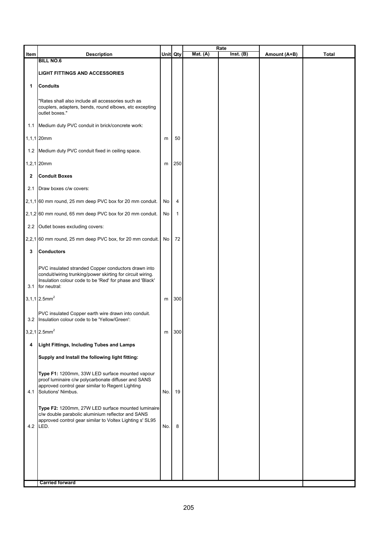|              |                                                                                                                   |          |              |            | Rate      |              |       |
|--------------|-------------------------------------------------------------------------------------------------------------------|----------|--------------|------------|-----------|--------------|-------|
| Item         | <b>Description</b><br><b>BILL NO.6</b>                                                                            | Unit Qty |              | Mat. $(A)$ | Inst. (B) | Amount (A+B) | Total |
|              |                                                                                                                   |          |              |            |           |              |       |
|              | <b>LIGHT FITTINGS AND ACCESSORIES</b>                                                                             |          |              |            |           |              |       |
| 1            | <b>Conduits</b>                                                                                                   |          |              |            |           |              |       |
|              |                                                                                                                   |          |              |            |           |              |       |
|              | "Rates shall also include all accessories such as<br>couplers, adapters, bends, round elbows, etc excepting       |          |              |            |           |              |       |
|              | outlet boxes."                                                                                                    |          |              |            |           |              |       |
|              | 1.1 Medium duty PVC conduit in brick/concrete work:                                                               |          |              |            |           |              |       |
|              | 1,1,1 20mm                                                                                                        | m        | 50           |            |           |              |       |
|              | 1.2 Medium duty PVC conduit fixed in ceiling space.                                                               |          |              |            |           |              |       |
|              | 1,2,1 20mm                                                                                                        | m        | 250          |            |           |              |       |
| $\mathbf{2}$ | <b>Conduit Boxes</b>                                                                                              |          |              |            |           |              |       |
| 2.1          | Draw boxes c/w covers:                                                                                            |          |              |            |           |              |       |
|              | 2,1,1 60 mm round, 25 mm deep PVC box for 20 mm conduit.                                                          | No       | 4            |            |           |              |       |
|              | 2,1,2 60 mm round, 65 mm deep PVC box for 20 mm conduit.                                                          | No       | $\mathbf{1}$ |            |           |              |       |
|              | 2.2 Outlet boxes excluding covers:                                                                                |          |              |            |           |              |       |
|              | 2,2,1 60 mm round, 25 mm deep PVC box, for 20 mm conduit.                                                         | No       | 72           |            |           |              |       |
| 3            | <b>Conductors</b>                                                                                                 |          |              |            |           |              |       |
|              |                                                                                                                   |          |              |            |           |              |       |
|              | PVC insulated stranded Copper conductors drawn into<br>conduit/wiring trunking/power skirting for circuit wiring. |          |              |            |           |              |       |
|              | Insulation colour code to be 'Red' for phase and 'Black'                                                          |          |              |            |           |              |       |
| 3.1          | for neutral:                                                                                                      |          |              |            |           |              |       |
|              | $3,1,1$ 2.5mm <sup>2</sup>                                                                                        | m        | 300          |            |           |              |       |
|              | PVC insulated Copper earth wire drawn into conduit.                                                               |          |              |            |           |              |       |
|              | 3.2 Insulation colour code to be 'Yellow/Green':                                                                  |          |              |            |           |              |       |
|              | $3,2,1$ 2.5mm <sup>2</sup>                                                                                        | m        | 300          |            |           |              |       |
| 4            | Light Fittings, Including Tubes and Lamps                                                                         |          |              |            |           |              |       |
|              | Supply and Install the following light fitting:                                                                   |          |              |            |           |              |       |
|              | Type F1: 1200mm, 33W LED surface mounted vapour                                                                   |          |              |            |           |              |       |
|              | proof luminaire c/w polycarbonate diffuser and SANS                                                               |          |              |            |           |              |       |
|              | approved control gear similar to Regent Lighting<br>4.1 Solutions' Nimbus.                                        | No.      | 19           |            |           |              |       |
|              |                                                                                                                   |          |              |            |           |              |       |
|              | Type F2: 1200mm, 27W LED surface mounted luminaire                                                                |          |              |            |           |              |       |
|              | c/w double parabolic aluminium reflector and SANS<br>approved control gear similar to Voltex Lighting s' SL95     |          |              |            |           |              |       |
|              | $4.2$ LED.                                                                                                        | No.      | 8            |            |           |              |       |
|              |                                                                                                                   |          |              |            |           |              |       |
|              |                                                                                                                   |          |              |            |           |              |       |
|              |                                                                                                                   |          |              |            |           |              |       |
|              |                                                                                                                   |          |              |            |           |              |       |
|              | <b>Carried forward</b>                                                                                            |          |              |            |           |              |       |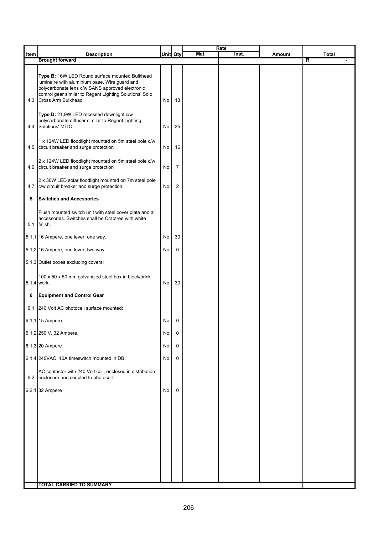|      |                                                                                                                                                                                                                                      |          |                | Mat. | Rate<br>Inst. |        |            |
|------|--------------------------------------------------------------------------------------------------------------------------------------------------------------------------------------------------------------------------------------|----------|----------------|------|---------------|--------|------------|
| Item | <b>Description</b><br><b>Brought forward</b>                                                                                                                                                                                         | Unit Qty |                |      |               | Amount | Total<br>R |
| 4.3  | Type B: 16W LED Round surface mounted Bulkhead<br>luminaire with aluminium base, Wire guard and<br>polycarbonate lens c/w SANS approved electronic<br>control gear similar to Regent Lighting Solutions' Solo<br>Cross Arm Bulkhead. | No       | 18             |      |               |        |            |
| 4.4  | Type D: 21,9W LED recessed downlight c/w<br>polycarbonate diffuser similar to Regent Lighting<br>Solutions' MITO                                                                                                                     | No       | 25             |      |               |        |            |
|      | 1 x 124W LED floodlight mounted on 5m steel pole c/w<br>4.5 circuit breaker and surge protection                                                                                                                                     | No       | 16             |      |               |        |            |
| 4.6  | 2 x 124W LED floodlight mounted on 5m steel pole c/w<br>circuit breaker and surge protection                                                                                                                                         | No       | 7              |      |               |        |            |
| 4.7  | 2 x 30W LED solar floodlight mounted on 7m steel pole<br>c/w circuit breaker and surge protection                                                                                                                                    | No       | $\overline{2}$ |      |               |        |            |
| 5    | <b>Switches and Accessories</b>                                                                                                                                                                                                      |          |                |      |               |        |            |
|      | Flush mounted switch unit with steel cover plate and all<br>accessories. Switches shall be Crabtree with white<br>5.1 finish.                                                                                                        |          |                |      |               |        |            |
|      | 5,1,1 16 Ampere, one lever, one way.                                                                                                                                                                                                 | No       | 30             |      |               |        |            |
|      | 5,1,2 16 Ampere, one lever, two way.                                                                                                                                                                                                 | No       | 0              |      |               |        |            |
|      | 5,1,3 Outlet boxes excluding covers:                                                                                                                                                                                                 |          |                |      |               |        |            |
|      | 100 x 50 x 50 mm galvanized steel box in block/brick<br>5,1,4 work.                                                                                                                                                                  | No       | 30             |      |               |        |            |
| 6    | <b>Equipment and Control Gear</b>                                                                                                                                                                                                    |          |                |      |               |        |            |
|      | 6.1 240 Volt AC photocell surface mounted:                                                                                                                                                                                           |          |                |      |               |        |            |
|      | 6,1,1 15 Ampere.                                                                                                                                                                                                                     | No       | 0              |      |               |        |            |
|      | 6,1,2 250 V, 32 Ampere.                                                                                                                                                                                                              | No       | 0              |      |               |        |            |
|      | 6,1,3 20 Ampere                                                                                                                                                                                                                      | No       | 0              |      |               |        |            |
|      | 6,1,4 240VAC, 10A timeswitch mounted in DB:                                                                                                                                                                                          | No       | 0              |      |               |        |            |
|      | AC contactor with 240 Volt coil, enclosed in distribution<br>6.2 enclosure and coupled to photocell:                                                                                                                                 |          |                |      |               |        |            |
|      | 6,2,1 32 Ampere                                                                                                                                                                                                                      | No       | 0              |      |               |        |            |
|      |                                                                                                                                                                                                                                      |          |                |      |               |        |            |
|      |                                                                                                                                                                                                                                      |          |                |      |               |        |            |
|      | <b>TOTAL CARRIED TO SUMMARY</b>                                                                                                                                                                                                      |          |                |      |               |        |            |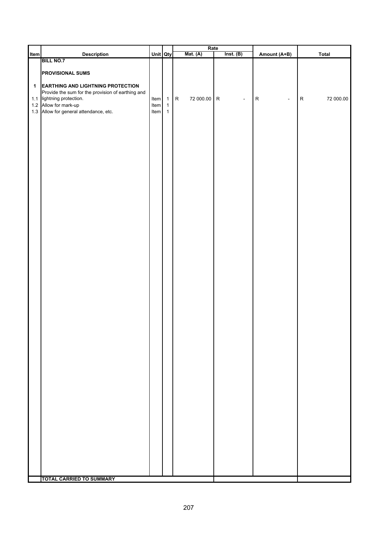| Item                 |                                                                                                                                                   |                      |                                             | <b>Mat.</b> (A)        | Rate<br>Inst. (B)           |                             |                        |
|----------------------|---------------------------------------------------------------------------------------------------------------------------------------------------|----------------------|---------------------------------------------|------------------------|-----------------------------|-----------------------------|------------------------|
|                      | <b>Description</b><br><b>BILL NO.7</b>                                                                                                            | Unit Qty             |                                             |                        |                             | Amount (A+B)                | Total                  |
| $\blacktriangleleft$ | <b>PROVISIONAL SUMS</b><br><b>EARTHING AND LIGHTNING PROTECTION</b>                                                                               |                      |                                             |                        |                             |                             |                        |
|                      | Provide the sum for the provision of earthing and<br>1.1 lightning protection.<br>1.2 Allow for mark-up<br>1.3 Allow for general attendance, etc. | Item<br>Item<br>Item | $\mathbf{1}$<br>$\mathbf 1$<br>$\mathbf{1}$ | 72 000.00<br>${\sf R}$ | ${\sf R}$<br>$\blacksquare$ | ${\sf R}$<br>$\blacksquare$ | 72 000.00<br>${\sf R}$ |
|                      |                                                                                                                                                   |                      |                                             |                        |                             |                             |                        |
|                      |                                                                                                                                                   |                      |                                             |                        |                             |                             |                        |
|                      |                                                                                                                                                   |                      |                                             |                        |                             |                             |                        |
|                      |                                                                                                                                                   |                      |                                             |                        |                             |                             |                        |
|                      |                                                                                                                                                   |                      |                                             |                        |                             |                             |                        |
|                      |                                                                                                                                                   |                      |                                             |                        |                             |                             |                        |
|                      |                                                                                                                                                   |                      |                                             |                        |                             |                             |                        |
|                      |                                                                                                                                                   |                      |                                             |                        |                             |                             |                        |
|                      |                                                                                                                                                   |                      |                                             |                        |                             |                             |                        |
|                      | <b>TOTAL CARRIED TO SUMMARY</b>                                                                                                                   |                      |                                             |                        |                             |                             |                        |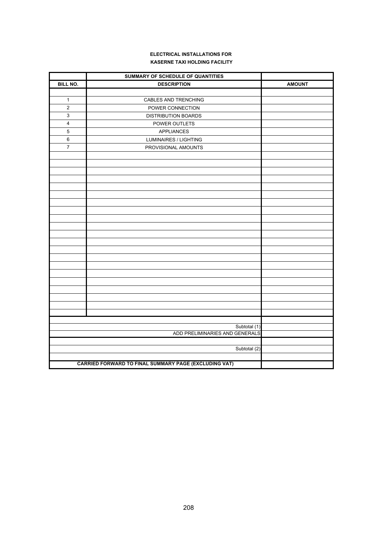#### **ELECTRICAL INSTALLATIONS FOR KASERNE TAXI HOLDING FACILITY**

|                 | SUMMARY OF SCHEDULE OF QUANTITIES                     |               |
|-----------------|-------------------------------------------------------|---------------|
| <b>BILL NO.</b> | <b>DESCRIPTION</b>                                    | <b>AMOUNT</b> |
|                 |                                                       |               |
| $\mathbf{1}$    | CABLES AND TRENCHING                                  |               |
| $\overline{2}$  | POWER CONNECTION                                      |               |
| $\mathbf{3}$    | <b>DISTRIBUTION BOARDS</b>                            |               |
| $\overline{4}$  | POWER OUTLETS                                         |               |
| 5               | <b>APPLIANCES</b>                                     |               |
| 6               | LUMINAIRES / LIGHTING                                 |               |
| $\overline{7}$  | PROVISIONAL AMOUNTS                                   |               |
|                 |                                                       |               |
|                 |                                                       |               |
|                 |                                                       |               |
|                 |                                                       |               |
|                 |                                                       |               |
|                 |                                                       |               |
|                 |                                                       |               |
|                 |                                                       |               |
|                 |                                                       |               |
|                 |                                                       |               |
|                 |                                                       |               |
|                 |                                                       |               |
|                 |                                                       |               |
|                 |                                                       |               |
|                 |                                                       |               |
|                 |                                                       |               |
|                 |                                                       |               |
|                 |                                                       |               |
|                 |                                                       |               |
|                 |                                                       |               |
|                 |                                                       |               |
|                 |                                                       |               |
|                 | Subtotal (1)<br>ADD PRELIMINARIES AND GENERALS        |               |
|                 |                                                       |               |
|                 | Subtotal (2)                                          |               |
|                 |                                                       |               |
|                 | CARRIED FORWARD TO FINAL SUMMARY PAGE (EXCLUDING VAT) |               |
|                 |                                                       |               |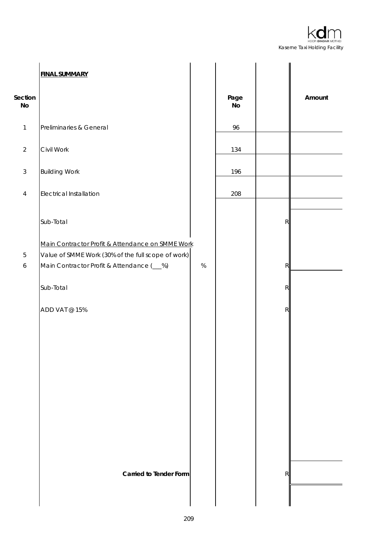

|                  | <b>FINAL SUMMARY</b>                                                                                   |      |                       |   |        |
|------------------|--------------------------------------------------------------------------------------------------------|------|-----------------------|---|--------|
| Section<br>No    |                                                                                                        |      | Page<br>$\mathsf{No}$ |   | Amount |
| $\mathbf{1}$     | Preliminaries & General                                                                                |      | 96                    |   |        |
| $\overline{2}$   | Civil Work                                                                                             |      | 134                   |   |        |
| $\sqrt{3}$       | <b>Building Work</b>                                                                                   |      | 196                   |   |        |
| $\overline{4}$   | <b>Electrical Installation</b>                                                                         |      | 208                   |   |        |
|                  | Sub-Total                                                                                              |      |                       | R |        |
| $\mathbf 5$      | Main Contractor Profit & Attendance on SMME Work<br>Value of SMME Work (30% of the full scope of work) |      |                       |   |        |
| $\boldsymbol{6}$ | Main Contractor Profit & Attendance (__%)                                                              | $\%$ |                       | R |        |
|                  | Sub-Total                                                                                              |      |                       | R |        |
|                  | ADD VAT @ 15%                                                                                          |      |                       | R |        |
|                  |                                                                                                        |      |                       |   |        |
|                  |                                                                                                        |      |                       |   |        |
|                  |                                                                                                        |      |                       |   |        |
|                  |                                                                                                        |      |                       |   |        |
|                  |                                                                                                        |      |                       |   |        |
|                  |                                                                                                        |      |                       |   |        |
|                  |                                                                                                        |      |                       |   |        |
|                  | <b>Carried to Tender Form</b>                                                                          |      |                       | R |        |
|                  |                                                                                                        |      |                       |   |        |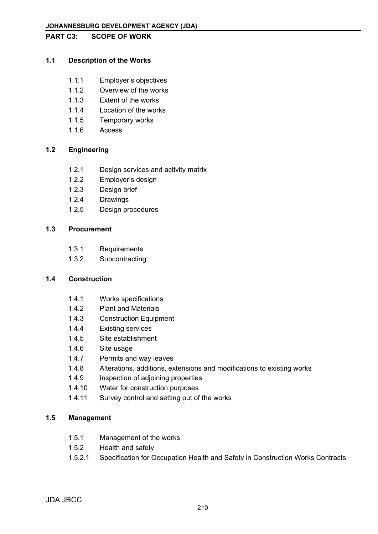#### **PART C3: SCOPE OF WORK**

# **1.1 Description of the Works**

- 1.1.1 Employer's objectives
- 1.1.2 Overview of the works
- 1.1.3 Extent of the works
- 1.1.4 Location of the works
- 1.1.5 Temporary works
- 1.1.6 Access

# **1.2 Engineering**

- 1.2.1 Design services and activity matrix
- 1.2.2 Employer's design
- 1.2.3 Design brief
- 1.2.4 Drawings
- 1.2.5 Design procedures

# **1.3 Procurement**

- 1.3.1 Requirements
- 1.3.2 Subcontracting

# **1.4 Construction**

- 1.4.1 Works specifications
- 1.4.2 Plant and Materials
- 1.4.3 Construction Equipment
- 1.4.4 Existing services
- 1.4.5 Site establishment
- 1.4.6 Site usage
- 1.4.7 Permits and way leaves
- 1.4.8 Alterations, additions, extensions and modifications to existing works
- 1.4.9 Inspection of adjoining properties
- 1.4.10 Water for construction purposes
- 1.4.11 Survey control and setting out of the works

# **1.5 Management**

- 1.5.1 Management of the works
- 1.5.2 Health and safety
- 1.5.2.1 Specification for Occupation Health and Safety in Construction Works Contracts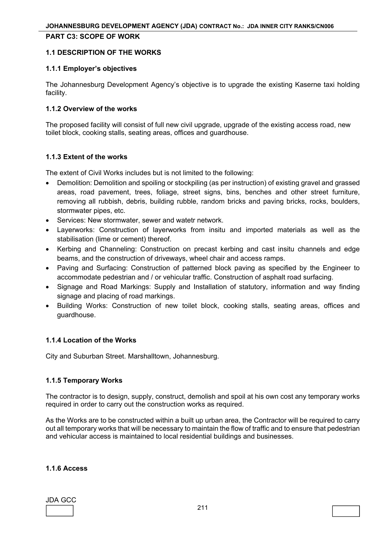#### **PART C3: SCOPE OF WORK**

#### **1.1 DESCRIPTION OF THE WORKS**

#### **1.1.1 Employer's objectives**

The Johannesburg Development Agency's objective is to upgrade the existing Kaserne taxi holding facility.

#### **1.1.2 Overview of the works**

The proposed facility will consist of full new civil upgrade, upgrade of the existing access road, new toilet block, cooking stalls, seating areas, offices and guardhouse.

#### **1.1.3 Extent of the works**

The extent of Civil Works includes but is not limited to the following:

- Demolition: Demolition and spoiling or stockpiling (as per instruction) of existing gravel and grassed areas, road pavement, trees, foliage, street signs, bins, benches and other street furniture, removing all rubbish, debris, building rubble, random bricks and paving bricks, rocks, boulders, stormwater pipes, etc.
- Services: New stormwater, sewer and watetr network.
- Layerworks: Construction of layerworks from insitu and imported materials as well as the stabilisation (lime or cement) thereof.
- Kerbing and Channeling: Construction on precast kerbing and cast insitu channels and edge beams, and the construction of driveways, wheel chair and access ramps.
- Paving and Surfacing: Construction of patterned block paving as specified by the Engineer to accommodate pedestrian and / or vehicular traffic. Construction of asphalt road surfacing.
- Signage and Road Markings: Supply and Installation of statutory, information and way finding signage and placing of road markings.
- Building Works: Construction of new toilet block, cooking stalls, seating areas, offices and guardhouse.

# **1.1.4 Location of the Works**

City and Suburban Street. Marshalltown, Johannesburg.

# **1.1.5 Temporary Works**

The contractor is to design, supply, construct, demolish and spoil at his own cost any temporary works required in order to carry out the construction works as required.

As the Works are to be constructed within a built up urban area, the Contractor will be required to carry out all temporary works that will be necessary to maintain the flow of traffic and to ensure that pedestrian and vehicular access is maintained to local residential buildings and businesses.

#### **1.1.6 Access**

# JDA GCC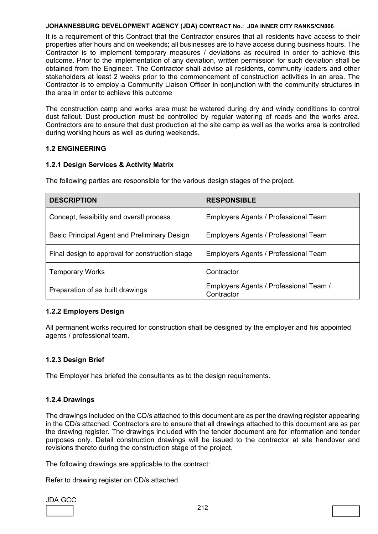It is a requirement of this Contract that the Contractor ensures that all residents have access to their properties after hours and on weekends; all businesses are to have access during business hours. The Contractor is to implement temporary measures / deviations as required in order to achieve this outcome. Prior to the implementation of any deviation, written permission for such deviation shall be obtained from the Engineer. The Contractor shall advise all residents, community leaders and other stakeholders at least 2 weeks prior to the commencement of construction activities in an area. The Contractor is to employ a Community Liaison Officer in conjunction with the community structures in the area in order to achieve this outcome

The construction camp and works area must be watered during dry and windy conditions to control dust fallout. Dust production must be controlled by regular watering of roads and the works area. Contractors are to ensure that dust production at the site camp as well as the works area is controlled during working hours as well as during weekends.

# **1.2 ENGINEERING**

# **1.2.1 Design Services & Activity Matrix**

The following parties are responsible for the various design stages of the project.

| <b>DESCRIPTION</b>                                  | <b>RESPONSIBLE</b>                                   |
|-----------------------------------------------------|------------------------------------------------------|
| Concept, feasibility and overall process            | Employers Agents / Professional Team                 |
| <b>Basic Principal Agent and Preliminary Design</b> | Employers Agents / Professional Team                 |
| Final design to approval for construction stage     | Employers Agents / Professional Team                 |
| <b>Temporary Works</b>                              | Contractor                                           |
| Preparation of as built drawings                    | Employers Agents / Professional Team /<br>Contractor |

# **1.2.2 Employers Design**

All permanent works required for construction shall be designed by the employer and his appointed agents / professional team.

# **1.2.3 Design Brief**

The Employer has briefed the consultants as to the design requirements.

# **1.2.4 Drawings**

The drawings included on the CD/s attached to this document are as per the drawing register appearing in the CD/s attached. Contractors are to ensure that all drawings attached to this document are as per the drawing register. The drawings included with the tender document are for information and tender purposes only. Detail construction drawings will be issued to the contractor at site handover and revisions thereto during the construction stage of the project.

The following drawings are applicable to the contract:

Refer to drawing register on CD/s attached.

| .JI )A |  |
|--------|--|
|        |  |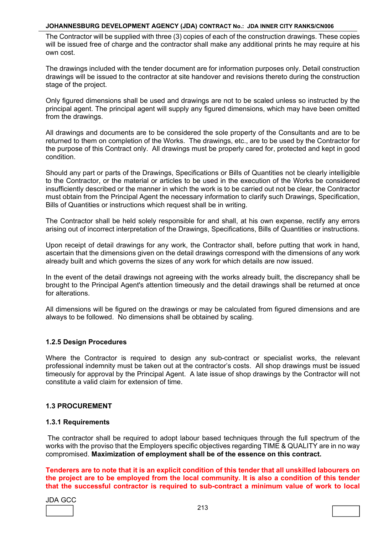The Contractor will be supplied with three (3) copies of each of the construction drawings. These copies will be issued free of charge and the contractor shall make any additional prints he may require at his own cost.

The drawings included with the tender document are for information purposes only. Detail construction drawings will be issued to the contractor at site handover and revisions thereto during the construction stage of the project.

Only figured dimensions shall be used and drawings are not to be scaled unless so instructed by the principal agent. The principal agent will supply any figured dimensions, which may have been omitted from the drawings.

All drawings and documents are to be considered the sole property of the Consultants and are to be returned to them on completion of the Works. The drawings, etc., are to be used by the Contractor for the purpose of this Contract only. All drawings must be properly cared for, protected and kept in good condition.

Should any part or parts of the Drawings, Specifications or Bills of Quantities not be clearly intelligible to the Contractor, or the material or articles to be used in the execution of the Works be considered insufficiently described or the manner in which the work is to be carried out not be clear, the Contractor must obtain from the Principal Agent the necessary information to clarify such Drawings, Specification, Bills of Quantities or instructions which request shall be in writing.

The Contractor shall be held solely responsible for and shall, at his own expense, rectify any errors arising out of incorrect interpretation of the Drawings, Specifications, Bills of Quantities or instructions.

Upon receipt of detail drawings for any work, the Contractor shall, before putting that work in hand, ascertain that the dimensions given on the detail drawings correspond with the dimensions of any work already built and which governs the sizes of any work for which details are now issued.

In the event of the detail drawings not agreeing with the works already built, the discrepancy shall be brought to the Principal Agent's attention timeously and the detail drawings shall be returned at once for alterations.

All dimensions will be figured on the drawings or may be calculated from figured dimensions and are always to be followed. No dimensions shall be obtained by scaling.

# **1.2.5 Design Procedures**

Where the Contractor is required to design any sub-contract or specialist works, the relevant professional indemnity must be taken out at the contractor's costs. All shop drawings must be issued timeously for approval by the Principal Agent. A late issue of shop drawings by the Contractor will not constitute a valid claim for extension of time.

# **1.3 PROCUREMENT**

#### **1.3.1 Requirements**

The contractor shall be required to adopt labour based techniques through the full spectrum of the works with the proviso that the Employers specific objectives regarding TIME & QUALITY are in no way compromised. **Maximization of employment shall be of the essence on this contract.** 

**Tenderers are to note that it is an explicit condition of this tender that all unskilled labourers on the project are to be employed from the local community. It is also a condition of this tender that the successful contractor is required to sub-contract a minimum value of work to local** 

| ۰<br>o |  |
|--------|--|
|        |  |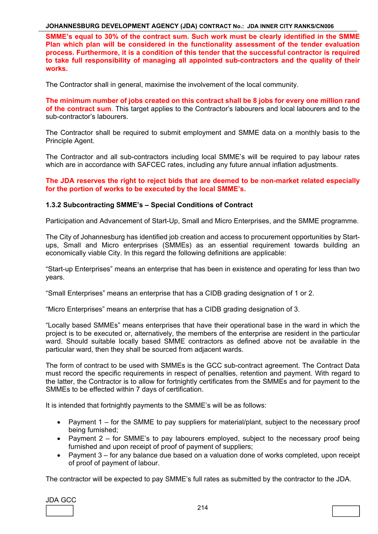**SMME's equal to 30% of the contract sum. Such work must be clearly identified in the SMME Plan which plan will be considered in the functionality assessment of the tender evaluation process. Furthermore, it is a condition of this tender that the successful contractor is required to take full responsibility of managing all appointed sub-contractors and the quality of their works.** 

The Contractor shall in general, maximise the involvement of the local community.

**The minimum number of jobs created on this contract shall be 8 jobs for every one million rand of the contract sum**. This target applies to the Contractor's labourers and local labourers and to the sub-contractor's labourers.

The Contractor shall be required to submit employment and SMME data on a monthly basis to the Principle Agent.

The Contractor and all sub-contractors including local SMME's will be required to pay labour rates which are in accordance with SAFCEC rates, including any future annual inflation adjustments.

**The JDA reserves the right to reject bids that are deemed to be non-market related especially for the portion of works to be executed by the local SMME's.** 

#### **1.3.2 Subcontracting SMME's – Special Conditions of Contract**

Participation and Advancement of Start-Up, Small and Micro Enterprises, and the SMME programme.

The City of Johannesburg has identified job creation and access to procurement opportunities by Startups, Small and Micro enterprises (SMMEs) as an essential requirement towards building an economically viable City. In this regard the following definitions are applicable:

"Start-up Enterprises" means an enterprise that has been in existence and operating for less than two years.

"Small Enterprises" means an enterprise that has a CIDB grading designation of 1 or 2.

"Micro Enterprises" means an enterprise that has a CIDB grading designation of 3.

"Locally based SMMEs" means enterprises that have their operational base in the ward in which the project is to be executed or, alternatively, the members of the enterprise are resident in the particular ward. Should suitable locally based SMME contractors as defined above not be available in the particular ward, then they shall be sourced from adjacent wards.

The form of contract to be used with SMMEs is the GCC sub-contract agreement. The Contract Data must record the specific requirements in respect of penalties, retention and payment. With regard to the latter, the Contractor is to allow for fortnightly certificates from the SMMEs and for payment to the SMMEs to be effected within 7 days of certification.

It is intended that fortnightly payments to the SMME's will be as follows:

- Payment  $1 -$  for the SMME to pay suppliers for material/plant, subject to the necessary proof being furnished;
- Payment 2 for SMME's to pay labourers employed, subject to the necessary proof being furnished and upon receipt of proof of payment of suppliers;
- Payment 3 for any balance due based on a valuation done of works completed, upon receipt of proof of payment of labour.

The contractor will be expected to pay SMME's full rates as submitted by the contractor to the JDA.

JDA GCC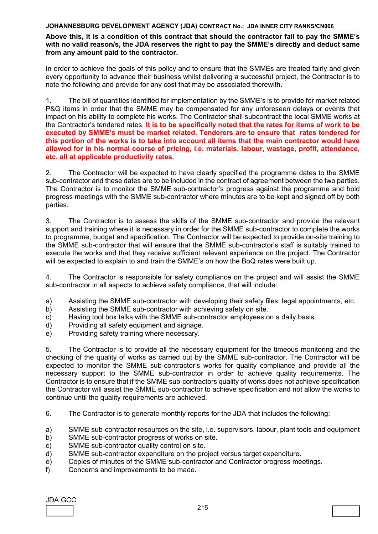# **Above this, it is a condition of this contract that should the contractor fail to pay the SMME's with no valid reason/s, the JDA reserves the right to pay the SMME's directly and deduct same from any amount paid to the contractor.**

In order to achieve the goals of this policy and to ensure that the SMMEs are treated fairly and given every opportunity to advance their business whilst delivering a successful project, the Contractor is to note the following and provide for any cost that may be associated therewith.

1. The bill of quantities identified for implementation by the SMME's is to provide for market related P&G items in order that the SMME may be compensated for any unforeseen delays or events that impact on his ability to complete his works. The Contractor shall subcontract the local SMME works at the Contractor's tendered rates. **It is to be specifically noted that the rates for items of work to be executed by SMME's must be market related. Tenderers are to ensure that rates tendered for this portion of the works is to take into account all items that the main contractor would have allowed for in his normal course of pricing, i.e. materials, labour, wastage, profit, attendance, etc. all at applicable productivity rates.** 

2. The Contractor will be expected to have clearly specified the programme dates to the SMME sub-contractor and these dates are to be included in the contract of agreement between the two parties. The Contractor is to monitor the SMME sub-contractor's progress against the programme and hold progress meetings with the SMME sub-contractor where minutes are to be kept and signed off by both parties.

3. The Contractor is to assess the skills of the SMME sub-contractor and provide the relevant support and training where it is necessary in order for the SMME sub-contractor to complete the works to programme, budget and specification. The Contractor will be expected to provide on-site training to the SMME sub-contractor that will ensure that the SMME sub-contractor's staff is suitably trained to execute the works and that they receive sufficient relevant experience on the project. The Contractor will be expected to explain to and train the SMME's on how the BoQ rates were built up.

4. The Contractor is responsible for safety compliance on the project and will assist the SMME sub-contractor in all aspects to achieve safety compliance, that will include:

- a) Assisting the SMME sub-contractor with developing their safety files, legal appointments, etc.<br>b) Assisting the SMME sub-contractor with achieving safety on site.
- Assisting the SMME sub-contractor with achieving safety on site.
- c) Having tool box talks with the SMME sub-contractor employees on a daily basis.
- d) Providing all safety equipment and signage.
- e) Providing safety training where necessary.

5. The Contractor is to provide all the necessary equipment for the timeous monitoring and the checking of the quality of works as carried out by the SMME sub-contractor. The Contractor will be expected to monitor the SMME sub-contractor's works for quality compliance and provide all the necessary support to the SMME sub-contractor in order to achieve quality requirements. The Contractor is to ensure that if the SMME sub-contractors quality of works does not achieve specification the Contractor will assist the SMME sub-contractor to achieve specification and not allow the works to continue until the quality requirements are achieved.

- 6. The Contractor is to generate monthly reports for the JDA that includes the following:
- a) SMME sub-contractor resources on the site, i.e. supervisors, labour, plant tools and equipment
- b) SMME sub-contractor progress of works on site.
- c) SMME sub-contractor quality control on site.
- d) SMME sub-contractor expenditure on the project versus target expenditure.
- e) Copies of minutes of the SMME sub-contractor and Contractor progress meetings.
- f) Concerns and improvements to be made.

JDA GCC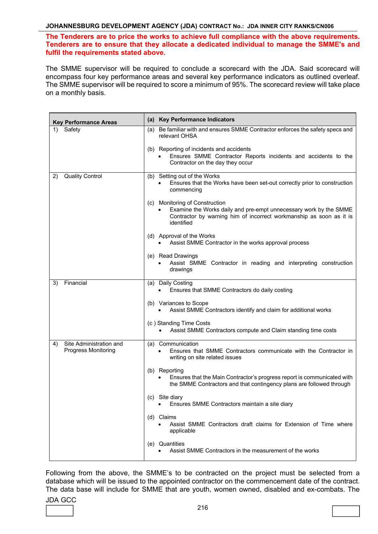# **The Tenderers are to price the works to achieve full compliance with the above requirements. Tenderers are to ensure that they allocate a dedicated individual to manage the SMME's and fulfil the requirements stated above.**

The SMME supervisor will be required to conclude a scorecard with the JDA. Said scorecard will encompass four key performance areas and several key performance indicators as outlined overleaf. The SMME supervisor will be required to score a minimum of 95%. The scorecard review will take place on a monthly basis.

| <b>Key Performance Areas</b>                                | (a) Key Performance Indicators                                                                                                                                                           |
|-------------------------------------------------------------|------------------------------------------------------------------------------------------------------------------------------------------------------------------------------------------|
| Safety<br>1)                                                | (a) Be familiar with and ensures SMME Contractor enforces the safety specs and<br>relevant OHSA                                                                                          |
|                                                             | (b) Reporting of incidents and accidents<br>Ensures SMME Contractor Reports incidents and accidents to the<br>Contractor on the day they occur                                           |
| <b>Quality Control</b><br>2)                                | (b) Setting out of the Works<br>Ensures that the Works have been set-out correctly prior to construction<br>commencing                                                                   |
|                                                             | (c) Monitoring of Construction<br>Examine the Works daily and pre-empt unnecessary work by the SMME<br>Contractor by warning him of incorrect workmanship as soon as it is<br>identified |
|                                                             | (d) Approval of the Works<br>Assist SMME Contractor in the works approval process<br>$\bullet$                                                                                           |
|                                                             | (e) Read Drawings<br>Assist SMME Contractor in reading and interpreting construction<br>drawings                                                                                         |
| Financial<br>3)                                             | (a) Daily Costing<br>Ensures that SMME Contractors do daily costing                                                                                                                      |
|                                                             | (b) Variances to Scope<br>Assist SMME Contractors identify and claim for additional works                                                                                                |
|                                                             | (c) Standing Time Costs<br>Assist SMME Contractors compute and Claim standing time costs                                                                                                 |
| Site Administration and<br>4)<br><b>Progress Monitoring</b> | (a) Communication<br>Ensures that SMME Contractors communicate with the Contractor in<br>writing on site related issues                                                                  |
|                                                             | (b) Reporting<br>Ensures that the Main Contractor's progress report is communicated with<br>the SMME Contractors and that contingency plans are followed through                         |
|                                                             | (c) Site diary<br>Ensures SMME Contractors maintain a site diary                                                                                                                         |
|                                                             | (d) Claims<br>Assist SMME Contractors draft claims for Extension of Time where<br>applicable                                                                                             |
|                                                             | (e) Quantities<br>Assist SMME Contractors in the measurement of the works                                                                                                                |

Following from the above, the SMME's to be contracted on the project must be selected from a database which will be issued to the appointed contractor on the commencement date of the contract. The data base will include for SMME that are youth, women owned, disabled and ex-combats. The

# JDA GCC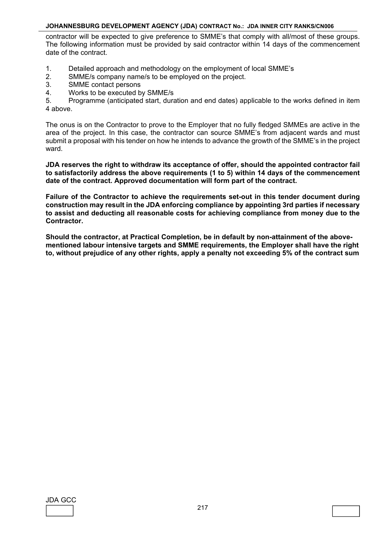contractor will be expected to give preference to SMME's that comply with all/most of these groups. The following information must be provided by said contractor within 14 days of the commencement date of the contract.

- 1. Detailed approach and methodology on the employment of local SMME's
- 2. SMME/s company name/s to be employed on the project.
- 3. SMME contact persons
- 4. Works to be executed by SMME/s

5. Programme (anticipated start, duration and end dates) applicable to the works defined in item 4 above.

The onus is on the Contractor to prove to the Employer that no fully fledged SMMEs are active in the area of the project. In this case, the contractor can source SMME's from adjacent wards and must submit a proposal with his tender on how he intends to advance the growth of the SMME's in the project ward.

**JDA reserves the right to withdraw its acceptance of offer, should the appointed contractor fail to satisfactorily address the above requirements (1 to 5) within 14 days of the commencement date of the contract. Approved documentation will form part of the contract.** 

**Failure of the Contractor to achieve the requirements set-out in this tender document during construction may result in the JDA enforcing compliance by appointing 3rd parties if necessary to assist and deducting all reasonable costs for achieving compliance from money due to the Contractor.** 

**Should the contractor, at Practical Completion, be in default by non-attainment of the abovementioned labour intensive targets and SMME requirements, the Employer shall have the right to, without prejudice of any other rights, apply a penalty not exceeding 5% of the contract sum**

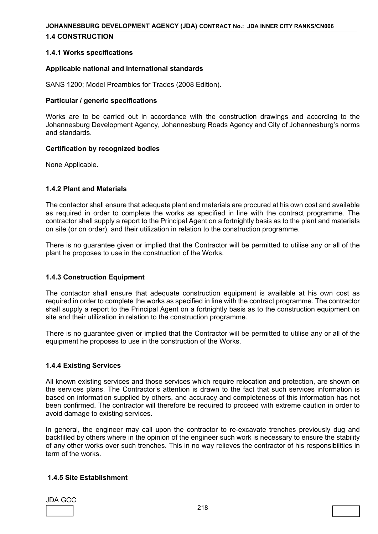## **1.4 CONSTRUCTION**

#### **1.4.1 Works specifications**

#### **Applicable national and international standards**

SANS 1200; Model Preambles for Trades (2008 Edition).

#### **Particular / generic specifications**

Works are to be carried out in accordance with the construction drawings and according to the Johannesburg Development Agency, Johannesburg Roads Agency and City of Johannesburg's norms and standards.

#### **Certification by recognized bodies**

None Applicable.

#### **1.4.2 Plant and Materials**

The contactor shall ensure that adequate plant and materials are procured at his own cost and available as required in order to complete the works as specified in line with the contract programme. The contractor shall supply a report to the Principal Agent on a fortnightly basis as to the plant and materials on site (or on order), and their utilization in relation to the construction programme.

There is no guarantee given or implied that the Contractor will be permitted to utilise any or all of the plant he proposes to use in the construction of the Works.

#### **1.4.3 Construction Equipment**

The contactor shall ensure that adequate construction equipment is available at his own cost as required in order to complete the works as specified in line with the contract programme. The contractor shall supply a report to the Principal Agent on a fortnightly basis as to the construction equipment on site and their utilization in relation to the construction programme.

There is no guarantee given or implied that the Contractor will be permitted to utilise any or all of the equipment he proposes to use in the construction of the Works.

#### **1.4.4 Existing Services**

All known existing services and those services which require relocation and protection, are shown on the services plans. The Contractor's attention is drawn to the fact that such services information is based on information supplied by others, and accuracy and completeness of this information has not been confirmed. The contractor will therefore be required to proceed with extreme caution in order to avoid damage to existing services.

In general, the engineer may call upon the contractor to re-excavate trenches previously dug and backfilled by others where in the opinion of the engineer such work is necessary to ensure the stability of any other works over such trenches. This in no way relieves the contractor of his responsibilities in term of the works.

## **1.4.5 Site Establishment**

| JDA GC |  |
|--------|--|
|        |  |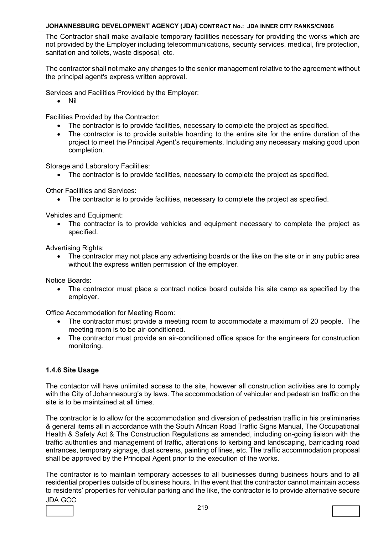The Contractor shall make available temporary facilities necessary for providing the works which are not provided by the Employer including telecommunications, security services, medical, fire protection, sanitation and toilets, waste disposal, etc.

The contractor shall not make any changes to the senior management relative to the agreement without the principal agent's express written approval.

Services and Facilities Provided by the Employer:

Nil

Facilities Provided by the Contractor:

- The contractor is to provide facilities, necessary to complete the project as specified.
- The contractor is to provide suitable hoarding to the entire site for the entire duration of the project to meet the Principal Agent's requirements. Including any necessary making good upon completion.

Storage and Laboratory Facilities:

The contractor is to provide facilities, necessary to complete the project as specified.

Other Facilities and Services:

The contractor is to provide facilities, necessary to complete the project as specified.

Vehicles and Equipment:

• The contractor is to provide vehicles and equipment necessary to complete the project as specified.

Advertising Rights:

 The contractor may not place any advertising boards or the like on the site or in any public area without the express written permission of the employer.

Notice Boards:

 The contractor must place a contract notice board outside his site camp as specified by the employer.

Office Accommodation for Meeting Room:

- The contractor must provide a meeting room to accommodate a maximum of 20 people. The meeting room is to be air-conditioned.
- The contractor must provide an air-conditioned office space for the engineers for construction monitoring.

# **1.4.6 Site Usage**

The contactor will have unlimited access to the site, however all construction activities are to comply with the City of Johannesburg's by laws. The accommodation of vehicular and pedestrian traffic on the site is to be maintained at all times.

The contractor is to allow for the accommodation and diversion of pedestrian traffic in his preliminaries & general items all in accordance with the South African Road Traffic Signs Manual, The Occupational Health & Safety Act & The Construction Regulations as amended, including on-going liaison with the traffic authorities and management of traffic, alterations to kerbing and landscaping, barricading road entrances, temporary signage, dust screens, painting of lines, etc. The traffic accommodation proposal shall be approved by the Principal Agent prior to the execution of the works.

The contractor is to maintain temporary accesses to all businesses during business hours and to all residential properties outside of business hours. In the event that the contractor cannot maintain access to residents' properties for vehicular parking and the like, the contractor is to provide alternative secure

JDA GCC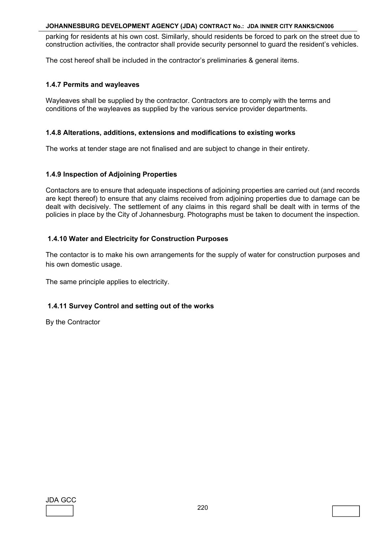parking for residents at his own cost. Similarly, should residents be forced to park on the street due to construction activities, the contractor shall provide security personnel to guard the resident's vehicles.

The cost hereof shall be included in the contractor's preliminaries & general items.

# **1.4.7 Permits and wayleaves**

Wayleaves shall be supplied by the contractor. Contractors are to comply with the terms and conditions of the wayleaves as supplied by the various service provider departments.

## **1.4.8 Alterations, additions, extensions and modifications to existing works**

The works at tender stage are not finalised and are subject to change in their entirety.

# **1.4.9 Inspection of Adjoining Properties**

Contactors are to ensure that adequate inspections of adjoining properties are carried out (and records are kept thereof) to ensure that any claims received from adjoining properties due to damage can be dealt with decisively. The settlement of any claims in this regard shall be dealt with in terms of the policies in place by the City of Johannesburg. Photographs must be taken to document the inspection.

# **1.4.10 Water and Electricity for Construction Purposes**

The contactor is to make his own arrangements for the supply of water for construction purposes and his own domestic usage.

The same principle applies to electricity.

# **1.4.11 Survey Control and setting out of the works**

By the Contractor

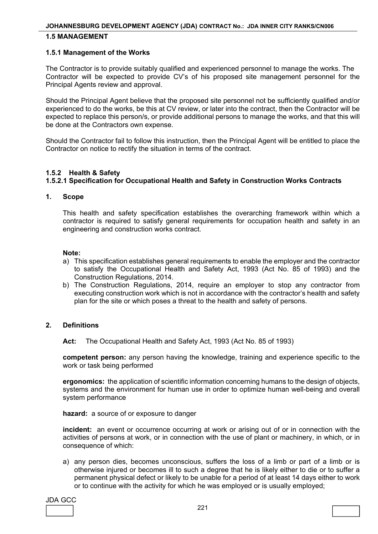### **1.5 MANAGEMENT**

#### **1.5.1 Management of the Works**

The Contractor is to provide suitably qualified and experienced personnel to manage the works. The Contractor will be expected to provide CV's of his proposed site management personnel for the Principal Agents review and approval.

Should the Principal Agent believe that the proposed site personnel not be sufficiently qualified and/or experienced to do the works, be this at CV review, or later into the contract, then the Contractor will be expected to replace this person/s, or provide additional persons to manage the works, and that this will be done at the Contractors own expense.

Should the Contractor fail to follow this instruction, then the Principal Agent will be entitled to place the Contractor on notice to rectify the situation in terms of the contract.

## **1.5.2 Health & Safety**

# **1.5.2.1 Specification for Occupational Health and Safety in Construction Works Contracts**

#### **1. Scope**

 This health and safety specification establishes the overarching framework within which a contractor is required to satisfy general requirements for occupation health and safety in an engineering and construction works contract.

#### **Note:**

- a) This specification establishes general requirements to enable the employer and the contractor to satisfy the Occupational Health and Safety Act, 1993 (Act No. 85 of 1993) and the Construction Regulations, 2014.
- b) The Construction Regulations, 2014, require an employer to stop any contractor from executing construction work which is not in accordance with the contractor's health and safety plan for the site or which poses a threat to the health and safety of persons.

## **2. Definitions**

**Act:** The Occupational Health and Safety Act, 1993 (Act No. 85 of 1993)

**competent person:** any person having the knowledge, training and experience specific to the work or task being performed

**ergonomics:** the application of scientific information concerning humans to the design of objects, systems and the environment for human use in order to optimize human well-being and overall system performance

 **hazard:** a source of or exposure to danger

 **incident:** an event or occurrence occurring at work or arising out of or in connection with the activities of persons at work, or in connection with the use of plant or machinery, in which, or in consequence of which:

 a) any person dies, becomes unconscious, suffers the loss of a limb or part of a limb or is otherwise injured or becomes ill to such a degree that he is likely either to die or to suffer a permanent physical defect or likely to be unable for a period of at least 14 days either to work or to continue with the activity for which he was employed or is usually employed;

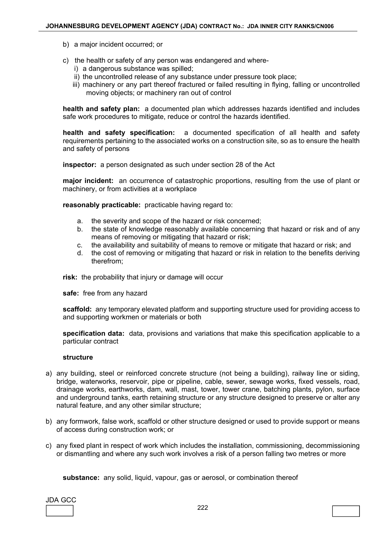- b) a major incident occurred; or
- c) the health or safety of any person was endangered and where
	- i) a dangerous substance was spilled;
	- ii) the uncontrolled release of any substance under pressure took place;
	- iii) machinery or any part thereof fractured or failed resulting in flying, falling or uncontrolled moving objects; or machinery ran out of control

**health and safety plan:** a documented plan which addresses hazards identified and includes safe work procedures to mitigate, reduce or control the hazards identified.

**health and safety specification:** a documented specification of all health and safety requirements pertaining to the associated works on a construction site, so as to ensure the health and safety of persons

**inspector:** a person designated as such under section 28 of the Act

**major incident:** an occurrence of catastrophic proportions, resulting from the use of plant or machinery, or from activities at a workplace

**reasonably practicable:** practicable having regard to:

- a. the severity and scope of the hazard or risk concerned;
- b. the state of knowledge reasonably available concerning that hazard or risk and of any means of removing or mitigating that hazard or risk;
- c. the availability and suitability of means to remove or mitigate that hazard or risk; and
- d. the cost of removing or mitigating that hazard or risk in relation to the benefits deriving therefrom;

**risk:** the probability that injury or damage will occur

**safe:** free from any hazard

**scaffold:** any temporary elevated platform and supporting structure used for providing access to and supporting workmen or materials or both

**specification data:** data, provisions and variations that make this specification applicable to a particular contract

#### **structure**

- a) any building, steel or reinforced concrete structure (not being a building), railway line or siding, bridge, waterworks, reservoir, pipe or pipeline, cable, sewer, sewage works, fixed vessels, road, drainage works, earthworks, dam, wall, mast, tower, tower crane, batching plants, pylon, surface and underground tanks, earth retaining structure or any structure designed to preserve or alter any natural feature, and any other similar structure;
- b) any formwork, false work, scaffold or other structure designed or used to provide support or means of access during construction work; or
- c) any fixed plant in respect of work which includes the installation, commissioning, decommissioning or dismantling and where any such work involves a risk of a person falling two metres or more

**substance:** any solid, liquid, vapour, gas or aerosol, or combination thereof

| ۸( ال |  |
|-------|--|
|       |  |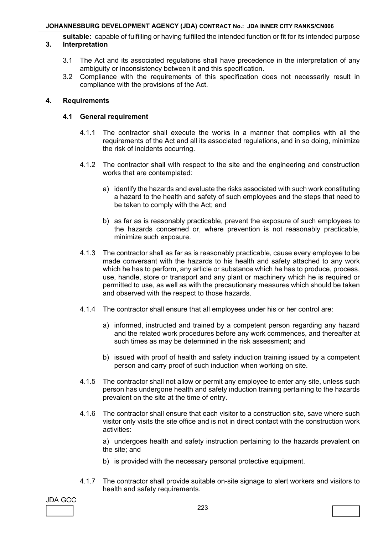**suitable:** capable of fulfilling or having fulfilled the intended function or fit for its intended purpose

# **3. Interpretation**

- 3.1 The Act and its associated regulations shall have precedence in the interpretation of any ambiguity or inconsistency between it and this specification.
- 3.2 Compliance with the requirements of this specification does not necessarily result in compliance with the provisions of the Act.

# **4. Requirements**

# **4.1 General requirement**

- 4.1.1 The contractor shall execute the works in a manner that complies with all the requirements of the Act and all its associated regulations, and in so doing, minimize the risk of incidents occurring.
- 4.1.2 The contractor shall with respect to the site and the engineering and construction works that are contemplated:
	- a) identify the hazards and evaluate the risks associated with such work constituting a hazard to the health and safety of such employees and the steps that need to be taken to comply with the Act; and
	- b) as far as is reasonably practicable, prevent the exposure of such employees to the hazards concerned or, where prevention is not reasonably practicable, minimize such exposure.
- 4.1.3 The contractor shall as far as is reasonably practicable, cause every employee to be made conversant with the hazards to his health and safety attached to any work which he has to perform, any article or substance which he has to produce, process, use, handle, store or transport and any plant or machinery which he is required or permitted to use, as well as with the precautionary measures which should be taken and observed with the respect to those hazards.
- 4.1.4 The contractor shall ensure that all employees under his or her control are:
	- a) informed, instructed and trained by a competent person regarding any hazard and the related work procedures before any work commences, and thereafter at such times as may be determined in the risk assessment; and
	- b) issued with proof of health and safety induction training issued by a competent person and carry proof of such induction when working on site.
- 4.1.5 The contractor shall not allow or permit any employee to enter any site, unless such person has undergone health and safety induction training pertaining to the hazards prevalent on the site at the time of entry.
- 4.1.6 The contractor shall ensure that each visitor to a construction site, save where such visitor only visits the site office and is not in direct contact with the construction work activities:

 a) undergoes health and safety instruction pertaining to the hazards prevalent on the site; and

- b) is provided with the necessary personal protective equipment.
- 4.1.7 The contractor shall provide suitable on-site signage to alert workers and visitors to health and safety requirements.

JDA GCC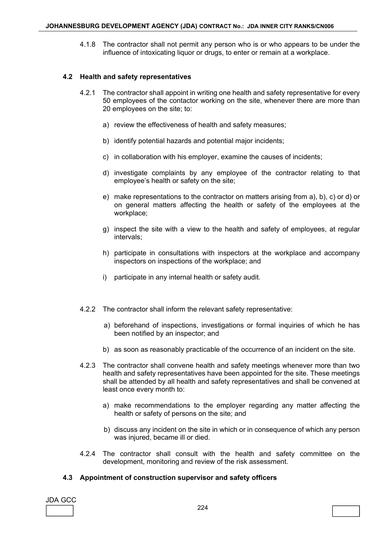4.1.8 The contractor shall not permit any person who is or who appears to be under the influence of intoxicating liquor or drugs, to enter or remain at a workplace.

#### **4.2 Health and safety representatives**

- 4.2.1 The contractor shall appoint in writing one health and safety representative for every 50 employees of the contactor working on the site, whenever there are more than 20 employees on the site; to:
	- a) review the effectiveness of health and safety measures;
	- b) identify potential hazards and potential major incidents;
	- c) in collaboration with his employer, examine the causes of incidents;
	- d) investigate complaints by any employee of the contractor relating to that employee's health or safety on the site;
	- e) make representations to the contractor on matters arising from a), b), c) or d) or on general matters affecting the health or safety of the employees at the workplace;
	- g) inspect the site with a view to the health and safety of employees, at regular intervals;
	- h) participate in consultations with inspectors at the workplace and accompany inspectors on inspections of the workplace; and
	- i) participate in any internal health or safety audit.
- 4.2.2 The contractor shall inform the relevant safety representative:
	- a) beforehand of inspections, investigations or formal inquiries of which he has been notified by an inspector; and
	- b) as soon as reasonably practicable of the occurrence of an incident on the site.
- 4.2.3 The contractor shall convene health and safety meetings whenever more than two health and safety representatives have been appointed for the site. These meetings shall be attended by all health and safety representatives and shall be convened at least once every month to:
	- a) make recommendations to the employer regarding any matter affecting the health or safety of persons on the site; and
	- b) discuss any incident on the site in which or in consequence of which any person was injured, became ill or died.
- 4.2.4 The contractor shall consult with the health and safety committee on the development, monitoring and review of the risk assessment.

#### **4.3 Appointment of construction supervisor and safety officers**

| <b>JDA GCC</b> |  |
|----------------|--|
|                |  |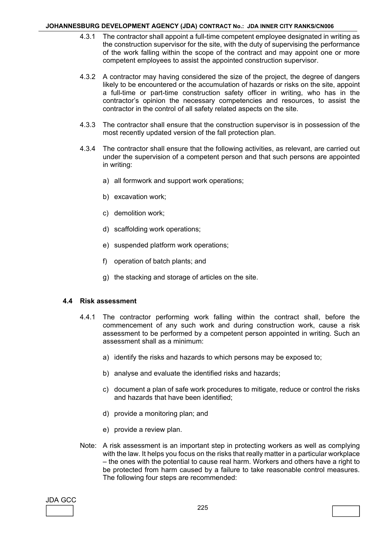- 4.3.1 The contractor shall appoint a full-time competent employee designated in writing as the construction supervisor for the site, with the duty of supervising the performance of the work falling within the scope of the contract and may appoint one or more competent employees to assist the appointed construction supervisor.
- 4.3.2 A contractor may having considered the size of the project, the degree of dangers likely to be encountered or the accumulation of hazards or risks on the site, appoint a full-time or part-time construction safety officer in writing, who has in the contractor's opinion the necessary competencies and resources, to assist the contractor in the control of all safety related aspects on the site.
- 4.3.3 The contractor shall ensure that the construction supervisor is in possession of the most recently updated version of the fall protection plan.
- 4.3.4 The contractor shall ensure that the following activities, as relevant, are carried out under the supervision of a competent person and that such persons are appointed in writing:
	- a) all formwork and support work operations;
	- b) excavation work;
	- c) demolition work;
	- d) scaffolding work operations;
	- e) suspended platform work operations;
	- f) operation of batch plants; and
	- g) the stacking and storage of articles on the site.

#### **4.4 Risk assessment**

- 4.4.1 The contractor performing work falling within the contract shall, before the commencement of any such work and during construction work, cause a risk assessment to be performed by a competent person appointed in writing. Such an assessment shall as a minimum:
	- a) identify the risks and hazards to which persons may be exposed to;
	- b) analyse and evaluate the identified risks and hazards;
	- c) document a plan of safe work procedures to mitigate, reduce or control the risks and hazards that have been identified;
	- d) provide a monitoring plan; and
	- e) provide a review plan.
- Note: A risk assessment is an important step in protecting workers as well as complying with the law. It helps you focus on the risks that really matter in a particular workplace – the ones with the potential to cause real harm. Workers and others have a right to be protected from harm caused by a failure to take reasonable control measures. The following four steps are recommended:

JDA GCC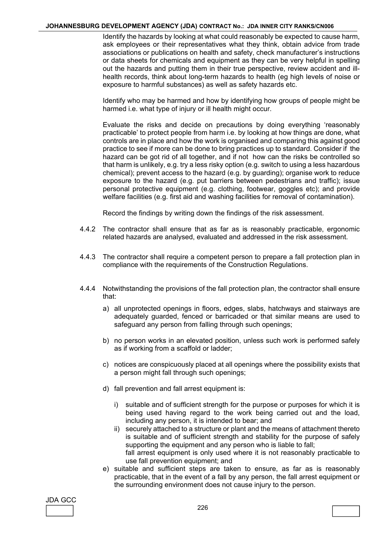Identify the hazards by looking at what could reasonably be expected to cause harm, ask employees or their representatives what they think, obtain advice from trade associations or publications on health and safety, check manufacturer's instructions or data sheets for chemicals and equipment as they can be very helpful in spelling out the hazards and putting them in their true perspective, review accident and illhealth records, think about long-term hazards to health (eg high levels of noise or exposure to harmful substances) as well as safety hazards etc.

 Identify who may be harmed and how by identifying how groups of people might be harmed i.e. what type of injury or ill health might occur.

 Evaluate the risks and decide on precautions by doing everything 'reasonably practicable' to protect people from harm i.e. by looking at how things are done, what controls are in place and how the work is organised and comparing this against good practice to see if more can be done to bring practices up to standard. Consider if the hazard can be got rid of all together, and if not how can the risks be controlled so that harm is unlikely, e.g. try a less risky option (e.g. switch to using a less hazardous chemical); prevent access to the hazard (e.g. by guarding); organise work to reduce exposure to the hazard (e.g. put barriers between pedestrians and traffic); issue personal protective equipment (e.g. clothing, footwear, goggles etc); and provide welfare facilities (e.g. first aid and washing facilities for removal of contamination).

Record the findings by writing down the findings of the risk assessment.

- 4.4.2 The contractor shall ensure that as far as is reasonably practicable, ergonomic related hazards are analysed, evaluated and addressed in the risk assessment.
- 4.4.3 The contractor shall require a competent person to prepare a fall protection plan in compliance with the requirements of the Construction Regulations.
- 4.4.4 Notwithstanding the provisions of the fall protection plan, the contractor shall ensure that:
	- a) all unprotected openings in floors, edges, slabs, hatchways and stairways are adequately guarded, fenced or barricaded or that similar means are used to safeguard any person from falling through such openings;
	- b) no person works in an elevated position, unless such work is performed safely as if working from a scaffold or ladder;
	- c) notices are conspicuously placed at all openings where the possibility exists that a person might fall through such openings;
	- d) fall prevention and fall arrest equipment is:
		- i) suitable and of sufficient strength for the purpose or purposes for which it is being used having regard to the work being carried out and the load, including any person, it is intended to bear; and
		- ii) securely attached to a structure or plant and the means of attachment thereto is suitable and of sufficient strength and stability for the purpose of safely supporting the equipment and any person who is liable to fall; fall arrest equipment is only used where it is not reasonably practicable to use fall prevention equipment; and
	- e) suitable and sufficient steps are taken to ensure, as far as is reasonably practicable, that in the event of a fall by any person, the fall arrest equipment or the surrounding environment does not cause injury to the person.

| JDA GCC |  |
|---------|--|
|         |  |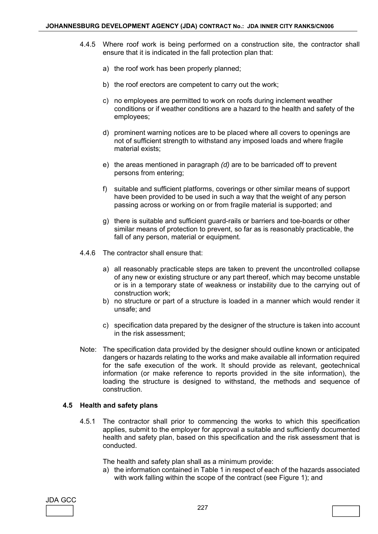- 4.4.5 Where roof work is being performed on a construction site, the contractor shall ensure that it is indicated in the fall protection plan that:
	- a) the roof work has been properly planned;
	- b) the roof erectors are competent to carry out the work;
	- c) no employees are permitted to work on roofs during inclement weather conditions or if weather conditions are a hazard to the health and safety of the employees;
	- d) prominent warning notices are to be placed where all covers to openings are not of sufficient strength to withstand any imposed loads and where fragile material exists;
	- e) the areas mentioned in paragraph *(d)* are to be barricaded off to prevent persons from entering;
	- f) suitable and sufficient platforms, coverings or other similar means of support have been provided to be used in such a way that the weight of any person passing across or working on or from fragile material is supported; and
	- g) there is suitable and sufficient guard-rails or barriers and toe-boards or other similar means of protection to prevent, so far as is reasonably practicable, the fall of any person, material or equipment.
- 4.4.6 The contractor shall ensure that:
	- a) all reasonably practicable steps are taken to prevent the uncontrolled collapse of any new or existing structure or any part thereof, which may become unstable or is in a temporary state of weakness or instability due to the carrying out of construction work;
	- b) no structure or part of a structure is loaded in a manner which would render it unsafe; and
	- c) specification data prepared by the designer of the structure is taken into account in the risk assessment;
- Note: The specification data provided by the designer should outline known or anticipated dangers or hazards relating to the works and make available all information required for the safe execution of the work. It should provide as relevant, geotechnical information (or make reference to reports provided in the site information), the loading the structure is designed to withstand, the methods and sequence of construction.

#### **4.5 Health and safety plans**

 4.5.1 The contractor shall prior to commencing the works to which this specification applies, submit to the employer for approval a suitable and sufficiently documented health and safety plan, based on this specification and the risk assessment that is conducted.

The health and safety plan shall as a minimum provide:

 a) the information contained in Table 1 in respect of each of the hazards associated with work falling within the scope of the contract (see Figure 1); and

| JDA GCC |  |
|---------|--|
|         |  |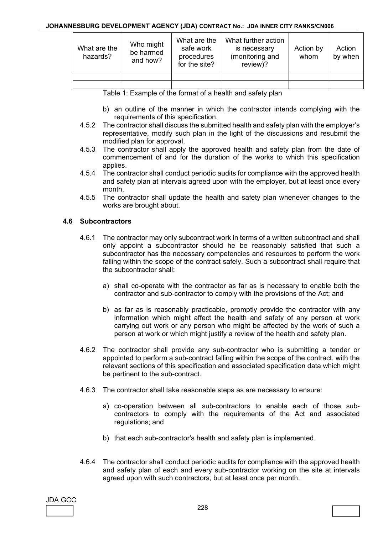| What are the<br>hazards? | Who might<br>be harmed<br>and how? | What are the<br>safe work<br>procedures<br>for the site? | What further action<br>is necessary<br>(monitoring and<br>review)? | Action by<br>whom | Action<br>by when |
|--------------------------|------------------------------------|----------------------------------------------------------|--------------------------------------------------------------------|-------------------|-------------------|
|                          |                                    |                                                          |                                                                    |                   |                   |
|                          |                                    |                                                          |                                                                    |                   |                   |

Table 1: Example of the format of a health and safety plan

- b) an outline of the manner in which the contractor intends complying with the requirements of this specification.
- 4.5.2 The contractor shall discuss the submitted health and safety plan with the employer's representative, modify such plan in the light of the discussions and resubmit the modified plan for approval.
- 4.5.3 The contractor shall apply the approved health and safety plan from the date of commencement of and for the duration of the works to which this specification applies.
- 4.5.4 The contractor shall conduct periodic audits for compliance with the approved health and safety plan at intervals agreed upon with the employer, but at least once every month.
- 4.5.5 The contractor shall update the health and safety plan whenever changes to the works are brought about.

# **4.6 Subcontractors**

- 4.6.1 The contractor may only subcontract work in terms of a written subcontract and shall only appoint a subcontractor should he be reasonably satisfied that such a subcontractor has the necessary competencies and resources to perform the work falling within the scope of the contract safely. Such a subcontract shall require that the subcontractor shall:
	- a) shall co-operate with the contractor as far as is necessary to enable both the contractor and sub-contractor to comply with the provisions of the Act; and
	- b) as far as is reasonably practicable, promptly provide the contractor with any information which might affect the health and safety of any person at work carrying out work or any person who might be affected by the work of such a person at work or which might justify a review of the health and safety plan.
- 4.6.2 The contractor shall provide any sub-contractor who is submitting a tender or appointed to perform a sub-contract falling within the scope of the contract, with the relevant sections of this specification and associated specification data which might be pertinent to the sub-contract.
- 4.6.3 The contractor shall take reasonable steps as are necessary to ensure:
	- a) co-operation between all sub-contractors to enable each of those subcontractors to comply with the requirements of the Act and associated regulations; and
	- b) that each sub-contractor's health and safety plan is implemented.
- 4.6.4 The contractor shall conduct periodic audits for compliance with the approved health and safety plan of each and every sub-contractor working on the site at intervals agreed upon with such contractors, but at least once per month.

| JDA GCC |  |
|---------|--|
|         |  |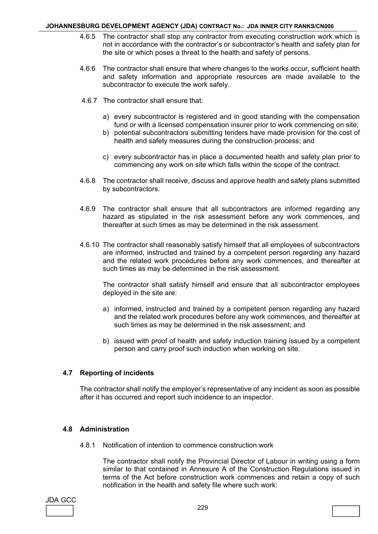- 4.6.5 The contractor shall stop any contractor from executing construction work which is not in accordance with the contractor's or subcontractor's health and safety plan for the site or which poses a threat to the health and safety of persons.
- 4.6.6 The contractor shall ensure that where changes to the works occur, sufficient health and safety information and appropriate resources are made available to the subcontractor to execute the work safely.
- 4.6.7 The contractor shall ensure that:
	- a) every subcontractor is registered and in good standing with the compensation fund or with a licensed compensation insurer prior to work commencing on site;
	- b) potential subcontractors submitting tenders have made provision for the cost of health and safety measures during the construction process; and
	- c) every subcontractor has in place a documented health and safety plan prior to commencing any work on site which falls within the scope of the contract.
- 4.6.8 The contractor shall receive, discuss and approve health and safety plans submitted by subcontractors.
- 4.6.9 The contractor shall ensure that all subcontractors are informed regarding any hazard as stipulated in the risk assessment before any work commences, and thereafter at such times as may be determined in the risk assessment.
- 4.6.10 The contractor shall reasonably satisfy himself that all employees of subcontractors are informed, instructed and trained by a competent person regarding any hazard and the related work procedures before any work commences, and thereafter at such times as may be determined in the risk assessment.

 The contractor shall satisfy himself and ensure that all subcontractor employees deployed in the site are:

- a) informed, instructed and trained by a competent person regarding any hazard and the related work procedures before any work commences, and thereafter at such times as may be determined in the risk assessment; and
- b) issued with proof of health and safety induction training issued by a competent person and carry proof such induction when working on site.

# **4.7 Reporting of incidents**

 The contractor shall notify the employer's representative of any incident as soon as possible after it has occurred and report such incidence to an inspector.

# **4.8 Administration**

4.8.1 Notification of intention to commence construction work

 The contractor shall notify the Provincial Director of Labour in writing using a form similar to that contained in Annexure A of the Construction Regulations issued in terms of the Act before construction work commences and retain a copy of such notification in the health and safety file where such work:

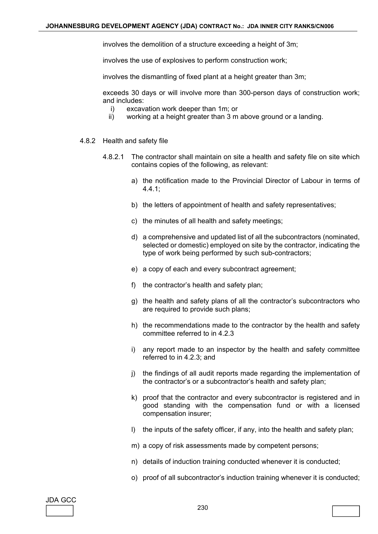involves the demolition of a structure exceeding a height of 3m;

involves the use of explosives to perform construction work;

involves the dismantling of fixed plant at a height greater than 3m;

 exceeds 30 days or will involve more than 300-person days of construction work; and includes:

- i) excavation work deeper than 1m; or
- ii) working at a height greater than 3 m above ground or a landing.
- 4.8.2 Health and safety file
	- 4.8.2.1 The contractor shall maintain on site a health and safety file on site which contains copies of the following, as relevant:
		- a) the notification made to the Provincial Director of Labour in terms of 4.4.1;
		- b) the letters of appointment of health and safety representatives;
		- c) the minutes of all health and safety meetings;
		- d) a comprehensive and updated list of all the subcontractors (nominated, selected or domestic) employed on site by the contractor, indicating the type of work being performed by such sub-contractors;
		- e) a copy of each and every subcontract agreement;
		- f) the contractor's health and safety plan;
		- g) the health and safety plans of all the contractor's subcontractors who are required to provide such plans;
		- h) the recommendations made to the contractor by the health and safety committee referred to in 4.2.3
		- i) any report made to an inspector by the health and safety committee referred to in 4.2.3; and
		- j) the findings of all audit reports made regarding the implementation of the contractor's or a subcontractor's health and safety plan;
		- k) proof that the contractor and every subcontractor is registered and in good standing with the compensation fund or with a licensed compensation insurer;
		- l) the inputs of the safety officer, if any, into the health and safety plan;
		- m) a copy of risk assessments made by competent persons;
		- n) details of induction training conducted whenever it is conducted;
		- o) proof of all subcontractor's induction training whenever it is conducted;

| JDA GCC |  |
|---------|--|
|         |  |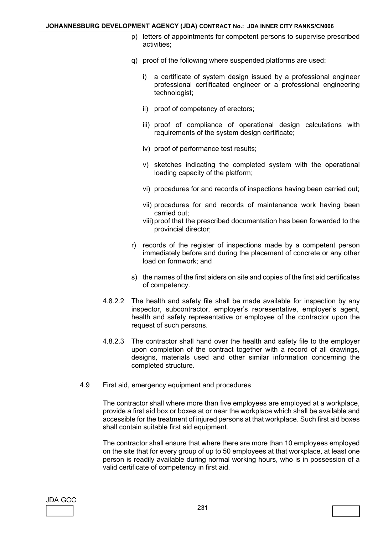- p) letters of appointments for competent persons to supervise prescribed activities;
- q) proof of the following where suspended platforms are used:
	- i) a certificate of system design issued by a professional engineer professional certificated engineer or a professional engineering technologist;
	- ii) proof of competency of erectors;
	- iii) proof of compliance of operational design calculations with requirements of the system design certificate;
	- iv) proof of performance test results;
	- v) sketches indicating the completed system with the operational loading capacity of the platform;
	- vi) procedures for and records of inspections having been carried out;
	- vii) procedures for and records of maintenance work having been carried out;
	- viii) proof that the prescribed documentation has been forwarded to the provincial director;
- r) records of the register of inspections made by a competent person immediately before and during the placement of concrete or any other load on formwork; and
- s) the names of the first aiders on site and copies of the first aid certificates of competency.
- 4.8.2.2 The health and safety file shall be made available for inspection by any inspector, subcontractor, employer's representative, employer's agent, health and safety representative or employee of the contractor upon the request of such persons.
- 4.8.2.3 The contractor shall hand over the health and safety file to the employer upon completion of the contract together with a record of all drawings, designs, materials used and other similar information concerning the completed structure.
- 4.9 First aid, emergency equipment and procedures

 The contractor shall where more than five employees are employed at a workplace, provide a first aid box or boxes at or near the workplace which shall be available and accessible for the treatment of injured persons at that workplace. Such first aid boxes shall contain suitable first aid equipment.

 The contractor shall ensure that where there are more than 10 employees employed on the site that for every group of up to 50 employees at that workplace, at least one person is readily available during normal working hours, who is in possession of a valid certificate of competency in first aid.